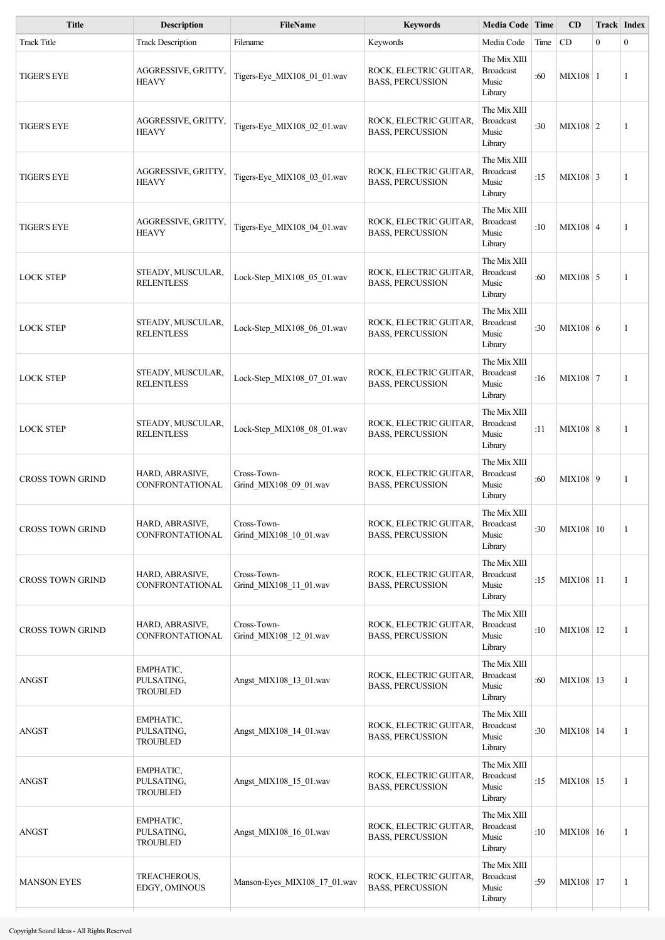| <b>Title</b>            | <b>Description</b>                         | <b>FileName</b>                       | <b>Keywords</b>                                   | Media Code Time                                      |      | CD            | <b>Track Index</b> |              |
|-------------------------|--------------------------------------------|---------------------------------------|---------------------------------------------------|------------------------------------------------------|------|---------------|--------------------|--------------|
| <b>Track Title</b>      | <b>Track Description</b>                   | Filename                              | Keywords                                          | Media Code                                           | Time | CD            | $\mathbf{0}$       | $\mathbf{0}$ |
| <b>TIGER'S EYE</b>      | AGGRESSIVE, GRITTY,<br><b>HEAVY</b>        | Tigers-Eye_MIX108_01_01.wav           | ROCK, ELECTRIC GUITAR,<br><b>BASS, PERCUSSION</b> | The Mix XIII<br><b>Broadcast</b><br>Music<br>Library | :60  | $MIX108$   1  |                    | 1            |
| <b>TIGER'S EYE</b>      | AGGRESSIVE, GRITTY,<br><b>HEAVY</b>        | Tigers-Eye MIX108 02 01.wav           | ROCK, ELECTRIC GUITAR,<br><b>BASS, PERCUSSION</b> | The Mix XIII<br><b>Broadcast</b><br>Music<br>Library | :30  | $MIX108$   2  |                    | 1            |
| <b>TIGER'S EYE</b>      | AGGRESSIVE, GRITTY,<br><b>HEAVY</b>        | Tigers-Eye MIX108 03 01.wav           | ROCK, ELECTRIC GUITAR,<br><b>BASS, PERCUSSION</b> | The Mix XIII<br><b>Broadcast</b><br>Music<br>Library | :15  | $MIX108$ 3    |                    | 1            |
| <b>TIGER'S EYE</b>      | AGGRESSIVE, GRITTY,<br><b>HEAVY</b>        | Tigers-Eye_MIX108_04_01.wav           | ROCK, ELECTRIC GUITAR,<br><b>BASS, PERCUSSION</b> | The Mix XIII<br><b>Broadcast</b><br>Music<br>Library | :10  | $MIX108$ 4    |                    | 1            |
| <b>LOCK STEP</b>        | STEADY, MUSCULAR,<br><b>RELENTLESS</b>     | Lock-Step MIX108 05 01.wav            | ROCK, ELECTRIC GUITAR,<br><b>BASS, PERCUSSION</b> | The Mix XIII<br><b>Broadcast</b><br>Music<br>Library | :60  | $MIX108$ 5    |                    | 1            |
| <b>LOCK STEP</b>        | STEADY, MUSCULAR,<br><b>RELENTLESS</b>     | Lock-Step_MIX108_06_01.wav            | ROCK, ELECTRIC GUITAR,<br><b>BASS, PERCUSSION</b> | The Mix XIII<br><b>Broadcast</b><br>Music<br>Library | :30  | MIX108 6      |                    | 1            |
| <b>LOCK STEP</b>        | STEADY, MUSCULAR,<br><b>RELENTLESS</b>     | Lock-Step_MIX108_07_01.wav            | ROCK, ELECTRIC GUITAR,<br><b>BASS, PERCUSSION</b> | The Mix XIII<br><b>Broadcast</b><br>Music<br>Library | :16  | MIX108   7    |                    | 1            |
| <b>LOCK STEP</b>        | STEADY, MUSCULAR,<br><b>RELENTLESS</b>     | Lock-Step_MIX108_08_01.wav            | ROCK, ELECTRIC GUITAR,<br><b>BASS, PERCUSSION</b> | The Mix XIII<br><b>Broadcast</b><br>Music<br>Library | :11  | MIX108   8    |                    | 1            |
| <b>CROSS TOWN GRIND</b> | HARD, ABRASIVE,<br>CONFRONTATIONAL         | Cross-Town-<br>Grind_MIX108_09_01.wav | ROCK, ELECTRIC GUITAR,<br><b>BASS, PERCUSSION</b> | The Mix XIII<br><b>Broadcast</b><br>Music<br>Library | :60  | MIX108 9      |                    | 1            |
| <b>CROSS TOWN GRIND</b> | HARD, ABRASIVE,<br><b>CONFRONTATIONAL</b>  | Cross-Town-<br>Grind MIX108 10 01.wav | ROCK, ELECTRIC GUITAR,<br><b>BASS, PERCUSSION</b> | The Mix XIII<br><b>Broadcast</b><br>Music<br>Library | :30  | $MIX108$ 10   |                    | 1            |
| <b>CROSS TOWN GRIND</b> | HARD, ABRASIVE,<br>CONFRONTATIONAL         | Cross-Town-<br>Grind_MIX108_11_01.wav | ROCK, ELECTRIC GUITAR,<br><b>BASS, PERCUSSION</b> | The Mix XIII<br><b>Broadcast</b><br>Music<br>Library | :15  | $MIX108$   11 |                    | 1            |
| <b>CROSS TOWN GRIND</b> | HARD, ABRASIVE,<br><b>CONFRONTATIONAL</b>  | Cross-Town-<br>Grind_MIX108_12_01.wav | ROCK, ELECTRIC GUITAR,<br><b>BASS, PERCUSSION</b> | The Mix XIII<br><b>Broadcast</b><br>Music<br>Library | :10  | MIX108   12   |                    | 1            |
| <b>ANGST</b>            | EMPHATIC,<br>PULSATING,<br><b>TROUBLED</b> | Angst_MIX108_13_01.wav                | ROCK, ELECTRIC GUITAR,<br><b>BASS, PERCUSSION</b> | The Mix XIII<br><b>Broadcast</b><br>Music<br>Library | :60  | MIX108   13   |                    | 1            |
| <b>ANGST</b>            | EMPHATIC,<br>PULSATING,<br><b>TROUBLED</b> | Angst MIX108 14 01.wav                | ROCK, ELECTRIC GUITAR,<br><b>BASS, PERCUSSION</b> | The Mix XIII<br><b>Broadcast</b><br>Music<br>Library | :30  | MIX108   14   |                    | 1            |
| <b>ANGST</b>            | EMPHATIC,<br>PULSATING,<br><b>TROUBLED</b> | Angst_MIX108_15_01.wav                | ROCK, ELECTRIC GUITAR,<br><b>BASS, PERCUSSION</b> | The Mix XIII<br><b>Broadcast</b><br>Music<br>Library | :15  | MIX108   15   |                    | 1            |
| <b>ANGST</b>            | EMPHATIC,<br>PULSATING,<br><b>TROUBLED</b> | Angst_MIX108_16_01.wav                | ROCK, ELECTRIC GUITAR,<br><b>BASS, PERCUSSION</b> | The Mix XIII<br><b>Broadcast</b><br>Music<br>Library | :10  | MIX108   16   |                    | 1            |
| <b>MANSON EYES</b>      | TREACHEROUS,<br>EDGY, OMINOUS              | Manson-Eyes MIX108 17 01.wav          | ROCK, ELECTRIC GUITAR,<br><b>BASS, PERCUSSION</b> | The Mix XIII<br><b>Broadcast</b><br>Music<br>Library | :59  | MIX108   17   |                    | 1            |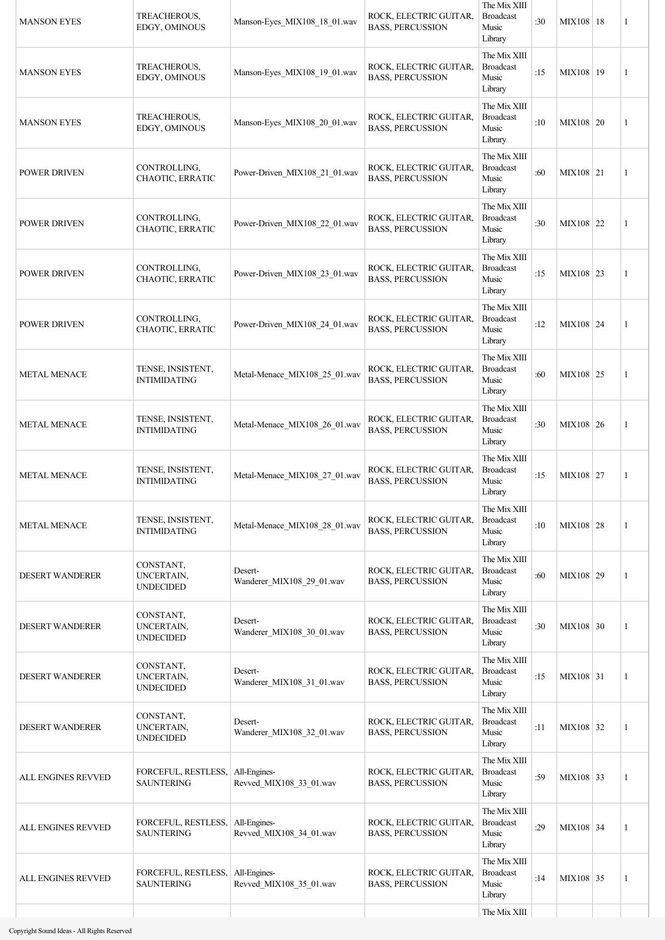| <b>MANSON EYES</b>     | TREACHEROUS,<br>EDGY, OMINOUS                           | Manson-Eyes MIX108 18 01.wav            | ROCK, ELECTRIC GUITAR,<br><b>BASS, PERCUSSION</b> | The Mix XIII<br><b>Broadcast</b><br>Music<br>Library | :30 | MIX108 18   | 1            |
|------------------------|---------------------------------------------------------|-----------------------------------------|---------------------------------------------------|------------------------------------------------------|-----|-------------|--------------|
| <b>MANSON EYES</b>     | TREACHEROUS,<br>EDGY, OMINOUS                           | Manson-Eyes MIX108 19 01.wav            | ROCK, ELECTRIC GUITAR,<br><b>BASS, PERCUSSION</b> | The Mix XIII<br><b>Broadcast</b><br>Music<br>Library | :15 | MIX108   19 | 1            |
| <b>MANSON EYES</b>     | TREACHEROUS,<br>EDGY, OMINOUS                           | Manson-Eyes MIX108 20 01.wav            | ROCK, ELECTRIC GUITAR,<br><b>BASS, PERCUSSION</b> | The Mix XIII<br><b>Broadcast</b><br>Music<br>Library | :10 | MIX108 20   | 1            |
| <b>POWER DRIVEN</b>    | CONTROLLING,<br>CHAOTIC, ERRATIC                        | Power-Driven MIX108 21 01.wav           | ROCK, ELECTRIC GUITAR,<br><b>BASS, PERCUSSION</b> | The Mix XIII<br><b>Broadcast</b><br>Music<br>Library | :60 | MIX108 21   | 1            |
| POWER DRIVEN           | CONTROLLING,<br>CHAOTIC, ERRATIC                        | Power-Driven_MIX108_22_01.wav           | ROCK, ELECTRIC GUITAR,<br><b>BASS, PERCUSSION</b> | The Mix XIII<br><b>Broadcast</b><br>Music<br>Library | :30 | MIX108 22   | 1            |
| <b>POWER DRIVEN</b>    | CONTROLLING,<br>CHAOTIC, ERRATIC                        | Power-Driven_MIX108_23_01.wav           | ROCK, ELECTRIC GUITAR,<br><b>BASS, PERCUSSION</b> | The Mix XIII<br><b>Broadcast</b><br>Music<br>Library | :15 | MIX108 23   | 1            |
| <b>POWER DRIVEN</b>    | CONTROLLING,<br>CHAOTIC, ERRATIC                        | Power-Driven_MIX108_24_01.wav           | ROCK, ELECTRIC GUITAR,<br><b>BASS, PERCUSSION</b> | The Mix XIII<br><b>Broadcast</b><br>Music<br>Library | :12 | MIX108 24   | 1            |
| <b>METAL MENACE</b>    | TENSE, INSISTENT,<br><b>INTIMIDATING</b>                | Metal-Menace_MIX108_25_01.wav           | ROCK, ELECTRIC GUITAR,<br><b>BASS, PERCUSSION</b> | The Mix XIII<br><b>Broadcast</b><br>Music<br>Library | :60 | MIX108 25   | 1            |
| <b>METAL MENACE</b>    | TENSE, INSISTENT,<br>INTIMIDATING                       | Metal-Menace_MIX108_26_01.wav           | ROCK, ELECTRIC GUITAR,<br><b>BASS, PERCUSSION</b> | The Mix XIII<br><b>Broadcast</b><br>Music<br>Library | :30 | MIX108 26   | 1            |
| <b>METAL MENACE</b>    | TENSE, INSISTENT,<br><b>INTIMIDATING</b>                | Metal-Menace_MIX108_27_01.wav           | ROCK, ELECTRIC GUITAR,<br><b>BASS, PERCUSSION</b> | The Mix XIII<br><b>Broadcast</b><br>Music<br>Library | :15 | MIX108 27   | 1            |
| <b>METAL MENACE</b>    | TENSE, INSISTENT,<br><b>INTIMIDATING</b>                | Metal-Menace MIX108 28 01.wav           | ROCK, ELECTRIC GUITAR,<br><b>BASS, PERCUSSION</b> | The Mix XIII<br><b>Broadcast</b><br>Music<br>Library | :10 | $MIX108$ 28 | 1            |
| <b>DESERT WANDERER</b> | CONSTANT,<br>UNCERTAIN,<br><b>UNDECIDED</b>             | Desert-<br>Wanderer_MIX108_29_01.wav    | ROCK, ELECTRIC GUITAR,<br><b>BASS, PERCUSSION</b> | The Mix XIII<br><b>Broadcast</b><br>Music<br>Library | :60 | MIX108 29   | $\mathbf{1}$ |
| <b>DESERT WANDERER</b> | CONSTANT,<br>UNCERTAIN,<br><b>UNDECIDED</b>             | Desert-<br>Wanderer_MIX108_30_01.wav    | ROCK, ELECTRIC GUITAR,<br><b>BASS, PERCUSSION</b> | The Mix XIII<br><b>Broadcast</b><br>Music<br>Library | :30 | MIX108 30   | 1            |
| <b>DESERT WANDERER</b> | CONSTANT,<br>UNCERTAIN,<br><b>UNDECIDED</b>             | Desert-<br>Wanderer_MIX108_31_01.wav    | ROCK, ELECTRIC GUITAR,<br><b>BASS, PERCUSSION</b> | The Mix XIII<br><b>Broadcast</b><br>Music<br>Library | :15 | MIX108 31   | $\mathbf{1}$ |
| <b>DESERT WANDERER</b> | CONSTANT,<br>UNCERTAIN,<br><b>UNDECIDED</b>             | Desert-<br>Wanderer_MIX108_32_01.wav    | ROCK, ELECTRIC GUITAR,<br><b>BASS, PERCUSSION</b> | The Mix XIII<br><b>Broadcast</b><br>Music<br>Library | :11 | MIX108 32   | 1            |
| ALL ENGINES REVVED     | FORCEFUL, RESTLESS,   All-Engines-<br><b>SAUNTERING</b> | Revved_MIX108_33_01.wav                 | ROCK, ELECTRIC GUITAR,<br><b>BASS, PERCUSSION</b> | The Mix XIII<br><b>Broadcast</b><br>Music<br>Library | :59 | MIX108 33   | 1            |
| ALL ENGINES REVVED     | FORCEFUL, RESTLESS,<br><b>SAUNTERING</b>                | All-Engines-<br>Revved_MIX108_34_01.wav | ROCK, ELECTRIC GUITAR,<br><b>BASS, PERCUSSION</b> | The Mix XIII<br><b>Broadcast</b><br>Music<br>Library | :29 | MIX108 34   | 1            |
| ALL ENGINES REVVED     | FORCEFUL, RESTLESS, All-Engines-<br><b>SAUNTERING</b>   | Revved_MIX108_35_01.wav                 | ROCK, ELECTRIC GUITAR,<br><b>BASS, PERCUSSION</b> | The Mix XIII<br><b>Broadcast</b><br>Music<br>Library | :14 | MIX108 35   | 1            |
|                        |                                                         |                                         |                                                   | The Mix XIII                                         |     |             |              |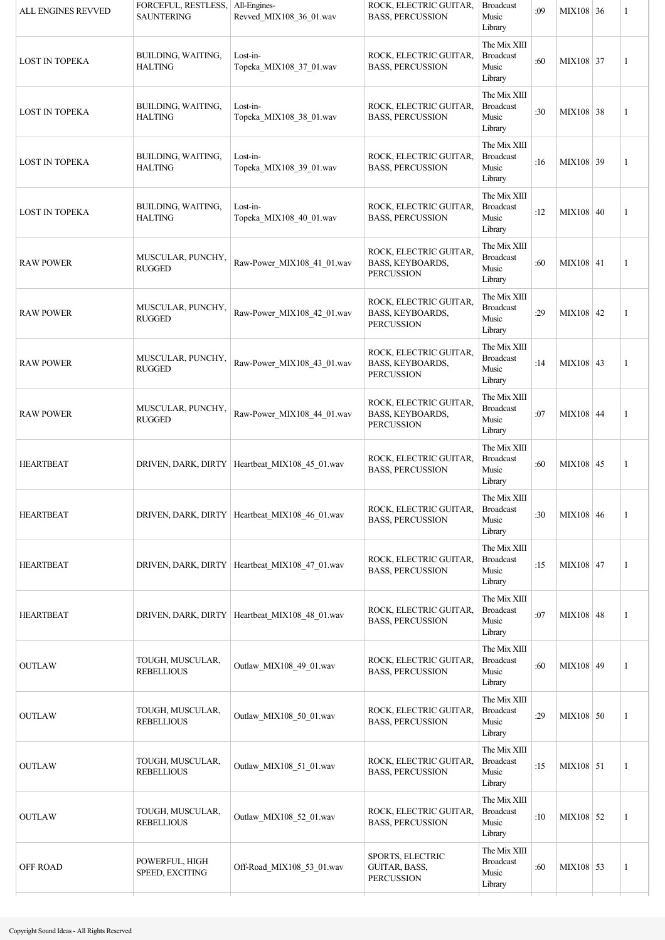| ALL ENGINES REVVED    | FORCEFUL, RESTLESS,<br><b>SAUNTERING</b> | All-Engines-<br>Revved MIX108 36 01.wav          | ROCK, ELECTRIC GUITAR,<br><b>BASS, PERCUSSION</b>               | <b>Broadcast</b><br>Music<br>Library                 | :09 | MIX108 36   | 1            |
|-----------------------|------------------------------------------|--------------------------------------------------|-----------------------------------------------------------------|------------------------------------------------------|-----|-------------|--------------|
| <b>LOST IN TOPEKA</b> | BUILDING, WAITING,<br><b>HALTING</b>     | Lost-in-<br>Topeka_MIX108_37_01.wav              | ROCK, ELECTRIC GUITAR,<br><b>BASS, PERCUSSION</b>               | The Mix XIII<br><b>Broadcast</b><br>Music<br>Library | :60 | MIX108 37   | 1            |
| <b>LOST IN TOPEKA</b> | BUILDING, WAITING,<br><b>HALTING</b>     | Lost-in-<br>Topeka_MIX108_38_01.wav              | ROCK, ELECTRIC GUITAR,<br><b>BASS, PERCUSSION</b>               | The Mix XIII<br><b>Broadcast</b><br>Music<br>Library | :30 | MIX108 38   | 1            |
| <b>LOST IN TOPEKA</b> | BUILDING, WAITING,<br><b>HALTING</b>     | Lost-in-<br>Topeka_MIX108_39_01.wav              | ROCK, ELECTRIC GUITAR,<br><b>BASS, PERCUSSION</b>               | The Mix XIII<br><b>Broadcast</b><br>Music<br>Library | :16 | MIX108 39   | 1            |
| <b>LOST IN TOPEKA</b> | BUILDING, WAITING,<br><b>HALTING</b>     | Lost-in-<br>Topeka_MIX108_40_01.wav              | ROCK, ELECTRIC GUITAR,<br><b>BASS, PERCUSSION</b>               | The Mix XIII<br><b>Broadcast</b><br>Music<br>Library | :12 | MIX108 40   | $\mathbf{1}$ |
| <b>RAW POWER</b>      | MUSCULAR, PUNCHY,<br><b>RUGGED</b>       | Raw-Power_MIX108_41_01.wav                       | ROCK, ELECTRIC GUITAR,<br>BASS, KEYBOARDS,<br><b>PERCUSSION</b> | The Mix XIII<br><b>Broadcast</b><br>Music<br>Library | :60 | MIX108 41   | $\mathbf{1}$ |
| <b>RAW POWER</b>      | MUSCULAR, PUNCHY,<br><b>RUGGED</b>       | Raw-Power_MIX108_42_01.wav                       | ROCK, ELECTRIC GUITAR.<br>BASS, KEYBOARDS,<br><b>PERCUSSION</b> | The Mix XIII<br><b>Broadcast</b><br>Music<br>Library | :29 | MIX108 42   | 1            |
| <b>RAW POWER</b>      | MUSCULAR, PUNCHY,<br><b>RUGGED</b>       | Raw-Power MIX108 43 01.wav                       | ROCK, ELECTRIC GUITAR,<br>BASS, KEYBOARDS,<br><b>PERCUSSION</b> | The Mix XIII<br><b>Broadcast</b><br>Music<br>Library | :14 | MIX108 43   | $\mathbf{1}$ |
| <b>RAW POWER</b>      | MUSCULAR, PUNCHY,<br><b>RUGGED</b>       | Raw-Power_MIX108_44_01.wav                       | ROCK, ELECTRIC GUITAR,<br>BASS, KEYBOARDS,<br><b>PERCUSSION</b> | The Mix XIII<br><b>Broadcast</b><br>Music<br>Library | :07 | MIX108 44   | $\mathbf{1}$ |
| <b>HEARTBEAT</b>      |                                          | DRIVEN, DARK, DIRTY   Heartbeat MIX108 45 01.wav | ROCK, ELECTRIC GUITAR,<br><b>BASS, PERCUSSION</b>               | The Mix XIII<br><b>Broadcast</b><br>Music<br>Library | :60 | MIX108 45   | 1            |
| <b>HEARTBEAT</b>      |                                          | DRIVEN, DARK, DIRTY   Heartbeat_MIX108_46_01.wav | ROCK, ELECTRIC GUITAR,<br><b>BASS, PERCUSSION</b>               | The Mix XIII<br><b>Broadcast</b><br>Music<br>Library | :30 | MIX108 $46$ | 1            |
| <b>HEARTBEAT</b>      |                                          | DRIVEN, DARK, DIRTY   Heartbeat MIX108 47 01.wav | ROCK, ELECTRIC GUITAR,<br><b>BASS, PERCUSSION</b>               | The Mix XIII<br><b>Broadcast</b><br>Music<br>Library | :15 | MIX108 47   | $\mathbf{1}$ |
| <b>HEARTBEAT</b>      |                                          | DRIVEN, DARK, DIRTY   Heartbeat_MIX108_48_01.wav | ROCK, ELECTRIC GUITAR,<br><b>BASS, PERCUSSION</b>               | The Mix XIII<br><b>Broadcast</b><br>Music<br>Library | :07 | MIX108 48   | 1            |
| <b>OUTLAW</b>         | TOUGH, MUSCULAR,<br><b>REBELLIOUS</b>    | Outlaw_MIX108_49_01.wav                          | ROCK, ELECTRIC GUITAR,<br><b>BASS, PERCUSSION</b>               | The Mix XIII<br><b>Broadcast</b><br>Music<br>Library | :60 | MIX108 49   | 1            |
| <b>OUTLAW</b>         | TOUGH, MUSCULAR,<br><b>REBELLIOUS</b>    | Outlaw_MIX108_50_01.wav                          | ROCK, ELECTRIC GUITAR,<br><b>BASS, PERCUSSION</b>               | The Mix XIII<br><b>Broadcast</b><br>Music<br>Library | :29 | $MIX108$ 50 | 1            |
| <b>OUTLAW</b>         | TOUGH, MUSCULAR,<br><b>REBELLIOUS</b>    | Outlaw_MIX108_51_01.wav                          | ROCK, ELECTRIC GUITAR,<br><b>BASS, PERCUSSION</b>               | The Mix XIII<br><b>Broadcast</b><br>Music<br>Library | :15 | MIX108 51   | 1            |
| <b>OUTLAW</b>         | TOUGH, MUSCULAR,<br><b>REBELLIOUS</b>    | Outlaw_MIX108_52_01.wav                          | ROCK, ELECTRIC GUITAR,<br><b>BASS, PERCUSSION</b>               | The Mix XIII<br><b>Broadcast</b><br>Music<br>Library | :10 | MIX108 52   | 1            |
| OFF ROAD              | POWERFUL, HIGH<br>SPEED, EXCITING        | Off-Road_MIX108_53_01.wav                        | SPORTS, ELECTRIC<br>GUITAR, BASS,<br><b>PERCUSSION</b>          | The Mix XIII<br><b>Broadcast</b><br>Music<br>Library | :60 | MIX108 53   | 1            |
|                       |                                          |                                                  |                                                                 |                                                      |     |             |              |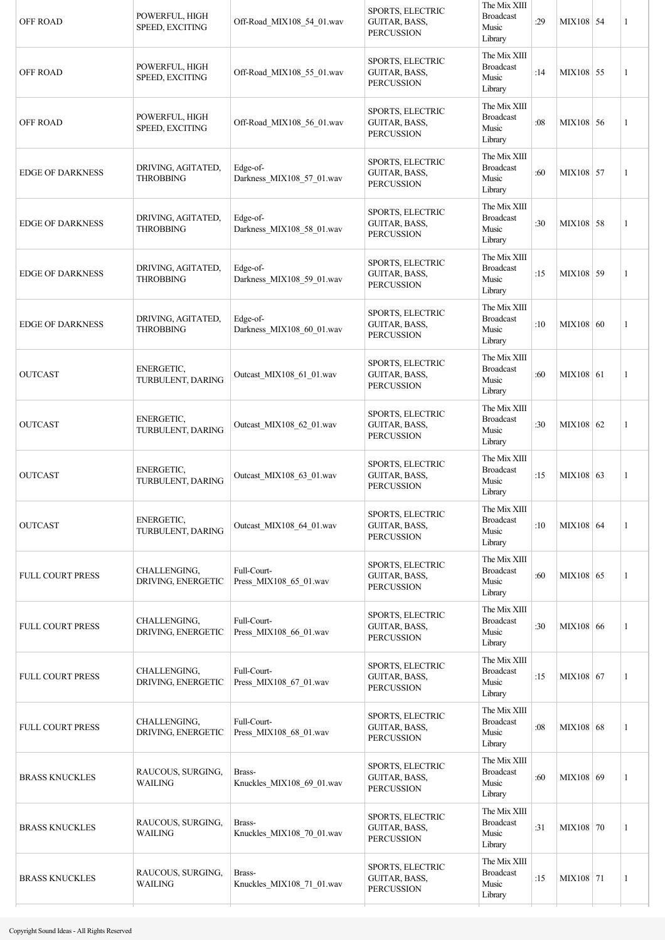| <b>OFF ROAD</b>         | POWERFUL, HIGH<br>SPEED, EXCITING      | Off-Road_MIX108_54_01.wav             | SPORTS, ELECTRIC<br>GUITAR, BASS,<br><b>PERCUSSION</b>        | The Mix XIII<br><b>Broadcast</b><br>Music<br>Library | :29 | MIX108 54 | $\mathbf{1}$ |
|-------------------------|----------------------------------------|---------------------------------------|---------------------------------------------------------------|------------------------------------------------------|-----|-----------|--------------|
| <b>OFF ROAD</b>         | POWERFUL, HIGH<br>SPEED, EXCITING      | Off-Road_MIX108_55_01.wav             | <b>SPORTS, ELECTRIC</b><br>GUITAR, BASS,<br><b>PERCUSSION</b> | The Mix XIII<br><b>Broadcast</b><br>Music<br>Library | :14 | MIX108 55 | 1            |
| <b>OFF ROAD</b>         | POWERFUL, HIGH<br>SPEED, EXCITING      | Off-Road MIX108 56 01.wav             | SPORTS, ELECTRIC<br>GUITAR, BASS,<br><b>PERCUSSION</b>        | The Mix XIII<br><b>Broadcast</b><br>Music<br>Library | :08 | MIX108 56 | $\mathbf{1}$ |
| <b>EDGE OF DARKNESS</b> | DRIVING, AGITATED,<br><b>THROBBING</b> | Edge-of-<br>Darkness_MIX108_57_01.wav | SPORTS, ELECTRIC<br>GUITAR, BASS,<br><b>PERCUSSION</b>        | The Mix XIII<br><b>Broadcast</b><br>Music<br>Library | :60 | MIX108 57 | 1            |
| <b>EDGE OF DARKNESS</b> | DRIVING, AGITATED,<br><b>THROBBING</b> | Edge-of-<br>Darkness_MIX108_58_01.wav | SPORTS, ELECTRIC<br>GUITAR, BASS,<br><b>PERCUSSION</b>        | The Mix XIII<br><b>Broadcast</b><br>Music<br>Library | :30 | MIX108 58 | $\mathbf{1}$ |
| <b>EDGE OF DARKNESS</b> | DRIVING, AGITATED,<br><b>THROBBING</b> | Edge-of-<br>Darkness MIX108 59 01.wav | SPORTS, ELECTRIC<br>GUITAR, BASS,<br><b>PERCUSSION</b>        | The Mix XIII<br><b>Broadcast</b><br>Music<br>Library | :15 | MIX108 59 | 1            |
| <b>EDGE OF DARKNESS</b> | DRIVING, AGITATED,<br><b>THROBBING</b> | Edge-of-<br>Darkness_MIX108_60_01.wav | <b>SPORTS, ELECTRIC</b><br>GUITAR, BASS,<br><b>PERCUSSION</b> | The Mix XIII<br><b>Broadcast</b><br>Music<br>Library | :10 | MIX108 60 | 1            |
| <b>OUTCAST</b>          | ENERGETIC,<br>TURBULENT, DARING        | Outcast_MIX108_61_01.wav              | SPORTS, ELECTRIC<br>GUITAR, BASS,<br><b>PERCUSSION</b>        | The Mix XIII<br><b>Broadcast</b><br>Music<br>Library | :60 | MIX108 61 | 1            |
| <b>OUTCAST</b>          | ENERGETIC,<br>TURBULENT, DARING        | Outcast_MIX108_62_01.wav              | SPORTS, ELECTRIC<br>GUITAR, BASS,<br><b>PERCUSSION</b>        | The Mix XIII<br><b>Broadcast</b><br>Music<br>Library | :30 | MIX108 62 | 1            |
| <b>OUTCAST</b>          | ENERGETIC,<br>TURBULENT, DARING        | Outcast_MIX108_63_01.wav              | <b>SPORTS, ELECTRIC</b><br>GUITAR, BASS,<br><b>PERCUSSION</b> | The Mix XIII<br><b>Broadcast</b><br>Music<br>Library | :15 | MIX108 63 | 1            |
| <b>OUTCAST</b>          | ENERGETIC,<br>TURBULENT, DARING        | Outcast MIX108 64 01.wav              | SPORTS, ELECTRIC<br>GUITAR, BASS,<br><b>PERCUSSION</b>        | The Mix XIII<br><b>Broadcast</b><br>Music<br>Library | :10 | MIX108 64 | 1            |
| <b>FULL COURT PRESS</b> | CHALLENGING,<br>DRIVING, ENERGETIC     | Full-Court-<br>Press_MIX108_65_01.wav | SPORTS, ELECTRIC<br>GUITAR, BASS,<br><b>PERCUSSION</b>        | The Mix XIII<br><b>Broadcast</b><br>Music<br>Library | :60 | MIX108 65 | 1            |
| FULL COURT PRESS        | CHALLENGING,<br>DRIVING, ENERGETIC     | Full-Court-<br>Press_MIX108_66_01.wav | SPORTS, ELECTRIC<br>GUITAR, BASS,<br><b>PERCUSSION</b>        | The Mix XIII<br><b>Broadcast</b><br>Music<br>Library | :30 | MIX108 66 | 1            |
| <b>FULL COURT PRESS</b> | CHALLENGING,<br>DRIVING, ENERGETIC     | Full-Court-<br>Press_MIX108_67_01.wav | SPORTS, ELECTRIC<br>GUITAR, BASS,<br><b>PERCUSSION</b>        | The Mix XIII<br><b>Broadcast</b><br>Music<br>Library | :15 | MIX108 67 | 1            |
| <b>FULL COURT PRESS</b> | CHALLENGING,<br>DRIVING, ENERGETIC     | Full-Court-<br>Press_MIX108_68_01.wav | SPORTS, ELECTRIC<br>GUITAR, BASS,<br><b>PERCUSSION</b>        | The Mix XIII<br><b>Broadcast</b><br>Music<br>Library | :08 | MIX108 68 | 1            |
| <b>BRASS KNUCKLES</b>   | RAUCOUS, SURGING,<br>WAILING           | Brass-<br>Knuckles_MIX108_69_01.wav   | SPORTS, ELECTRIC<br>GUITAR, BASS,<br><b>PERCUSSION</b>        | The Mix XIII<br><b>Broadcast</b><br>Music<br>Library | :60 | MIX108 69 | 1            |
| <b>BRASS KNUCKLES</b>   | RAUCOUS, SURGING,<br>WAILING           | Brass-<br>Knuckles_MIX108_70_01.wav   | SPORTS, ELECTRIC<br>GUITAR, BASS,<br><b>PERCUSSION</b>        | The Mix XIII<br><b>Broadcast</b><br>Music<br>Library | :31 | MIX108 70 | 1            |
| <b>BRASS KNUCKLES</b>   | RAUCOUS, SURGING,<br>WAILING           | Brass-<br>Knuckles_MIX108_71_01.wav   | SPORTS, ELECTRIC<br>GUITAR, BASS,<br><b>PERCUSSION</b>        | The Mix XIII<br><b>Broadcast</b><br>Music<br>Library | :15 | MIX108 71 | 1            |
|                         |                                        |                                       |                                                               |                                                      |     |           |              |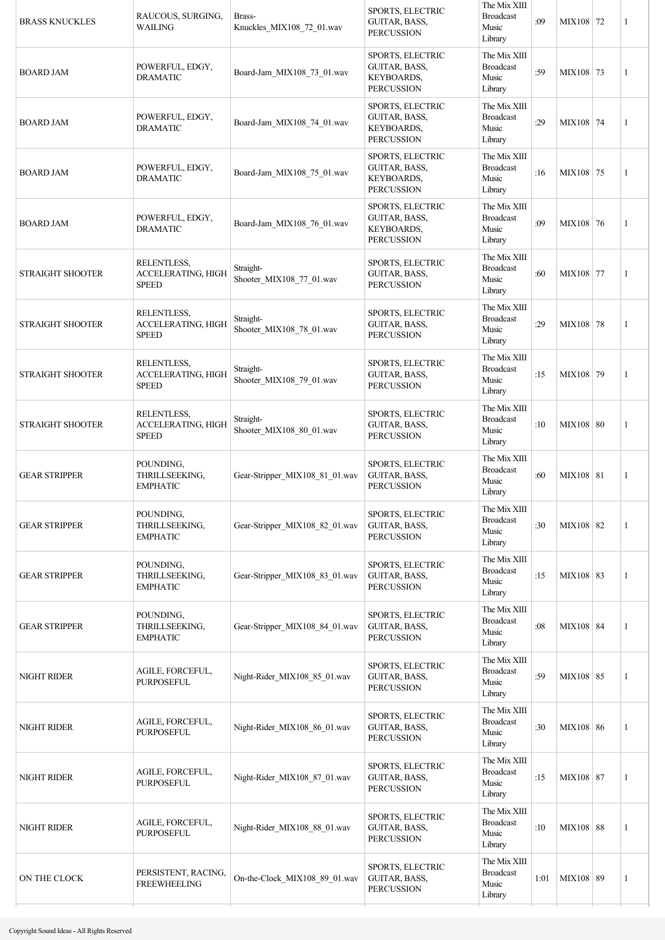| <b>BRASS KNUCKLES</b>   | RAUCOUS, SURGING,<br>WAILING                             | Brass-<br>Knuckles_MIX108_72_01.wav   | SPORTS, ELECTRIC<br>GUITAR, BASS,<br><b>PERCUSSION</b>                      | The Mix XIII<br><b>Broadcast</b><br>Music<br>Library | :09  | MIX108 72   | 1            |
|-------------------------|----------------------------------------------------------|---------------------------------------|-----------------------------------------------------------------------------|------------------------------------------------------|------|-------------|--------------|
| <b>BOARD JAM</b>        | POWERFUL, EDGY,<br><b>DRAMATIC</b>                       | Board-Jam_MIX108_73_01.wav            | SPORTS, ELECTRIC<br>GUITAR, BASS,<br><b>KEYBOARDS,</b><br><b>PERCUSSION</b> | The Mix XIII<br><b>Broadcast</b><br>Music<br>Library | :59  | MIX108 73   | 1            |
| <b>BOARD JAM</b>        | POWERFUL, EDGY,<br><b>DRAMATIC</b>                       | Board-Jam_MIX108_74_01.wav            | SPORTS, ELECTRIC<br>GUITAR, BASS,<br><b>KEYBOARDS,</b><br><b>PERCUSSION</b> | The Mix XIII<br><b>Broadcast</b><br>Music<br>Library | :29  | MIX108 74   | $\mathbf{1}$ |
| <b>BOARD JAM</b>        | POWERFUL, EDGY,<br><b>DRAMATIC</b>                       | Board-Jam_MIX108_75_01.wav            | SPORTS, ELECTRIC<br>GUITAR, BASS,<br><b>KEYBOARDS,</b><br><b>PERCUSSION</b> | The Mix XIII<br><b>Broadcast</b><br>Music<br>Library | :16  | MIX108 75   | 1            |
| <b>BOARD JAM</b>        | POWERFUL, EDGY,<br><b>DRAMATIC</b>                       | Board-Jam_MIX108_76_01.wav            | SPORTS, ELECTRIC<br>GUITAR, BASS,<br><b>KEYBOARDS,</b><br><b>PERCUSSION</b> | The Mix XIII<br><b>Broadcast</b><br>Music<br>Library | :09  | MIX108 76   | 1            |
| <b>STRAIGHT SHOOTER</b> | RELENTLESS,<br>ACCELERATING, HIGH<br><b>SPEED</b>        | Straight-<br>Shooter_MIX108_77_01.wav | SPORTS, ELECTRIC<br><b>GUITAR, BASS,</b><br><b>PERCUSSION</b>               | The Mix XIII<br><b>Broadcast</b><br>Music<br>Library | :60  | MIX108 77   | 1            |
| <b>STRAIGHT SHOOTER</b> | RELENTLESS,<br>ACCELERATING, HIGH<br><b>SPEED</b>        | Straight-<br>Shooter_MIX108_78_01.wav | <b>SPORTS, ELECTRIC</b><br>GUITAR, BASS,<br><b>PERCUSSION</b>               | The Mix XIII<br><b>Broadcast</b><br>Music<br>Library | :29  | MIX108 78   | 1            |
| <b>STRAIGHT SHOOTER</b> | <b>RELENTLESS,</b><br>ACCELERATING, HIGH<br><b>SPEED</b> | Straight-<br>Shooter_MIX108_79_01.wav | SPORTS, ELECTRIC<br>GUITAR, BASS,<br><b>PERCUSSION</b>                      | The Mix XIII<br><b>Broadcast</b><br>Music<br>Library | :15  | MIX108 79   | 1            |
| <b>STRAIGHT SHOOTER</b> | RELENTLESS,<br>ACCELERATING, HIGH<br><b>SPEED</b>        | Straight-<br>Shooter_MIX108_80_01.wav | SPORTS, ELECTRIC<br>GUITAR, BASS,<br><b>PERCUSSION</b>                      | The Mix XIII<br><b>Broadcast</b><br>Music<br>Library | :10  | MIX108 80   | 1            |
| <b>GEAR STRIPPER</b>    | POUNDING,<br>THRILLSEEKING,<br><b>EMPHATIC</b>           | Gear-Stripper MIX108 81 01.wav        | SPORTS, ELECTRIC<br>GUITAR, BASS,<br><b>PERCUSSION</b>                      | The Mix XIII<br><b>Broadcast</b><br>Music<br>Library | :60  | MIX108   81 | 1            |
| <b>GEAR STRIPPER</b>    | POUNDING,<br>THRILLSEEKING,<br><b>EMPHATIC</b>           | Gear-Stripper_MIX108_82_01.wav        | SPORTS, ELECTRIC<br>GUITAR, BASS,<br><b>PERCUSSION</b>                      | The Mix XIII<br><b>Broadcast</b><br>Music<br>Library | :30  | MIX108 82   | 1            |
| <b>GEAR STRIPPER</b>    | POUNDING,<br>THRILLSEEKING,<br><b>EMPHATIC</b>           | Gear-Stripper MIX108 83 01.wav        | SPORTS, ELECTRIC<br>GUITAR, BASS,<br><b>PERCUSSION</b>                      | The Mix XIII<br><b>Broadcast</b><br>Music<br>Library | :15  | MIX108 83   | 1            |
| <b>GEAR STRIPPER</b>    | POUNDING,<br>THRILLSEEKING,<br><b>EMPHATIC</b>           | Gear-Stripper MIX108 84 01.wav        | SPORTS, ELECTRIC<br>GUITAR, BASS,<br><b>PERCUSSION</b>                      | The Mix XIII<br><b>Broadcast</b><br>Music<br>Library | :08  | MIX108 84   | 1            |
| <b>NIGHT RIDER</b>      | AGILE, FORCEFUL,<br>PURPOSEFUL                           | Night-Rider_MIX108_85_01.wav          | SPORTS, ELECTRIC<br>GUITAR, BASS,<br><b>PERCUSSION</b>                      | The Mix XIII<br><b>Broadcast</b><br>Music<br>Library | :59  | MIX108 85   | 1            |
| NIGHT RIDER             | AGILE, FORCEFUL,<br>PURPOSEFUL                           | Night-Rider_MIX108_86_01.wav          | SPORTS, ELECTRIC<br>GUITAR, BASS,<br><b>PERCUSSION</b>                      | The Mix XIII<br><b>Broadcast</b><br>Music<br>Library | :30  | MIX108 86   | 1            |
| <b>NIGHT RIDER</b>      | AGILE, FORCEFUL,<br><b>PURPOSEFUL</b>                    | Night-Rider_MIX108_87_01.wav          | SPORTS, ELECTRIC<br>GUITAR, BASS,<br><b>PERCUSSION</b>                      | The Mix XIII<br><b>Broadcast</b><br>Music<br>Library | :15  | MIX108 87   | 1            |
| <b>NIGHT RIDER</b>      | AGILE, FORCEFUL,<br><b>PURPOSEFUL</b>                    | Night-Rider_MIX108_88_01.wav          | SPORTS, ELECTRIC<br>GUITAR, BASS,<br><b>PERCUSSION</b>                      | The Mix XIII<br><b>Broadcast</b><br>Music<br>Library | :10  | MIX108 88   | 1            |
| ON THE CLOCK            | PERSISTENT, RACING,<br><b>FREEWHEELING</b>               | On-the-Clock_MIX108_89_01.wav         | SPORTS, ELECTRIC<br><b>GUITAR, BASS,</b><br><b>PERCUSSION</b>               | The Mix XIII<br><b>Broadcast</b><br>Music<br>Library | 1:01 | MIX108 89   | 1            |
|                         |                                                          |                                       |                                                                             |                                                      |      |             |              |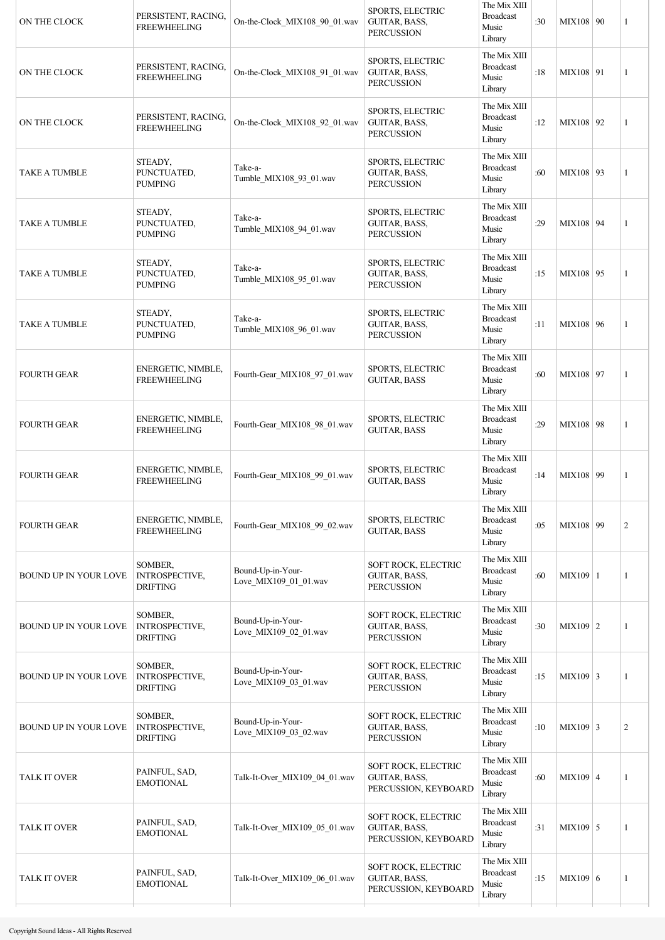| ON THE CLOCK                 | PERSISTENT, RACING,<br><b>FREEWHEELING</b>          | On-the-Clock_MIX108_90_01.wav              | SPORTS, ELECTRIC<br>GUITAR, BASS,<br><b>PERCUSSION</b>       | The Mix XIII<br><b>Broadcast</b><br>Music<br>Library | :30 | MIX108 90       | $\overline{1}$ |
|------------------------------|-----------------------------------------------------|--------------------------------------------|--------------------------------------------------------------|------------------------------------------------------|-----|-----------------|----------------|
| ON THE CLOCK                 | PERSISTENT, RACING,<br><b>FREEWHEELING</b>          | On-the-Clock_MIX108_91_01.wav              | SPORTS, ELECTRIC<br>GUITAR, BASS,<br><b>PERCUSSION</b>       | The Mix XIII<br><b>Broadcast</b><br>Music<br>Library | :18 | MIX108 91       | 1              |
| ON THE CLOCK                 | PERSISTENT, RACING,<br><b>FREEWHEELING</b>          | On-the-Clock_MIX108_92_01.wav              | SPORTS, ELECTRIC<br>GUITAR, BASS,<br><b>PERCUSSION</b>       | The Mix XIII<br><b>Broadcast</b><br>Music<br>Library | :12 | MIX108 92       | $\mathbf{1}$   |
| TAKE A TUMBLE                | STEADY,<br>PUNCTUATED,<br><b>PUMPING</b>            | Take-a-<br>Tumble_MIX108_93_01.wav         | SPORTS, ELECTRIC<br>GUITAR, BASS,<br><b>PERCUSSION</b>       | The Mix XIII<br><b>Broadcast</b><br>Music<br>Library | :60 | MIX108 93       | 1              |
| <b>TAKE A TUMBLE</b>         | STEADY,<br>PUNCTUATED,<br><b>PUMPING</b>            | Take-a-<br>Tumble_MIX108_94_01.wav         | SPORTS, ELECTRIC<br>GUITAR, BASS,<br><b>PERCUSSION</b>       | The Mix XIII<br><b>Broadcast</b><br>Music<br>Library | :29 | MIX108 94       | $\mathbf{1}$   |
| <b>TAKE A TUMBLE</b>         | STEADY,<br>PUNCTUATED,<br><b>PUMPING</b>            | Take-a-<br>Tumble_MIX108_95_01.wav         | SPORTS, ELECTRIC<br>GUITAR, BASS,<br><b>PERCUSSION</b>       | The Mix XIII<br><b>Broadcast</b><br>Music<br>Library | :15 | MIX108 95       | 1              |
| <b>TAKE A TUMBLE</b>         | STEADY,<br>PUNCTUATED,<br>PUMPING                   | Take-a-<br>Tumble_MIX108_96_01.wav         | SPORTS, ELECTRIC<br>GUITAR, BASS,<br><b>PERCUSSION</b>       | The Mix XIII<br><b>Broadcast</b><br>Music<br>Library | :11 | MIX108 96       | 1              |
| <b>FOURTH GEAR</b>           | ENERGETIC, NIMBLE,<br><b>FREEWHEELING</b>           | Fourth-Gear_MIX108_97_01.wav               | SPORTS, ELECTRIC<br><b>GUITAR, BASS</b>                      | The Mix XIII<br><b>Broadcast</b><br>Music<br>Library | :60 | MIX108   97     | 1              |
| <b>FOURTH GEAR</b>           | ENERGETIC, NIMBLE,<br><b>FREEWHEELING</b>           | Fourth-Gear_MIX108_98_01.wav               | SPORTS, ELECTRIC<br><b>GUITAR, BASS</b>                      | The Mix XIII<br><b>Broadcast</b><br>Music<br>Library | :29 | MIX108 98       | 1              |
| <b>FOURTH GEAR</b>           | ENERGETIC, NIMBLE,<br><b>FREEWHEELING</b>           | Fourth-Gear MIX108 99 01.wav               | <b>SPORTS, ELECTRIC</b><br><b>GUITAR, BASS</b>               | The Mix XIII<br><b>Broadcast</b><br>Music<br>Library | :14 | MIX108 99       | 1              |
| <b>FOURTH GEAR</b>           | ENERGETIC, NIMBLE,<br><b>FREEWHEELING</b>           | Fourth-Gear_MIX108_99_02.wav               | SPORTS, ELECTRIC<br><b>GUITAR, BASS</b>                      | The Mix XIII<br><b>Broadcast</b><br>Music<br>Library | :05 | MIX108 99       | $\overline{2}$ |
| BOUND UP IN YOUR LOVE        | SOMBER,<br>INTROSPECTIVE,<br><b>DRIFTING</b>        | Bound-Up-in-Your-<br>Love_MIX109_01_01.wav | SOFT ROCK, ELECTRIC<br>GUITAR, BASS,<br><b>PERCUSSION</b>    | The Mix XIII<br><b>Broadcast</b><br>Music<br>Library | :60 | MIX109 1        | 1              |
| <b>BOUND UP IN YOUR LOVE</b> | SOMBER,<br>INTROSPECTIVE,<br><b>DRIFTING</b>        | Bound-Up-in-Your-<br>Love_MIX109_02_01.wav | SOFT ROCK, ELECTRIC<br>GUITAR, BASS,<br><b>PERCUSSION</b>    | The Mix XIII<br><b>Broadcast</b><br>Music<br>Library | :30 | $MIX109$ 2      | 1              |
| <b>BOUND UP IN YOUR LOVE</b> | SOMBER,<br>INTROSPECTIVE,<br><b>DRIFTING</b>        | Bound-Up-in-Your-<br>Love_MIX109_03_01.wav | SOFT ROCK, ELECTRIC<br>GUITAR, BASS,<br><b>PERCUSSION</b>    | The Mix XIII<br><b>Broadcast</b><br>Music<br>Library | :15 | $MIX109 \mid 3$ | 1              |
| <b>BOUND UP IN YOUR LOVE</b> | SOMBER,<br><b>INTROSPECTIVE,</b><br><b>DRIFTING</b> | Bound-Up-in-Your-<br>Love_MIX109_03_02.wav | SOFT ROCK, ELECTRIC<br>GUITAR, BASS,<br><b>PERCUSSION</b>    | The Mix XIII<br><b>Broadcast</b><br>Music<br>Library | :10 | $MIX109 \mid 3$ | 2              |
| <b>TALK IT OVER</b>          | PAINFUL, SAD,<br><b>EMOTIONAL</b>                   | Talk-It-Over_MIX109_04_01.wav              | SOFT ROCK, ELECTRIC<br>GUITAR, BASS,<br>PERCUSSION, KEYBOARD | The Mix XIII<br><b>Broadcast</b><br>Music<br>Library | :60 | $MIX109$ 4      | 1              |
| <b>TALK IT OVER</b>          | PAINFUL, SAD,<br><b>EMOTIONAL</b>                   | Talk-It-Over_MIX109_05_01.wav              | SOFT ROCK, ELECTRIC<br>GUITAR, BASS,<br>PERCUSSION, KEYBOARD | The Mix XIII<br><b>Broadcast</b><br>Music<br>Library | :31 | $MIX109$ 5      | 1              |
| <b>TALK IT OVER</b>          | PAINFUL, SAD,<br><b>EMOTIONAL</b>                   | Talk-It-Over MIX109 06 01.wav              | SOFT ROCK, ELECTRIC<br>GUITAR, BASS,<br>PERCUSSION, KEYBOARD | The Mix XIII<br><b>Broadcast</b><br>Music<br>Library | :15 | MIX109 6        | 1              |
|                              |                                                     |                                            |                                                              |                                                      |     |                 |                |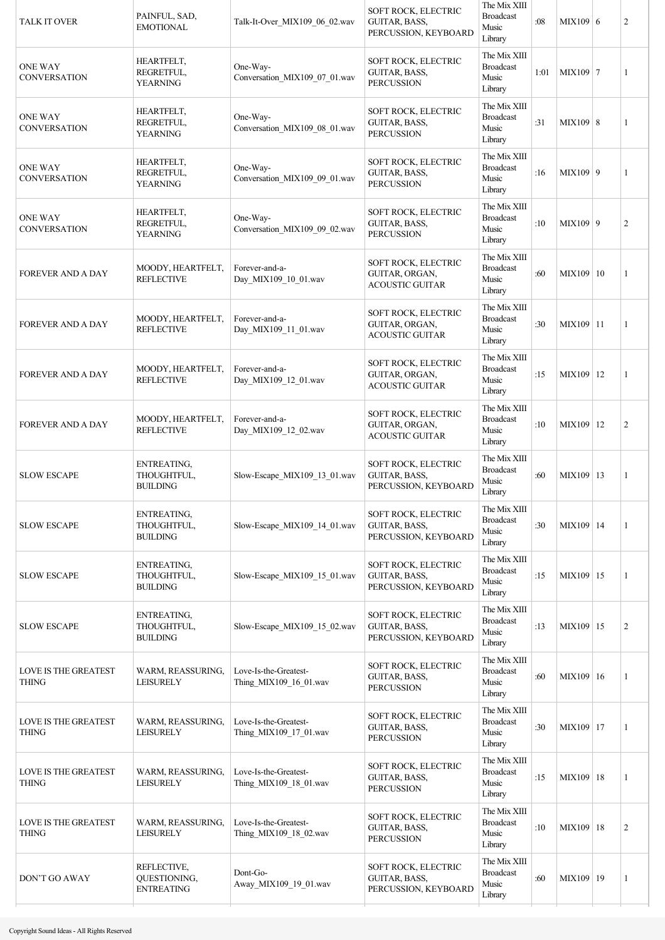| <b>TALK IT OVER</b>                         | PAINFUL, SAD,<br><b>EMOTIONAL</b>                    | Talk-It-Over_MIX109_06_02.wav                   | <b>SOFT ROCK, ELECTRIC</b><br>GUITAR, BASS,<br>PERCUSSION, KEYBOARD | The Mix XIII<br><b>Broadcast</b><br>Music<br>Library | :08  | MIX109 6    | $\overline{2}$ |
|---------------------------------------------|------------------------------------------------------|-------------------------------------------------|---------------------------------------------------------------------|------------------------------------------------------|------|-------------|----------------|
| <b>ONE WAY</b><br><b>CONVERSATION</b>       | HEARTFELT,<br>REGRETFUL,<br><b>YEARNING</b>          | One-Way-<br>Conversation MIX109 07 01.wav       | SOFT ROCK, ELECTRIC<br>GUITAR, BASS,<br><b>PERCUSSION</b>           | The Mix XIII<br><b>Broadcast</b><br>Music<br>Library | 1:01 | MIX109 7    | $\mathbf{1}$   |
| <b>ONE WAY</b><br><b>CONVERSATION</b>       | HEARTFELT,<br>REGRETFUL,<br><b>YEARNING</b>          | One-Way-<br>Conversation_MIX109_08_01.wav       | SOFT ROCK, ELECTRIC<br>GUITAR, BASS,<br><b>PERCUSSION</b>           | The Mix XIII<br><b>Broadcast</b><br>Music<br>Library | :31  | MIX109   8  | $\mathbf{1}$   |
| <b>ONE WAY</b><br><b>CONVERSATION</b>       | HEARTFELT,<br>REGRETFUL,<br><b>YEARNING</b>          | One-Way-<br>Conversation_MIX109_09_01.wav       | SOFT ROCK, ELECTRIC<br>GUITAR, BASS,<br><b>PERCUSSION</b>           | The Mix XIII<br><b>Broadcast</b><br>Music<br>Library | :16  | MIX109   9  | 1              |
| <b>ONE WAY</b><br><b>CONVERSATION</b>       | HEARTFELT,<br>REGRETFUL,<br><b>YEARNING</b>          | One-Way-<br>Conversation MIX109 09 02.wav       | SOFT ROCK, ELECTRIC<br>GUITAR, BASS,<br><b>PERCUSSION</b>           | The Mix XIII<br><b>Broadcast</b><br>Music<br>Library | :10  | MIX109   9  | $\overline{2}$ |
| <b>FOREVER AND A DAY</b>                    | MOODY, HEARTFELT,<br><b>REFLECTIVE</b>               | Forever-and-a-<br>Day_MIX109_10_01.wav          | SOFT ROCK, ELECTRIC<br>GUITAR, ORGAN,<br><b>ACOUSTIC GUITAR</b>     | The Mix XIII<br><b>Broadcast</b><br>Music<br>Library | :60  | MIX109 10   | 1              |
| <b>FOREVER AND A DAY</b>                    | MOODY, HEARTFELT,<br><b>REFLECTIVE</b>               | Forever-and-a-<br>Day_MIX109_11_01.wav          | SOFT ROCK, ELECTRIC<br>GUITAR, ORGAN,<br><b>ACOUSTIC GUITAR</b>     | The Mix XIII<br><b>Broadcast</b><br>Music<br>Library | :30  | MIX109 11   | 1              |
| <b>FOREVER AND A DAY</b>                    | MOODY, HEARTFELT,<br><b>REFLECTIVE</b>               | Forever-and-a-<br>Day_MIX109_12_01.wav          | SOFT ROCK, ELECTRIC<br>GUITAR, ORGAN,<br><b>ACOUSTIC GUITAR</b>     | The Mix XIII<br><b>Broadcast</b><br>Music<br>Library | :15  | MIX109   12 | 1              |
| <b>FOREVER AND A DAY</b>                    | MOODY, HEARTFELT,<br><b>REFLECTIVE</b>               | Forever-and-a-<br>Day_MIX109_12_02.wav          | SOFT ROCK, ELECTRIC<br>GUITAR, ORGAN,<br><b>ACOUSTIC GUITAR</b>     | The Mix XIII<br><b>Broadcast</b><br>Music<br>Library | :10  | MIX109   12 | $\overline{c}$ |
| <b>SLOW ESCAPE</b>                          | ENTREATING,<br>THOUGHTFUL,<br><b>BUILDING</b>        | Slow-Escape_MIX109_13_01.wav                    | SOFT ROCK, ELECTRIC<br>GUITAR, BASS,<br>PERCUSSION, KEYBOARD        | The Mix XIII<br><b>Broadcast</b><br>Music<br>Library | :60  | MIX109 13   | 1              |
| <b>SLOW ESCAPE</b>                          | <b>ENTREATING.</b><br>THOUGHTFUL,<br><b>BUILDING</b> | Slow-Escape MIX109 14 01.wav                    | SOFT ROCK, ELECTRIC<br>GUITAR, BASS,<br>PERCUSSION, KEYBOARD        | The Mix XIII<br><b>Broadcast</b><br>Music<br>Library | :30  | MIX109   14 | 1              |
| <b>SLOW ESCAPE</b>                          | ENTREATING,<br>THOUGHTFUL,<br><b>BUILDING</b>        | Slow-Escape MIX109 15 01.wav                    | SOFT ROCK, ELECTRIC<br>GUITAR, BASS,<br>PERCUSSION, KEYBOARD        | The Mix XIII<br><b>Broadcast</b><br>Music<br>Library | :15  | MIX109 15   | 1              |
| <b>SLOW ESCAPE</b>                          | ENTREATING,<br>THOUGHTFUL,<br><b>BUILDING</b>        | Slow-Escape MIX109 15 02.wav                    | SOFT ROCK, ELECTRIC<br>GUITAR, BASS,<br>PERCUSSION, KEYBOARD        | The Mix XIII<br><b>Broadcast</b><br>Music<br>Library | :13  | MIX109   15 | $\overline{2}$ |
| <b>LOVE IS THE GREATEST</b><br><b>THING</b> | WARM, REASSURING,<br><b>LEISURELY</b>                | Love-Is-the-Greatest-<br>Thing MIX109 16 01.wav | SOFT ROCK, ELECTRIC<br>GUITAR, BASS,<br><b>PERCUSSION</b>           | The Mix XIII<br><b>Broadcast</b><br>Music<br>Library | :60  | MIX109   16 | 1              |
| <b>LOVE IS THE GREATEST</b><br><b>THING</b> | WARM, REASSURING,<br><b>LEISURELY</b>                | Love-Is-the-Greatest-<br>Thing_MIX109_17_01.wav | SOFT ROCK, ELECTRIC<br>GUITAR, BASS,<br><b>PERCUSSION</b>           | The Mix XIII<br><b>Broadcast</b><br>Music<br>Library | :30  | MIX109   17 | 1              |
| LOVE IS THE GREATEST<br><b>THING</b>        | WARM, REASSURING,<br><b>LEISURELY</b>                | Love-Is-the-Greatest-<br>Thing_MIX109_18_01.wav | SOFT ROCK, ELECTRIC<br>GUITAR, BASS,<br><b>PERCUSSION</b>           | The Mix XIII<br><b>Broadcast</b><br>Music<br>Library | :15  | MIX109 18   | 1              |
| <b>LOVE IS THE GREATEST</b><br><b>THING</b> | WARM, REASSURING,<br><b>LEISURELY</b>                | Love-Is-the-Greatest-<br>Thing_MIX109_18_02.wav | SOFT ROCK, ELECTRIC<br>GUITAR, BASS,<br><b>PERCUSSION</b>           | The Mix XIII<br><b>Broadcast</b><br>Music<br>Library | :10  | MIX109   18 | $\overline{2}$ |
| DON'T GO AWAY                               | REFLECTIVE,<br>QUESTIONING,<br><b>ENTREATING</b>     | Dont-Go-<br>Away_MIX109_19_01.wav               | SOFT ROCK, ELECTRIC<br>GUITAR, BASS,<br>PERCUSSION, KEYBOARD        | The Mix XIII<br><b>Broadcast</b><br>Music<br>Library | :60  | MIX109   19 | 1              |
|                                             |                                                      |                                                 |                                                                     |                                                      |      |             |                |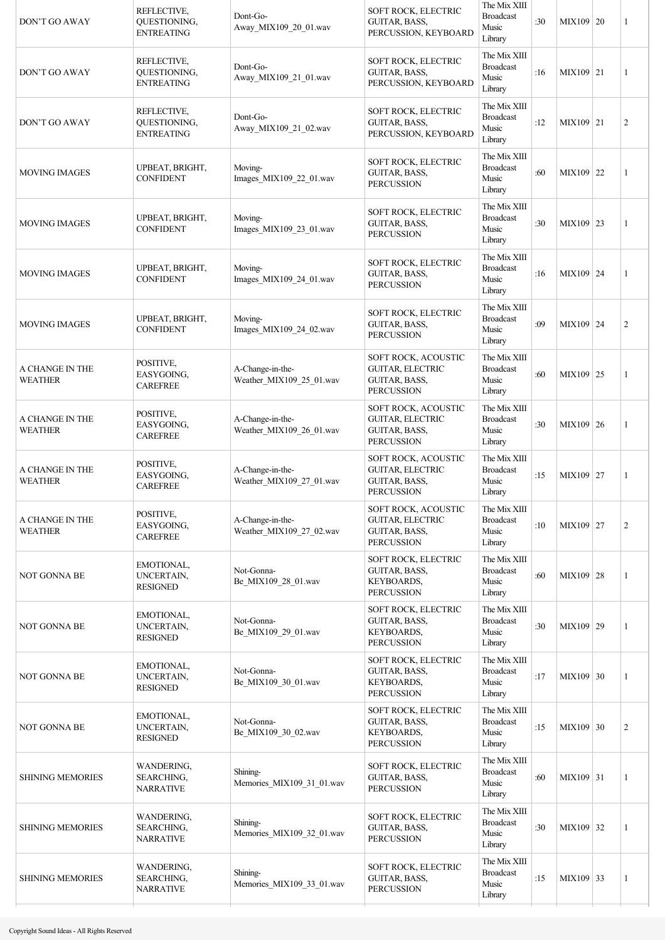| DON'T GO AWAY                     | REFLECTIVE,<br>QUESTIONING,<br><b>ENTREATING</b>    | Dont-Go-<br>Away_MIX109_20_01.wav            | SOFT ROCK, ELECTRIC<br>GUITAR, BASS,<br>PERCUSSION, KEYBOARD                                | The Mix XIII<br><b>Broadcast</b><br>Music<br>Library | :30 | MIX109 20   | $\mathbf{1}$   |
|-----------------------------------|-----------------------------------------------------|----------------------------------------------|---------------------------------------------------------------------------------------------|------------------------------------------------------|-----|-------------|----------------|
| DON'T GO AWAY                     | REFLECTIVE,<br>QUESTIONING,<br><b>ENTREATING</b>    | Dont-Go-<br>Away_MIX109_21_01.wav            | SOFT ROCK, ELECTRIC<br>GUITAR, BASS,<br>PERCUSSION, KEYBOARD                                | The Mix XIII<br><b>Broadcast</b><br>Music<br>Library | :16 | MIX109 21   | $\mathbf{1}$   |
| DON'T GO AWAY                     | REFLECTIVE,<br>QUESTIONING,<br><b>ENTREATING</b>    | Dont-Go-<br>Away_MIX109_21_02.wav            | SOFT ROCK, ELECTRIC<br>GUITAR, BASS,<br>PERCUSSION, KEYBOARD                                | The Mix XIII<br><b>Broadcast</b><br>Music<br>Library | :12 | MIX109 21   | $\overline{2}$ |
| <b>MOVING IMAGES</b>              | UPBEAT, BRIGHT,<br><b>CONFIDENT</b>                 | Moving-<br>Images_MIX109_22_01.wav           | SOFT ROCK, ELECTRIC<br>GUITAR, BASS,<br><b>PERCUSSION</b>                                   | The Mix XIII<br><b>Broadcast</b><br>Music<br>Library | :60 | MIX109 22   | 1              |
| <b>MOVING IMAGES</b>              | UPBEAT, BRIGHT,<br><b>CONFIDENT</b>                 | Moving-<br>Images_MIX109_23_01.wav           | SOFT ROCK, ELECTRIC<br>GUITAR, BASS,<br><b>PERCUSSION</b>                                   | The Mix XIII<br><b>Broadcast</b><br>Music<br>Library | :30 | MIX109 23   | $\mathbf{1}$   |
| <b>MOVING IMAGES</b>              | UPBEAT, BRIGHT,<br><b>CONFIDENT</b>                 | Moving-<br>Images_MIX109_24_01.wav           | SOFT ROCK, ELECTRIC<br><b>GUITAR, BASS,</b><br><b>PERCUSSION</b>                            | The Mix XIII<br><b>Broadcast</b><br>Music<br>Library | :16 | MIX109 24   | $\mathbf{1}$   |
| <b>MOVING IMAGES</b>              | UPBEAT, BRIGHT,<br><b>CONFIDENT</b>                 | Moving-<br>Images_MIX109_24_02.wav           | SOFT ROCK, ELECTRIC<br>GUITAR, BASS,<br><b>PERCUSSION</b>                                   | The Mix XIII<br><b>Broadcast</b><br>Music<br>Library | :09 | MIX109 24   | $\overline{2}$ |
| A CHANGE IN THE<br><b>WEATHER</b> | POSITIVE,<br>EASYGOING,<br><b>CAREFREE</b>          | A-Change-in-the-<br>Weather_MIX109_25_01.wav | SOFT ROCK, ACOUSTIC<br><b>GUITAR, ELECTRIC</b><br>GUITAR, BASS,<br><b>PERCUSSION</b>        | The Mix XIII<br><b>Broadcast</b><br>Music<br>Library | :60 | MIX109 25   | 1              |
| A CHANGE IN THE<br><b>WEATHER</b> | POSITIVE,<br>EASYGOING,<br><b>CAREFREE</b>          | A-Change-in-the-<br>Weather_MIX109_26_01.wav | SOFT ROCK, ACOUSTIC<br><b>GUITAR, ELECTRIC</b><br>GUITAR, BASS,<br><b>PERCUSSION</b>        | The Mix XIII<br><b>Broadcast</b><br>Music<br>Library | :30 | MIX109 26   | $\mathbf{1}$   |
| A CHANGE IN THE<br><b>WEATHER</b> | POSITIVE,<br>EASYGOING,<br><b>CAREFREE</b>          | A-Change-in-the-<br>Weather_MIX109_27_01.wav | SOFT ROCK, ACOUSTIC<br><b>GUITAR, ELECTRIC</b><br><b>GUITAR, BASS,</b><br><b>PERCUSSION</b> | The Mix XIII<br><b>Broadcast</b><br>Music<br>Library | :15 | MIX109 27   | 1              |
| A CHANGE IN THE<br><b>WEATHER</b> | POSITIVE,<br>EASYGOING,<br><b>CAREFREE</b>          | A-Change-in-the-<br>Weather_MIX109_27_02.wav | SOFT ROCK, ACOUSTIC<br><b>GUITAR, ELECTRIC</b><br>GUITAR, BASS,<br><b>PERCUSSION</b>        | The Mix XIII<br><b>Broadcast</b><br>Music<br>Library | :10 | MIX109 27   | $\overline{2}$ |
| <b>NOT GONNA BE</b>               | EMOTIONAL,<br>UNCERTAIN,<br><b>RESIGNED</b>         | Not-Gonna-<br>Be_MIX109_28_01.wav            | SOFT ROCK, ELECTRIC<br>GUITAR, BASS,<br><b>KEYBOARDS,</b><br><b>PERCUSSION</b>              | The Mix XIII<br><b>Broadcast</b><br>Music<br>Library | :60 | $MIX109$ 28 | 1              |
| <b>NOT GONNA BE</b>               | EMOTIONAL,<br>UNCERTAIN,<br><b>RESIGNED</b>         | Not-Gonna-<br>Be_MIX109_29_01.wav            | SOFT ROCK, ELECTRIC<br>GUITAR, BASS,<br>KEYBOARDS,<br><b>PERCUSSION</b>                     | The Mix XIII<br><b>Broadcast</b><br>Music<br>Library | :30 | MIX109 29   | 1              |
| <b>NOT GONNA BE</b>               | EMOTIONAL,<br>UNCERTAIN,<br><b>RESIGNED</b>         | Not-Gonna-<br>Be_MIX109_30_01.wav            | SOFT ROCK, ELECTRIC<br>GUITAR, BASS,<br><b>KEYBOARDS,</b><br><b>PERCUSSION</b>              | The Mix XIII<br><b>Broadcast</b><br>Music<br>Library | :17 | MIX109 30   | 1              |
| <b>NOT GONNA BE</b>               | EMOTIONAL,<br>UNCERTAIN,<br><b>RESIGNED</b>         | Not-Gonna-<br>Be_MIX109_30_02.wav            | SOFT ROCK, ELECTRIC<br>GUITAR, BASS,<br><b>KEYBOARDS,</b><br><b>PERCUSSION</b>              | The Mix XIII<br><b>Broadcast</b><br>Music<br>Library | :15 | MIX109 30   | $\overline{2}$ |
| <b>SHINING MEMORIES</b>           | WANDERING,<br>SEARCHING,<br><b>NARRATIVE</b>        | Shining-<br>Memories_MIX109_31_01.wav        | SOFT ROCK, ELECTRIC<br>GUITAR, BASS,<br><b>PERCUSSION</b>                                   | The Mix XIII<br><b>Broadcast</b><br>Music<br>Library | :60 | MIX109 31   | 1              |
| <b>SHINING MEMORIES</b>           | WANDERING,<br><b>SEARCHING,</b><br><b>NARRATIVE</b> | Shining-<br>Memories_MIX109_32_01.wav        | SOFT ROCK, ELECTRIC<br>GUITAR, BASS,<br><b>PERCUSSION</b>                                   | The Mix XIII<br><b>Broadcast</b><br>Music<br>Library | :30 | MIX109 32   | 1              |
| <b>SHINING MEMORIES</b>           | WANDERING,<br>SEARCHING,<br><b>NARRATIVE</b>        | Shining-<br>Memories_MIX109_33_01.wav        | SOFT ROCK, ELECTRIC<br>GUITAR, BASS,<br><b>PERCUSSION</b>                                   | The Mix XIII<br><b>Broadcast</b><br>Music<br>Library | :15 | MIX109 33   | 1              |
|                                   |                                                     |                                              |                                                                                             |                                                      |     |             |                |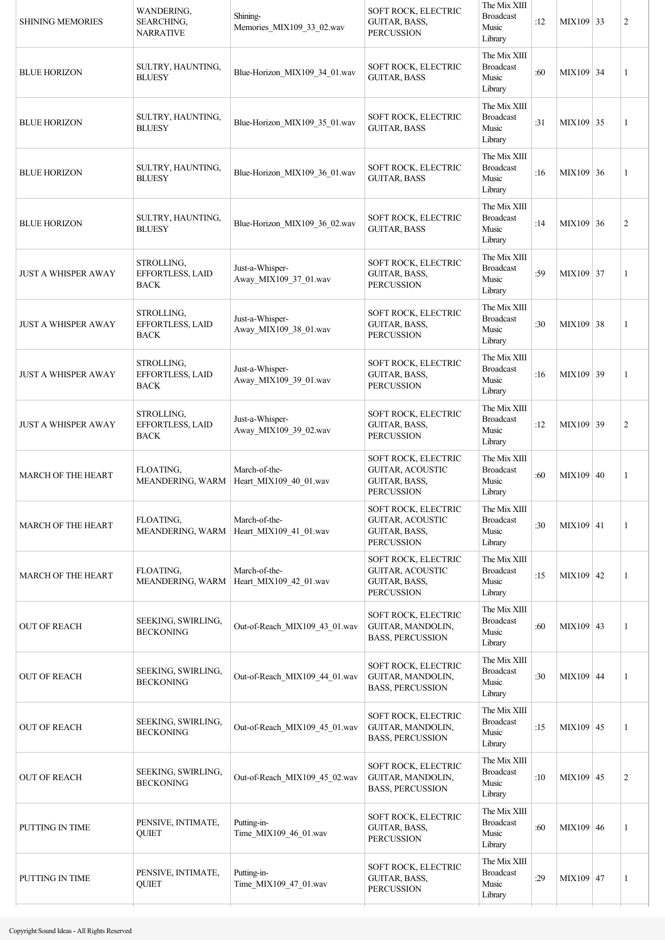| <b>SHINING MEMORIES</b>    | <b>WANDERING.</b><br><b>SEARCHING,</b><br><b>NARRATIVE</b> | Shining-<br>Memories_MIX109_33_02.wav    | SOFT ROCK, ELECTRIC<br>GUITAR, BASS,<br><b>PERCUSSION</b>                                   | The Mix XIII<br><b>Broadcast</b><br>Music<br>Library | :12 | MIX109 33   | $\overline{2}$ |
|----------------------------|------------------------------------------------------------|------------------------------------------|---------------------------------------------------------------------------------------------|------------------------------------------------------|-----|-------------|----------------|
| <b>BLUE HORIZON</b>        | SULTRY, HAUNTING,<br><b>BLUESY</b>                         | Blue-Horizon_MIX109_34_01.wav            | SOFT ROCK, ELECTRIC<br><b>GUITAR, BASS</b>                                                  | The Mix XIII<br><b>Broadcast</b><br>Music<br>Library | :60 | MIX109 34   | 1              |
| <b>BLUE HORIZON</b>        | SULTRY, HAUNTING,<br><b>BLUESY</b>                         | Blue-Horizon MIX109 35 01.wav            | SOFT ROCK, ELECTRIC<br><b>GUITAR, BASS</b>                                                  | The Mix XIII<br><b>Broadcast</b><br>Music<br>Library | :31 | MIX109 35   | 1              |
| <b>BLUE HORIZON</b>        | SULTRY, HAUNTING,<br><b>BLUESY</b>                         | Blue-Horizon_MIX109_36_01.wav            | SOFT ROCK, ELECTRIC<br><b>GUITAR, BASS</b>                                                  | The Mix XIII<br><b>Broadcast</b><br>Music<br>Library | :16 | MIX109 36   | 1              |
| <b>BLUE HORIZON</b>        | SULTRY, HAUNTING,<br><b>BLUESY</b>                         | Blue-Horizon_MIX109_36_02.wav            | SOFT ROCK, ELECTRIC<br><b>GUITAR, BASS</b>                                                  | The Mix XIII<br><b>Broadcast</b><br>Music<br>Library | :14 | MIX109 36   | $\overline{2}$ |
| <b>JUST A WHISPER AWAY</b> | STROLLING,<br>EFFORTLESS, LAID<br><b>BACK</b>              | Just-a-Whisper-<br>Away MIX109 37 01.wav | SOFT ROCK, ELECTRIC<br>GUITAR, BASS,<br><b>PERCUSSION</b>                                   | The Mix XIII<br><b>Broadcast</b><br>Music<br>Library | :59 | MIX109 37   | 1              |
| <b>JUST A WHISPER AWAY</b> | STROLLING,<br>EFFORTLESS, LAID<br><b>BACK</b>              | Just-a-Whisper-<br>Away_MIX109_38_01.wav | SOFT ROCK, ELECTRIC<br>GUITAR, BASS,<br><b>PERCUSSION</b>                                   | The Mix XIII<br><b>Broadcast</b><br>Music<br>Library | :30 | MIX109 38   | 1              |
| <b>JUST A WHISPER AWAY</b> | STROLLING,<br>EFFORTLESS, LAID<br><b>BACK</b>              | Just-a-Whisper-<br>Away_MIX109_39_01.wav | SOFT ROCK, ELECTRIC<br>GUITAR, BASS,<br><b>PERCUSSION</b>                                   | The Mix XIII<br><b>Broadcast</b><br>Music<br>Library | :16 | MIX109 39   | 1              |
| <b>JUST A WHISPER AWAY</b> | STROLLING,<br>EFFORTLESS, LAID<br><b>BACK</b>              | Just-a-Whisper-<br>Away_MIX109_39_02.wav | SOFT ROCK, ELECTRIC<br>GUITAR, BASS,<br><b>PERCUSSION</b>                                   | The Mix XIII<br><b>Broadcast</b><br>Music<br>Library | :12 | MIX109 39   | $\overline{2}$ |
| <b>MARCH OF THE HEART</b>  | FLOATING,<br>MEANDERING, WARM                              | March-of-the-<br>Heart_MIX109_40_01.wav  | <b>SOFT ROCK, ELECTRIC</b><br><b>GUITAR, ACOUSTIC</b><br>GUITAR, BASS,<br><b>PERCUSSION</b> | The Mix XIII<br><b>Broadcast</b><br>Music<br>Library | :60 | MIX109 40   | 1              |
| <b>MARCH OF THE HEART</b>  | FLOATING,<br>MEANDERING, WARM                              | March-of-the-<br>Heart_MIX109_41_01.wav  | <b>SOFT ROCK, ELECTRIC</b><br><b>GUITAR, ACOUSTIC</b><br>GUITAR, BASS,<br><b>PERCUSSION</b> | The Mix XIII<br><b>Broadcast</b><br>Music<br>Library | :30 | MIX109 41   | 1              |
| <b>MARCH OF THE HEART</b>  | FLOATING,<br>MEANDERING, WARM                              | March-of-the-<br>Heart MIX109 42 01.wav  | <b>SOFT ROCK, ELECTRIC</b><br>GUITAR, ACOUSTIC<br>GUITAR, BASS,<br><b>PERCUSSION</b>        | The Mix XIII<br><b>Broadcast</b><br>Music<br>Library | :15 | $MIX109$ 42 | $\mathbf{1}$   |
| <b>OUT OF REACH</b>        | SEEKING, SWIRLING,<br><b>BECKONING</b>                     | Out-of-Reach_MIX109_43_01.wav            | SOFT ROCK, ELECTRIC<br>GUITAR, MANDOLIN,<br><b>BASS, PERCUSSION</b>                         | The Mix XIII<br><b>Broadcast</b><br>Music<br>Library | :60 | MIX109 43   | 1              |
| <b>OUT OF REACH</b>        | SEEKING, SWIRLING,<br><b>BECKONING</b>                     | Out-of-Reach_MIX109_44_01.wav            | SOFT ROCK, ELECTRIC<br>GUITAR, MANDOLIN,<br><b>BASS, PERCUSSION</b>                         | The Mix XIII<br><b>Broadcast</b><br>Music<br>Library | :30 | MIX109 44   | $\mathbf{1}$   |
| <b>OUT OF REACH</b>        | SEEKING, SWIRLING,<br><b>BECKONING</b>                     | Out-of-Reach_MIX109_45_01.wav            | SOFT ROCK, ELECTRIC<br>GUITAR, MANDOLIN,<br><b>BASS, PERCUSSION</b>                         | The Mix XIII<br><b>Broadcast</b><br>Music<br>Library | :15 | MIX109 45   | 1              |
| <b>OUT OF REACH</b>        | SEEKING, SWIRLING,<br><b>BECKONING</b>                     | Out-of-Reach_MIX109_45_02.wav            | SOFT ROCK, ELECTRIC<br>GUITAR, MANDOLIN,<br><b>BASS, PERCUSSION</b>                         | The Mix XIII<br><b>Broadcast</b><br>Music<br>Library | :10 | MIX109 45   | $\sqrt{2}$     |
| PUTTING IN TIME            | PENSIVE, INTIMATE,<br>QUIET                                | Putting-in-<br>Time_MIX109_46_01.wav     | SOFT ROCK, ELECTRIC<br>GUITAR, BASS,<br><b>PERCUSSION</b>                                   | The Mix XIII<br><b>Broadcast</b><br>Music<br>Library | :60 | MIX109 46   | 1              |
| PUTTING IN TIME            | PENSIVE, INTIMATE,<br><b>QUIET</b>                         | Putting-in-<br>Time_MIX109_47_01.wav     | SOFT ROCK, ELECTRIC<br>GUITAR, BASS,<br><b>PERCUSSION</b>                                   | The Mix XIII<br><b>Broadcast</b><br>Music<br>Library | :29 | MIX109 47   | 1              |
|                            |                                                            |                                          |                                                                                             |                                                      |     |             |                |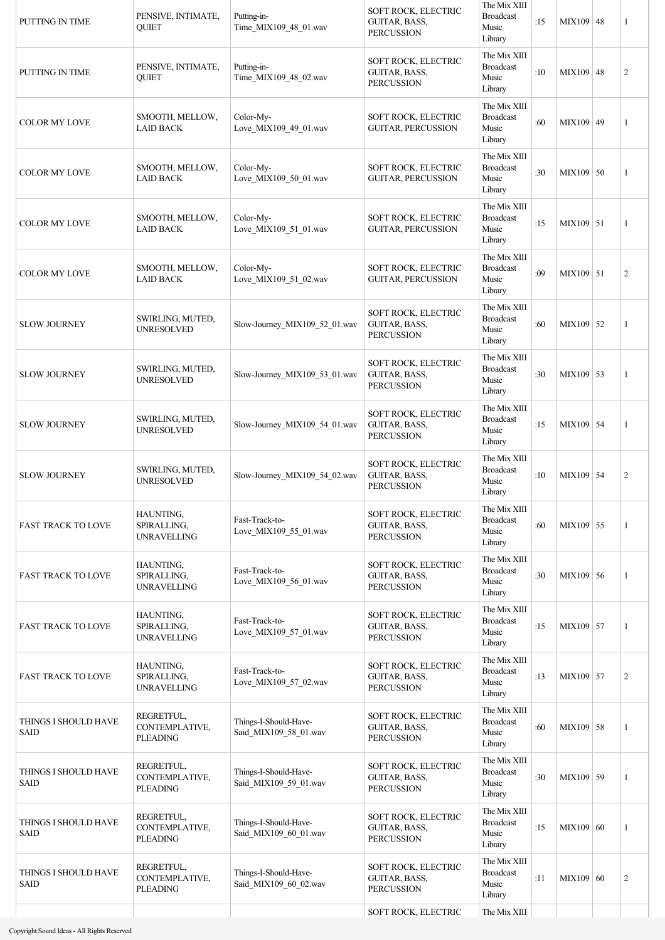| PUTTING IN TIME                     | PENSIVE, INTIMATE,<br><b>OUIET</b>              | Putting-in-<br>Time_MIX109_48_01.wav           | SOFT ROCK, ELECTRIC<br>GUITAR, BASS,<br><b>PERCUSSION</b> | The Mix XIII<br><b>Broadcast</b><br>Music<br>Library | :15 | MIX109 48   | 1              |
|-------------------------------------|-------------------------------------------------|------------------------------------------------|-----------------------------------------------------------|------------------------------------------------------|-----|-------------|----------------|
| PUTTING IN TIME                     | PENSIVE, INTIMATE,<br><b>QUIET</b>              | Putting-in-<br>Time_MIX109_48_02.wav           | SOFT ROCK, ELECTRIC<br>GUITAR, BASS,<br><b>PERCUSSION</b> | The Mix XIII<br><b>Broadcast</b><br>Music<br>Library | :10 | MIX109 48   | $\overline{2}$ |
| <b>COLOR MY LOVE</b>                | SMOOTH, MELLOW,<br><b>LAID BACK</b>             | Color-My-<br>Love_MIX109_49_01.wav             | SOFT ROCK, ELECTRIC<br>GUITAR, PERCUSSION                 | The Mix XIII<br><b>Broadcast</b><br>Music<br>Library | :60 | MIX109 49   | 1              |
| <b>COLOR MY LOVE</b>                | SMOOTH, MELLOW,<br><b>LAID BACK</b>             | Color-My-<br>Love_MIX109_50_01.wav             | SOFT ROCK, ELECTRIC<br><b>GUITAR, PERCUSSION</b>          | The Mix XIII<br><b>Broadcast</b><br>Music<br>Library | :30 | MIX109 50   | 1              |
| <b>COLOR MY LOVE</b>                | SMOOTH, MELLOW,<br><b>LAID BACK</b>             | Color-My-<br>Love_MIX109_51_01.wav             | SOFT ROCK, ELECTRIC<br><b>GUITAR, PERCUSSION</b>          | The Mix XIII<br><b>Broadcast</b><br>Music<br>Library | :15 | MIX109 51   | 1              |
| <b>COLOR MY LOVE</b>                | SMOOTH, MELLOW,<br><b>LAID BACK</b>             | Color-My-<br>Love_MIX109_51_02.wav             | SOFT ROCK, ELECTRIC<br><b>GUITAR, PERCUSSION</b>          | The Mix XIII<br><b>Broadcast</b><br>Music<br>Library | :09 | MIX109 51   | $\overline{2}$ |
| <b>SLOW JOURNEY</b>                 | SWIRLING, MUTED,<br><b>UNRESOLVED</b>           | Slow-Journey MIX109 52 01.wav                  | SOFT ROCK, ELECTRIC<br>GUITAR, BASS,<br><b>PERCUSSION</b> | The Mix XIII<br><b>Broadcast</b><br>Music<br>Library | :60 | MIX109 52   | 1              |
| <b>SLOW JOURNEY</b>                 | SWIRLING, MUTED,<br><b>UNRESOLVED</b>           | Slow-Journey_MIX109_53_01.wav                  | SOFT ROCK, ELECTRIC<br>GUITAR, BASS,<br><b>PERCUSSION</b> | The Mix XIII<br><b>Broadcast</b><br>Music<br>Library | :30 | $MIX109$ 53 | 1              |
| <b>SLOW JOURNEY</b>                 | SWIRLING, MUTED,<br><b>UNRESOLVED</b>           | Slow-Journey_MIX109_54_01.wav                  | SOFT ROCK, ELECTRIC<br>GUITAR, BASS,<br><b>PERCUSSION</b> | The Mix XIII<br><b>Broadcast</b><br>Music<br>Library | :15 | MIX109 54   | 1              |
| <b>SLOW JOURNEY</b>                 | SWIRLING, MUTED,<br><b>UNRESOLVED</b>           | Slow-Journey_MIX109_54_02.wav                  | SOFT ROCK, ELECTRIC<br>GUITAR, BASS,<br><b>PERCUSSION</b> | The Mix XIII<br><b>Broadcast</b><br>Music<br>Library | :10 | MIX109 54   | $\overline{2}$ |
| <b>FAST TRACK TO LOVE</b>           | HAUNTING,<br>SPIRALLING,<br><b>UNRAVELLING</b>  | Fast-Track-to-<br>Love_MIX109_55_01.wav        | SOFT ROCK, ELECTRIC<br>GUITAR, BASS,<br><b>PERCUSSION</b> | The Mix XIII<br><b>Broadcast</b><br>Music<br>Library | :60 | MIX109 55   | $\mathbf{1}$   |
| <b>FAST TRACK TO LOVE</b>           | HAUNTING,<br>SPIRALLING,<br><b>UNRAVELLING</b>  | Fast-Track-to-<br>Love_MIX109_56_01.wav        | SOFT ROCK, ELECTRIC<br>GUITAR, BASS,<br><b>PERCUSSION</b> | The Mix XIII<br><b>Broadcast</b><br>Music<br>Library | :30 | $MIX109$ 56 | $\mathbf{1}$   |
| <b>FAST TRACK TO LOVE</b>           | HAUNTING,<br>SPIRALLING,<br><b>UNRAVELLING</b>  | Fast-Track-to-<br>Love_MIX109_57_01.wav        | SOFT ROCK, ELECTRIC<br>GUITAR, BASS,<br><b>PERCUSSION</b> | The Mix XIII<br><b>Broadcast</b><br>Music<br>Library | :15 | MIX109 57   | $\mathbf{1}$   |
| <b>FAST TRACK TO LOVE</b>           | HAUNTING,<br>SPIRALLING,<br><b>UNRAVELLING</b>  | Fast-Track-to-<br>Love_MIX109_57_02.wav        | SOFT ROCK, ELECTRIC<br>GUITAR, BASS,<br><b>PERCUSSION</b> | The Mix XIII<br><b>Broadcast</b><br>Music<br>Library | :13 | MIX109 57   | $\overline{2}$ |
| THINGS I SHOULD HAVE<br><b>SAID</b> | REGRETFUL,<br>CONTEMPLATIVE,<br><b>PLEADING</b> | Things-I-Should-Have-<br>Said_MIX109_58_01.wav | SOFT ROCK, ELECTRIC<br>GUITAR, BASS,<br><b>PERCUSSION</b> | The Mix XIII<br><b>Broadcast</b><br>Music<br>Library | :60 | MIX109 58   | 1              |
| THINGS I SHOULD HAVE<br><b>SAID</b> | REGRETFUL,<br>CONTEMPLATIVE,<br><b>PLEADING</b> | Things-I-Should-Have-<br>Said_MIX109_59_01.wav | SOFT ROCK, ELECTRIC<br>GUITAR, BASS,<br><b>PERCUSSION</b> | The Mix XIII<br><b>Broadcast</b><br>Music<br>Library | :30 | MIX109 59   | $\mathbf{1}$   |
| THINGS I SHOULD HAVE<br><b>SAID</b> | REGRETFUL,<br>CONTEMPLATIVE,<br>PLEADING        | Things-I-Should-Have-<br>Said_MIX109_60_01.wav | SOFT ROCK, ELECTRIC<br>GUITAR, BASS,<br><b>PERCUSSION</b> | The Mix XIII<br><b>Broadcast</b><br>Music<br>Library | :15 | MIX109 60   | 1              |
| THINGS I SHOULD HAVE<br><b>SAID</b> | REGRETFUL,<br>CONTEMPLATIVE,<br><b>PLEADING</b> | Things-I-Should-Have-<br>Said MIX109 60 02.wav | SOFT ROCK, ELECTRIC<br>GUITAR, BASS,<br><b>PERCUSSION</b> | The Mix XIII<br><b>Broadcast</b><br>Music<br>Library | :11 | MIX109 60   | $\overline{2}$ |
|                                     |                                                 |                                                | SOFT ROCK, ELECTRIC                                       | The Mix XIII                                         |     |             |                |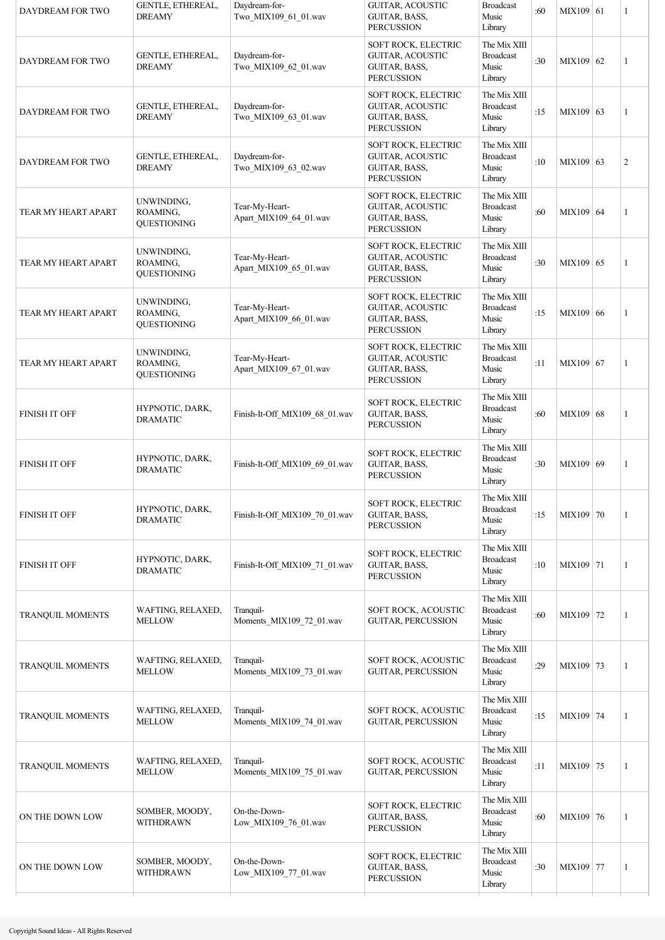| DAYDREAM FOR TWO        | GENTLE, ETHEREAL,<br><b>DREAMY</b>           | Daydream-for-<br>Two_MIX109_61_01.wav    | GUITAR, ACOUSTIC<br>GUITAR, BASS,<br><b>PERCUSSION</b>                               | <b>Broadcast</b><br>Music<br>Library                 | :60 | MIX109 61 | 1              |
|-------------------------|----------------------------------------------|------------------------------------------|--------------------------------------------------------------------------------------|------------------------------------------------------|-----|-----------|----------------|
| DAYDREAM FOR TWO        | GENTLE, ETHEREAL,<br><b>DREAMY</b>           | Daydream-for-<br>Two_MIX109_62_01.wav    | SOFT ROCK, ELECTRIC<br>GUITAR, ACOUSTIC<br><b>GUITAR, BASS,</b><br><b>PERCUSSION</b> | The Mix XIII<br><b>Broadcast</b><br>Music<br>Library | :30 | MIX109 62 | 1              |
| DAYDREAM FOR TWO        | GENTLE, ETHEREAL,<br><b>DREAMY</b>           | Daydream-for-<br>Two_MIX109_63_01.wav    | SOFT ROCK, ELECTRIC<br><b>GUITAR, ACOUSTIC</b><br>GUITAR, BASS,<br><b>PERCUSSION</b> | The Mix XIII<br><b>Broadcast</b><br>Music<br>Library | :15 | MIX109 63 | 1              |
| DAYDREAM FOR TWO        | <b>GENTLE, ETHEREAL,</b><br><b>DREAMY</b>    | Daydream-for-<br>Two_MIX109_63_02.wav    | SOFT ROCK, ELECTRIC<br><b>GUITAR, ACOUSTIC</b><br>GUITAR, BASS,<br><b>PERCUSSION</b> | The Mix XIII<br><b>Broadcast</b><br>Music<br>Library | :10 | MIX109 63 | $\overline{c}$ |
| TEAR MY HEART APART     | UNWINDING,<br>ROAMING.<br><b>QUESTIONING</b> | Tear-My-Heart-<br>Apart_MIX109_64_01.wav | SOFT ROCK, ELECTRIC<br><b>GUITAR, ACOUSTIC</b><br>GUITAR, BASS,<br><b>PERCUSSION</b> | The Mix XIII<br><b>Broadcast</b><br>Music<br>Library | :60 | MIX109 64 | 1              |
| TEAR MY HEART APART     | UNWINDING,<br>ROAMING,<br><b>QUESTIONING</b> | Tear-My-Heart-<br>Apart_MIX109_65_01.wav | SOFT ROCK, ELECTRIC<br><b>GUITAR, ACOUSTIC</b><br>GUITAR, BASS,<br><b>PERCUSSION</b> | The Mix XIII<br><b>Broadcast</b><br>Music<br>Library | :30 | MIX109 65 | 1              |
| TEAR MY HEART APART     | UNWINDING,<br>ROAMING,<br>QUESTIONING        | Tear-My-Heart-<br>Apart_MIX109_66_01.wav | SOFT ROCK, ELECTRIC<br><b>GUITAR, ACOUSTIC</b><br>GUITAR, BASS,<br><b>PERCUSSION</b> | The Mix XIII<br><b>Broadcast</b><br>Music<br>Library | :15 | MIX109 66 | 1              |
| TEAR MY HEART APART     | UNWINDING,<br>ROAMING,<br><b>QUESTIONING</b> | Tear-My-Heart-<br>Apart_MIX109_67_01.wav | SOFT ROCK, ELECTRIC<br><b>GUITAR, ACOUSTIC</b><br>GUITAR, BASS,<br><b>PERCUSSION</b> | The Mix XIII<br><b>Broadcast</b><br>Music<br>Library | :11 | MIX109 67 | 1              |
| <b>FINISH IT OFF</b>    | HYPNOTIC, DARK,<br><b>DRAMATIC</b>           | Finish-It-Off_MIX109_68_01.wav           | SOFT ROCK, ELECTRIC<br>GUITAR, BASS,<br><b>PERCUSSION</b>                            | The Mix XIII<br><b>Broadcast</b><br>Music<br>Library | :60 | MIX109 68 | 1              |
| <b>FINISH IT OFF</b>    | HYPNOTIC, DARK,<br><b>DRAMATIC</b>           | Finish-It-Off MIX109 69 01.wav           | SOFT ROCK, ELECTRIC<br>GUITAR, BASS,<br><b>PERCUSSION</b>                            | The Mix XIII<br><b>Broadcast</b><br>Music<br>Library | :30 | MIX109 69 | 1              |
| <b>FINISH IT OFF</b>    | HYPNOTIC, DARK,<br><b>DRAMATIC</b>           | Finish-It-Off MIX109 70 01.wav           | SOFT ROCK, ELECTRIC<br>GUITAR, BASS,<br><b>PERCUSSION</b>                            | The Mix XIII<br><b>Broadcast</b><br>Music<br>Library | :15 | MIX109 70 | 1              |
| <b>FINISH IT OFF</b>    | HYPNOTIC, DARK,<br><b>DRAMATIC</b>           | Finish-It-Off MIX109 71 01.wav           | SOFT ROCK, ELECTRIC<br>GUITAR, BASS,<br><b>PERCUSSION</b>                            | The Mix XIII<br><b>Broadcast</b><br>Music<br>Library | :10 | MIX109 71 | 1              |
| TRANQUIL MOMENTS        | WAFTING, RELAXED,<br><b>MELLOW</b>           | Tranquil-<br>Moments_MIX109_72_01.wav    | SOFT ROCK, ACOUSTIC<br><b>GUITAR, PERCUSSION</b>                                     | The Mix XIII<br><b>Broadcast</b><br>Music<br>Library | :60 | MIX109 72 | 1              |
| TRANQUIL MOMENTS        | WAFTING, RELAXED,<br><b>MELLOW</b>           | Tranquil-<br>Moments_MIX109_73_01.wav    | SOFT ROCK, ACOUSTIC<br>GUITAR, PERCUSSION                                            | The Mix XIII<br><b>Broadcast</b><br>Music<br>Library | :29 | MIX109 73 | 1              |
| <b>TRANQUIL MOMENTS</b> | WAFTING, RELAXED,<br><b>MELLOW</b>           | Tranquil-<br>Moments_MIX109_74_01.wav    | SOFT ROCK, ACOUSTIC<br><b>GUITAR, PERCUSSION</b>                                     | The Mix XIII<br><b>Broadcast</b><br>Music<br>Library | :15 | MIX109 74 | 1              |
| <b>TRANQUIL MOMENTS</b> | WAFTING, RELAXED,<br><b>MELLOW</b>           | Tranquil-<br>Moments_MIX109_75_01.wav    | SOFT ROCK, ACOUSTIC<br><b>GUITAR, PERCUSSION</b>                                     | The Mix XIII<br><b>Broadcast</b><br>Music<br>Library | :11 | MIX109 75 | $\mathbf{1}$   |
| ON THE DOWN LOW         | SOMBER, MOODY,<br>WITHDRAWN                  | On-the-Down-<br>Low_MIX109_76_01.wav     | SOFT ROCK, ELECTRIC<br>GUITAR, BASS,<br><b>PERCUSSION</b>                            | The Mix XIII<br><b>Broadcast</b><br>Music<br>Library | :60 | MIX109 76 | 1              |
| ON THE DOWN LOW         | SOMBER, MOODY,<br>WITHDRAWN                  | On-the-Down-<br>Low_MIX109_77_01.wav     | SOFT ROCK, ELECTRIC<br>GUITAR, BASS,<br><b>PERCUSSION</b>                            | The Mix XIII<br><b>Broadcast</b><br>Music<br>Library | :30 | MIX109 77 | 1              |
|                         |                                              |                                          |                                                                                      |                                                      |     |           |                |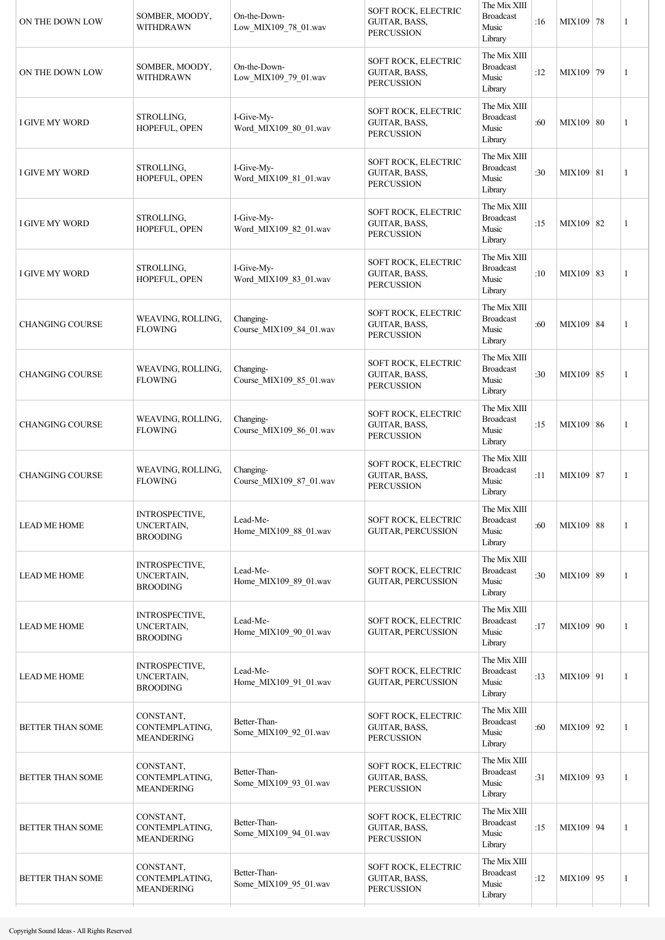| ON THE DOWN LOW         | SOMBER, MOODY,<br>WITHDRAWN                            | On-the-Down-<br>Low_MIX109_78_01.wav  | <b>SOFT ROCK, ELECTRIC</b><br>GUITAR, BASS,<br><b>PERCUSSION</b> | The Mix XIII<br><b>Broadcast</b><br>Music<br>Library | :16 | MIX109 78   | $\mathbf{1}$   |
|-------------------------|--------------------------------------------------------|---------------------------------------|------------------------------------------------------------------|------------------------------------------------------|-----|-------------|----------------|
| ON THE DOWN LOW         | SOMBER, MOODY,<br>WITHDRAWN                            | On-the-Down-<br>Low_MIX109_79_01.wav  | SOFT ROCK, ELECTRIC<br>GUITAR, BASS,<br><b>PERCUSSION</b>        | The Mix XIII<br><b>Broadcast</b><br>Music<br>Library | :12 | MIX109 79   | $\overline{1}$ |
| <b>I GIVE MY WORD</b>   | STROLLING,<br>HOPEFUL, OPEN                            | I-Give-My-<br>Word_MIX109_80_01.wav   | SOFT ROCK, ELECTRIC<br>GUITAR, BASS,<br><b>PERCUSSION</b>        | The Mix XIII<br><b>Broadcast</b><br>Music<br>Library | :60 | MIX109 80   | $\mathbf{1}$   |
| I GIVE MY WORD          | STROLLING,<br>HOPEFUL, OPEN                            | I-Give-My-<br>Word_MIX109_81_01.wav   | SOFT ROCK, ELECTRIC<br>GUITAR, BASS,<br><b>PERCUSSION</b>        | The Mix XIII<br><b>Broadcast</b><br>Music<br>Library | :30 | MIX109   81 | 1              |
| I GIVE MY WORD          | STROLLING,<br>HOPEFUL, OPEN                            | I-Give-My-<br>Word MIX109 82 01.wav   | SOFT ROCK, ELECTRIC<br>GUITAR, BASS,<br><b>PERCUSSION</b>        | The Mix XIII<br><b>Broadcast</b><br>Music<br>Library | :15 | MIX109 82   | $\mathbf{1}$   |
| I GIVE MY WORD          | STROLLING,<br>HOPEFUL, OPEN                            | I-Give-My-<br>Word_MIX109_83_01.wav   | SOFT ROCK, ELECTRIC<br>GUITAR, BASS,<br><b>PERCUSSION</b>        | The Mix XIII<br><b>Broadcast</b><br>Music<br>Library | :10 | MIX109 83   | 1              |
| <b>CHANGING COURSE</b>  | WEAVING, ROLLING,<br><b>FLOWING</b>                    | Changing-<br>Course_MIX109_84_01.wav  | SOFT ROCK, ELECTRIC<br>GUITAR, BASS,<br><b>PERCUSSION</b>        | The Mix XIII<br><b>Broadcast</b><br>Music<br>Library | :60 | MIX109 84   | 1              |
| <b>CHANGING COURSE</b>  | WEAVING, ROLLING,<br><b>FLOWING</b>                    | Changing-<br>Course_MIX109_85_01.wav  | SOFT ROCK, ELECTRIC<br>GUITAR, BASS,<br><b>PERCUSSION</b>        | The Mix XIII<br><b>Broadcast</b><br>Music<br>Library | :30 | MIX109 85   | 1              |
| <b>CHANGING COURSE</b>  | WEAVING, ROLLING,<br><b>FLOWING</b>                    | Changing-<br>Course_MIX109_86_01.wav  | SOFT ROCK, ELECTRIC<br>GUITAR, BASS,<br><b>PERCUSSION</b>        | The Mix XIII<br><b>Broadcast</b><br>Music<br>Library | :15 | MIX109 86   | 1              |
| <b>CHANGING COURSE</b>  | WEAVING, ROLLING,<br><b>FLOWING</b>                    | Changing-<br>Course_MIX109_87_01.wav  | SOFT ROCK, ELECTRIC<br>GUITAR, BASS,<br><b>PERCUSSION</b>        | The Mix XIII<br><b>Broadcast</b><br>Music<br>Library | :11 | MIX109 87   | 1              |
| <b>LEAD ME HOME</b>     | <b>INTROSPECTIVE,</b><br>UNCERTAIN,<br><b>BROODING</b> | Lead-Me-<br>Home_MIX109_88_01.wav     | SOFT ROCK, ELECTRIC<br><b>GUITAR, PERCUSSION</b>                 | The Mix XIII<br><b>Broadcast</b><br>Music<br>Library | :60 | MIX109 88   | 1              |
| <b>LEAD ME HOME</b>     | INTROSPECTIVE,<br>UNCERTAIN,<br><b>BROODING</b>        | Lead-Me-<br>Home_MIX109_89_01.wav     | SOFT ROCK, ELECTRIC<br><b>GUITAR, PERCUSSION</b>                 | The Mix XIII<br><b>Broadcast</b><br>Music<br>Library | :30 | MIX109 89   | 1              |
| <b>LEAD ME HOME</b>     | INTROSPECTIVE,<br>UNCERTAIN,<br><b>BROODING</b>        | Lead-Me-<br>Home MIX109 90 01.wav     | SOFT ROCK, ELECTRIC<br>GUITAR, PERCUSSION                        | The Mix XIII<br><b>Broadcast</b><br>Music<br>Library | :17 | MIX109 90   | 1              |
| <b>LEAD ME HOME</b>     | <b>INTROSPECTIVE,</b><br>UNCERTAIN,<br><b>BROODING</b> | Lead-Me-<br>Home_MIX109_91_01.wav     | SOFT ROCK, ELECTRIC<br><b>GUITAR, PERCUSSION</b>                 | The Mix XIII<br><b>Broadcast</b><br>Music<br>Library | :13 | MIX109 91   | 1              |
| <b>BETTER THAN SOME</b> | CONSTANT,<br>CONTEMPLATING,<br><b>MEANDERING</b>       | Better-Than-<br>Some_MIX109_92_01.wav | SOFT ROCK, ELECTRIC<br>GUITAR, BASS,<br><b>PERCUSSION</b>        | The Mix XIII<br><b>Broadcast</b><br>Music<br>Library | :60 | MIX109 92   | 1              |
| <b>BETTER THAN SOME</b> | CONSTANT,<br>CONTEMPLATING,<br><b>MEANDERING</b>       | Better-Than-<br>Some_MIX109_93_01.wav | SOFT ROCK, ELECTRIC<br>GUITAR, BASS,<br><b>PERCUSSION</b>        | The Mix XIII<br><b>Broadcast</b><br>Music<br>Library | :31 | MIX109 93   | 1              |
| <b>BETTER THAN SOME</b> | CONSTANT,<br>CONTEMPLATING,<br><b>MEANDERING</b>       | Better-Than-<br>Some_MIX109_94_01.wav | SOFT ROCK, ELECTRIC<br>GUITAR, BASS,<br><b>PERCUSSION</b>        | The Mix XIII<br><b>Broadcast</b><br>Music<br>Library | :15 | MIX109 94   | 1              |
| <b>BETTER THAN SOME</b> | CONSTANT,<br>CONTEMPLATING,<br><b>MEANDERING</b>       | Better-Than-<br>Some_MIX109_95_01.wav | SOFT ROCK, ELECTRIC<br>GUITAR, BASS,<br><b>PERCUSSION</b>        | The Mix XIII<br><b>Broadcast</b><br>Music<br>Library | :12 | MIX109 95   | 1              |
|                         |                                                        |                                       |                                                                  |                                                      |     |             |                |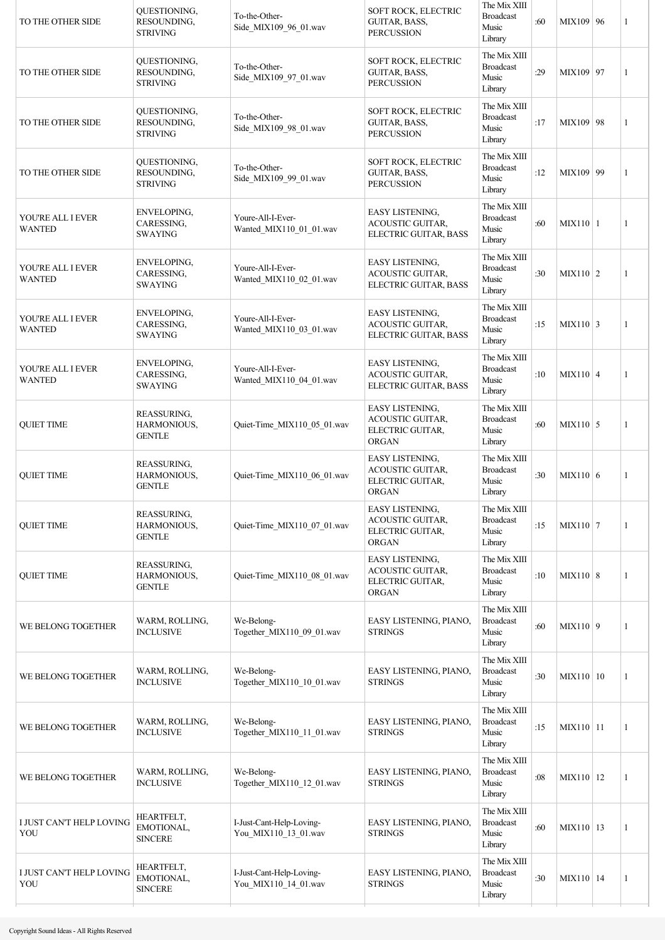| TO THE OTHER SIDE                  | QUESTIONING,<br>RESOUNDING,<br><b>STRIVING</b> | To-the-Other-<br>Side_MIX109_96_01.wav           | SOFT ROCK, ELECTRIC<br>GUITAR, BASS,<br><b>PERCUSSION</b>                      | The Mix XIII<br><b>Broadcast</b><br>Music<br>Library | :60 | MIX109 96       | 1 |
|------------------------------------|------------------------------------------------|--------------------------------------------------|--------------------------------------------------------------------------------|------------------------------------------------------|-----|-----------------|---|
| TO THE OTHER SIDE                  | QUESTIONING,<br>RESOUNDING,<br><b>STRIVING</b> | To-the-Other-<br>Side_MIX109_97_01.wav           | SOFT ROCK, ELECTRIC<br>GUITAR, BASS,<br><b>PERCUSSION</b>                      | The Mix XIII<br><b>Broadcast</b><br>Music<br>Library | :29 | MIX109 97       | 1 |
| TO THE OTHER SIDE                  | QUESTIONING,<br>RESOUNDING,<br><b>STRIVING</b> | To-the-Other-<br>Side_MIX109_98_01.wav           | SOFT ROCK, ELECTRIC<br>GUITAR, BASS,<br><b>PERCUSSION</b>                      | The Mix XIII<br><b>Broadcast</b><br>Music<br>Library | :17 | MIX109 98       | 1 |
| TO THE OTHER SIDE                  | QUESTIONING,<br>RESOUNDING,<br><b>STRIVING</b> | To-the-Other-<br>Side_MIX109_99_01.wav           | SOFT ROCK, ELECTRIC<br>GUITAR, BASS,<br><b>PERCUSSION</b>                      | The Mix XIII<br><b>Broadcast</b><br>Music<br>Library | :12 | MIX109 99       | 1 |
| YOU'RE ALL I EVER<br><b>WANTED</b> | ENVELOPING,<br>CARESSING,<br><b>SWAYING</b>    | Youre-All-I-Ever-<br>Wanted_MIX110_01_01.wav     | EASY LISTENING,<br>ACOUSTIC GUITAR,<br>ELECTRIC GUITAR, BASS                   | The Mix XIII<br><b>Broadcast</b><br>Music<br>Library | :60 | $MIX110$   1    | 1 |
| YOU'RE ALL I EVER<br><b>WANTED</b> | ENVELOPING,<br>CARESSING,<br><b>SWAYING</b>    | Youre-All-I-Ever-<br>Wanted_MIX110_02_01.wav     | EASY LISTENING,<br>ACOUSTIC GUITAR,<br>ELECTRIC GUITAR, BASS                   | The Mix XIII<br><b>Broadcast</b><br>Music<br>Library | :30 | $MIX110$ 2      | 1 |
| YOU'RE ALL I EVER<br><b>WANTED</b> | ENVELOPING,<br>CARESSING,<br><b>SWAYING</b>    | Youre-All-I-Ever-<br>Wanted_MIX110_03_01.wav     | EASY LISTENING,<br><b>ACOUSTIC GUITAR,</b><br>ELECTRIC GUITAR, BASS            | The Mix XIII<br><b>Broadcast</b><br>Music<br>Library | :15 | $MIX110$ 3      | 1 |
| YOU'RE ALL I EVER<br><b>WANTED</b> | ENVELOPING,<br>CARESSING,<br><b>SWAYING</b>    | Youre-All-I-Ever-<br>Wanted_MIX110_04_01.wav     | EASY LISTENING,<br>ACOUSTIC GUITAR,<br>ELECTRIC GUITAR, BASS                   | The Mix XIII<br><b>Broadcast</b><br>Music<br>Library | :10 | $MIX110 \mid 4$ | 1 |
| <b>QUIET TIME</b>                  | REASSURING,<br>HARMONIOUS,<br><b>GENTLE</b>    | Quiet-Time_MIX110_05_01.wav                      | EASY LISTENING,<br><b>ACOUSTIC GUITAR,</b><br>ELECTRIC GUITAR,<br><b>ORGAN</b> | The Mix XIII<br><b>Broadcast</b><br>Music<br>Library | :60 | $MIX110$ 5      | 1 |
| <b>QUIET TIME</b>                  | REASSURING,<br>HARMONIOUS,<br><b>GENTLE</b>    | Quiet-Time_MIX110_06_01.wav                      | EASY LISTENING,<br><b>ACOUSTIC GUITAR,</b><br>ELECTRIC GUITAR,<br><b>ORGAN</b> | The Mix XIII<br><b>Broadcast</b><br>Music<br>Library | :30 | MIX110 6        | 1 |
| <b>QUIET TIME</b>                  | REASSURING,<br>HARMONIOUS,<br><b>GENTLE</b>    | Quiet-Time MIX110 07 01.wav                      | EASY LISTENING,<br><b>ACOUSTIC GUITAR,</b><br>ELECTRIC GUITAR,<br><b>ORGAN</b> | The Mix XIII<br><b>Broadcast</b><br>Music<br>Library | :15 | $MIX110$ 7      | 1 |
| <b>QUIET TIME</b>                  | REASSURING,<br>HARMONIOUS,<br><b>GENTLE</b>    | Quiet-Time_MIX110_08_01.wav                      | EASY LISTENING,<br><b>ACOUSTIC GUITAR,</b><br>ELECTRIC GUITAR,<br><b>ORGAN</b> | The Mix XIII<br><b>Broadcast</b><br>Music<br>Library | :10 | MIX110 8        | 1 |
| WE BELONG TOGETHER                 | WARM, ROLLING,<br><b>INCLUSIVE</b>             | We-Belong-<br>Together_MIX110_09_01.wav          | EASY LISTENING, PIANO,<br><b>STRINGS</b>                                       | The Mix XIII<br><b>Broadcast</b><br>Music<br>Library | :60 | MIX110 9        | 1 |
| WE BELONG TOGETHER                 | WARM, ROLLING,<br><b>INCLUSIVE</b>             | We-Belong-<br>Together_MIX110_10_01.wav          | EASY LISTENING, PIANO,<br><b>STRINGS</b>                                       | The Mix XIII<br><b>Broadcast</b><br>Music<br>Library | :30 | MIX110   10     | 1 |
| WE BELONG TOGETHER                 | WARM, ROLLING,<br><b>INCLUSIVE</b>             | We-Belong-<br>Together_MIX110_11_01.wav          | EASY LISTENING, PIANO,<br><b>STRINGS</b>                                       | The Mix XIII<br><b>Broadcast</b><br>Music<br>Library | :15 | MIX110 11       | 1 |
| WE BELONG TOGETHER                 | WARM, ROLLING,<br><b>INCLUSIVE</b>             | We-Belong-<br>Together_MIX110_12_01.wav          | EASY LISTENING, PIANO,<br><b>STRINGS</b>                                       | The Mix XIII<br><b>Broadcast</b><br>Music<br>Library | :08 | MIX110   12     | 1 |
| I JUST CAN'T HELP LOVING<br>YOU    | HEARTFELT,<br>EMOTIONAL,<br><b>SINCERE</b>     | I-Just-Cant-Help-Loving-<br>You_MIX110_13_01.wav | EASY LISTENING, PIANO,<br><b>STRINGS</b>                                       | The Mix XIII<br><b>Broadcast</b><br>Music<br>Library | :60 | MIX110   13     | 1 |
| I JUST CAN'T HELP LOVING<br>YOU    | HEARTFELT,<br>EMOTIONAL,<br><b>SINCERE</b>     | I-Just-Cant-Help-Loving-<br>You_MIX110_14_01.wav | EASY LISTENING, PIANO,<br><b>STRINGS</b>                                       | The Mix XIII<br><b>Broadcast</b><br>Music<br>Library | :30 | MIX110   14     | 1 |
|                                    |                                                |                                                  |                                                                                |                                                      |     |                 |   |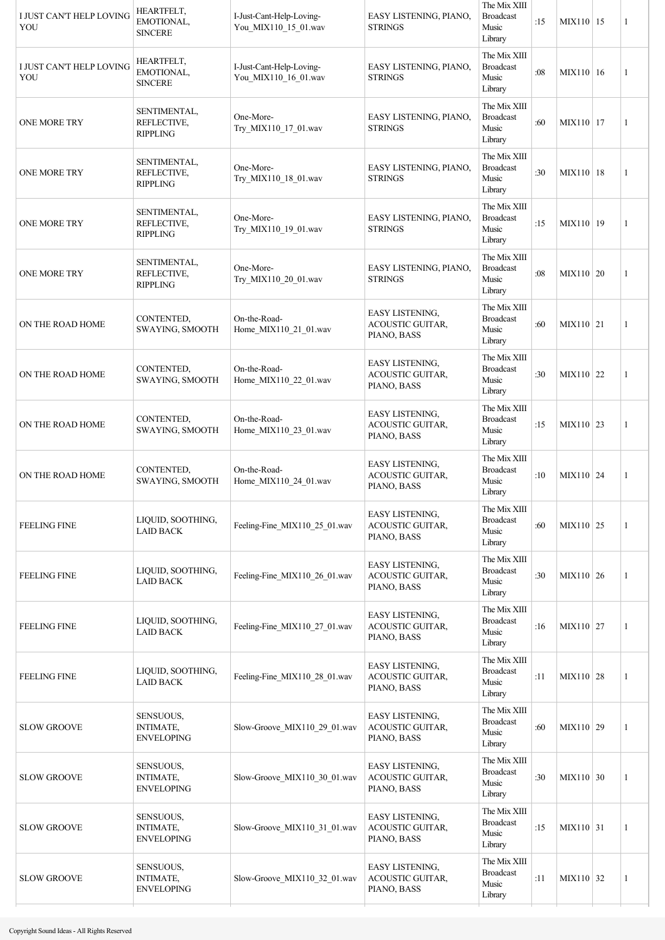| I JUST CAN'T HELP LOVING<br>YOU | <b>HEARTFELT,</b><br>EMOTIONAL,<br><b>SINCERE</b>  | I-Just-Cant-Help-Loving-<br>You MIX110 15 01.wav | EASY LISTENING, PIANO,<br><b>STRINGS</b>                         | The Mix XIII<br><b>Broadcast</b><br>Music<br>Library | :15 | MIX110   15      | $\mathbf{1}$   |
|---------------------------------|----------------------------------------------------|--------------------------------------------------|------------------------------------------------------------------|------------------------------------------------------|-----|------------------|----------------|
| I JUST CAN'T HELP LOVING<br>YOU | HEARTFELT,<br>EMOTIONAL,<br><b>SINCERE</b>         | I-Just-Cant-Help-Loving-<br>You_MIX110_16_01.wav | EASY LISTENING, PIANO,<br><b>STRINGS</b>                         | The Mix XIII<br><b>Broadcast</b><br>Music<br>Library | :08 | MIX110 16        | $\overline{1}$ |
| <b>ONE MORE TRY</b>             | SENTIMENTAL,<br>REFLECTIVE,<br><b>RIPPLING</b>     | One-More-<br>Try_MIX110_17_01.wav                | EASY LISTENING, PIANO,<br><b>STRINGS</b>                         | The Mix XIII<br><b>Broadcast</b><br>Music<br>Library | :60 | MIX110   17      | $\mathbf{1}$   |
| <b>ONE MORE TRY</b>             | SENTIMENTAL,<br>REFLECTIVE,<br><b>RIPPLING</b>     | One-More-<br>Try_MIX110_18_01.wav                | EASY LISTENING, PIANO,<br><b>STRINGS</b>                         | The Mix XIII<br><b>Broadcast</b><br>Music<br>Library | :30 | MIX110   18      | 1              |
| <b>ONE MORE TRY</b>             | SENTIMENTAL,<br>REFLECTIVE,<br><b>RIPPLING</b>     | One-More-<br>Try_MIX110_19_01.wav                | EASY LISTENING, PIANO,<br><b>STRINGS</b>                         | The Mix XIII<br><b>Broadcast</b><br>Music<br>Library | :15 | MIX110 19        | $\mathbf{1}$   |
| <b>ONE MORE TRY</b>             | SENTIMENTAL,<br>REFLECTIVE,<br><b>RIPPLING</b>     | One-More-<br>Try_MIX110_20_01.wav                | EASY LISTENING, PIANO,<br><b>STRINGS</b>                         | The Mix XIII<br><b>Broadcast</b><br>Music<br>Library | :08 | MIX110   20      | 1              |
| ON THE ROAD HOME                | CONTENTED,<br>SWAYING, SMOOTH                      | On-the-Road-<br>Home_MIX110_21_01.wav            | EASY LISTENING,<br><b>ACOUSTIC GUITAR,</b><br>PIANO, BASS        | The Mix XIII<br><b>Broadcast</b><br>Music<br>Library | :60 | MIX110 21        | 1              |
| ON THE ROAD HOME                | CONTENTED,<br>SWAYING, SMOOTH                      | On-the-Road-<br>Home_MIX110_22_01.wav            | <b>EASY LISTENING,</b><br><b>ACOUSTIC GUITAR,</b><br>PIANO, BASS | The Mix XIII<br><b>Broadcast</b><br>Music<br>Library | :30 | MIX110 22        | 1              |
| ON THE ROAD HOME                | CONTENTED,<br>SWAYING, SMOOTH                      | On-the-Road-<br>Home_MIX110_23_01.wav            | <b>EASY LISTENING,</b><br>ACOUSTIC GUITAR,<br>PIANO, BASS        | The Mix XIII<br><b>Broadcast</b><br>Music<br>Library | :15 | MIX110 23        | 1              |
| ON THE ROAD HOME                | CONTENTED,<br>SWAYING, SMOOTH                      | On-the-Road-<br>Home_MIX110_24_01.wav            | EASY LISTENING,<br>ACOUSTIC GUITAR,<br>PIANO, BASS               | The Mix XIII<br><b>Broadcast</b><br>Music<br>Library | :10 | MIX110 24        | 1              |
| <b>FEELING FINE</b>             | LIQUID, SOOTHING,<br><b>LAID BACK</b>              | Feeling-Fine_MIX110_25_01.wav                    | <b>EASY LISTENING,</b><br>ACOUSTIC GUITAR,<br>PIANO, BASS        | The Mix XIII<br><b>Broadcast</b><br>Music<br>Library | :60 | MIX110 25        | 1              |
| <b>FEELING FINE</b>             | LIQUID, SOOTHING,<br><b>LAID BACK</b>              | Feeling-Fine_MIX110_26_01.wav                    | <b>EASY LISTENING,</b><br>ACOUSTIC GUITAR,<br>PIANO, BASS        | The Mix XIII<br><b>Broadcast</b><br>Music<br>Library | :30 | MIX110 26        | 1              |
| <b>FEELING FINE</b>             | LIQUID, SOOTHING,<br><b>LAID BACK</b>              | Feeling-Fine_MIX110_27_01.wav                    | <b>EASY LISTENING,</b><br>ACOUSTIC GUITAR,<br>PIANO, BASS        | The Mix XIII<br><b>Broadcast</b><br>Music<br>Library | :16 | MIX110   27      | 1              |
| <b>FEELING FINE</b>             | LIQUID, SOOTHING,<br><b>LAID BACK</b>              | Feeling-Fine_MIX110_28_01.wav                    | <b>EASY LISTENING,</b><br>ACOUSTIC GUITAR,<br>PIANO, BASS        | The Mix XIII<br><b>Broadcast</b><br>Music<br>Library | :11 | MIX110 28        | 1              |
| <b>SLOW GROOVE</b>              | SENSUOUS,<br><b>INTIMATE,</b><br><b>ENVELOPING</b> | Slow-Groove_MIX110_29_01.wav                     | <b>EASY LISTENING,</b><br><b>ACOUSTIC GUITAR,</b><br>PIANO, BASS | The Mix XIII<br><b>Broadcast</b><br>Music<br>Library | :60 | MIX110 29        | 1              |
| <b>SLOW GROOVE</b>              | SENSUOUS,<br><b>INTIMATE,</b><br><b>ENVELOPING</b> | Slow-Groove_MIX110_30_01.wav                     | EASY LISTENING,<br><b>ACOUSTIC GUITAR,</b><br>PIANO, BASS        | The Mix XIII<br><b>Broadcast</b><br>Music<br>Library | :30 | MIX110 30        | 1              |
| <b>SLOW GROOVE</b>              | SENSUOUS,<br><b>INTIMATE,</b><br><b>ENVELOPING</b> | Slow-Groove MIX110 31 01.wav                     | EASY LISTENING,<br><b>ACOUSTIC GUITAR,</b><br>PIANO, BASS        | The Mix XIII<br><b>Broadcast</b><br>Music<br>Library | :15 | $MIX110 \mid 31$ | 1              |
| <b>SLOW GROOVE</b>              | SENSUOUS,<br><b>INTIMATE,</b><br><b>ENVELOPING</b> | Slow-Groove MIX110 32 01.wav                     | <b>EASY LISTENING,</b><br><b>ACOUSTIC GUITAR,</b><br>PIANO, BASS | The Mix XIII<br><b>Broadcast</b><br>Music<br>Library | :11 | MIX110 32        | 1              |
|                                 |                                                    |                                                  |                                                                  |                                                      |     |                  |                |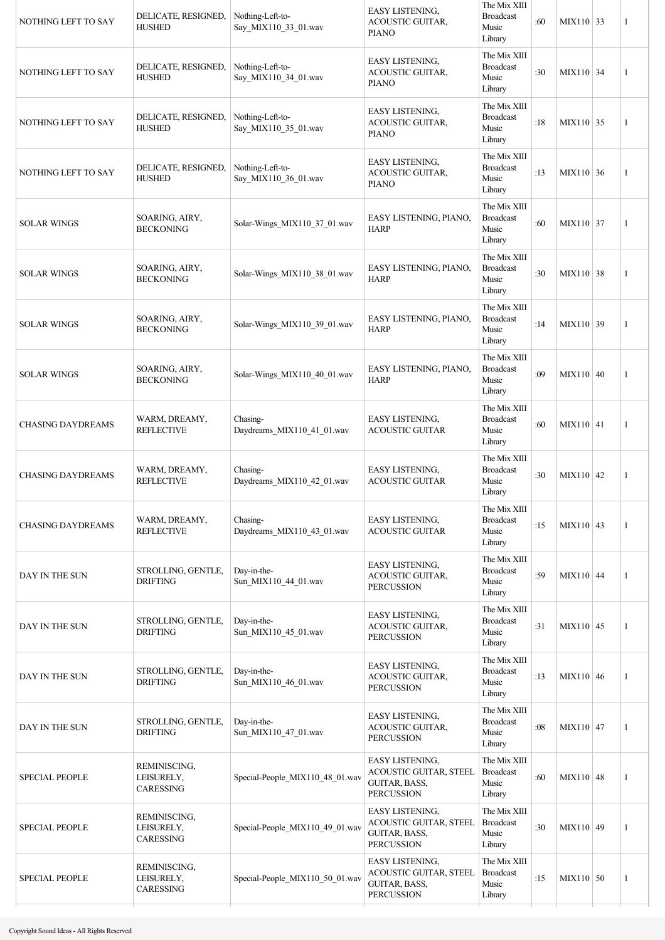| NOTHING LEFT TO SAY      | DELICATE, RESIGNED,<br><b>HUSHED</b>    | Nothing-Left-to-<br>Say_MIX110_33_01.wav | <b>EASY LISTENING,</b><br>ACOUSTIC GUITAR,<br><b>PIANO</b>                                    | The Mix XIII<br><b>Broadcast</b><br>Music<br>Library | :60 | $MIX110$ 33 | $\mathbf{1}$ |
|--------------------------|-----------------------------------------|------------------------------------------|-----------------------------------------------------------------------------------------------|------------------------------------------------------|-----|-------------|--------------|
| NOTHING LEFT TO SAY      | DELICATE, RESIGNED,<br><b>HUSHED</b>    | Nothing-Left-to-<br>Say_MIX110_34_01.wav | EASY LISTENING,<br>ACOUSTIC GUITAR,<br><b>PIANO</b>                                           | The Mix XIII<br><b>Broadcast</b><br>Music<br>Library | :30 | MIX110 34   | $\mathbf{1}$ |
| NOTHING LEFT TO SAY      | DELICATE, RESIGNED,<br><b>HUSHED</b>    | Nothing-Left-to-<br>Say_MIX110_35_01.wav | EASY LISTENING,<br>ACOUSTIC GUITAR,<br><b>PIANO</b>                                           | The Mix XIII<br><b>Broadcast</b><br>Music<br>Library | :18 | $MIX110$ 35 | $\mathbf{1}$ |
| NOTHING LEFT TO SAY      | DELICATE, RESIGNED,<br><b>HUSHED</b>    | Nothing-Left-to-<br>Say_MIX110_36_01.wav | <b>EASY LISTENING,</b><br><b>ACOUSTIC GUITAR,</b><br><b>PIANO</b>                             | The Mix XIII<br><b>Broadcast</b><br>Music<br>Library | :13 | MIX110 36   | 1            |
| <b>SOLAR WINGS</b>       | SOARING, AIRY,<br><b>BECKONING</b>      | Solar-Wings MIX110 37 01.wav             | EASY LISTENING, PIANO,<br><b>HARP</b>                                                         | The Mix XIII<br><b>Broadcast</b><br>Music<br>Library | :60 | MIX110 37   | $\mathbf{1}$ |
| <b>SOLAR WINGS</b>       | SOARING, AIRY,<br><b>BECKONING</b>      | Solar-Wings_MIX110_38_01.wav             | EASY LISTENING, PIANO,<br><b>HARP</b>                                                         | The Mix XIII<br><b>Broadcast</b><br>Music<br>Library | :30 | MIX110 38   | 1            |
| <b>SOLAR WINGS</b>       | SOARING, AIRY,<br><b>BECKONING</b>      | Solar-Wings MIX110 39 01.wav             | EASY LISTENING, PIANO,<br><b>HARP</b>                                                         | The Mix XIII<br><b>Broadcast</b><br>Music<br>Library | :14 | MIX110 39   | 1            |
| <b>SOLAR WINGS</b>       | SOARING, AIRY,<br><b>BECKONING</b>      | Solar-Wings_MIX110_40_01.wav             | EASY LISTENING, PIANO,<br><b>HARP</b>                                                         | The Mix XIII<br><b>Broadcast</b><br>Music<br>Library | :09 | MIX110 40   | 1            |
| <b>CHASING DAYDREAMS</b> | WARM, DREAMY,<br><b>REFLECTIVE</b>      | Chasing-<br>Daydreams_MIX110_41_01.wav   | EASY LISTENING,<br><b>ACOUSTIC GUITAR</b>                                                     | The Mix XIII<br><b>Broadcast</b><br>Music<br>Library | :60 | MIX110 41   | 1            |
| <b>CHASING DAYDREAMS</b> | WARM, DREAMY,<br><b>REFLECTIVE</b>      | Chasing-<br>Daydreams MIX110 42 01.wav   | EASY LISTENING,<br><b>ACOUSTIC GUITAR</b>                                                     | The Mix XIII<br><b>Broadcast</b><br>Music<br>Library | :30 | $MIX110$ 42 | 1            |
| <b>CHASING DAYDREAMS</b> | WARM, DREAMY,<br><b>REFLECTIVE</b>      | Chasing-<br>Daydreams MIX110 43 01.wav   | EASY LISTENING,<br><b>ACOUSTIC GUITAR</b>                                                     | The Mix XIII<br><b>Broadcast</b><br>Music<br>Library | :15 | MIX110 43   | 1            |
| DAY IN THE SUN           | STROLLING, GENTLE,<br><b>DRIFTING</b>   | Day-in-the-<br>Sun_MIX110_44_01.wav      | EASY LISTENING,<br>ACOUSTIC GUITAR,<br><b>PERCUSSION</b>                                      | The Mix XIII<br><b>Broadcast</b><br>Music<br>Library | :59 | $MIX110$ 44 | 1            |
| DAY IN THE SUN           | STROLLING, GENTLE,<br><b>DRIFTING</b>   | Day-in-the-<br>Sun_MIX110_45_01.wav      | EASY LISTENING,<br>ACOUSTIC GUITAR,<br><b>PERCUSSION</b>                                      | The Mix XIII<br><b>Broadcast</b><br>Music<br>Library | :31 | $MIX110$ 45 | 1            |
| DAY IN THE SUN           | STROLLING, GENTLE,<br><b>DRIFTING</b>   | Day-in-the-<br>Sun_MIX110_46_01.wav      | <b>EASY LISTENING,</b><br>ACOUSTIC GUITAR,<br><b>PERCUSSION</b>                               | The Mix XIII<br><b>Broadcast</b><br>Music<br>Library | :13 | MIX110 46   | 1            |
| DAY IN THE SUN           | STROLLING, GENTLE,<br><b>DRIFTING</b>   | Day-in-the-<br>Sun_MIX110_47_01.wav      | EASY LISTENING,<br><b>ACOUSTIC GUITAR,</b><br><b>PERCUSSION</b>                               | The Mix XIII<br><b>Broadcast</b><br>Music<br>Library | :08 | MIX110 47   | 1            |
| <b>SPECIAL PEOPLE</b>    | REMINISCING,<br>LEISURELY,<br>CARESSING | Special-People_MIX110_48_01.wav          | <b>EASY LISTENING,</b><br>ACOUSTIC GUITAR, STEEL<br>GUITAR, BASS,<br><b>PERCUSSION</b>        | The Mix XIII<br><b>Broadcast</b><br>Music<br>Library | :60 | MIX110 48   | 1            |
| <b>SPECIAL PEOPLE</b>    | REMINISCING,<br>LEISURELY,<br>CARESSING | Special-People_MIX110_49_01.wav          | <b>EASY LISTENING,</b><br><b>ACOUSTIC GUITAR, STEEL</b><br>GUITAR, BASS,<br><b>PERCUSSION</b> | The Mix XIII<br><b>Broadcast</b><br>Music<br>Library | :30 | MIX110 49   | 1            |
| <b>SPECIAL PEOPLE</b>    | REMINISCING,<br>LEISURELY,<br>CARESSING | Special-People_MIX110_50_01.wav          | <b>EASY LISTENING,</b><br>ACOUSTIC GUITAR, STEEL<br>GUITAR, BASS,<br><b>PERCUSSION</b>        | The Mix XIII<br><b>Broadcast</b><br>Music<br>Library | :15 | MIX110 50   | 1            |
|                          |                                         |                                          |                                                                                               |                                                      |     |             |              |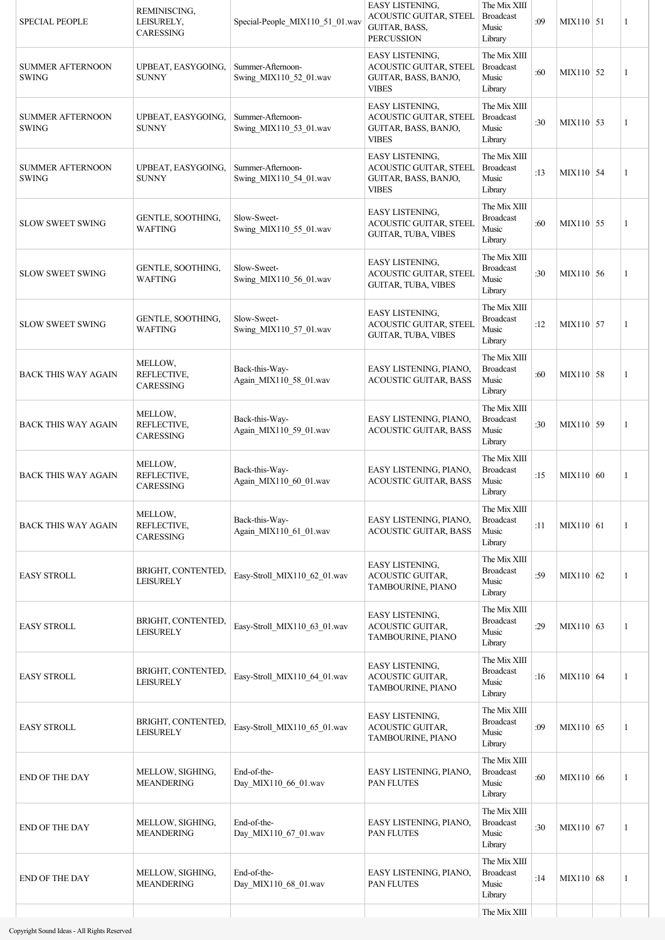| <b>SPECIAL PEOPLE</b>                   | REMINISCING,<br>LEISURELY,<br><b>CARESSING</b> | Special-People_MIX110_51_01.wav             | <b>EASY LISTENING,</b><br>ACOUSTIC GUITAR, STEEL<br>GUITAR, BASS,<br><b>PERCUSSION</b>   | The Mix XIII<br><b>Broadcast</b><br>Music<br>Library | :09 | $MIX110$ 51 | 1 |
|-----------------------------------------|------------------------------------------------|---------------------------------------------|------------------------------------------------------------------------------------------|------------------------------------------------------|-----|-------------|---|
| <b>SUMMER AFTERNOON</b><br><b>SWING</b> | UPBEAT, EASYGOING,<br><b>SUNNY</b>             | Summer-Afternoon-<br>Swing_MIX110_52_01.wav | <b>EASY LISTENING,</b><br>ACOUSTIC GUITAR, STEEL<br>GUITAR, BASS, BANJO,<br><b>VIBES</b> | The Mix XIII<br><b>Broadcast</b><br>Music<br>Library | :60 | MIX110 52   | 1 |
| <b>SUMMER AFTERNOON</b><br><b>SWING</b> | UPBEAT, EASYGOING,<br><b>SUNNY</b>             | Summer-Afternoon-<br>Swing_MIX110_53_01.wav | EASY LISTENING,<br>ACOUSTIC GUITAR, STEEL<br>GUITAR, BASS, BANJO,<br><b>VIBES</b>        | The Mix XIII<br><b>Broadcast</b><br>Music<br>Library | :30 | MIX110 53   | 1 |
| <b>SUMMER AFTERNOON</b><br><b>SWING</b> | UPBEAT, EASYGOING,<br><b>SUNNY</b>             | Summer-Afternoon-<br>Swing_MIX110_54_01.wav | EASY LISTENING,<br>ACOUSTIC GUITAR, STEEL<br>GUITAR, BASS, BANJO,<br><b>VIBES</b>        | The Mix XIII<br><b>Broadcast</b><br>Music<br>Library | :13 | $MIX110$ 54 | 1 |
| <b>SLOW SWEET SWING</b>                 | GENTLE, SOOTHING,<br><b>WAFTING</b>            | Slow-Sweet-<br>Swing_MIX110_55_01.wav       | EASY LISTENING,<br>ACOUSTIC GUITAR, STEEL<br>GUITAR, TUBA, VIBES                         | The Mix XIII<br><b>Broadcast</b><br>Music<br>Library | :60 | MIX110 55   | 1 |
| <b>SLOW SWEET SWING</b>                 | GENTLE, SOOTHING,<br><b>WAFTING</b>            | Slow-Sweet-<br>Swing_MIX110_56_01.wav       | EASY LISTENING,<br>ACOUSTIC GUITAR, STEEL<br>GUITAR, TUBA, VIBES                         | The Mix XIII<br><b>Broadcast</b><br>Music<br>Library | :30 | MIX110 56   | 1 |
| <b>SLOW SWEET SWING</b>                 | GENTLE, SOOTHING,<br><b>WAFTING</b>            | Slow-Sweet-<br>Swing_MIX110_57_01.wav       | EASY LISTENING,<br>ACOUSTIC GUITAR, STEEL<br><b>GUITAR, TUBA, VIBES</b>                  | The Mix XIII<br><b>Broadcast</b><br>Music<br>Library | :12 | MIX110 57   | 1 |
| <b>BACK THIS WAY AGAIN</b>              | MELLOW,<br>REFLECTIVE,<br>CARESSING            | Back-this-Way-<br>Again_MIX110_58_01.wav    | EASY LISTENING, PIANO,<br><b>ACOUSTIC GUITAR, BASS</b>                                   | The Mix XIII<br><b>Broadcast</b><br>Music<br>Library | :60 | MIX110 58   | 1 |
| <b>BACK THIS WAY AGAIN</b>              | MELLOW,<br>REFLECTIVE,<br><b>CARESSING</b>     | Back-this-Way-<br>Again MIX110 59 01.wav    | EASY LISTENING, PIANO,<br><b>ACOUSTIC GUITAR, BASS</b>                                   | The Mix XIII<br><b>Broadcast</b><br>Music<br>Library | :30 | MIX110 59   | 1 |
| <b>BACK THIS WAY AGAIN</b>              | MELLOW,<br>REFLECTIVE,<br>CARESSING            | Back-this-Way-<br>Again_MIX110_60_01.wav    | EASY LISTENING, PIANO,<br><b>ACOUSTIC GUITAR, BASS</b>                                   | The Mix XIII<br><b>Broadcast</b><br>Music<br>Library | :15 | MIX110 60   | 1 |
| <b>BACK THIS WAY AGAIN</b>              | MELLOW,<br>REFLECTIVE,<br><b>CARESSING</b>     | Back-this-Way-<br>Again MIX110 61 01.wav    | EASY LISTENING, PIANO,<br><b>ACOUSTIC GUITAR, BASS</b>                                   | The Mix XIII<br><b>Broadcast</b><br>Music<br>Library | :11 | MIX110 61   | 1 |
| <b>EASY STROLL</b>                      | BRIGHT, CONTENTED,<br><b>LEISURELY</b>         | Easy-Stroll_MIX110_62_01.wav                | <b>EASY LISTENING,</b><br>ACOUSTIC GUITAR,<br>TAMBOURINE, PIANO                          | The Mix XIII<br><b>Broadcast</b><br>Music<br>Library | :59 | MIX110 62   | 1 |
| <b>EASY STROLL</b>                      | BRIGHT, CONTENTED,<br>LEISURELY                | Easy-Stroll_MIX110_63_01.wav                | EASY LISTENING,<br>ACOUSTIC GUITAR,<br>TAMBOURINE, PIANO                                 | The Mix XIII<br><b>Broadcast</b><br>Music<br>Library | :29 | MIX110 63   | 1 |
| <b>EASY STROLL</b>                      | BRIGHT, CONTENTED,<br><b>LEISURELY</b>         | Easy-Stroll MIX110 64 01.wav                | EASY LISTENING,<br>ACOUSTIC GUITAR,<br>TAMBOURINE, PIANO                                 | The Mix XIII<br><b>Broadcast</b><br>Music<br>Library | :16 | MIX110 64   | 1 |
| <b>EASY STROLL</b>                      | BRIGHT, CONTENTED,<br><b>LEISURELY</b>         | Easy-Stroll_MIX110_65_01.wav                | EASY LISTENING,<br>ACOUSTIC GUITAR,<br>TAMBOURINE, PIANO                                 | The Mix XIII<br><b>Broadcast</b><br>Music<br>Library | :09 | MIX110 65   | 1 |
| <b>END OF THE DAY</b>                   | MELLOW, SIGHING,<br><b>MEANDERING</b>          | End-of-the-<br>Day_MIX110_66_01.wav         | EASY LISTENING, PIANO,<br>PAN FLUTES                                                     | The Mix XIII<br><b>Broadcast</b><br>Music<br>Library | :60 | MIX110 66   | 1 |
| <b>END OF THE DAY</b>                   | MELLOW, SIGHING,<br><b>MEANDERING</b>          | End-of-the-<br>Day_MIX110_67_01.wav         | EASY LISTENING, PIANO,<br>PAN FLUTES                                                     | The Mix XIII<br><b>Broadcast</b><br>Music<br>Library | :30 | MIX110 67   | 1 |
| <b>END OF THE DAY</b>                   | MELLOW, SIGHING,<br><b>MEANDERING</b>          | End-of-the-<br>Day_MIX110_68_01.wav         | EASY LISTENING, PIANO,<br>PAN FLUTES                                                     | The Mix XIII<br><b>Broadcast</b><br>Music<br>Library | :14 | MIX110 68   | 1 |
|                                         |                                                |                                             |                                                                                          | The Mix XIII                                         |     |             |   |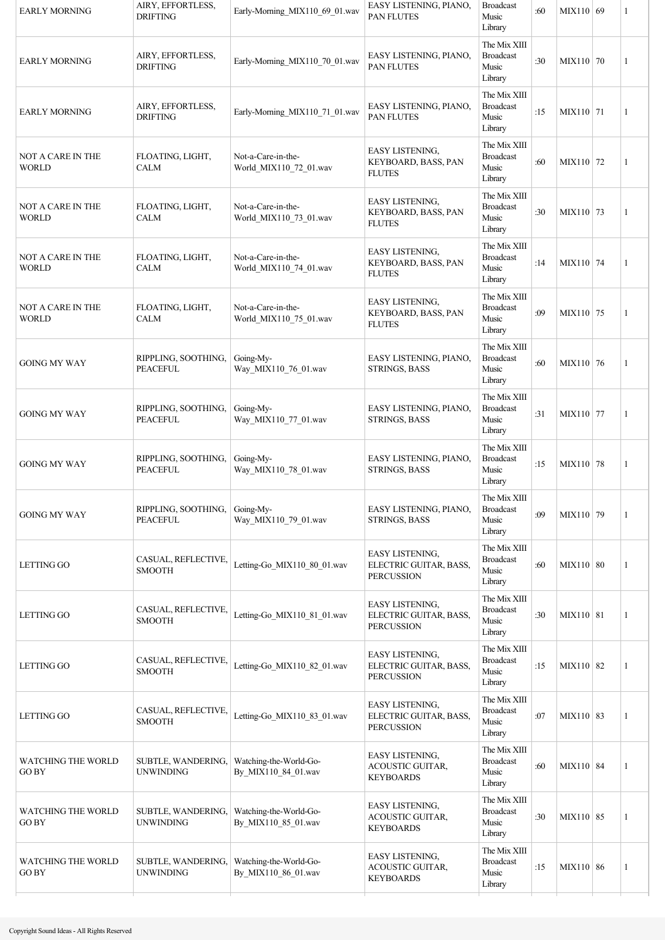| The Mix XIII<br><b>Broadcast</b><br>AIRY, EFFORTLESS,<br>EASY LISTENING, PIANO,<br><b>EARLY MORNING</b><br>Early-Morning MIX110 70 01.wav<br>:30<br>MIX110 70<br>1<br><b>DRIFTING</b><br><b>PAN FLUTES</b><br>Music<br>Library<br>The Mix XIII<br><b>Broadcast</b><br>AIRY, EFFORTLESS,<br>EASY LISTENING, PIANO,<br>:15<br>Early-Morning_MIX110_71_01.wav<br>MIX110 71<br><b>EARLY MORNING</b><br>1<br>PAN FLUTES<br><b>DRIFTING</b><br>Music<br>Library<br>The Mix XIII<br>EASY LISTENING,<br><b>Broadcast</b><br>NOT A CARE IN THE<br>FLOATING, LIGHT,<br>Not-a-Care-in-the-<br>KEYBOARD, BASS, PAN<br>:60<br>MIX110 72<br>1<br><b>WORLD</b><br><b>CALM</b><br>World_MIX110_72_01.wav<br>Music<br><b>FLUTES</b><br>Library<br>The Mix XIII<br>EASY LISTENING,<br>NOT A CARE IN THE<br>FLOATING, LIGHT,<br>Not-a-Care-in-the-<br><b>Broadcast</b><br>:30<br>KEYBOARD, BASS, PAN<br>MIX110 73<br>$\mathbf{1}$<br>World_MIX110_73_01.wav<br>Music<br>WORLD<br>CALM<br><b>FLUTES</b><br>Library<br>The Mix XIII<br>EASY LISTENING,<br>FLOATING, LIGHT,<br>Not-a-Care-in-the-<br><b>Broadcast</b><br>NOT A CARE IN THE<br>MIX110 74<br>KEYBOARD, BASS, PAN<br>:14<br>$\mathbf{1}$<br><b>WORLD</b><br>World_MIX110_74_01.wav<br>Music<br>CALM<br><b>FLUTES</b><br>Library<br>The Mix XIII<br>EASY LISTENING,<br>FLOATING, LIGHT,<br><b>Broadcast</b><br>NOT A CARE IN THE<br>Not-a-Care-in-the-<br>KEYBOARD, BASS, PAN<br>:09<br>MIX110 75<br>1<br><b>CALM</b><br>World_MIX110_75_01.wav<br>Music<br><b>WORLD</b><br><b>FLUTES</b><br>Library<br>The Mix XIII<br>Going-My-<br>EASY LISTENING, PIANO,<br><b>Broadcast</b><br>RIPPLING, SOOTHING,<br>:60<br>MIX110 76<br>GOING MY WAY<br>1<br>Way_MIX110_76_01.wav<br>STRINGS, BASS<br>Music<br>PEACEFUL<br>Library<br>The Mix XIII<br>RIPPLING, SOOTHING,<br>Going-My-<br>EASY LISTENING, PIANO,<br><b>Broadcast</b><br>:31<br>MIX110 77<br>GOING MY WAY<br>1<br>Way_MIX110_77_01.wav<br>Music<br>PEACEFUL<br>STRINGS, BASS<br>Library<br>The Mix XIII<br>RIPPLING, SOOTHING,<br>Going-My-<br>EASY LISTENING, PIANO,<br><b>Broadcast</b><br>:15<br>MIX110 78<br><b>GOING MY WAY</b><br>1<br><b>PEACEFUL</b><br>Way_MIX110_78_01.wav<br><b>STRINGS, BASS</b><br>Music<br>Library<br>The Mix XIII<br>RIPPLING, SOOTHING,<br>Going-My-<br>EASY LISTENING, PIANO,<br><b>Broadcast</b><br>:09<br>MIX110 79<br><b>GOING MY WAY</b><br>1<br><b>PEACEFUL</b><br>Way MIX110 79 01.wav<br><b>STRINGS, BASS</b><br>Music<br>Library<br>The Mix XIII<br>EASY LISTENING,<br>CASUAL, REFLECTIVE,<br><b>Broadcast</b><br>ELECTRIC GUITAR, BASS,<br>Letting-Go_MIX110_80_01.wav<br>:60<br>MIX110 80<br>LETTING GO<br>1<br>SMOOTH<br>Music<br><b>PERCUSSION</b><br>Library<br>The Mix XIII<br>EASY LISTENING,<br>CASUAL, REFLECTIVE,<br><b>Broadcast</b><br>Letting-Go MIX110 81 01.wav<br>ELECTRIC GUITAR, BASS,<br>LETTING GO<br>:30<br>MIX110   81<br>1<br><b>SMOOTH</b><br>Music<br><b>PERCUSSION</b><br>Library<br>The Mix XIII<br>EASY LISTENING,<br><b>Broadcast</b><br>CASUAL, REFLECTIVE,<br>ELECTRIC GUITAR, BASS,<br>LETTING GO<br>Letting-Go_MIX110_82_01.wav<br>:15<br>MIX110 82<br>1<br><b>SMOOTH</b><br>Music<br><b>PERCUSSION</b><br>Library<br>The Mix XIII<br>EASY LISTENING,<br>CASUAL, REFLECTIVE,<br><b>Broadcast</b><br>Letting-Go MIX110 83 01.wav<br>LETTING GO<br>ELECTRIC GUITAR, BASS,<br>:07<br>MIX110 83<br>1<br><b>SMOOTH</b><br>Music<br><b>PERCUSSION</b><br>Library<br>The Mix XIII<br>EASY LISTENING,<br><b>WATCHING THE WORLD</b><br>SUBTLE, WANDERING,<br>Watching-the-World-Go-<br><b>Broadcast</b><br>ACOUSTIC GUITAR,<br>:60<br>MIX110 84<br>1<br>GO BY<br><b>UNWINDING</b><br>By MIX110_84_01.wav<br>Music<br><b>KEYBOARDS</b><br>Library<br>The Mix XIII<br>EASY LISTENING,<br>SUBTLE, WANDERING,<br>Watching-the-World-Go-<br><b>Broadcast</b><br>WATCHING THE WORLD<br><b>ACOUSTIC GUITAR,</b><br>:30<br>MIX110 85<br>1<br><b>GOBY</b><br><b>UNWINDING</b><br>By_MIX110_85_01.wav<br>Music<br>KEYBOARDS<br>Library | <b>EARLY MORNING</b> | AIRY, EFFORTLESS,<br><b>DRIFTING</b> | Early-Morning MIX110 69 01.wav | EASY LISTENING, PIANO,<br><b>PAN FLUTES</b> | <b>Broadcast</b><br>Music<br>Library | :60 | MIX110 69 | 1 |
|------------------------------------------------------------------------------------------------------------------------------------------------------------------------------------------------------------------------------------------------------------------------------------------------------------------------------------------------------------------------------------------------------------------------------------------------------------------------------------------------------------------------------------------------------------------------------------------------------------------------------------------------------------------------------------------------------------------------------------------------------------------------------------------------------------------------------------------------------------------------------------------------------------------------------------------------------------------------------------------------------------------------------------------------------------------------------------------------------------------------------------------------------------------------------------------------------------------------------------------------------------------------------------------------------------------------------------------------------------------------------------------------------------------------------------------------------------------------------------------------------------------------------------------------------------------------------------------------------------------------------------------------------------------------------------------------------------------------------------------------------------------------------------------------------------------------------------------------------------------------------------------------------------------------------------------------------------------------------------------------------------------------------------------------------------------------------------------------------------------------------------------------------------------------------------------------------------------------------------------------------------------------------------------------------------------------------------------------------------------------------------------------------------------------------------------------------------------------------------------------------------------------------------------------------------------------------------------------------------------------------------------------------------------------------------------------------------------------------------------------------------------------------------------------------------------------------------------------------------------------------------------------------------------------------------------------------------------------------------------------------------------------------------------------------------------------------------------------------------------------------------------------------------------------------------------------------------------------------------------------------------------------------------------------------------------------------------------------------------------------------------------------------------------------------------------------------------------------------------------------------------------------------------------------------------------------------------------------------------------------------------------------------------------------------------------------------------------------------------------------------------------------------------------------------------------------------------------------------------------------------------------------------------------------------------------------------------------------------------------|----------------------|--------------------------------------|--------------------------------|---------------------------------------------|--------------------------------------|-----|-----------|---|
|                                                                                                                                                                                                                                                                                                                                                                                                                                                                                                                                                                                                                                                                                                                                                                                                                                                                                                                                                                                                                                                                                                                                                                                                                                                                                                                                                                                                                                                                                                                                                                                                                                                                                                                                                                                                                                                                                                                                                                                                                                                                                                                                                                                                                                                                                                                                                                                                                                                                                                                                                                                                                                                                                                                                                                                                                                                                                                                                                                                                                                                                                                                                                                                                                                                                                                                                                                                                                                                                                                                                                                                                                                                                                                                                                                                                                                                                                                                                                                                          |                      |                                      |                                |                                             |                                      |     |           |   |
|                                                                                                                                                                                                                                                                                                                                                                                                                                                                                                                                                                                                                                                                                                                                                                                                                                                                                                                                                                                                                                                                                                                                                                                                                                                                                                                                                                                                                                                                                                                                                                                                                                                                                                                                                                                                                                                                                                                                                                                                                                                                                                                                                                                                                                                                                                                                                                                                                                                                                                                                                                                                                                                                                                                                                                                                                                                                                                                                                                                                                                                                                                                                                                                                                                                                                                                                                                                                                                                                                                                                                                                                                                                                                                                                                                                                                                                                                                                                                                                          |                      |                                      |                                |                                             |                                      |     |           |   |
|                                                                                                                                                                                                                                                                                                                                                                                                                                                                                                                                                                                                                                                                                                                                                                                                                                                                                                                                                                                                                                                                                                                                                                                                                                                                                                                                                                                                                                                                                                                                                                                                                                                                                                                                                                                                                                                                                                                                                                                                                                                                                                                                                                                                                                                                                                                                                                                                                                                                                                                                                                                                                                                                                                                                                                                                                                                                                                                                                                                                                                                                                                                                                                                                                                                                                                                                                                                                                                                                                                                                                                                                                                                                                                                                                                                                                                                                                                                                                                                          |                      |                                      |                                |                                             |                                      |     |           |   |
|                                                                                                                                                                                                                                                                                                                                                                                                                                                                                                                                                                                                                                                                                                                                                                                                                                                                                                                                                                                                                                                                                                                                                                                                                                                                                                                                                                                                                                                                                                                                                                                                                                                                                                                                                                                                                                                                                                                                                                                                                                                                                                                                                                                                                                                                                                                                                                                                                                                                                                                                                                                                                                                                                                                                                                                                                                                                                                                                                                                                                                                                                                                                                                                                                                                                                                                                                                                                                                                                                                                                                                                                                                                                                                                                                                                                                                                                                                                                                                                          |                      |                                      |                                |                                             |                                      |     |           |   |
|                                                                                                                                                                                                                                                                                                                                                                                                                                                                                                                                                                                                                                                                                                                                                                                                                                                                                                                                                                                                                                                                                                                                                                                                                                                                                                                                                                                                                                                                                                                                                                                                                                                                                                                                                                                                                                                                                                                                                                                                                                                                                                                                                                                                                                                                                                                                                                                                                                                                                                                                                                                                                                                                                                                                                                                                                                                                                                                                                                                                                                                                                                                                                                                                                                                                                                                                                                                                                                                                                                                                                                                                                                                                                                                                                                                                                                                                                                                                                                                          |                      |                                      |                                |                                             |                                      |     |           |   |
|                                                                                                                                                                                                                                                                                                                                                                                                                                                                                                                                                                                                                                                                                                                                                                                                                                                                                                                                                                                                                                                                                                                                                                                                                                                                                                                                                                                                                                                                                                                                                                                                                                                                                                                                                                                                                                                                                                                                                                                                                                                                                                                                                                                                                                                                                                                                                                                                                                                                                                                                                                                                                                                                                                                                                                                                                                                                                                                                                                                                                                                                                                                                                                                                                                                                                                                                                                                                                                                                                                                                                                                                                                                                                                                                                                                                                                                                                                                                                                                          |                      |                                      |                                |                                             |                                      |     |           |   |
|                                                                                                                                                                                                                                                                                                                                                                                                                                                                                                                                                                                                                                                                                                                                                                                                                                                                                                                                                                                                                                                                                                                                                                                                                                                                                                                                                                                                                                                                                                                                                                                                                                                                                                                                                                                                                                                                                                                                                                                                                                                                                                                                                                                                                                                                                                                                                                                                                                                                                                                                                                                                                                                                                                                                                                                                                                                                                                                                                                                                                                                                                                                                                                                                                                                                                                                                                                                                                                                                                                                                                                                                                                                                                                                                                                                                                                                                                                                                                                                          |                      |                                      |                                |                                             |                                      |     |           |   |
|                                                                                                                                                                                                                                                                                                                                                                                                                                                                                                                                                                                                                                                                                                                                                                                                                                                                                                                                                                                                                                                                                                                                                                                                                                                                                                                                                                                                                                                                                                                                                                                                                                                                                                                                                                                                                                                                                                                                                                                                                                                                                                                                                                                                                                                                                                                                                                                                                                                                                                                                                                                                                                                                                                                                                                                                                                                                                                                                                                                                                                                                                                                                                                                                                                                                                                                                                                                                                                                                                                                                                                                                                                                                                                                                                                                                                                                                                                                                                                                          |                      |                                      |                                |                                             |                                      |     |           |   |
|                                                                                                                                                                                                                                                                                                                                                                                                                                                                                                                                                                                                                                                                                                                                                                                                                                                                                                                                                                                                                                                                                                                                                                                                                                                                                                                                                                                                                                                                                                                                                                                                                                                                                                                                                                                                                                                                                                                                                                                                                                                                                                                                                                                                                                                                                                                                                                                                                                                                                                                                                                                                                                                                                                                                                                                                                                                                                                                                                                                                                                                                                                                                                                                                                                                                                                                                                                                                                                                                                                                                                                                                                                                                                                                                                                                                                                                                                                                                                                                          |                      |                                      |                                |                                             |                                      |     |           |   |
|                                                                                                                                                                                                                                                                                                                                                                                                                                                                                                                                                                                                                                                                                                                                                                                                                                                                                                                                                                                                                                                                                                                                                                                                                                                                                                                                                                                                                                                                                                                                                                                                                                                                                                                                                                                                                                                                                                                                                                                                                                                                                                                                                                                                                                                                                                                                                                                                                                                                                                                                                                                                                                                                                                                                                                                                                                                                                                                                                                                                                                                                                                                                                                                                                                                                                                                                                                                                                                                                                                                                                                                                                                                                                                                                                                                                                                                                                                                                                                                          |                      |                                      |                                |                                             |                                      |     |           |   |
|                                                                                                                                                                                                                                                                                                                                                                                                                                                                                                                                                                                                                                                                                                                                                                                                                                                                                                                                                                                                                                                                                                                                                                                                                                                                                                                                                                                                                                                                                                                                                                                                                                                                                                                                                                                                                                                                                                                                                                                                                                                                                                                                                                                                                                                                                                                                                                                                                                                                                                                                                                                                                                                                                                                                                                                                                                                                                                                                                                                                                                                                                                                                                                                                                                                                                                                                                                                                                                                                                                                                                                                                                                                                                                                                                                                                                                                                                                                                                                                          |                      |                                      |                                |                                             |                                      |     |           |   |
|                                                                                                                                                                                                                                                                                                                                                                                                                                                                                                                                                                                                                                                                                                                                                                                                                                                                                                                                                                                                                                                                                                                                                                                                                                                                                                                                                                                                                                                                                                                                                                                                                                                                                                                                                                                                                                                                                                                                                                                                                                                                                                                                                                                                                                                                                                                                                                                                                                                                                                                                                                                                                                                                                                                                                                                                                                                                                                                                                                                                                                                                                                                                                                                                                                                                                                                                                                                                                                                                                                                                                                                                                                                                                                                                                                                                                                                                                                                                                                                          |                      |                                      |                                |                                             |                                      |     |           |   |
|                                                                                                                                                                                                                                                                                                                                                                                                                                                                                                                                                                                                                                                                                                                                                                                                                                                                                                                                                                                                                                                                                                                                                                                                                                                                                                                                                                                                                                                                                                                                                                                                                                                                                                                                                                                                                                                                                                                                                                                                                                                                                                                                                                                                                                                                                                                                                                                                                                                                                                                                                                                                                                                                                                                                                                                                                                                                                                                                                                                                                                                                                                                                                                                                                                                                                                                                                                                                                                                                                                                                                                                                                                                                                                                                                                                                                                                                                                                                                                                          |                      |                                      |                                |                                             |                                      |     |           |   |
|                                                                                                                                                                                                                                                                                                                                                                                                                                                                                                                                                                                                                                                                                                                                                                                                                                                                                                                                                                                                                                                                                                                                                                                                                                                                                                                                                                                                                                                                                                                                                                                                                                                                                                                                                                                                                                                                                                                                                                                                                                                                                                                                                                                                                                                                                                                                                                                                                                                                                                                                                                                                                                                                                                                                                                                                                                                                                                                                                                                                                                                                                                                                                                                                                                                                                                                                                                                                                                                                                                                                                                                                                                                                                                                                                                                                                                                                                                                                                                                          |                      |                                      |                                |                                             |                                      |     |           |   |
|                                                                                                                                                                                                                                                                                                                                                                                                                                                                                                                                                                                                                                                                                                                                                                                                                                                                                                                                                                                                                                                                                                                                                                                                                                                                                                                                                                                                                                                                                                                                                                                                                                                                                                                                                                                                                                                                                                                                                                                                                                                                                                                                                                                                                                                                                                                                                                                                                                                                                                                                                                                                                                                                                                                                                                                                                                                                                                                                                                                                                                                                                                                                                                                                                                                                                                                                                                                                                                                                                                                                                                                                                                                                                                                                                                                                                                                                                                                                                                                          |                      |                                      |                                |                                             |                                      |     |           |   |
|                                                                                                                                                                                                                                                                                                                                                                                                                                                                                                                                                                                                                                                                                                                                                                                                                                                                                                                                                                                                                                                                                                                                                                                                                                                                                                                                                                                                                                                                                                                                                                                                                                                                                                                                                                                                                                                                                                                                                                                                                                                                                                                                                                                                                                                                                                                                                                                                                                                                                                                                                                                                                                                                                                                                                                                                                                                                                                                                                                                                                                                                                                                                                                                                                                                                                                                                                                                                                                                                                                                                                                                                                                                                                                                                                                                                                                                                                                                                                                                          |                      |                                      |                                |                                             |                                      |     |           |   |
| EASY LISTENING,<br><b>WATCHING THE WORLD</b><br>SUBTLE, WANDERING,   Watching-the-World-Go-<br><b>Broadcast</b><br>ACOUSTIC GUITAR,<br>:15<br>MIX110 86<br>1<br>Music<br>GO BY<br><b>UNWINDING</b><br>By_MIX110_86_01.wav<br><b>KEYBOARDS</b><br>Library                                                                                                                                                                                                                                                                                                                                                                                                                                                                                                                                                                                                                                                                                                                                                                                                                                                                                                                                                                                                                                                                                                                                                                                                                                                                                                                                                                                                                                                                                                                                                                                                                                                                                                                                                                                                                                                                                                                                                                                                                                                                                                                                                                                                                                                                                                                                                                                                                                                                                                                                                                                                                                                                                                                                                                                                                                                                                                                                                                                                                                                                                                                                                                                                                                                                                                                                                                                                                                                                                                                                                                                                                                                                                                                                 |                      |                                      |                                |                                             | The Mix XIII                         |     |           |   |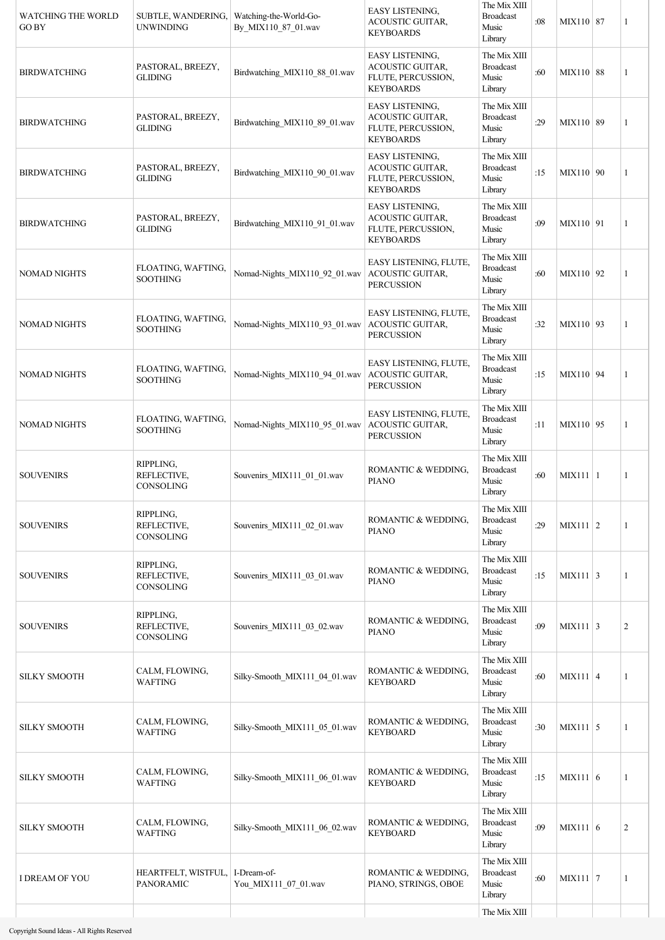| <b>WATCHING THE WORLD</b><br><b>GO BY</b> | SUBTLE, WANDERING,<br><b>UNWINDING</b>         | Watching-the-World-Go-<br>By MIX110 87 01.wav | EASY LISTENING,<br><b>ACOUSTIC GUITAR,</b><br><b>KEYBOARDS</b>                              | The Mix XIII<br><b>Broadcast</b><br>Music<br>Library | :08 | MIX110   87     | 1              |
|-------------------------------------------|------------------------------------------------|-----------------------------------------------|---------------------------------------------------------------------------------------------|------------------------------------------------------|-----|-----------------|----------------|
| <b>BIRDWATCHING</b>                       | PASTORAL, BREEZY,<br><b>GLIDING</b>            | Birdwatching_MIX110_88_01.wav                 | EASY LISTENING,<br><b>ACOUSTIC GUITAR,</b><br>FLUTE, PERCUSSION,<br><b>KEYBOARDS</b>        | The Mix XIII<br><b>Broadcast</b><br>Music<br>Library | :60 | MIX110 88       | 1              |
| <b>BIRDWATCHING</b>                       | PASTORAL, BREEZY,<br><b>GLIDING</b>            | Birdwatching_MIX110_89_01.wav                 | EASY LISTENING,<br>ACOUSTIC GUITAR,<br>FLUTE, PERCUSSION,<br><b>KEYBOARDS</b>               | The Mix XIII<br><b>Broadcast</b><br>Music<br>Library | :29 | MIX110 89       | 1              |
| <b>BIRDWATCHING</b>                       | PASTORAL, BREEZY,<br><b>GLIDING</b>            | Birdwatching_MIX110_90_01.wav                 | <b>EASY LISTENING.</b><br><b>ACOUSTIC GUITAR,</b><br>FLUTE, PERCUSSION,<br><b>KEYBOARDS</b> | The Mix XIII<br><b>Broadcast</b><br>Music<br>Library | :15 | MIX110 90       | 1              |
| <b>BIRDWATCHING</b>                       | PASTORAL, BREEZY,<br><b>GLIDING</b>            | Birdwatching_MIX110_91_01.wav                 | EASY LISTENING,<br><b>ACOUSTIC GUITAR,</b><br>FLUTE, PERCUSSION,<br><b>KEYBOARDS</b>        | The Mix XIII<br><b>Broadcast</b><br>Music<br>Library | :09 | MIX110 91       | 1              |
| <b>NOMAD NIGHTS</b>                       | FLOATING, WAFTING,<br><b>SOOTHING</b>          | Nomad-Nights_MIX110_92_01.wav                 | EASY LISTENING, FLUTE,<br><b>ACOUSTIC GUITAR,</b><br><b>PERCUSSION</b>                      | The Mix XIII<br><b>Broadcast</b><br>Music<br>Library | :60 | MIX110 92       | 1              |
| <b>NOMAD NIGHTS</b>                       | FLOATING, WAFTING,<br>SOOTHING                 | Nomad-Nights_MIX110_93_01.wav                 | EASY LISTENING, FLUTE,<br><b>ACOUSTIC GUITAR,</b><br><b>PERCUSSION</b>                      | The Mix XIII<br><b>Broadcast</b><br>Music<br>Library | :32 | MIX110   93     | 1              |
| <b>NOMAD NIGHTS</b>                       | FLOATING, WAFTING,<br><b>SOOTHING</b>          | Nomad-Nights_MIX110_94_01.wav                 | EASY LISTENING, FLUTE,<br>ACOUSTIC GUITAR,<br><b>PERCUSSION</b>                             | The Mix XIII<br><b>Broadcast</b><br>Music<br>Library | :15 | MIX110 94       | 1              |
| <b>NOMAD NIGHTS</b>                       | FLOATING, WAFTING,<br>SOOTHING                 | Nomad-Nights_MIX110_95_01.wav                 | EASY LISTENING, FLUTE,<br>ACOUSTIC GUITAR,<br><b>PERCUSSION</b>                             | The Mix XIII<br><b>Broadcast</b><br>Music<br>Library | :11 | MIX110 95       | 1              |
| <b>SOUVENIRS</b>                          | RIPPLING,<br>REFLECTIVE,<br>CONSOLING          | Souvenirs MIX111 01 01.wav                    | ROMANTIC & WEDDING,<br><b>PIANO</b>                                                         | The Mix XIII<br><b>Broadcast</b><br>Music<br>Library | :60 | MIX111 1        | 1              |
| <b>SOUVENIRS</b>                          | RIPPLING,<br>REFLECTIVE,<br>CONSOLING          | Souvenirs MIX111 02 01.wav                    | ROMANTIC & WEDDING,<br><b>PIANO</b>                                                         | The Mix XIII<br><b>Broadcast</b><br>Music<br>Library | :29 | $MIX111$ 2      | 1              |
| <b>SOUVENIRS</b>                          | RIPPLING,<br>REFLECTIVE,<br>CONSOLING          | Souvenirs_MIX111_03_01.wav                    | ROMANTIC & WEDDING,<br><b>PIANO</b>                                                         | The Mix XIII<br><b>Broadcast</b><br>Music<br>Library | :15 | $MIX111 \mid 3$ | $\mathbf{1}$   |
| <b>SOUVENIRS</b>                          | RIPPLING,<br>REFLECTIVE,<br>CONSOLING          | Souvenirs_MIX111_03_02.wav                    | ROMANTIC & WEDDING,<br><b>PIANO</b>                                                         | The Mix XIII<br><b>Broadcast</b><br>Music<br>Library | :09 | $MIX111 \mid 3$ | $\overline{2}$ |
| <b>SILKY SMOOTH</b>                       | CALM, FLOWING,<br>WAFTING                      | Silky-Smooth MIX111 04 01.wav                 | ROMANTIC & WEDDING,<br><b>KEYBOARD</b>                                                      | The Mix XIII<br><b>Broadcast</b><br>Music<br>Library | :60 | MIX111 4        | 1              |
| <b>SILKY SMOOTH</b>                       | CALM, FLOWING,<br>WAFTING                      | Silky-Smooth_MIX111_05_01.wav                 | ROMANTIC & WEDDING,<br><b>KEYBOARD</b>                                                      | The Mix XIII<br><b>Broadcast</b><br>Music<br>Library | :30 | MIX111 5        | 1              |
| <b>SILKY SMOOTH</b>                       | CALM, FLOWING,<br>WAFTING                      | Silky-Smooth_MIX111_06_01.wav                 | ROMANTIC & WEDDING,<br><b>KEYBOARD</b>                                                      | The Mix XIII<br><b>Broadcast</b><br>Music<br>Library | :15 | MIX111 6        | 1              |
| <b>SILKY SMOOTH</b>                       | CALM, FLOWING,<br>WAFTING                      | Silky-Smooth_MIX111_06_02.wav                 | ROMANTIC & WEDDING,<br><b>KEYBOARD</b>                                                      | The Mix XIII<br><b>Broadcast</b><br>Music<br>Library | :09 | MIX111 6        | $\overline{2}$ |
| I DREAM OF YOU                            | HEARTFELT, WISTFUL,   I-Dream-of-<br>PANORAMIC | You_MIX111_07_01.wav                          | ROMANTIC & WEDDING,<br>PIANO, STRINGS, OBOE                                                 | The Mix XIII<br><b>Broadcast</b><br>Music<br>Library | :60 | $MIX111$ 7      | 1              |
|                                           |                                                |                                               |                                                                                             | The Mix XIII                                         |     |                 |                |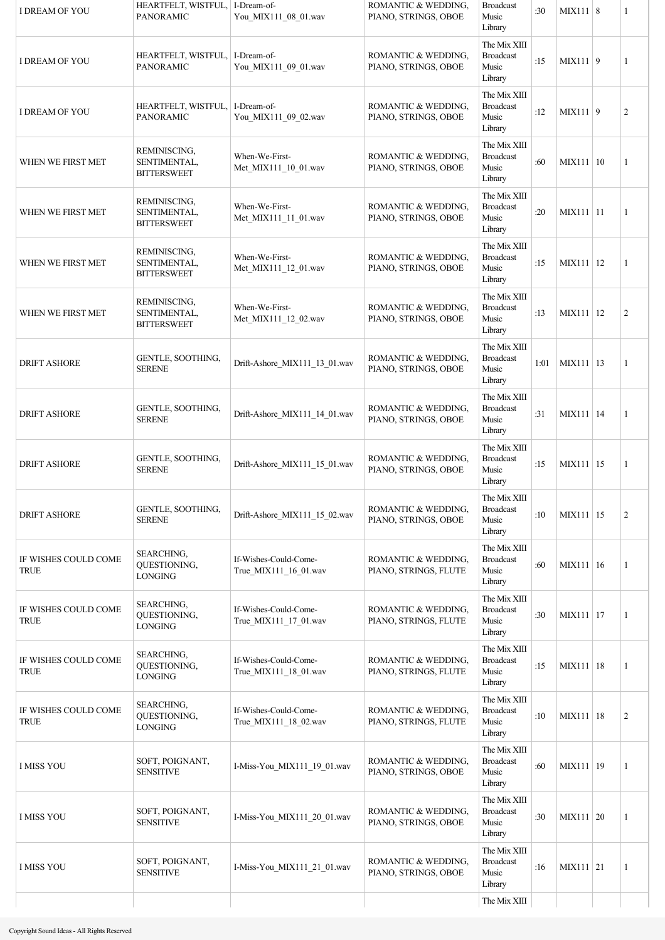| I DREAM OF YOU                      | HEARTFELT, WISTFUL,   I-Dream-of-<br><b>PANORAMIC</b> | You_MIX111_08_01.wav                           | ROMANTIC & WEDDING,<br>PIANO, STRINGS, OBOE  | <b>Broadcast</b><br>Music<br>Library                 | :30  | MIX111 8    | 1              |
|-------------------------------------|-------------------------------------------------------|------------------------------------------------|----------------------------------------------|------------------------------------------------------|------|-------------|----------------|
| <b>I DREAM OF YOU</b>               | HEARTFELT, WISTFUL,   I-Dream-of-<br><b>PANORAMIC</b> | You_MIX111_09_01.wav                           | ROMANTIC & WEDDING,<br>PIANO, STRINGS, OBOE  | The Mix XIII<br><b>Broadcast</b><br>Music<br>Library | :15  | MIX111 9    | 1              |
| I DREAM OF YOU                      | HEARTFELT, WISTFUL,   I-Dream-of-<br><b>PANORAMIC</b> | You_MIX111_09_02.wav                           | ROMANTIC & WEDDING,<br>PIANO, STRINGS, OBOE  | The Mix XIII<br><b>Broadcast</b><br>Music<br>Library | :12  | MIX111 9    | $\overline{c}$ |
| WHEN WE FIRST MET                   | REMINISCING,<br>SENTIMENTAL,<br><b>BITTERSWEET</b>    | When-We-First-<br>Met MIX111 10 01.wav         | ROMANTIC & WEDDING,<br>PIANO, STRINGS, OBOE  | The Mix XIII<br><b>Broadcast</b><br>Music<br>Library | :60  | MIX111   10 | 1              |
| WHEN WE FIRST MET                   | REMINISCING,<br>SENTIMENTAL,<br><b>BITTERSWEET</b>    | When-We-First-<br>Met_MIX111_11_01.wav         | ROMANTIC & WEDDING,<br>PIANO, STRINGS, OBOE  | The Mix XIII<br><b>Broadcast</b><br>Music<br>Library | :20  | MIX111 11   | 1              |
| WHEN WE FIRST MET                   | REMINISCING,<br>SENTIMENTAL,<br><b>BITTERSWEET</b>    | When-We-First-<br>Met MIX111 12 01.wav         | ROMANTIC & WEDDING,<br>PIANO, STRINGS, OBOE  | The Mix XIII<br><b>Broadcast</b><br>Music<br>Library | :15  | MIX111   12 | 1              |
| WHEN WE FIRST MET                   | REMINISCING,<br>SENTIMENTAL,<br><b>BITTERSWEET</b>    | When-We-First-<br>Met_MIX111_12_02.wav         | ROMANTIC & WEDDING,<br>PIANO, STRINGS, OBOE  | The Mix XIII<br><b>Broadcast</b><br>Music<br>Library | :13  | MIX111 12   | $\overline{c}$ |
| <b>DRIFT ASHORE</b>                 | GENTLE, SOOTHING,<br><b>SERENE</b>                    | Drift-Ashore_MIX111_13_01.wav                  | ROMANTIC & WEDDING,<br>PIANO, STRINGS, OBOE  | The Mix XIII<br><b>Broadcast</b><br>Music<br>Library | 1:01 | MIX111   13 | 1              |
| <b>DRIFT ASHORE</b>                 | GENTLE, SOOTHING,<br><b>SERENE</b>                    | Drift-Ashore_MIX111_14_01.wav                  | ROMANTIC & WEDDING,<br>PIANO, STRINGS, OBOE  | The Mix XIII<br><b>Broadcast</b><br>Music<br>Library | :31  | MIX111 14   | 1              |
| <b>DRIFT ASHORE</b>                 | GENTLE, SOOTHING,<br><b>SERENE</b>                    | Drift-Ashore MIX111 15 01.wav                  | ROMANTIC & WEDDING,<br>PIANO, STRINGS, OBOE  | The Mix XIII<br><b>Broadcast</b><br>Music<br>Library | :15  | MIX111 15   | 1              |
| <b>DRIFT ASHORE</b>                 | GENTLE, SOOTHING,<br><b>SERENE</b>                    | Drift-Ashore MIX111 15 02.wav                  | ROMANTIC & WEDDING,<br>PIANO, STRINGS, OBOE  | The Mix XIII<br><b>Broadcast</b><br>Music<br>Library | :10  | MIX111 15   | $\overline{c}$ |
| IF WISHES COULD COME<br><b>TRUE</b> | <b>SEARCHING,</b><br>QUESTIONING,<br><b>LONGING</b>   | If-Wishes-Could-Come-<br>True_MIX111_16_01.wav | ROMANTIC & WEDDING,<br>PIANO, STRINGS, FLUTE | The Mix XIII<br><b>Broadcast</b><br>Music<br>Library | :60  | MIX111 16   | 1              |
| IF WISHES COULD COME<br><b>TRUE</b> | SEARCHING,<br>QUESTIONING,<br><b>LONGING</b>          | If-Wishes-Could-Come-<br>True_MIX111_17_01.wav | ROMANTIC & WEDDING,<br>PIANO, STRINGS, FLUTE | The Mix XIII<br><b>Broadcast</b><br>Music<br>Library | :30  | MIX111 17   | 1              |
| IF WISHES COULD COME<br><b>TRUE</b> | SEARCHING,<br>QUESTIONING,<br><b>LONGING</b>          | If-Wishes-Could-Come-<br>True MIX111 18 01.wav | ROMANTIC & WEDDING,<br>PIANO, STRINGS, FLUTE | The Mix XIII<br><b>Broadcast</b><br>Music<br>Library | :15  | MIX111   18 | 1              |
| IF WISHES COULD COME<br><b>TRUE</b> | <b>SEARCHING,</b><br>QUESTIONING,<br><b>LONGING</b>   | If-Wishes-Could-Come-<br>True MIX111 18 02.wav | ROMANTIC & WEDDING,<br>PIANO, STRINGS, FLUTE | The Mix XIII<br><b>Broadcast</b><br>Music<br>Library | :10  | MIX111   18 | $\overline{c}$ |
| <b>I MISS YOU</b>                   | SOFT, POIGNANT,<br><b>SENSITIVE</b>                   | I-Miss-You_MIX111_19_01.wav                    | ROMANTIC & WEDDING,<br>PIANO, STRINGS, OBOE  | The Mix XIII<br><b>Broadcast</b><br>Music<br>Library | :60  | MIX111 19   | 1              |
| <b>I MISS YOU</b>                   | SOFT, POIGNANT,<br><b>SENSITIVE</b>                   | I-Miss-You_MIX111_20_01.wav                    | ROMANTIC & WEDDING,<br>PIANO, STRINGS, OBOE  | The Mix XIII<br><b>Broadcast</b><br>Music<br>Library | :30  | MIX111   20 | 1              |
| <b>I MISS YOU</b>                   | SOFT, POIGNANT,<br><b>SENSITIVE</b>                   | I-Miss-You_MIX111_21_01.wav                    | ROMANTIC & WEDDING,<br>PIANO, STRINGS, OBOE  | The Mix XIII<br><b>Broadcast</b><br>Music<br>Library | :16  | $MIX111$ 21 | 1              |
|                                     |                                                       |                                                |                                              | The Mix XIII                                         |      |             |                |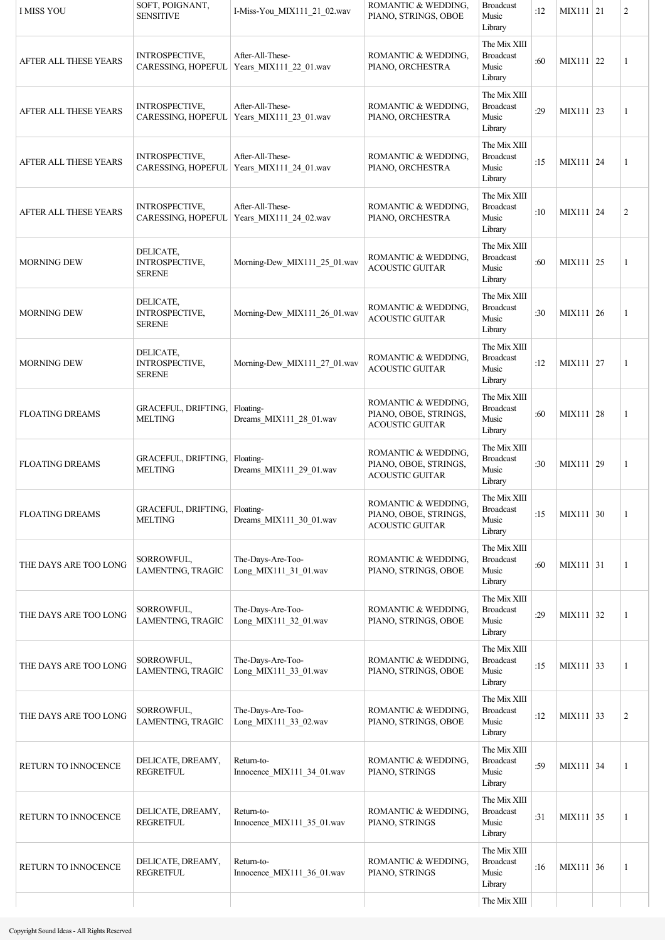| <b>I MISS YOU</b>      | SOFT, POIGNANT,<br><b>SENSITIVE</b>                 | I-Miss-You MIX111 21 02.wav                | ROMANTIC & WEDDING,<br>PIANO, STRINGS, OBOE                            | <b>Broadcast</b><br>Music<br>Library                 | :12 | $MIX111$ 21 | $\overline{c}$ |
|------------------------|-----------------------------------------------------|--------------------------------------------|------------------------------------------------------------------------|------------------------------------------------------|-----|-------------|----------------|
| AFTER ALL THESE YEARS  | INTROSPECTIVE,<br>CARESSING, HOPEFUL                | After-All-These-<br>Years_MIX111_22_01.wav | ROMANTIC & WEDDING,<br>PIANO, ORCHESTRA                                | The Mix XIII<br><b>Broadcast</b><br>Music<br>Library | :60 | MIX111 22   | 1              |
| AFTER ALL THESE YEARS  | <b>INTROSPECTIVE,</b><br>CARESSING, HOPEFUL         | After-All-These-<br>Years_MIX111_23_01.wav | ROMANTIC & WEDDING,<br>PIANO, ORCHESTRA                                | The Mix XIII<br><b>Broadcast</b><br>Music<br>Library | :29 | MIX111 23   | 1              |
| AFTER ALL THESE YEARS  | <b>INTROSPECTIVE,</b><br>CARESSING, HOPEFUL         | After-All-These-<br>Years_MIX111_24_01.wav | ROMANTIC & WEDDING,<br>PIANO, ORCHESTRA                                | The Mix XIII<br><b>Broadcast</b><br>Music<br>Library | :15 | MIX111   24 | 1              |
| AFTER ALL THESE YEARS  | INTROSPECTIVE,<br>CARESSING, HOPEFUL                | After-All-These-<br>Years_MIX111_24_02.wav | ROMANTIC & WEDDING,<br>PIANO, ORCHESTRA                                | The Mix XIII<br><b>Broadcast</b><br>Music<br>Library | :10 | MIX111 24   | $\overline{c}$ |
| <b>MORNING DEW</b>     | DELICATE,<br>INTROSPECTIVE,<br><b>SERENE</b>        | Morning-Dew_MIX111_25_01.wav               | ROMANTIC & WEDDING,<br><b>ACOUSTIC GUITAR</b>                          | The Mix XIII<br><b>Broadcast</b><br>Music<br>Library | :60 | MIX111 25   | 1              |
| <b>MORNING DEW</b>     | DELICATE,<br><b>INTROSPECTIVE,</b><br><b>SERENE</b> | Morning-Dew_MIX111_26_01.wav               | ROMANTIC & WEDDING,<br><b>ACOUSTIC GUITAR</b>                          | The Mix XIII<br><b>Broadcast</b><br>Music<br>Library | :30 | MIX111 26   | 1              |
| <b>MORNING DEW</b>     | DELICATE,<br>INTROSPECTIVE,<br><b>SERENE</b>        | Morning-Dew_MIX111_27_01.wav               | ROMANTIC & WEDDING,<br><b>ACOUSTIC GUITAR</b>                          | The Mix XIII<br><b>Broadcast</b><br>Music<br>Library | :12 | MIX111 27   | 1              |
| <b>FLOATING DREAMS</b> | <b>GRACEFUL, DRIFTING,</b><br><b>MELTING</b>        | Floating-<br>Dreams_MIX111_28_01.wav       | ROMANTIC & WEDDING,<br>PIANO, OBOE, STRINGS,<br><b>ACOUSTIC GUITAR</b> | The Mix XIII<br><b>Broadcast</b><br>Music<br>Library | :60 | MIX111   28 | 1              |
| <b>FLOATING DREAMS</b> | <b>GRACEFUL, DRIFTING,</b><br><b>MELTING</b>        | Floating-<br>Dreams_MIX111_29_01.wav       | ROMANTIC & WEDDING,<br>PIANO, OBOE, STRINGS,<br><b>ACOUSTIC GUITAR</b> | The Mix XIII<br><b>Broadcast</b><br>Music<br>Library | :30 | MIX111 29   | 1              |
| <b>FLOATING DREAMS</b> | GRACEFUL, DRIFTING, Floating-<br><b>MELTING</b>     | Dreams MIX111 30 01.wav                    | ROMANTIC & WEDDING,<br>PIANO, OBOE, STRINGS,<br><b>ACOUSTIC GUITAR</b> | The Mix XIII<br><b>Broadcast</b><br>Music<br>Library | :15 | MIX111 30   | 1              |
| THE DAYS ARE TOO LONG  | SORROWFUL,<br><b>LAMENTING, TRAGIC</b>              | The-Days-Are-Too-<br>Long_MIX111_31_01.wav | ROMANTIC & WEDDING,<br>PIANO, STRINGS, OBOE                            | The Mix XIII<br><b>Broadcast</b><br>Music<br>Library | :60 | MIX111 31   | 1              |
| THE DAYS ARE TOO LONG  | SORROWFUL,<br>LAMENTING, TRAGIC                     | The-Days-Are-Too-<br>Long_MIX111_32_01.wav | ROMANTIC & WEDDING,<br>PIANO, STRINGS, OBOE                            | The Mix XIII<br><b>Broadcast</b><br>Music<br>Library | :29 | MIX111 32   | 1              |
| THE DAYS ARE TOO LONG  | SORROWFUL,<br>LAMENTING, TRAGIC                     | The-Days-Are-Too-<br>Long_MIX111_33_01.wav | ROMANTIC & WEDDING,<br>PIANO, STRINGS, OBOE                            | The Mix XIII<br><b>Broadcast</b><br>Music<br>Library | :15 | MIX111 33   | 1              |
| THE DAYS ARE TOO LONG  | SORROWFUL,<br>LAMENTING, TRAGIC                     | The-Days-Are-Too-<br>Long_MIX111_33_02.wav | ROMANTIC & WEDDING,<br>PIANO, STRINGS, OBOE                            | The Mix XIII<br><b>Broadcast</b><br>Music<br>Library | :12 | MIX111 33   | 2              |
| RETURN TO INNOCENCE    | DELICATE, DREAMY,<br><b>REGRETFUL</b>               | Return-to-<br>Innocence_MIX111_34_01.wav   | ROMANTIC & WEDDING,<br>PIANO, STRINGS                                  | The Mix XIII<br><b>Broadcast</b><br>Music<br>Library | :59 | MIX111 34   | 1              |
| RETURN TO INNOCENCE    | DELICATE, DREAMY,<br><b>REGRETFUL</b>               | Return-to-<br>Innocence_MIX111_35_01.wav   | ROMANTIC & WEDDING,<br>PIANO, STRINGS                                  | The Mix XIII<br><b>Broadcast</b><br>Music<br>Library | :31 | MIX111 35   | 1              |
| RETURN TO INNOCENCE    | DELICATE, DREAMY,<br><b>REGRETFUL</b>               | Return-to-<br>Innocence_MIX111_36_01.wav   | ROMANTIC & WEDDING,<br>PIANO, STRINGS                                  | The Mix XIII<br><b>Broadcast</b><br>Music<br>Library | :16 | MIX111 36   | 1              |
|                        |                                                     |                                            |                                                                        | The Mix XIII                                         |     |             |                |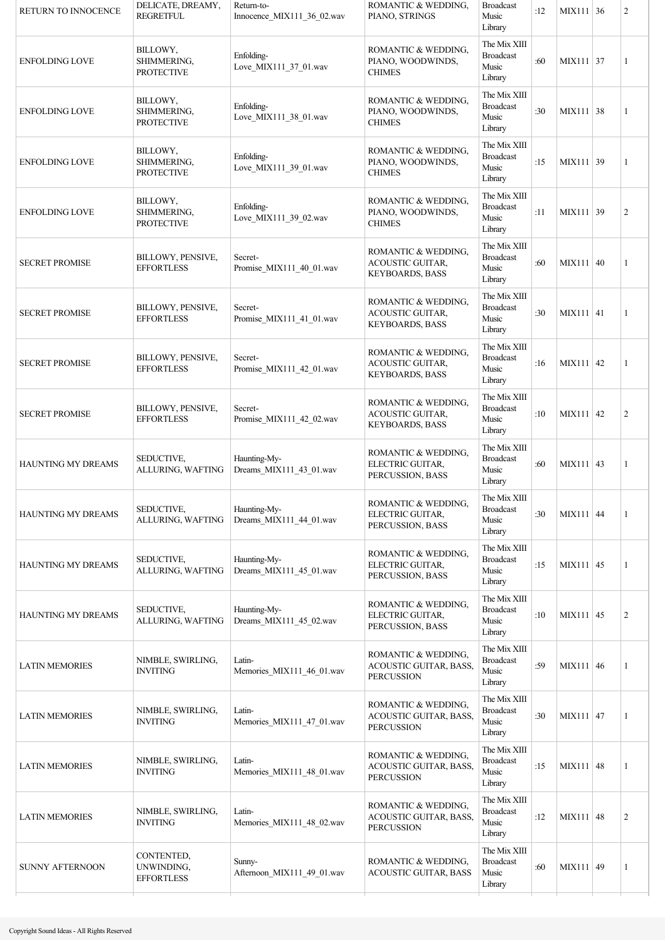| RETURN TO INNOCENCE    | DELICATE, DREAMY,<br><b>REGRETFUL</b>         | Return-to-<br>Innocence_MIX111_36_02.wav | ROMANTIC & WEDDING,<br>PIANO, STRINGS                                    | <b>Broadcast</b><br>Music<br>Library                 | :12 | MIX111 36   | $\overline{2}$ |
|------------------------|-----------------------------------------------|------------------------------------------|--------------------------------------------------------------------------|------------------------------------------------------|-----|-------------|----------------|
| <b>ENFOLDING LOVE</b>  | BILLOWY,<br>SHIMMERING,<br><b>PROTECTIVE</b>  | Enfolding-<br>Love_MIX111_37_01.wav      | ROMANTIC & WEDDING,<br>PIANO, WOODWINDS,<br><b>CHIMES</b>                | The Mix XIII<br><b>Broadcast</b><br>Music<br>Library | :60 | MIX111 37   | 1              |
| <b>ENFOLDING LOVE</b>  | BILLOWY,<br>SHIMMERING,<br><b>PROTECTIVE</b>  | Enfolding-<br>Love_MIX111_38_01.wav      | ROMANTIC & WEDDING,<br>PIANO, WOODWINDS,<br><b>CHIMES</b>                | The Mix XIII<br><b>Broadcast</b><br>Music<br>Library | :30 | MIX111 38   | 1              |
| <b>ENFOLDING LOVE</b>  | BILLOWY,<br>SHIMMERING,<br><b>PROTECTIVE</b>  | Enfolding-<br>Love_MIX111_39_01.wav      | ROMANTIC & WEDDING,<br>PIANO, WOODWINDS,<br><b>CHIMES</b>                | The Mix XIII<br><b>Broadcast</b><br>Music<br>Library | :15 | MIX111 39   | 1              |
| <b>ENFOLDING LOVE</b>  | BILLOWY,<br>SHIMMERING,<br><b>PROTECTIVE</b>  | Enfolding-<br>Love_MIX111_39_02.wav      | ROMANTIC & WEDDING,<br>PIANO, WOODWINDS,<br><b>CHIMES</b>                | The Mix XIII<br><b>Broadcast</b><br>Music<br>Library | :11 | MIX111 39   | $\mathbf{2}$   |
| <b>SECRET PROMISE</b>  | BILLOWY, PENSIVE,<br><b>EFFORTLESS</b>        | Secret-<br>Promise_MIX111_40_01.wav      | ROMANTIC & WEDDING,<br><b>ACOUSTIC GUITAR,</b><br><b>KEYBOARDS, BASS</b> | The Mix XIII<br><b>Broadcast</b><br>Music<br>Library | :60 | MIX111   40 | $\mathbf{1}$   |
| <b>SECRET PROMISE</b>  | BILLOWY, PENSIVE,<br><b>EFFORTLESS</b>        | Secret-<br>Promise_MIX111_41_01.wav      | ROMANTIC & WEDDING,<br>ACOUSTIC GUITAR,<br><b>KEYBOARDS, BASS</b>        | The Mix XIII<br><b>Broadcast</b><br>Music<br>Library | :30 | $MIX111$ 41 | $\mathbf{1}$   |
| <b>SECRET PROMISE</b>  | BILLOWY, PENSIVE,<br><b>EFFORTLESS</b>        | Secret-<br>Promise_MIX111_42_01.wav      | ROMANTIC & WEDDING,<br><b>ACOUSTIC GUITAR,</b><br><b>KEYBOARDS, BASS</b> | The Mix XIII<br><b>Broadcast</b><br>Music<br>Library | :16 | MIX111 42   | $\mathbf{1}$   |
| <b>SECRET PROMISE</b>  | BILLOWY, PENSIVE,<br><b>EFFORTLESS</b>        | Secret-<br>Promise_MIX111_42_02.wav      | ROMANTIC & WEDDING,<br><b>ACOUSTIC GUITAR,</b><br><b>KEYBOARDS, BASS</b> | The Mix XIII<br><b>Broadcast</b><br>Music<br>Library | :10 | MIX111 42   | $\overline{2}$ |
| HAUNTING MY DREAMS     | SEDUCTIVE,<br>ALLURING, WAFTING               | Haunting-My-<br>Dreams MIX111 43 01.wav  | ROMANTIC & WEDDING,<br>ELECTRIC GUITAR,<br>PERCUSSION, BASS              | The Mix XIII<br><b>Broadcast</b><br>Music<br>Library | :60 | MIX111 43   | $\mathbf{1}$   |
| HAUNTING MY DREAMS     | SEDUCTIVE,<br>ALLURING, WAFTING               | Haunting-My-<br>Dreams_MIX111_44_01.wav  | ROMANTIC & WEDDING,<br>ELECTRIC GUITAR,<br>PERCUSSION, BASS              | The Mix XIII<br><b>Broadcast</b><br>Music<br>Library | :30 | MIX111 44   | 1              |
| HAUNTING MY DREAMS     | SEDUCTIVE,<br>ALLURING, WAFTING               | Haunting-My-<br>Dreams MIX111 45 01.wav  | ROMANTIC & WEDDING,<br>ELECTRIC GUITAR,<br>PERCUSSION, BASS              | The Mix XIII<br><b>Broadcast</b><br>Music<br>Library | :15 | $MIX111$ 45 | $\mathbf{1}$   |
| HAUNTING MY DREAMS     | SEDUCTIVE,<br>ALLURING, WAFTING               | Haunting-My-<br>Dreams_MIX111_45_02.wav  | ROMANTIC & WEDDING,<br>ELECTRIC GUITAR,<br>PERCUSSION, BASS              | The Mix XIII<br><b>Broadcast</b><br>Music<br>Library | :10 | MIX111 45   | $\overline{2}$ |
| <b>LATIN MEMORIES</b>  | NIMBLE, SWIRLING,<br><b>INVITING</b>          | Latin-<br>Memories_MIX111_46_01.wav      | ROMANTIC & WEDDING,<br>ACOUSTIC GUITAR, BASS,<br><b>PERCUSSION</b>       | The Mix XIII<br><b>Broadcast</b><br>Music<br>Library | :59 | MIX111   46 | 1              |
| <b>LATIN MEMORIES</b>  | NIMBLE, SWIRLING,<br><b>INVITING</b>          | Latin-<br>Memories_MIX111_47_01.wav      | ROMANTIC & WEDDING,<br>ACOUSTIC GUITAR, BASS,<br><b>PERCUSSION</b>       | The Mix XIII<br><b>Broadcast</b><br>Music<br>Library | :30 | MIX111 47   | 1              |
| <b>LATIN MEMORIES</b>  | NIMBLE, SWIRLING,<br><b>INVITING</b>          | Latin-<br>Memories MIX111 48 01.wav      | ROMANTIC & WEDDING,<br>ACOUSTIC GUITAR, BASS,<br><b>PERCUSSION</b>       | The Mix XIII<br><b>Broadcast</b><br>Music<br>Library | :15 | MIX111   48 | 1              |
| <b>LATIN MEMORIES</b>  | NIMBLE, SWIRLING,<br><b>INVITING</b>          | Latin-<br>Memories MIX111 48 02.wav      | ROMANTIC & WEDDING,<br>ACOUSTIC GUITAR, BASS,<br><b>PERCUSSION</b>       | The Mix XIII<br><b>Broadcast</b><br>Music<br>Library | :12 | MIX111 48   | 2              |
| <b>SUNNY AFTERNOON</b> | CONTENTED,<br>UNWINDING,<br><b>EFFORTLESS</b> | Sunny-<br>Afternoon_MIX111_49_01.wav     | ROMANTIC & WEDDING,<br>ACOUSTIC GUITAR, BASS                             | The Mix XIII<br><b>Broadcast</b><br>Music<br>Library | :60 | MIX111 49   | 1              |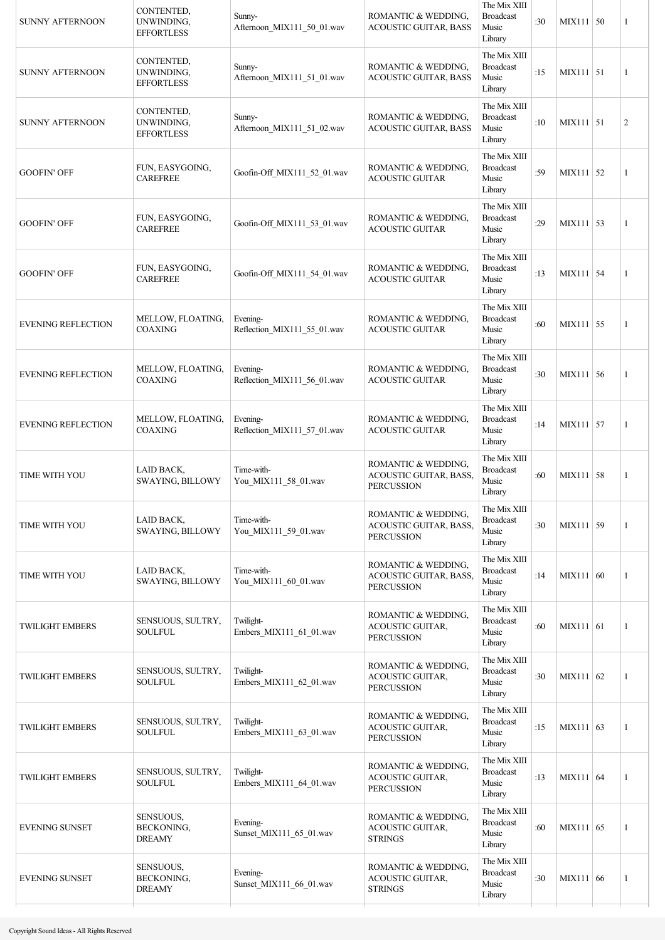| <b>SUNNY AFTERNOON</b>    | CONTENTED,<br>UNWINDING,<br><b>EFFORTLESS</b>   | Sunny-<br>Afternoon_MIX111_50_01.wav    | ROMANTIC & WEDDING,<br><b>ACOUSTIC GUITAR, BASS</b>                 | The Mix XIII<br><b>Broadcast</b><br>Music<br>Library | :30 | MIX111   50 | 1              |
|---------------------------|-------------------------------------------------|-----------------------------------------|---------------------------------------------------------------------|------------------------------------------------------|-----|-------------|----------------|
| <b>SUNNY AFTERNOON</b>    | CONTENTED,<br>UNWINDING,<br><b>EFFORTLESS</b>   | Sunny-<br>Afternoon MIX111 51 01.wav    | ROMANTIC & WEDDING,<br><b>ACOUSTIC GUITAR, BASS</b>                 | The Mix XIII<br><b>Broadcast</b><br>Music<br>Library | :15 | $MIX111$ 51 | 1              |
| <b>SUNNY AFTERNOON</b>    | CONTENTED,<br>UNWINDING,<br><b>EFFORTLESS</b>   | Sunny-<br>Afternoon_MIX111_51_02.wav    | ROMANTIC & WEDDING,<br><b>ACOUSTIC GUITAR, BASS</b>                 | The Mix XIII<br><b>Broadcast</b><br>Music<br>Library | :10 | MIX111 51   | $\overline{2}$ |
| <b>GOOFIN' OFF</b>        | FUN, EASYGOING,<br><b>CAREFREE</b>              | Goofin-Off MIX111 52 01.wav             | ROMANTIC & WEDDING,<br><b>ACOUSTIC GUITAR</b>                       | The Mix XIII<br><b>Broadcast</b><br>Music<br>Library | :59 | $MIX111$ 52 | 1              |
| <b>GOOFIN' OFF</b>        | FUN, EASYGOING,<br><b>CAREFREE</b>              | Goofin-Off MIX111 53 01.wav             | ROMANTIC & WEDDING,<br><b>ACOUSTIC GUITAR</b>                       | The Mix XIII<br><b>Broadcast</b><br>Music<br>Library | :29 | MIX111 53   | 1              |
| <b>GOOFIN' OFF</b>        | FUN, EASYGOING,<br><b>CAREFREE</b>              | Goofin-Off MIX111 54 01.wav             | ROMANTIC & WEDDING,<br><b>ACOUSTIC GUITAR</b>                       | The Mix XIII<br><b>Broadcast</b><br>Music<br>Library | :13 | MIX111 54   | 1              |
| <b>EVENING REFLECTION</b> | MELLOW, FLOATING,<br><b>COAXING</b>             | Evening-<br>Reflection_MIX111_55_01.wav | ROMANTIC & WEDDING,<br><b>ACOUSTIC GUITAR</b>                       | The Mix XIII<br><b>Broadcast</b><br>Music<br>Library | :60 | MIX111 55   | 1              |
| <b>EVENING REFLECTION</b> | MELLOW, FLOATING,<br><b>COAXING</b>             | Evening-<br>Reflection_MIX111_56_01.wav | ROMANTIC & WEDDING,<br><b>ACOUSTIC GUITAR</b>                       | The Mix XIII<br><b>Broadcast</b><br>Music<br>Library | :30 | MIX111 56   | 1              |
| <b>EVENING REFLECTION</b> | MELLOW, FLOATING,<br><b>COAXING</b>             | Evening-<br>Reflection_MIX111_57_01.wav | ROMANTIC & WEDDING,<br><b>ACOUSTIC GUITAR</b>                       | The Mix XIII<br><b>Broadcast</b><br>Music<br>Library | :14 | MIX111 57   | 1              |
| TIME WITH YOU             | LAID BACK,<br>SWAYING, BILLOWY                  | Time-with-<br>You_MIX111_58_01.wav      | ROMANTIC & WEDDING,<br>ACOUSTIC GUITAR, BASS,<br><b>PERCUSSION</b>  | The Mix XIII<br><b>Broadcast</b><br>Music<br>Library | :60 | MIX111 58   | 1              |
| TIME WITH YOU             | LAID BACK,<br>SWAYING, BILLOWY                  | Time-with-<br>You_MIX111_59_01.wav      | ROMANTIC & WEDDING,<br>ACOUSTIC GUITAR, BASS,<br><b>PERCUSSION</b>  | The Mix XIII<br><b>Broadcast</b><br>Music<br>Library | :30 | $MIX111$ 59 | 1              |
| TIME WITH YOU             | LAID BACK,<br>SWAYING, BILLOWY                  | Time-with-<br>You MIX111 60 01.wav      | ROMANTIC & WEDDING,<br>ACOUSTIC GUITAR, BASS,<br><b>PERCUSSION</b>  | The Mix XIII<br><b>Broadcast</b><br>Music<br>Library | :14 | MIX111 60   | 1              |
| <b>TWILIGHT EMBERS</b>    | SENSUOUS, SULTRY,<br><b>SOULFUL</b>             | Twilight-<br>Embers_MIX111_61_01.wav    | ROMANTIC & WEDDING,<br>ACOUSTIC GUITAR,<br><b>PERCUSSION</b>        | The Mix XIII<br><b>Broadcast</b><br>Music<br>Library | :60 | MIX111 61   | 1              |
| <b>TWILIGHT EMBERS</b>    | SENSUOUS, SULTRY,<br><b>SOULFUL</b>             | Twilight-<br>Embers_MIX111_62_01.wav    | ROMANTIC & WEDDING,<br>ACOUSTIC GUITAR,<br><b>PERCUSSION</b>        | The Mix XIII<br><b>Broadcast</b><br>Music<br>Library | :30 | MIX111 62   | 1              |
| <b>TWILIGHT EMBERS</b>    | SENSUOUS, SULTRY,<br>SOULFUL                    | Twilight-<br>Embers_MIX111_63_01.wav    | ROMANTIC & WEDDING,<br>ACOUSTIC GUITAR,<br><b>PERCUSSION</b>        | The Mix XIII<br><b>Broadcast</b><br>Music<br>Library | :15 | MIX111 63   | 1              |
| <b>TWILIGHT EMBERS</b>    | SENSUOUS, SULTRY,<br>SOULFUL                    | Twilight-<br>Embers MIX111 64 01.wav    | ROMANTIC & WEDDING,<br><b>ACOUSTIC GUITAR,</b><br><b>PERCUSSION</b> | The Mix XIII<br><b>Broadcast</b><br>Music<br>Library | :13 | MIX111 64   | 1              |
| <b>EVENING SUNSET</b>     | SENSUOUS,<br>BECKONING,<br><b>DREAMY</b>        | Evening-<br>Sunset_MIX111_65_01.wav     | ROMANTIC & WEDDING,<br>ACOUSTIC GUITAR,<br><b>STRINGS</b>           | The Mix XIII<br><b>Broadcast</b><br>Music<br>Library | :60 | MIX111 65   | 1              |
| <b>EVENING SUNSET</b>     | SENSUOUS,<br><b>BECKONING.</b><br><b>DREAMY</b> | Evening-<br>Sunset MIX111 66 01.wav     | ROMANTIC & WEDDING,<br><b>ACOUSTIC GUITAR,</b><br><b>STRINGS</b>    | The Mix XIII<br><b>Broadcast</b><br>Music<br>Library | :30 | MIX111 66   | 1              |
|                           |                                                 |                                         |                                                                     |                                                      |     |             |                |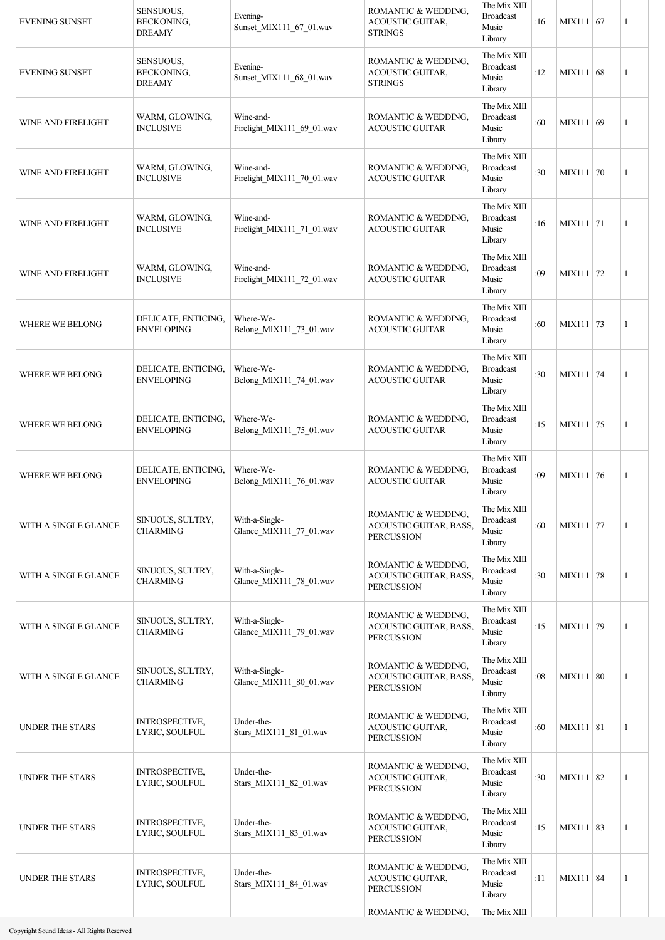| <b>EVENING SUNSET</b>  | SENSUOUS,<br>BECKONING,<br><b>DREAMY</b> | Evening-<br>Sunset_MIX111_67_01.wav       | ROMANTIC & WEDDING.<br>ACOUSTIC GUITAR,<br><b>STRINGS</b>                 | The Mix XIII<br><b>Broadcast</b><br>Music<br>Library | :16 | MIX111 $ 67$ | 1              |
|------------------------|------------------------------------------|-------------------------------------------|---------------------------------------------------------------------------|------------------------------------------------------|-----|--------------|----------------|
| <b>EVENING SUNSET</b>  | SENSUOUS,<br>BECKONING,<br><b>DREAMY</b> | Evening-<br>Sunset_MIX111_68_01.wav       | ROMANTIC & WEDDING,<br>ACOUSTIC GUITAR,<br><b>STRINGS</b>                 | The Mix XIII<br><b>Broadcast</b><br>Music<br>Library | :12 | MIX111 68    | 1              |
| WINE AND FIRELIGHT     | WARM, GLOWING,<br><b>INCLUSIVE</b>       | Wine-and-<br>Firelight_MIX111_69_01.wav   | ROMANTIC & WEDDING,<br><b>ACOUSTIC GUITAR</b>                             | The Mix XIII<br><b>Broadcast</b><br>Music<br>Library | :60 | MIX111 69    | 1              |
| WINE AND FIRELIGHT     | WARM, GLOWING,<br><b>INCLUSIVE</b>       | Wine-and-<br>Firelight_MIX111_70_01.wav   | ROMANTIC & WEDDING,<br><b>ACOUSTIC GUITAR</b>                             | The Mix XIII<br><b>Broadcast</b><br>Music<br>Library | :30 | MIX111 70    | 1              |
| WINE AND FIRELIGHT     | WARM, GLOWING,<br><b>INCLUSIVE</b>       | Wine-and-<br>Firelight_MIX111_71_01.wav   | ROMANTIC & WEDDING,<br><b>ACOUSTIC GUITAR</b>                             | The Mix XIII<br><b>Broadcast</b><br>Music<br>Library | :16 | MIX111 71    | 1              |
| WINE AND FIRELIGHT     | WARM, GLOWING,<br><b>INCLUSIVE</b>       | Wine-and-<br>Firelight MIX111 72 01.wav   | ROMANTIC & WEDDING,<br><b>ACOUSTIC GUITAR</b>                             | The Mix XIII<br><b>Broadcast</b><br>Music<br>Library | :09 | MIX111 72    | 1              |
| WHERE WE BELONG        | DELICATE, ENTICING,<br><b>ENVELOPING</b> | Where-We-<br>Belong_MIX111_73_01.wav      | ROMANTIC & WEDDING,<br><b>ACOUSTIC GUITAR</b>                             | The Mix XIII<br><b>Broadcast</b><br>Music<br>Library | :60 | MIX111 73    | 1              |
| <b>WHERE WE BELONG</b> | DELICATE, ENTICING,<br><b>ENVELOPING</b> | Where-We-<br>Belong_MIX111_74_01.wav      | ROMANTIC & WEDDING,<br><b>ACOUSTIC GUITAR</b>                             | The Mix XIII<br><b>Broadcast</b><br>Music<br>Library | :30 | MIX111 74    | 1              |
| WHERE WE BELONG        | DELICATE, ENTICING,<br><b>ENVELOPING</b> | Where-We-<br>Belong_MIX111_75_01.wav      | ROMANTIC & WEDDING,<br><b>ACOUSTIC GUITAR</b>                             | The Mix XIII<br><b>Broadcast</b><br>Music<br>Library | :15 | MIX111 75    | 1              |
| WHERE WE BELONG        | DELICATE, ENTICING,<br><b>ENVELOPING</b> | Where-We-<br>Belong_MIX111_76_01.wav      | ROMANTIC & WEDDING,<br><b>ACOUSTIC GUITAR</b>                             | The Mix XIII<br><b>Broadcast</b><br>Music<br>Library | :09 | MIX111 76    | 1              |
| WITH A SINGLE GLANCE   | SINUOUS, SULTRY,<br><b>CHARMING</b>      | With-a-Single-<br>Glance_MIX111_77_01.wav | ROMANTIC & WEDDING,<br>ACOUSTIC GUITAR, BASS,<br><b>PERCUSSION</b>        | The Mix XIII<br><b>Broadcast</b><br>Music<br>Library | :60 | MIX111 77    | 1              |
| WITH A SINGLE GLANCE   | SINUOUS, SULTRY,<br><b>CHARMING</b>      | With-a-Single-<br>Glance_MIX111_78_01.wav | ROMANTIC & WEDDING,<br>ACOUSTIC GUITAR, BASS,<br><b>PERCUSSION</b>        | The Mix XIII<br><b>Broadcast</b><br>Music<br>Library | :30 | MIX111 78    | $\mathbf{1}$   |
| WITH A SINGLE GLANCE   | SINUOUS, SULTRY,<br><b>CHARMING</b>      | With-a-Single-<br>Glance_MIX111_79_01.wav | ROMANTIC & WEDDING,<br><b>ACOUSTIC GUITAR, BASS,</b><br><b>PERCUSSION</b> | The Mix XIII<br><b>Broadcast</b><br>Music<br>Library | :15 | MIX111 79    | $\overline{1}$ |
| WITH A SINGLE GLANCE   | SINUOUS, SULTRY,<br><b>CHARMING</b>      | With-a-Single-<br>Glance_MIX111_80_01.wav | ROMANTIC & WEDDING,<br>ACOUSTIC GUITAR, BASS,<br><b>PERCUSSION</b>        | The Mix XIII<br><b>Broadcast</b><br>Music<br>Library | :08 | MIX111 80    | $\mathbf{1}$   |
| UNDER THE STARS        | <b>INTROSPECTIVE,</b><br>LYRIC, SOULFUL  | Under-the-<br>Stars_MIX111_81_01.wav      | ROMANTIC & WEDDING,<br>ACOUSTIC GUITAR,<br><b>PERCUSSION</b>              | The Mix XIII<br><b>Broadcast</b><br>Music<br>Library | :60 | MIX111 81    | 1              |
| UNDER THE STARS        | INTROSPECTIVE,<br>LYRIC, SOULFUL         | Under-the-<br>Stars_MIX111_82_01.wav      | ROMANTIC & WEDDING,<br>ACOUSTIC GUITAR,<br><b>PERCUSSION</b>              | The Mix XIII<br><b>Broadcast</b><br>Music<br>Library | :30 | MIX111 82    | 1              |
| <b>UNDER THE STARS</b> | <b>INTROSPECTIVE,</b><br>LYRIC, SOULFUL  | Under-the-<br>Stars_MIX111_83_01.wav      | ROMANTIC & WEDDING,<br>ACOUSTIC GUITAR,<br><b>PERCUSSION</b>              | The Mix XIII<br><b>Broadcast</b><br>Music<br>Library | :15 | MIX111 83    | 1              |
| <b>UNDER THE STARS</b> | INTROSPECTIVE,<br>LYRIC, SOULFUL         | Under-the-<br>Stars_MIX111_84_01.wav      | ROMANTIC & WEDDING,<br>ACOUSTIC GUITAR,<br><b>PERCUSSION</b>              | The Mix XIII<br><b>Broadcast</b><br>Music<br>Library | :11 | MIX111 84    | 1              |
|                        |                                          |                                           | ROMANTIC & WEDDING,                                                       | The Mix XIII                                         |     |              |                |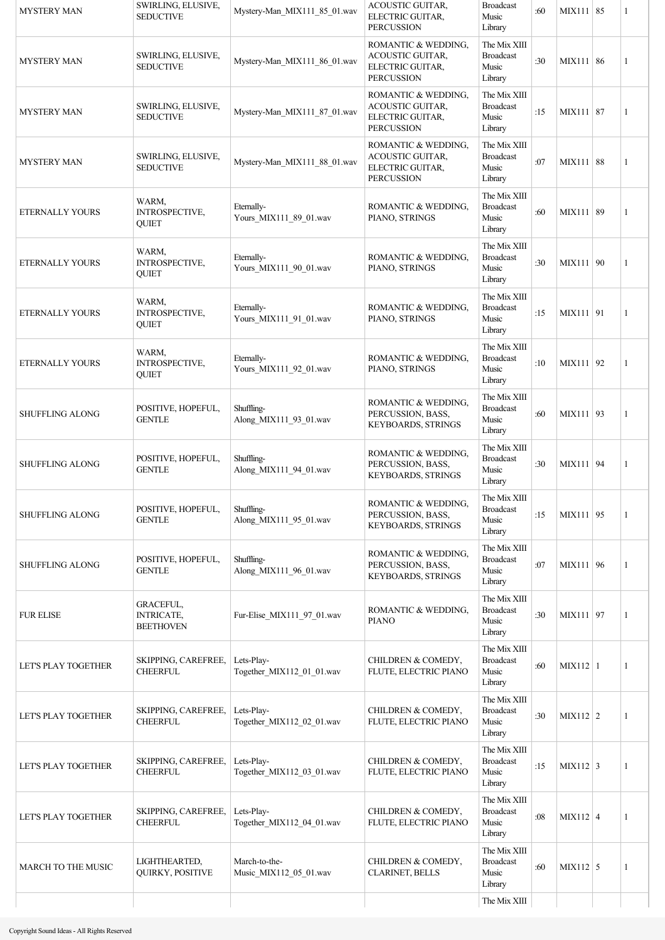| <b>MYSTERY MAN</b>     | SWIRLING, ELUSIVE,<br><b>SEDUCTIVE</b>             | Mystery-Man_MIX111_85_01.wav            | ACOUSTIC GUITAR,<br>ELECTRIC GUITAR,<br><b>PERCUSSION</b>                        | <b>Broadcast</b><br>Music<br>Library                 | :60 | MIX111 85       | 1            |
|------------------------|----------------------------------------------------|-----------------------------------------|----------------------------------------------------------------------------------|------------------------------------------------------|-----|-----------------|--------------|
| <b>MYSTERY MAN</b>     | SWIRLING, ELUSIVE,<br><b>SEDUCTIVE</b>             | Mystery-Man_MIX111_86_01.wav            | ROMANTIC & WEDDING,<br>ACOUSTIC GUITAR,<br>ELECTRIC GUITAR,<br><b>PERCUSSION</b> | The Mix XIII<br><b>Broadcast</b><br>Music<br>Library | :30 | MIX111 86       | 1            |
| <b>MYSTERY MAN</b>     | SWIRLING, ELUSIVE,<br><b>SEDUCTIVE</b>             | Mystery-Man_MIX111_87_01.wav            | ROMANTIC & WEDDING,<br>ACOUSTIC GUITAR,<br>ELECTRIC GUITAR,<br><b>PERCUSSION</b> | The Mix XIII<br><b>Broadcast</b><br>Music<br>Library | :15 | MIX111 87       | 1            |
| <b>MYSTERY MAN</b>     | SWIRLING, ELUSIVE,<br><b>SEDUCTIVE</b>             | Mystery-Man_MIX111_88_01.wav            | ROMANTIC & WEDDING.<br>ACOUSTIC GUITAR,<br>ELECTRIC GUITAR,<br><b>PERCUSSION</b> | The Mix XIII<br><b>Broadcast</b><br>Music<br>Library | :07 | MIX111 88       | 1            |
| ETERNALLY YOURS        | WARM,<br>INTROSPECTIVE,<br>QUIET                   | Eternally-<br>Yours_MIX111_89_01.wav    | ROMANTIC & WEDDING,<br>PIANO, STRINGS                                            | The Mix XIII<br><b>Broadcast</b><br>Music<br>Library | :60 | MIX111 89       | $\mathbf{1}$ |
| ETERNALLY YOURS        | WARM,<br>INTROSPECTIVE,<br><b>QUIET</b>            | Eternally-<br>Yours_MIX111_90_01.wav    | ROMANTIC & WEDDING,<br>PIANO, STRINGS                                            | The Mix XIII<br><b>Broadcast</b><br>Music<br>Library | :30 | MIX111   90     | $\mathbf{1}$ |
| ETERNALLY YOURS        | WARM,<br>INTROSPECTIVE,<br><b>QUIET</b>            | Eternally-<br>Yours_MIX111_91_01.wav    | ROMANTIC & WEDDING,<br>PIANO, STRINGS                                            | The Mix XIII<br><b>Broadcast</b><br>Music<br>Library | :15 | MIX111 91       | $\mathbf{1}$ |
| ETERNALLY YOURS        | WARM,<br><b>INTROSPECTIVE,</b><br><b>QUIET</b>     | Eternally-<br>Yours_MIX111_92_01.wav    | ROMANTIC & WEDDING,<br>PIANO, STRINGS                                            | The Mix XIII<br><b>Broadcast</b><br>Music<br>Library | :10 | MIX111 92       | $\mathbf{1}$ |
| <b>SHUFFLING ALONG</b> | POSITIVE, HOPEFUL,<br><b>GENTLE</b>                | Shuffling-<br>Along_MIX111_93_01.wav    | ROMANTIC & WEDDING,<br>PERCUSSION, BASS,<br>KEYBOARDS, STRINGS                   | The Mix XIII<br><b>Broadcast</b><br>Music<br>Library | :60 | MIX111 93       | $\mathbf{1}$ |
| <b>SHUFFLING ALONG</b> | POSITIVE, HOPEFUL,<br><b>GENTLE</b>                | Shuffling-<br>Along_MIX111_94_01.wav    | ROMANTIC & WEDDING,<br>PERCUSSION, BASS,<br>KEYBOARDS, STRINGS                   | The Mix XIII<br><b>Broadcast</b><br>Music<br>Library | :30 | MIX111 94       | $\mathbf{1}$ |
| <b>SHUFFLING ALONG</b> | POSITIVE, HOPEFUL,<br><b>GENTLE</b>                | Shuffling-<br>Along MIX111 95 01.wav    | ROMANTIC & WEDDING,<br>PERCUSSION, BASS,<br>KEYBOARDS, STRINGS                   | The Mix XIII<br><b>Broadcast</b><br>Music<br>Library | :15 | MIX111 95       | 1            |
| <b>SHUFFLING ALONG</b> | POSITIVE, HOPEFUL,<br><b>GENTLE</b>                | Shuffling-<br>Along_MIX111_96_01.wav    | ROMANTIC & WEDDING,<br>PERCUSSION, BASS,<br>KEYBOARDS, STRINGS                   | The Mix XIII<br><b>Broadcast</b><br>Music<br>Library | :07 | MIX111 96       | 1            |
| <b>FUR ELISE</b>       | GRACEFUL,<br><b>INTRICATE,</b><br><b>BEETHOVEN</b> | Fur-Elise_MIX111_97_01.wav              | ROMANTIC & WEDDING,<br><b>PIANO</b>                                              | The Mix XIII<br><b>Broadcast</b><br>Music<br>Library | :30 | MIX111 97       | 1            |
| LET'S PLAY TOGETHER    | SKIPPING, CAREFREE,<br><b>CHEERFUL</b>             | Lets-Play-<br>Together_MIX112_01_01.wav | CHILDREN & COMEDY,<br>FLUTE, ELECTRIC PIANO                                      | The Mix XIII<br><b>Broadcast</b><br>Music<br>Library | :60 | $MIX112$   1    | 1            |
| LET'S PLAY TOGETHER    | SKIPPING, CAREFREE,<br><b>CHEERFUL</b>             | Lets-Play-<br>Together_MIX112_02_01.wav | CHILDREN & COMEDY,<br>FLUTE, ELECTRIC PIANO                                      | The Mix XIII<br><b>Broadcast</b><br>Music<br>Library | :30 | $MIX112$ 2      | 1            |
| LET'S PLAY TOGETHER    | SKIPPING, CAREFREE,<br><b>CHEERFUL</b>             | Lets-Play-<br>Together_MIX112_03_01.wav | CHILDREN & COMEDY,<br>FLUTE, ELECTRIC PIANO                                      | The Mix XIII<br><b>Broadcast</b><br>Music<br>Library | :15 | $MIX112 \mid 3$ | 1            |
| LET'S PLAY TOGETHER    | SKIPPING, CAREFREE,<br><b>CHEERFUL</b>             | Lets-Play-<br>Together_MIX112_04_01.wav | CHILDREN & COMEDY,<br>FLUTE, ELECTRIC PIANO                                      | The Mix XIII<br><b>Broadcast</b><br>Music<br>Library | :08 | $MIX112$ 4      | 1            |
| MARCH TO THE MUSIC     | LIGHTHEARTED,<br>QUIRKY, POSITIVE                  | March-to-the-<br>Music MIX112 05 01.wav | CHILDREN & COMEDY,<br>CLARINET, BELLS                                            | The Mix XIII<br><b>Broadcast</b><br>Music<br>Library | :60 | $MIX112$ 5      | 1            |
|                        |                                                    |                                         |                                                                                  | The Mix XIII                                         |     |                 |              |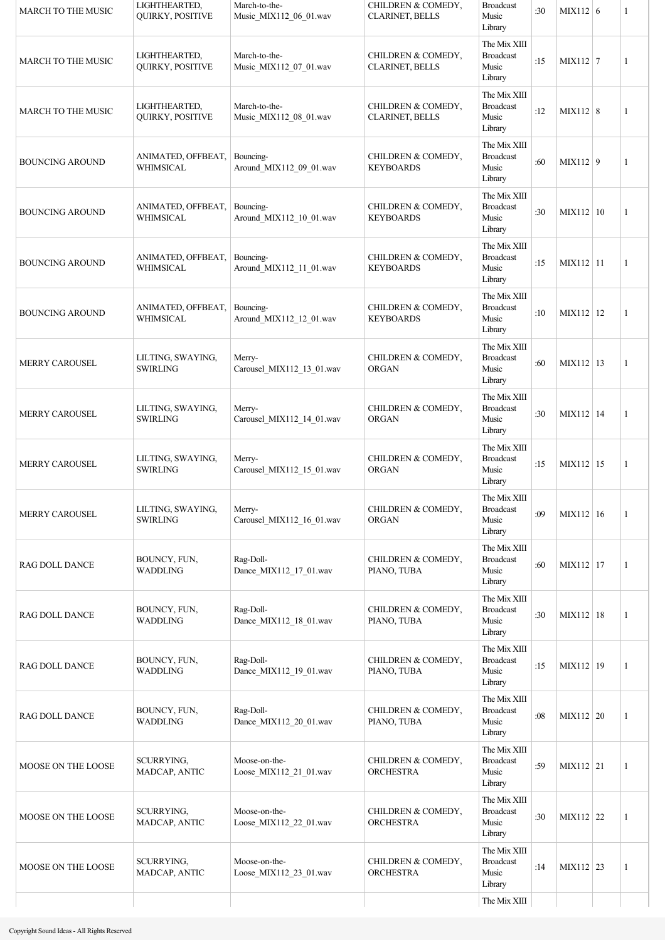| <b>MARCH TO THE MUSIC</b> | LIGHTHEARTED,<br>QUIRKY, POSITIVE    | March-to-the-<br>Music_MIX112_06_01.wav | CHILDREN & COMEDY,<br><b>CLARINET, BELLS</b> | <b>Broadcast</b><br>Music<br>Library                 | :30 | MIX112 $\vert$ 6 | 1 |
|---------------------------|--------------------------------------|-----------------------------------------|----------------------------------------------|------------------------------------------------------|-----|------------------|---|
| MARCH TO THE MUSIC        | LIGHTHEARTED,<br>QUIRKY, POSITIVE    | March-to-the-<br>Music_MIX112_07_01.wav | CHILDREN & COMEDY,<br><b>CLARINET, BELLS</b> | The Mix XIII<br><b>Broadcast</b><br>Music<br>Library | :15 | $MIX112$ 7       | 1 |
| <b>MARCH TO THE MUSIC</b> | LIGHTHEARTED,<br>QUIRKY, POSITIVE    | March-to-the-<br>Music_MIX112_08_01.wav | CHILDREN & COMEDY,<br><b>CLARINET, BELLS</b> | The Mix XIII<br><b>Broadcast</b><br>Music<br>Library | :12 | $MIX112$ 8       | 1 |
| <b>BOUNCING AROUND</b>    | ANIMATED, OFFBEAT,<br>WHIMSICAL      | Bouncing-<br>Around_MIX112_09_01.wav    | CHILDREN & COMEDY,<br><b>KEYBOARDS</b>       | The Mix XIII<br><b>Broadcast</b><br>Music<br>Library | :60 | $MIX112$ 9       | 1 |
| <b>BOUNCING AROUND</b>    | ANIMATED, OFFBEAT,<br>WHIMSICAL      | Bouncing-<br>Around_MIX112_10_01.wav    | CHILDREN & COMEDY,<br><b>KEYBOARDS</b>       | The Mix XIII<br><b>Broadcast</b><br>Music<br>Library | :30 | MIX112   10      | 1 |
| <b>BOUNCING AROUND</b>    | ANIMATED, OFFBEAT,<br>WHIMSICAL      | Bouncing-<br>Around_MIX112_11_01.wav    | CHILDREN & COMEDY,<br><b>KEYBOARDS</b>       | The Mix XIII<br><b>Broadcast</b><br>Music<br>Library | :15 | MIX112 11        | 1 |
| <b>BOUNCING AROUND</b>    | ANIMATED, OFFBEAT,<br>WHIMSICAL      | Bouncing-<br>Around MIX112 12 01.wav    | CHILDREN & COMEDY,<br><b>KEYBOARDS</b>       | The Mix XIII<br><b>Broadcast</b><br>Music<br>Library | :10 | MIX112 12        | 1 |
| <b>MERRY CAROUSEL</b>     | LILTING, SWAYING,<br><b>SWIRLING</b> | Merry-<br>Carousel_MIX112_13_01.wav     | CHILDREN & COMEDY,<br><b>ORGAN</b>           | The Mix XIII<br><b>Broadcast</b><br>Music<br>Library | :60 | MIX112   13      | 1 |
| <b>MERRY CAROUSEL</b>     | LILTING, SWAYING,<br><b>SWIRLING</b> | Merry-<br>Carousel_MIX112_14_01.wav     | CHILDREN & COMEDY,<br>ORGAN                  | The Mix XIII<br><b>Broadcast</b><br>Music<br>Library | :30 | MIX112 14        | 1 |
| <b>MERRY CAROUSEL</b>     | LILTING, SWAYING,<br><b>SWIRLING</b> | Merry-<br>Carousel_MIX112_15_01.wav     | CHILDREN & COMEDY,<br>ORGAN                  | The Mix XIII<br><b>Broadcast</b><br>Music<br>Library | :15 | MIX112 15        | 1 |
| <b>MERRY CAROUSEL</b>     | LILTING, SWAYING,<br><b>SWIRLING</b> | Merry-<br>Carousel_MIX112_16_01.wav     | CHILDREN & COMEDY,<br>ORGAN                  | The Mix XIII<br><b>Broadcast</b><br>Music<br>Library | :09 | MIX112 16        | 1 |
| RAG DOLL DANCE            | BOUNCY, FUN,<br><b>WADDLING</b>      | Rag-Doll-<br>Dance MIX112 17 01.wav     | CHILDREN & COMEDY,<br>PIANO, TUBA            | The Mix XIII<br><b>Broadcast</b><br>Music<br>Library | :60 | MIX112 17        | 1 |
| <b>RAG DOLL DANCE</b>     | BOUNCY, FUN,<br>WADDLING             | Rag-Doll-<br>Dance_MIX112_18_01.wav     | CHILDREN & COMEDY,<br>PIANO, TUBA            | The Mix XIII<br><b>Broadcast</b><br>Music<br>Library | :30 | MIX112 18        | 1 |
| RAG DOLL DANCE            | BOUNCY, FUN,<br>WADDLING             | Rag-Doll-<br>Dance_MIX112_19_01.wav     | CHILDREN & COMEDY,<br>PIANO, TUBA            | The Mix XIII<br><b>Broadcast</b><br>Music<br>Library | :15 | MIX112   19      | 1 |
| RAG DOLL DANCE            | BOUNCY, FUN,<br>WADDLING             | Rag-Doll-<br>Dance MIX112 20 01.wav     | CHILDREN & COMEDY,<br>PIANO, TUBA            | The Mix XIII<br><b>Broadcast</b><br>Music<br>Library | :08 | MIX112   20      | 1 |
| MOOSE ON THE LOOSE        | SCURRYING,<br>MADCAP, ANTIC          | Moose-on-the-<br>Loose_MIX112_21_01.wav | CHILDREN & COMEDY,<br><b>ORCHESTRA</b>       | The Mix XIII<br><b>Broadcast</b><br>Music<br>Library | :59 | MIX112 21        | 1 |
| MOOSE ON THE LOOSE        | SCURRYING,<br>MADCAP, ANTIC          | Moose-on-the-<br>Loose_MIX112_22_01.wav | CHILDREN & COMEDY,<br><b>ORCHESTRA</b>       | The Mix XIII<br><b>Broadcast</b><br>Music<br>Library | :30 | MIX112 22        | 1 |
| MOOSE ON THE LOOSE        | SCURRYING,<br>MADCAP, ANTIC          | Moose-on-the-<br>Loose_MIX112_23_01.wav | CHILDREN & COMEDY,<br><b>ORCHESTRA</b>       | The Mix XIII<br><b>Broadcast</b><br>Music<br>Library | :14 | MIX112 23        | 1 |
|                           |                                      |                                         |                                              | The Mix XIII                                         |     |                  |   |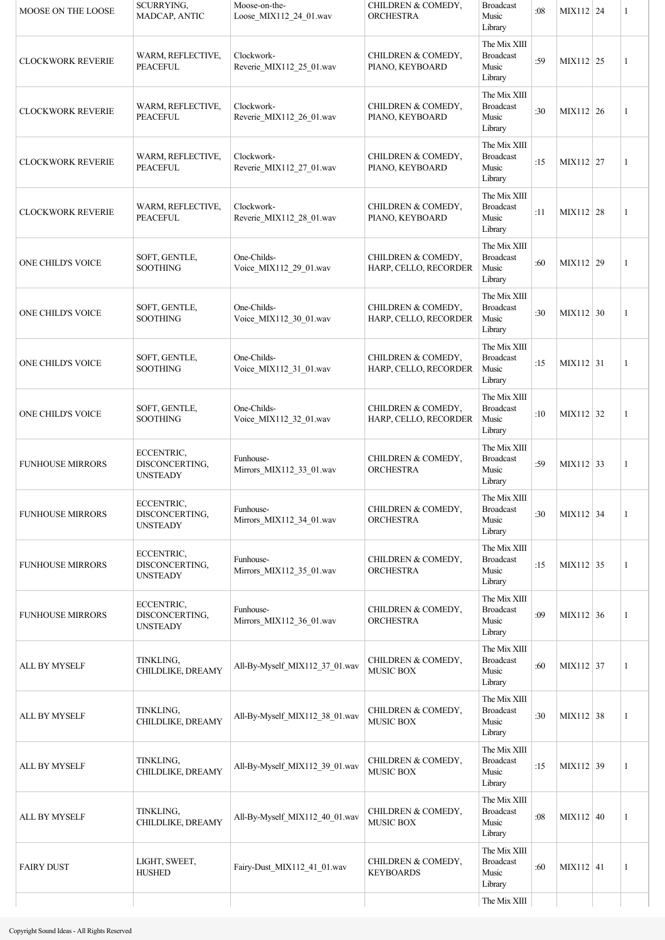| MOOSE ON THE LOOSE       | <b>SCURRYING,</b><br>MADCAP, ANTIC              | Moose-on-the-<br>Loose_MIX112_24_01.wav | CHILDREN & COMEDY,<br><b>ORCHESTRA</b>      | <b>Broadcast</b><br>Music<br>Library                 | :08 | MIX112 24   | 1            |
|--------------------------|-------------------------------------------------|-----------------------------------------|---------------------------------------------|------------------------------------------------------|-----|-------------|--------------|
| <b>CLOCKWORK REVERIE</b> | WARM, REFLECTIVE,<br><b>PEACEFUL</b>            | Clockwork-<br>Reverie MIX112 25 01.wav  | CHILDREN & COMEDY,<br>PIANO, KEYBOARD       | The Mix XIII<br><b>Broadcast</b><br>Music<br>Library | :59 | MIX112 25   | 1            |
| <b>CLOCKWORK REVERIE</b> | WARM, REFLECTIVE,<br><b>PEACEFUL</b>            | Clockwork-<br>Reverie_MIX112_26_01.wav  | CHILDREN & COMEDY,<br>PIANO, KEYBOARD       | The Mix XIII<br><b>Broadcast</b><br>Music<br>Library | :30 | MIX112 26   | 1            |
| <b>CLOCKWORK REVERIE</b> | WARM, REFLECTIVE,<br><b>PEACEFUL</b>            | Clockwork-<br>Reverie_MIX112_27_01.wav  | CHILDREN & COMEDY,<br>PIANO, KEYBOARD       | The Mix XIII<br><b>Broadcast</b><br>Music<br>Library | :15 | MIX112 27   | 1            |
| <b>CLOCKWORK REVERIE</b> | WARM, REFLECTIVE,<br><b>PEACEFUL</b>            | Clockwork-<br>Reverie_MIX112_28_01.wav  | CHILDREN & COMEDY,<br>PIANO, KEYBOARD       | The Mix XIII<br><b>Broadcast</b><br>Music<br>Library | :11 | MIX112 28   | 1            |
| <b>ONE CHILD'S VOICE</b> | SOFT, GENTLE,<br><b>SOOTHING</b>                | One-Childs-<br>Voice_MIX112_29_01.wav   | CHILDREN & COMEDY,<br>HARP, CELLO, RECORDER | The Mix XIII<br><b>Broadcast</b><br>Music<br>Library | :60 | MIX112 29   | 1            |
| ONE CHILD'S VOICE        | SOFT, GENTLE,<br><b>SOOTHING</b>                | One-Childs-<br>Voice_MIX112_30_01.wav   | CHILDREN & COMEDY,<br>HARP, CELLO, RECORDER | The Mix XIII<br><b>Broadcast</b><br>Music<br>Library | :30 | MIX112 30   | 1            |
| ONE CHILD'S VOICE        | SOFT, GENTLE,<br><b>SOOTHING</b>                | One-Childs-<br>Voice_MIX112_31_01.wav   | CHILDREN & COMEDY,<br>HARP, CELLO, RECORDER | The Mix XIII<br><b>Broadcast</b><br>Music<br>Library | :15 | MIX112 31   | 1            |
| ONE CHILD'S VOICE        | SOFT, GENTLE,<br><b>SOOTHING</b>                | One-Childs-<br>Voice_MIX112_32_01.wav   | CHILDREN & COMEDY,<br>HARP, CELLO, RECORDER | The Mix XIII<br><b>Broadcast</b><br>Music<br>Library | :10 | MIX112 32   | $\mathbf{1}$ |
| <b>FUNHOUSE MIRRORS</b>  | ECCENTRIC,<br>DISCONCERTING,<br><b>UNSTEADY</b> | Funhouse-<br>Mirrors_MIX112_33_01.wav   | CHILDREN & COMEDY,<br><b>ORCHESTRA</b>      | The Mix XIII<br><b>Broadcast</b><br>Music<br>Library | :59 | $MIX112$ 33 | 1            |
| <b>FUNHOUSE MIRRORS</b>  | ECCENTRIC,<br>DISCONCERTING,<br><b>UNSTEADY</b> | Funhouse-<br>Mirrors_MIX112_34_01.wav   | CHILDREN & COMEDY,<br>ORCHESTRA             | The Mix XIII<br><b>Broadcast</b><br>Music<br>Library | :30 | MIX112 34   | 1            |
| <b>FUNHOUSE MIRRORS</b>  | ECCENTRIC,<br>DISCONCERTING,<br><b>UNSTEADY</b> | Funhouse-<br>Mirrors_MIX112_35_01.wav   | CHILDREN & COMEDY,<br><b>ORCHESTRA</b>      | The Mix XIII<br><b>Broadcast</b><br>Music<br>Library | :15 | MIX112 35   | 1            |
| <b>FUNHOUSE MIRRORS</b>  | ECCENTRIC,<br>DISCONCERTING,<br><b>UNSTEADY</b> | Funhouse-<br>Mirrors MIX112 36 01.wav   | CHILDREN & COMEDY,<br>ORCHESTRA             | The Mix XIII<br><b>Broadcast</b><br>Music<br>Library | :09 | MIX112 36   | 1            |
| ALL BY MYSELF            | TINKLING,<br>CHILDLIKE, DREAMY                  | All-By-Myself_MIX112_37_01.wav          | CHILDREN & COMEDY,<br>MUSIC BOX             | The Mix XIII<br><b>Broadcast</b><br>Music<br>Library | :60 | MIX112 37   | 1            |
| ALL BY MYSELF            | TINKLING,<br>CHILDLIKE, DREAMY                  | All-By-Myself_MIX112_38_01.wav          | CHILDREN & COMEDY,<br>MUSIC BOX             | The Mix XIII<br><b>Broadcast</b><br>Music<br>Library | :30 | MIX112 38   | 1            |
| ALL BY MYSELF            | TINKLING,<br>CHILDLIKE, DREAMY                  | All-By-Myself_MIX112_39_01.wav          | CHILDREN & COMEDY,<br><b>MUSIC BOX</b>      | The Mix XIII<br><b>Broadcast</b><br>Music<br>Library | :15 | MIX112 39   | 1            |
| ALL BY MYSELF            | TINKLING,<br>CHILDLIKE, DREAMY                  | All-By-Myself MIX112 40 01.wav          | CHILDREN & COMEDY,<br>MUSIC BOX             | The Mix XIII<br><b>Broadcast</b><br>Music<br>Library | :08 | $MIX112$ 40 | 1            |
| <b>FAIRY DUST</b>        | LIGHT, SWEET,<br><b>HUSHED</b>                  | Fairy-Dust_MIX112_41_01.wav             | CHILDREN & COMEDY,<br><b>KEYBOARDS</b>      | The Mix XIII<br><b>Broadcast</b><br>Music<br>Library | :60 | $MIX112$ 41 | 1            |
|                          |                                                 |                                         |                                             | The Mix XIII                                         |     |             |              |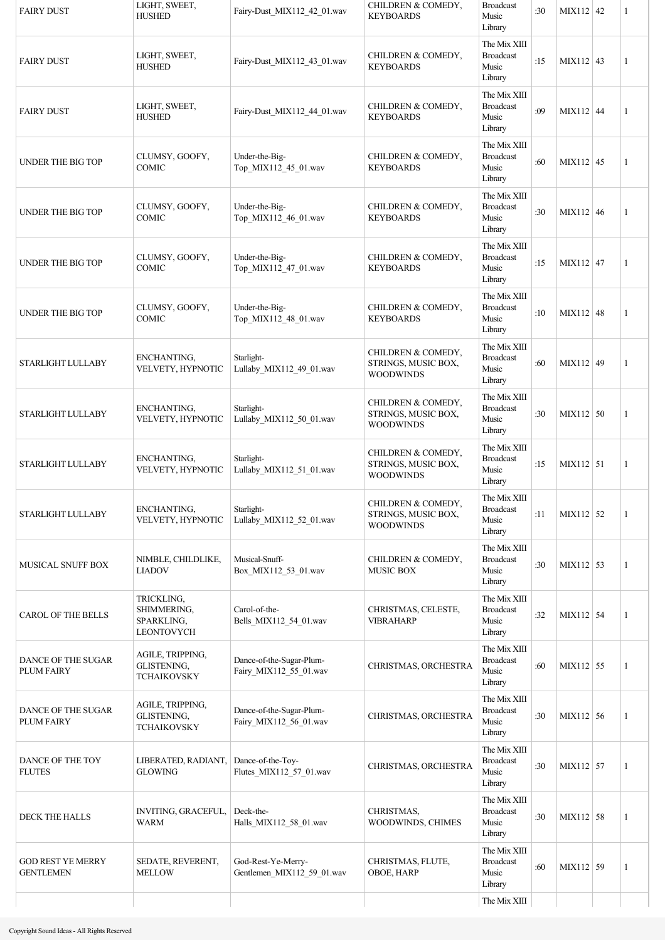| <b>FAIRY DUST</b>                            | LIGHT, SWEET,<br><b>HUSHED</b>                               | Fairy-Dust_MIX112_42_01.wav                        | CHILDREN & COMEDY,<br><b>KEYBOARDS</b>                        | <b>Broadcast</b><br>Music<br>Library                 | :30 | MIX112 42   | 1 |
|----------------------------------------------|--------------------------------------------------------------|----------------------------------------------------|---------------------------------------------------------------|------------------------------------------------------|-----|-------------|---|
| <b>FAIRY DUST</b>                            | LIGHT, SWEET,<br><b>HUSHED</b>                               | Fairy-Dust_MIX112_43_01.wav                        | CHILDREN & COMEDY,<br><b>KEYBOARDS</b>                        | The Mix XIII<br><b>Broadcast</b><br>Music<br>Library | :15 | MIX112 43   | 1 |
| <b>FAIRY DUST</b>                            | LIGHT, SWEET,<br><b>HUSHED</b>                               | Fairy-Dust_MIX112_44_01.wav                        | CHILDREN & COMEDY,<br><b>KEYBOARDS</b>                        | The Mix XIII<br><b>Broadcast</b><br>Music<br>Library | :09 | $MIX112$ 44 | 1 |
| UNDER THE BIG TOP                            | CLUMSY, GOOFY,<br>COMIC                                      | Under-the-Big-<br>Top_MIX112_45_01.wav             | CHILDREN & COMEDY,<br><b>KEYBOARDS</b>                        | The Mix XIII<br><b>Broadcast</b><br>Music<br>Library | :60 | MIX112 45   | 1 |
| UNDER THE BIG TOP                            | CLUMSY, GOOFY,<br>COMIC                                      | Under-the-Big-<br>Top_MIX112_46_01.wav             | CHILDREN & COMEDY,<br><b>KEYBOARDS</b>                        | The Mix XIII<br><b>Broadcast</b><br>Music<br>Library | :30 | MIX112 46   | 1 |
| UNDER THE BIG TOP                            | CLUMSY, GOOFY,<br>COMIC                                      | Under-the-Big-<br>Top_MIX112_47_01.wav             | CHILDREN & COMEDY,<br><b>KEYBOARDS</b>                        | The Mix XIII<br><b>Broadcast</b><br>Music<br>Library | :15 | MIX112 47   | 1 |
| UNDER THE BIG TOP                            | CLUMSY, GOOFY,<br>COMIC                                      | Under-the-Big-<br>Top MIX112 48 01.wav             | CHILDREN & COMEDY,<br><b>KEYBOARDS</b>                        | The Mix XIII<br><b>Broadcast</b><br>Music<br>Library | :10 | MIX112 48   | 1 |
| STARLIGHT LULLABY                            | ENCHANTING,<br>VELVETY, HYPNOTIC                             | Starlight-<br>Lullaby_MIX112_49_01.wav             | CHILDREN & COMEDY,<br>STRINGS, MUSIC BOX,<br><b>WOODWINDS</b> | The Mix XIII<br><b>Broadcast</b><br>Music<br>Library | :60 | MIX112 49   | 1 |
| STARLIGHT LULLABY                            | ENCHANTING,<br>VELVETY, HYPNOTIC                             | Starlight-<br>Lullaby_MIX112_50_01.wav             | CHILDREN & COMEDY,<br>STRINGS, MUSIC BOX,<br><b>WOODWINDS</b> | The Mix XIII<br><b>Broadcast</b><br>Music<br>Library | :30 | MIX112 50   | 1 |
| STARLIGHT LULLABY                            | ENCHANTING,<br>VELVETY, HYPNOTIC                             | Starlight-<br>Lullaby MIX112 51 01.wav             | CHILDREN & COMEDY,<br>STRINGS, MUSIC BOX,<br><b>WOODWINDS</b> | The Mix XIII<br><b>Broadcast</b><br>Music<br>Library | :15 | MIX112 51   | 1 |
| STARLIGHT LULLABY                            | ENCHANTING,<br>VELVETY, HYPNOTIC                             | Starlight-<br>Lullaby_MIX112_52_01.wav             | CHILDREN & COMEDY,<br>STRINGS, MUSIC BOX,<br><b>WOODWINDS</b> | The Mix XIII<br><b>Broadcast</b><br>Music<br>Library | :11 | MIX112 52   | 1 |
| MUSICAL SNUFF BOX                            | NIMBLE, CHILDLIKE,<br><b>LIADOV</b>                          | Musical-Snuff-<br>Box MIX112 53 01.wav             | CHILDREN & COMEDY,<br><b>MUSIC BOX</b>                        | The Mix XIII<br><b>Broadcast</b><br>Music<br>Library | :30 | MIX112 53   | 1 |
| <b>CAROL OF THE BELLS</b>                    | TRICKLING,<br>SHIMMERING,<br>SPARKLING,<br><b>LEONTOVYCH</b> | Carol-of-the-<br>Bells_MIX112_54_01.wav            | CHRISTMAS, CELESTE,<br><b>VIBRAHARP</b>                       | The Mix XIII<br><b>Broadcast</b><br>Music<br>Library | :32 | MIX112 54   | 1 |
| DANCE OF THE SUGAR<br><b>PLUM FAIRY</b>      | AGILE, TRIPPING,<br>GLISTENING,<br><b>TCHAIKOVSKY</b>        | Dance-of-the-Sugar-Plum-<br>Fairy_MIX112_55_01.wav | CHRISTMAS, ORCHESTRA                                          | The Mix XIII<br><b>Broadcast</b><br>Music<br>Library | :60 | MIX112 55   | 1 |
| DANCE OF THE SUGAR<br><b>PLUM FAIRY</b>      | AGILE, TRIPPING,<br>GLISTENING,<br>TCHAIKOVSKY               | Dance-of-the-Sugar-Plum-<br>Fairy_MIX112_56_01.wav | CHRISTMAS, ORCHESTRA                                          | The Mix XIII<br><b>Broadcast</b><br>Music<br>Library | :30 | MIX112 56   | 1 |
| DANCE OF THE TOY<br><b>FLUTES</b>            | LIBERATED, RADIANT,<br><b>GLOWING</b>                        | Dance-of-the-Toy-<br>Flutes_MIX112_57_01.wav       | CHRISTMAS, ORCHESTRA                                          | The Mix XIII<br><b>Broadcast</b><br>Music<br>Library | :30 | MIX112 57   | 1 |
| <b>DECK THE HALLS</b>                        | INVITING, GRACEFUL,<br><b>WARM</b>                           | Deck-the-<br>Halls_MIX112_58_01.wav                | CHRISTMAS,<br>WOODWINDS, CHIMES                               | The Mix XIII<br><b>Broadcast</b><br>Music<br>Library | :30 | MIX112 58   | 1 |
| <b>GOD REST YE MERRY</b><br><b>GENTLEMEN</b> | SEDATE, REVERENT,<br><b>MELLOW</b>                           | God-Rest-Ye-Merry-<br>Gentlemen_MIX112_59_01.wav   | CHRISTMAS, FLUTE,<br>OBOE, HARP                               | The Mix XIII<br><b>Broadcast</b><br>Music<br>Library | :60 | MIX112 59   | 1 |
|                                              |                                                              |                                                    |                                                               | The Mix XIII                                         |     |             |   |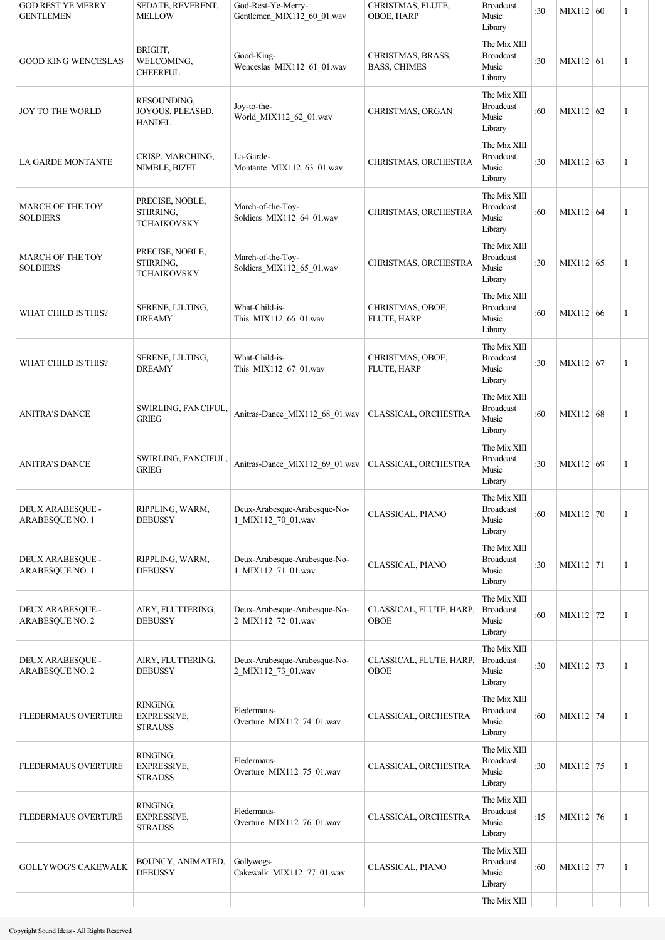| <b>GOD REST YE MERRY</b><br><b>GENTLEMEN</b> | SEDATE, REVERENT,<br><b>MELLOW</b>                 | God-Rest-Ye-Merry-<br>Gentlemen_MIX112_60_01.wav   | CHRISTMAS, FLUTE,<br>OBOE, HARP          | <b>Broadcast</b><br>Music<br>Library                 | :30 | MIX112 60 | 1 |
|----------------------------------------------|----------------------------------------------------|----------------------------------------------------|------------------------------------------|------------------------------------------------------|-----|-----------|---|
| <b>GOOD KING WENCESLAS</b>                   | BRIGHT,<br>WELCOMING,<br><b>CHEERFUL</b>           | Good-King-<br>Wenceslas_MIX112_61_01.wav           | CHRISTMAS, BRASS,<br><b>BASS, CHIMES</b> | The Mix XIII<br><b>Broadcast</b><br>Music<br>Library | :30 | MIX112 61 | 1 |
| <b>JOY TO THE WORLD</b>                      | RESOUNDING,<br>JOYOUS, PLEASED,<br><b>HANDEL</b>   | Joy-to-the-<br>World MIX112 62 01.wav              | CHRISTMAS, ORGAN                         | The Mix XIII<br><b>Broadcast</b><br>Music<br>Library | :60 | MIX112 62 | 1 |
| <b>LA GARDE MONTANTE</b>                     | CRISP, MARCHING,<br>NIMBLE, BIZET                  | La-Garde-<br>Montante_MIX112_63_01.wav             | CHRISTMAS, ORCHESTRA                     | The Mix XIII<br><b>Broadcast</b><br>Music<br>Library | :30 | MIX112 63 | 1 |
| <b>MARCH OF THE TOY</b><br><b>SOLDIERS</b>   | PRECISE, NOBLE,<br>STIRRING,<br><b>TCHAIKOVSKY</b> | March-of-the-Toy-<br>Soldiers_MIX112_64_01.wav     | CHRISTMAS, ORCHESTRA                     | The Mix XIII<br><b>Broadcast</b><br>Music<br>Library | :60 | MIX112 64 | 1 |
| MARCH OF THE TOY<br><b>SOLDIERS</b>          | PRECISE, NOBLE,<br>STIRRING,<br><b>TCHAIKOVSKY</b> | March-of-the-Toy-<br>Soldiers_MIX112_65_01.wav     | CHRISTMAS, ORCHESTRA                     | The Mix XIII<br><b>Broadcast</b><br>Music<br>Library | :30 | MIX112 65 | 1 |
| WHAT CHILD IS THIS?                          | SERENE, LILTING,<br><b>DREAMY</b>                  | What-Child-is-<br>This_MIX112_66_01.wav            | CHRISTMAS, OBOE,<br>FLUTE, HARP          | The Mix XIII<br><b>Broadcast</b><br>Music<br>Library | :60 | MIX112 66 | 1 |
| WHAT CHILD IS THIS?                          | SERENE, LILTING,<br><b>DREAMY</b>                  | What-Child-is-<br>This_MIX112_67_01.wav            | CHRISTMAS, OBOE,<br>FLUTE, HARP          | The Mix XIII<br><b>Broadcast</b><br>Music<br>Library | :30 | MIX112 67 | 1 |
| <b>ANITRA'S DANCE</b>                        | SWIRLING, FANCIFUL,<br><b>GRIEG</b>                | Anitras-Dance_MIX112_68_01.wav                     | CLASSICAL, ORCHESTRA                     | The Mix XIII<br><b>Broadcast</b><br>Music<br>Library | :60 | MIX112 68 | 1 |
| <b>ANITRA'S DANCE</b>                        | SWIRLING, FANCIFUL,<br><b>GRIEG</b>                | Anitras-Dance_MIX112_69_01.wav                     | CLASSICAL, ORCHESTRA                     | The Mix XIII<br><b>Broadcast</b><br>Music<br>Library | :30 | MIX112 69 | 1 |
| DEUX ARABESQUE -<br>ARABESQUE NO. 1          | RIPPLING, WARM,<br><b>DEBUSSY</b>                  | Deux-Arabesque-Arabesque-No-<br>1_MIX112_70_01.wav | CLASSICAL, PIANO                         | The Mix XIII<br><b>Broadcast</b><br>Music<br>Library | :60 | MIX112 70 | 1 |
| DEUX ARABESQUE -<br>ARABESQUE NO. 1          | RIPPLING, WARM,<br><b>DEBUSSY</b>                  | Deux-Arabesque-Arabesque-No-<br>1_MIX112_71_01.wav | CLASSICAL, PIANO                         | The Mix XIII<br><b>Broadcast</b><br>Music<br>Library | :30 | MIX112 71 | 1 |
| DEUX ARABESQUE -<br>ARABESQUE NO. 2          | AIRY, FLUTTERING,<br><b>DEBUSSY</b>                | Deux-Arabesque-Arabesque-No-<br>2_MIX112_72_01.wav | CLASSICAL, FLUTE, HARP.<br><b>OBOE</b>   | The Mix XIII<br><b>Broadcast</b><br>Music<br>Library | :60 | MIX112 72 | 1 |
| DEUX ARABESQUE -<br>ARABESQUE NO. 2          | AIRY, FLUTTERING,<br><b>DEBUSSY</b>                | Deux-Arabesque-Arabesque-No-<br>2_MIX112_73_01.wav | CLASSICAL, FLUTE, HARP,<br>OBOE          | The Mix XIII<br><b>Broadcast</b><br>Music<br>Library | :30 | MIX112 73 | 1 |
| <b>FLEDERMAUS OVERTURE</b>                   | RINGING,<br><b>EXPRESSIVE,</b><br><b>STRAUSS</b>   | Fledermaus-<br>Overture_MIX112_74_01.wav           | CLASSICAL, ORCHESTRA                     | The Mix XIII<br><b>Broadcast</b><br>Music<br>Library | :60 | MIX112 74 | 1 |
| <b>FLEDERMAUS OVERTURE</b>                   | RINGING,<br>EXPRESSIVE,<br><b>STRAUSS</b>          | Fledermaus-<br>Overture MIX112 75 01.wav           | CLASSICAL, ORCHESTRA                     | The Mix XIII<br><b>Broadcast</b><br>Music<br>Library | :30 | MIX112 75 | 1 |
| <b>FLEDERMAUS OVERTURE</b>                   | RINGING,<br><b>EXPRESSIVE,</b><br><b>STRAUSS</b>   | Fledermaus-<br>Overture_MIX112_76_01.wav           | CLASSICAL, ORCHESTRA                     | The Mix XIII<br><b>Broadcast</b><br>Music<br>Library | :15 | MIX112 76 | 1 |
| <b>GOLLYWOG'S CAKEWALK</b>                   | BOUNCY, ANIMATED,<br><b>DEBUSSY</b>                | Gollywogs-<br>Cakewalk_MIX112_77_01.wav            | CLASSICAL, PIANO                         | The Mix XIII<br><b>Broadcast</b><br>Music<br>Library | :60 | MIX112 77 | 1 |
|                                              |                                                    |                                                    |                                          | The Mix XIII                                         |     |           |   |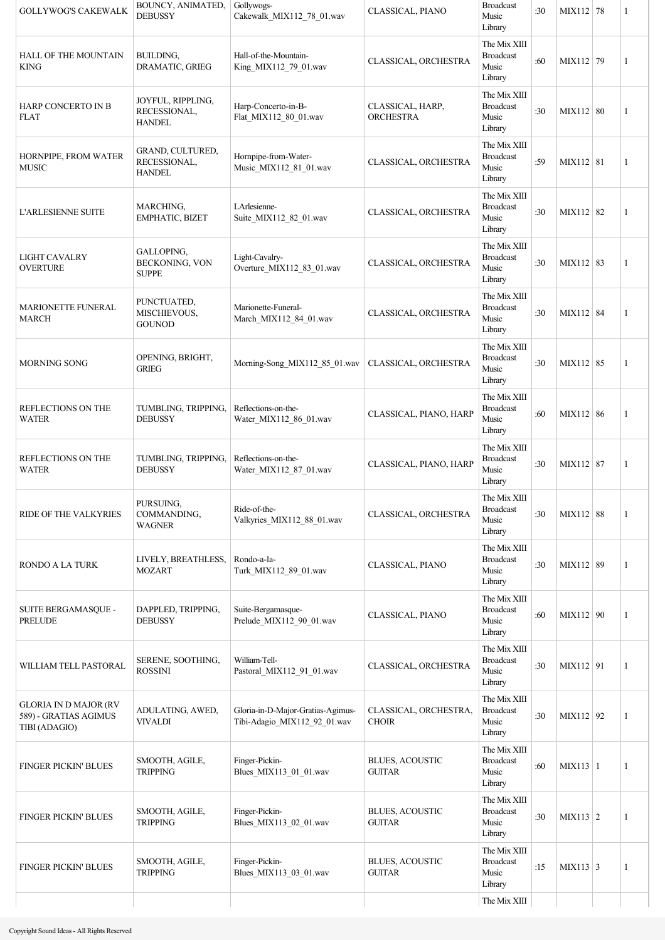| <b>GOLLYWOG'S CAKEWALK</b>                                             | BOUNCY, ANIMATED,<br><b>DEBUSSY</b>                | Gollywogs-<br>Cakewalk_MIX112_78_01.wav                           | CLASSICAL, PIANO                        | <b>Broadcast</b><br>Music<br>Library                 | :30 | MIX112 78       | 1            |
|------------------------------------------------------------------------|----------------------------------------------------|-------------------------------------------------------------------|-----------------------------------------|------------------------------------------------------|-----|-----------------|--------------|
| <b>HALL OF THE MOUNTAIN</b><br><b>KING</b>                             | BUILDING,<br>DRAMATIC, GRIEG                       | Hall-of-the-Mountain-<br>King_MIX112_79_01.wav                    | CLASSICAL, ORCHESTRA                    | The Mix XIII<br><b>Broadcast</b><br>Music<br>Library | :60 | MIX112 79       | 1            |
| <b>HARP CONCERTO IN B</b><br><b>FLAT</b>                               | JOYFUL, RIPPLING,<br>RECESSIONAL,<br><b>HANDEL</b> | Harp-Concerto-in-B-<br>Flat_MIX112_80_01.wav                      | CLASSICAL, HARP,<br><b>ORCHESTRA</b>    | The Mix XIII<br><b>Broadcast</b><br>Music<br>Library | :30 | MIX112 80       | 1            |
| HORNPIPE, FROM WATER<br><b>MUSIC</b>                                   | GRAND, CULTURED,<br>RECESSIONAL,<br><b>HANDEL</b>  | Hornpipe-from-Water-<br>Music_MIX112_81_01.wav                    | CLASSICAL, ORCHESTRA                    | The Mix XIII<br><b>Broadcast</b><br>Music<br>Library | :59 | MIX112 81       | 1            |
| <b>L'ARLESIENNE SUITE</b>                                              | MARCHING,<br><b>EMPHATIC, BIZET</b>                | LArlesienne-<br>Suite_MIX112_82_01.wav                            | CLASSICAL, ORCHESTRA                    | The Mix XIII<br><b>Broadcast</b><br>Music<br>Library | :30 | MIX112 82       | $\mathbf{1}$ |
| <b>LIGHT CAVALRY</b><br><b>OVERTURE</b>                                | GALLOPING,<br>BECKONING, VON<br><b>SUPPE</b>       | Light-Cavalry-<br>Overture_MIX112_83_01.wav                       | CLASSICAL, ORCHESTRA                    | The Mix XIII<br><b>Broadcast</b><br>Music<br>Library | :30 | MIX112 83       | $\mathbf{1}$ |
| <b>MARIONETTE FUNERAL</b><br><b>MARCH</b>                              | PUNCTUATED,<br>MISCHIEVOUS,<br><b>GOUNOD</b>       | Marionette-Funeral-<br>March_MIX112_84_01.wav                     | CLASSICAL, ORCHESTRA                    | The Mix XIII<br><b>Broadcast</b><br>Music<br>Library | :30 | MIX112 84       | $\mathbf{1}$ |
| <b>MORNING SONG</b>                                                    | OPENING, BRIGHT,<br><b>GRIEG</b>                   | Morning-Song MIX112 85 01.wav                                     | CLASSICAL, ORCHESTRA                    | The Mix XIII<br><b>Broadcast</b><br>Music<br>Library | :30 | MIX112 85       | $\mathbf{1}$ |
| REFLECTIONS ON THE<br><b>WATER</b>                                     | TUMBLING, TRIPPING,<br><b>DEBUSSY</b>              | Reflections-on-the-<br>Water_MIX112_86_01.wav                     | CLASSICAL, PIANO, HARP                  | The Mix XIII<br><b>Broadcast</b><br>Music<br>Library | :60 | MIX112 86       | 1            |
| REFLECTIONS ON THE<br><b>WATER</b>                                     | TUMBLING, TRIPPING,<br><b>DEBUSSY</b>              | Reflections-on-the-<br>Water_MIX112_87_01.wav                     | CLASSICAL, PIANO, HARP                  | The Mix XIII<br><b>Broadcast</b><br>Music<br>Library | :30 | MIX112 87       | $\mathbf{1}$ |
| <b>RIDE OF THE VALKYRIES</b>                                           | PURSUING,<br>COMMANDING,<br><b>WAGNER</b>          | Ride-of-the-<br>Valkyries MIX112 88 01.wav                        | CLASSICAL, ORCHESTRA                    | The Mix XIII<br><b>Broadcast</b><br>Music<br>Library | :30 | MIX112 88       | 1            |
| <b>RONDO A LA TURK</b>                                                 | LIVELY, BREATHLESS,<br><b>MOZART</b>               | Rondo-a-la-<br>Turk MIX112 89 01.wav                              | CLASSICAL, PIANO                        | The Mix XIII<br><b>Broadcast</b><br>Music<br>Library | :30 | MIX112 89       | $\mathbf{1}$ |
| SUITE BERGAMASQUE -<br>PRELUDE                                         | DAPPLED, TRIPPING,<br><b>DEBUSSY</b>               | Suite-Bergamasque-<br>Prelude MIX112 90 01.wav                    | CLASSICAL, PIANO                        | The Mix XIII<br><b>Broadcast</b><br>Music<br>Library | :60 | MIX112 90       | 1            |
| WILLIAM TELL PASTORAL                                                  | SERENE, SOOTHING,<br><b>ROSSINI</b>                | William-Tell-<br>Pastoral_MIX112_91_01.wav                        | CLASSICAL, ORCHESTRA                    | The Mix XIII<br><b>Broadcast</b><br>Music<br>Library | :30 | MIX112 91       | 1            |
| <b>GLORIA IN D MAJOR (RV</b><br>589) - GRATIAS AGIMUS<br>TIBI (ADAGIO) | ADULATING, AWED,<br><b>VIVALDI</b>                 | Gloria-in-D-Major-Gratias-Agimus-<br>Tibi-Adagio MIX112 92 01.wav | CLASSICAL, ORCHESTRA,<br><b>CHOIR</b>   | The Mix XIII<br><b>Broadcast</b><br>Music<br>Library | :30 | MIX112 92       | 1            |
| FINGER PICKIN' BLUES                                                   | SMOOTH, AGILE,<br><b>TRIPPING</b>                  | Finger-Pickin-<br>Blues_MIX113_01_01.wav                          | <b>BLUES, ACOUSTIC</b><br><b>GUITAR</b> | The Mix XIII<br><b>Broadcast</b><br>Music<br>Library | :60 | $MIX113$   1    | 1            |
| FINGER PICKIN' BLUES                                                   | SMOOTH, AGILE,<br><b>TRIPPING</b>                  | Finger-Pickin-<br>Blues_MIX113_02_01.wav                          | <b>BLUES, ACOUSTIC</b><br><b>GUITAR</b> | The Mix XIII<br><b>Broadcast</b><br>Music<br>Library | :30 | $MIX113$ 2      | 1            |
| FINGER PICKIN' BLUES                                                   | SMOOTH, AGILE,<br><b>TRIPPING</b>                  | Finger-Pickin-<br>Blues_MIX113_03_01.wav                          | <b>BLUES, ACOUSTIC</b><br><b>GUITAR</b> | The Mix XIII<br><b>Broadcast</b><br>Music<br>Library | :15 | $MIX113 \mid 3$ | 1            |
|                                                                        |                                                    |                                                                   |                                         | The Mix XIII                                         |     |                 |              |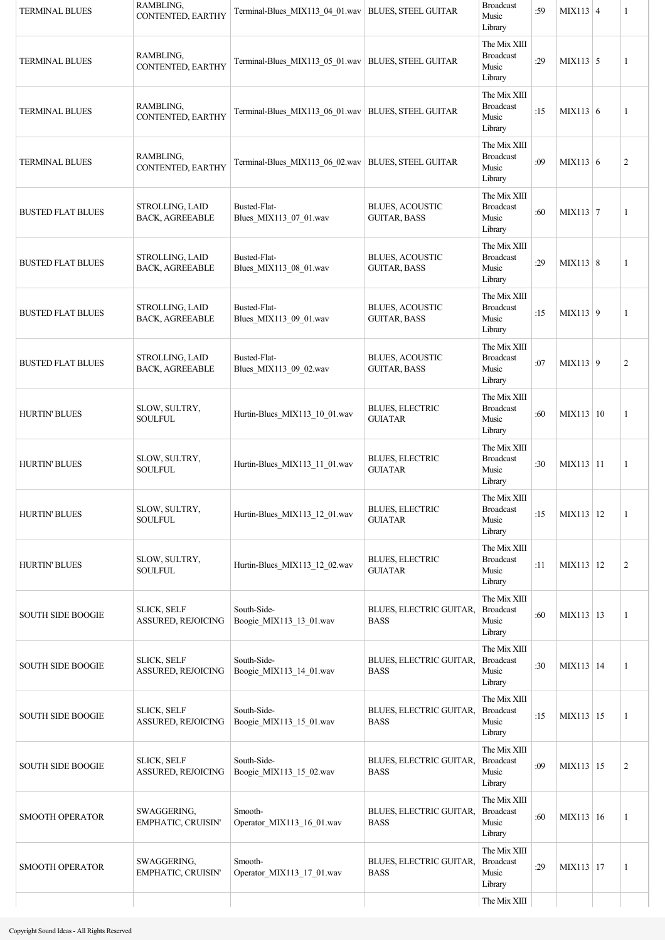| <b>TERMINAL BLUES</b>    | RAMBLING,<br>CONTENTED, EARTHY            | Terminal-Blues MIX113 04 01.wav   BLUES, STEEL GUITAR |                                               | <b>Broadcast</b><br>Music<br>Library                 | :59 | $MIX113 \mid 4$ | 1              |
|--------------------------|-------------------------------------------|-------------------------------------------------------|-----------------------------------------------|------------------------------------------------------|-----|-----------------|----------------|
| <b>TERMINAL BLUES</b>    | RAMBLING,<br>CONTENTED, EARTHY            | Terminal-Blues_MIX113_05_01.wav   BLUES, STEEL GUITAR |                                               | The Mix XIII<br><b>Broadcast</b><br>Music<br>Library | :29 | $MIX113$ 5      | 1              |
| <b>TERMINAL BLUES</b>    | RAMBLING,<br>CONTENTED, EARTHY            | Terminal-Blues_MIX113_06_01.wav   BLUES, STEEL GUITAR |                                               | The Mix XIII<br><b>Broadcast</b><br>Music<br>Library | :15 | MIX113 6        | 1              |
| <b>TERMINAL BLUES</b>    | RAMBLING,<br>CONTENTED, EARTHY            | Terminal-Blues_MIX113_06_02.wav   BLUES, STEEL GUITAR |                                               | The Mix XIII<br><b>Broadcast</b><br>Music<br>Library | :09 | MIX113 6        | $\overline{c}$ |
| <b>BUSTED FLAT BLUES</b> | STROLLING, LAID<br><b>BACK, AGREEABLE</b> | Busted-Flat-<br>Blues_MIX113_07_01.wav                | <b>BLUES, ACOUSTIC</b><br><b>GUITAR, BASS</b> | The Mix XIII<br><b>Broadcast</b><br>Music<br>Library | :60 | MIX113 7        | $\mathbf{1}$   |
| <b>BUSTED FLAT BLUES</b> | STROLLING, LAID<br><b>BACK, AGREEABLE</b> | Busted-Flat-<br>Blues_MIX113_08_01.wav                | <b>BLUES, ACOUSTIC</b><br><b>GUITAR, BASS</b> | The Mix XIII<br><b>Broadcast</b><br>Music<br>Library | :29 | MIX113 8        | 1              |
| <b>BUSTED FLAT BLUES</b> | STROLLING, LAID<br><b>BACK, AGREEABLE</b> | Busted-Flat-<br>Blues_MIX113_09_01.wav                | <b>BLUES, ACOUSTIC</b><br><b>GUITAR, BASS</b> | The Mix XIII<br><b>Broadcast</b><br>Music<br>Library | :15 | $MIX113$ 9      | 1              |
| <b>BUSTED FLAT BLUES</b> | STROLLING, LAID<br><b>BACK, AGREEABLE</b> | Busted-Flat-<br>Blues_MIX113_09_02.wav                | <b>BLUES, ACOUSTIC</b><br><b>GUITAR, BASS</b> | The Mix XIII<br><b>Broadcast</b><br>Music<br>Library | :07 | MIX113 9        | $\overline{c}$ |
| <b>HURTIN' BLUES</b>     | SLOW, SULTRY,<br>SOULFUL                  | Hurtin-Blues MIX113 10 01.wav                         | <b>BLUES, ELECTRIC</b><br><b>GUIATAR</b>      | The Mix XIII<br><b>Broadcast</b><br>Music<br>Library | :60 | MIX113 10       | 1              |
| <b>HURTIN' BLUES</b>     | SLOW, SULTRY,<br><b>SOULFUL</b>           | Hurtin-Blues MIX113 11 01.wav                         | <b>BLUES, ELECTRIC</b><br><b>GUIATAR</b>      | The Mix XIII<br><b>Broadcast</b><br>Music<br>Library | :30 | MIX113 11       | 1              |
| <b>HURTIN' BLUES</b>     | SLOW, SULTRY,<br><b>SOULFUL</b>           | Hurtin-Blues MIX113 12 01.wav                         | <b>BLUES, ELECTRIC</b><br><b>GUIATAR</b>      | The Mix XIII<br><b>Broadcast</b><br>Music<br>Library | :15 | MIX113 12       | 1              |
| <b>HURTIN' BLUES</b>     | SLOW, SULTRY,<br>SOULFUL                  | Hurtin-Blues_MIX113_12_02.wav                         | <b>BLUES, ELECTRIC</b><br><b>GUIATAR</b>      | The Mix XIII<br><b>Broadcast</b><br>Music<br>Library | :11 | MIX113 12       | $\mathfrak{2}$ |
| <b>SOUTH SIDE BOOGIE</b> | <b>SLICK, SELF</b><br>ASSURED, REJOICING  | South-Side-<br>Boogie_MIX113_13_01.wav                | BLUES, ELECTRIC GUITAR,<br><b>BASS</b>        | The Mix XIII<br><b>Broadcast</b><br>Music<br>Library | :60 | MIX113   13     | 1              |
| <b>SOUTH SIDE BOOGIE</b> | <b>SLICK, SELF</b><br>ASSURED, REJOICING  | South-Side-<br>Boogie_MIX113_14_01.wav                | BLUES, ELECTRIC GUITAR,<br><b>BASS</b>        | The Mix XIII<br><b>Broadcast</b><br>Music<br>Library | :30 | MIX113   14     | 1              |
| <b>SOUTH SIDE BOOGIE</b> | <b>SLICK, SELF</b><br>ASSURED, REJOICING  | South-Side-<br>Boogie_MIX113_15_01.wav                | BLUES, ELECTRIC GUITAR,<br><b>BASS</b>        | The Mix XIII<br><b>Broadcast</b><br>Music<br>Library | :15 | MIX113   15     | 1              |
| <b>SOUTH SIDE BOOGIE</b> | <b>SLICK, SELF</b><br>ASSURED, REJOICING  | South-Side-<br>Boogie MIX113 15 02.wav                | BLUES, ELECTRIC GUITAR,<br><b>BASS</b>        | The Mix XIII<br><b>Broadcast</b><br>Music<br>Library | :09 | MIX113 15       | $\overline{c}$ |
| <b>SMOOTH OPERATOR</b>   | SWAGGERING,<br>EMPHATIC, CRUISIN'         | Smooth-<br>Operator_MIX113_16_01.wav                  | BLUES, ELECTRIC GUITAR,<br><b>BASS</b>        | The Mix XIII<br><b>Broadcast</b><br>Music<br>Library | :60 | MIX113 16       | 1              |
| <b>SMOOTH OPERATOR</b>   | SWAGGERING,<br>EMPHATIC, CRUISIN'         | Smooth-<br>Operator_MIX113_17_01.wav                  | BLUES, ELECTRIC GUITAR,<br><b>BASS</b>        | The Mix XIII<br><b>Broadcast</b><br>Music<br>Library | :29 | MIX113 17       | 1              |
|                          |                                           |                                                       |                                               | The Mix XIII                                         |     |                 |                |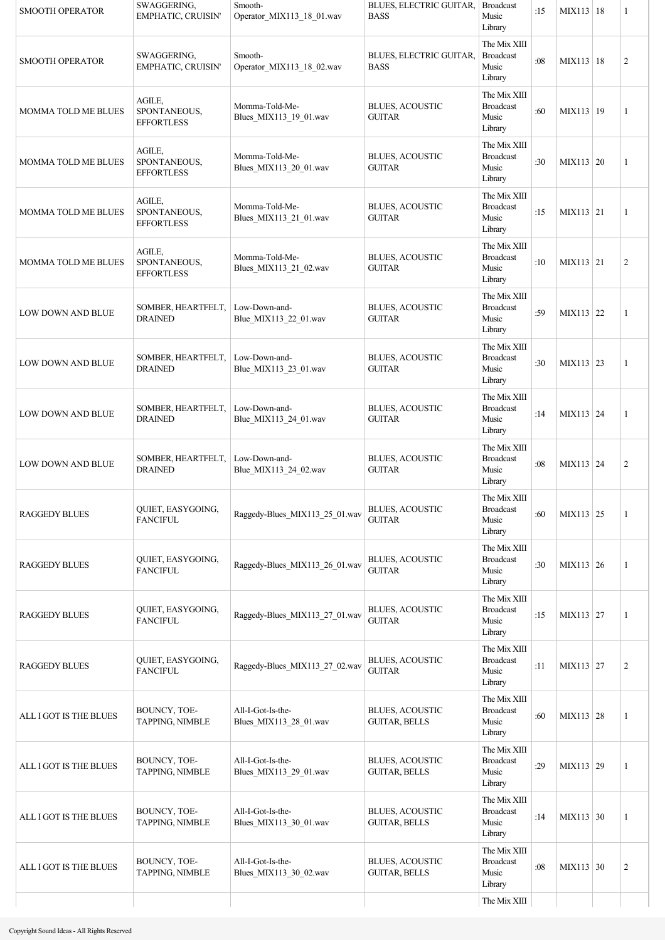| <b>SMOOTH OPERATOR</b>     | SWAGGERING,<br>EMPHATIC, CRUISIN'           | Smooth-<br>Operator_MIX113_18_01.wav        | BLUES, ELECTRIC GUITAR,<br><b>BASS</b>         | <b>Broadcast</b><br>Music<br>Library                 | :15 | MIX113   18 | 1              |
|----------------------------|---------------------------------------------|---------------------------------------------|------------------------------------------------|------------------------------------------------------|-----|-------------|----------------|
| <b>SMOOTH OPERATOR</b>     | SWAGGERING,<br>EMPHATIC, CRUISIN'           | Smooth-<br>Operator_MIX113_18_02.wav        | BLUES, ELECTRIC GUITAR,<br><b>BASS</b>         | The Mix XIII<br><b>Broadcast</b><br>Music<br>Library | :08 | MIX113   18 | $\overline{c}$ |
| <b>MOMMA TOLD ME BLUES</b> | AGILE,<br>SPONTANEOUS,<br><b>EFFORTLESS</b> | Momma-Told-Me-<br>Blues_MIX113_19_01.wav    | <b>BLUES, ACOUSTIC</b><br><b>GUITAR</b>        | The Mix XIII<br><b>Broadcast</b><br>Music<br>Library | :60 | MIX113   19 | 1              |
| <b>MOMMA TOLD ME BLUES</b> | AGILE,<br>SPONTANEOUS,<br><b>EFFORTLESS</b> | Momma-Told-Me-<br>Blues MIX113 20 01.wav    | <b>BLUES, ACOUSTIC</b><br><b>GUITAR</b>        | The Mix XIII<br><b>Broadcast</b><br>Music<br>Library | :30 | MIX113 20   | 1              |
| <b>MOMMA TOLD ME BLUES</b> | AGILE,<br>SPONTANEOUS,<br><b>EFFORTLESS</b> | Momma-Told-Me-<br>Blues_MIX113_21_01.wav    | <b>BLUES, ACOUSTIC</b><br><b>GUITAR</b>        | The Mix XIII<br><b>Broadcast</b><br>Music<br>Library | :15 | MIX113 21   | 1              |
| MOMMA TOLD ME BLUES        | AGILE,<br>SPONTANEOUS,<br><b>EFFORTLESS</b> | Momma-Told-Me-<br>Blues_MIX113_21_02.wav    | <b>BLUES, ACOUSTIC</b><br><b>GUITAR</b>        | The Mix XIII<br><b>Broadcast</b><br>Music<br>Library | :10 | MIX113 21   | $\overline{c}$ |
| LOW DOWN AND BLUE          | SOMBER, HEARTFELT,<br><b>DRAINED</b>        | Low-Down-and-<br>Blue_MIX113_22_01.wav      | <b>BLUES, ACOUSTIC</b><br><b>GUITAR</b>        | The Mix XIII<br><b>Broadcast</b><br>Music<br>Library | :59 | MIX113 22   | 1              |
| LOW DOWN AND BLUE          | SOMBER, HEARTFELT,<br><b>DRAINED</b>        | Low-Down-and-<br>Blue_MIX113_23_01.wav      | <b>BLUES, ACOUSTIC</b><br><b>GUITAR</b>        | The Mix XIII<br><b>Broadcast</b><br>Music<br>Library | :30 | MIX113 23   | 1              |
| <b>LOW DOWN AND BLUE</b>   | SOMBER, HEARTFELT,<br><b>DRAINED</b>        | Low-Down-and-<br>Blue_MIX113_24_01.wav      | <b>BLUES, ACOUSTIC</b><br><b>GUITAR</b>        | The Mix XIII<br><b>Broadcast</b><br>Music<br>Library | :14 | MIX113 24   | $\mathbf{1}$   |
| <b>LOW DOWN AND BLUE</b>   | SOMBER, HEARTFELT,<br><b>DRAINED</b>        | Low-Down-and-<br>Blue_MIX113_24_02.wav      | <b>BLUES, ACOUSTIC</b><br><b>GUITAR</b>        | The Mix XIII<br><b>Broadcast</b><br>Music<br>Library | :08 | MIX113 24   | $\overline{c}$ |
| <b>RAGGEDY BLUES</b>       | QUIET, EASYGOING,<br><b>FANCIFUL</b>        | Raggedy-Blues_MIX113_25_01.wav              | <b>BLUES, ACOUSTIC</b><br><b>GUITAR</b>        | The Mix XIII<br><b>Broadcast</b><br>Music<br>Library | :60 | MIX113 25   | 1              |
| <b>RAGGEDY BLUES</b>       | QUIET, EASYGOING,<br><b>FANCIFUL</b>        | Raggedy-Blues_MIX113_26_01.wav              | <b>BLUES, ACOUSTIC</b><br><b>GUITAR</b>        | The Mix XIII<br><b>Broadcast</b><br>Music<br>Library | :30 | $MIX113$ 26 | 1              |
| <b>RAGGEDY BLUES</b>       | QUIET, EASYGOING,<br><b>FANCIFUL</b>        | Raggedy-Blues_MIX113_27_01.wav              | <b>BLUES, ACOUSTIC</b><br><b>GUITAR</b>        | The Mix XIII<br><b>Broadcast</b><br>Music<br>Library | :15 | MIX113 27   | 1              |
| <b>RAGGEDY BLUES</b>       | QUIET, EASYGOING,<br><b>FANCIFUL</b>        | Raggedy-Blues_MIX113_27_02.wav              | <b>BLUES, ACOUSTIC</b><br><b>GUITAR</b>        | The Mix XIII<br><b>Broadcast</b><br>Music<br>Library | :11 | MIX113 27   | $\overline{c}$ |
| ALL I GOT IS THE BLUES     | BOUNCY, TOE-<br>TAPPING, NIMBLE             | All-I-Got-Is-the-<br>Blues_MIX113_28_01.wav | <b>BLUES, ACOUSTIC</b><br><b>GUITAR, BELLS</b> | The Mix XIII<br><b>Broadcast</b><br>Music<br>Library | :60 | MIX113 28   | 1              |
| ALL I GOT IS THE BLUES     | BOUNCY, TOE-<br>TAPPING, NIMBLE             | All-I-Got-Is-the-<br>Blues_MIX113_29_01.wav | BLUES, ACOUSTIC<br><b>GUITAR, BELLS</b>        | The Mix XIII<br><b>Broadcast</b><br>Music<br>Library | :29 | MIX113 29   | 1              |
| ALL I GOT IS THE BLUES     | BOUNCY, TOE-<br>TAPPING, NIMBLE             | All-I-Got-Is-the-<br>Blues_MIX113_30_01.wav | <b>BLUES, ACOUSTIC</b><br><b>GUITAR, BELLS</b> | The Mix XIII<br><b>Broadcast</b><br>Music<br>Library | :14 | MIX113 30   | 1              |
| ALL I GOT IS THE BLUES     | BOUNCY, TOE-<br>TAPPING, NIMBLE             | All-I-Got-Is-the-<br>Blues_MIX113_30_02.wav | <b>BLUES, ACOUSTIC</b><br><b>GUITAR, BELLS</b> | The Mix XIII<br><b>Broadcast</b><br>Music<br>Library | :08 | MIX113 30   | $\overline{c}$ |
|                            |                                             |                                             |                                                | The Mix XIII                                         |     |             |                |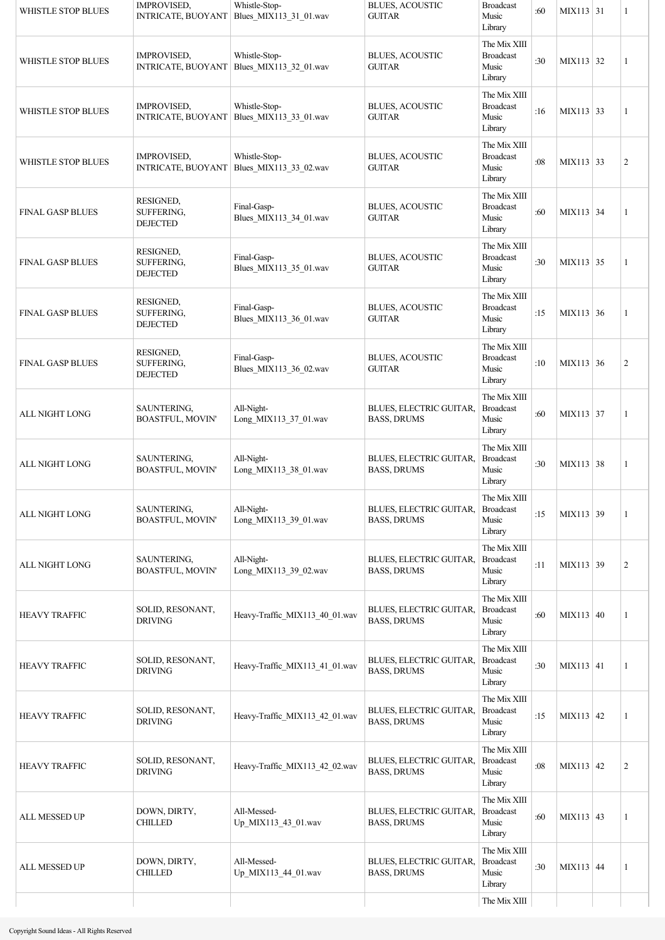| WHISTLE STOP BLUES        | <b>IMPROVISED,</b><br><b>INTRICATE, BUOYANT</b> | Whistle-Stop-<br>Blues_MIX113_31_01.wav                      | <b>BLUES, ACOUSTIC</b><br><b>GUITAR</b>       | <b>Broadcast</b><br>Music<br>Library                 | :60 | MIX113 31        | 1              |
|---------------------------|-------------------------------------------------|--------------------------------------------------------------|-----------------------------------------------|------------------------------------------------------|-----|------------------|----------------|
| WHISTLE STOP BLUES        | <b>IMPROVISED,</b>                              | Whistle-Stop-<br>INTRICATE, BUOYANT Blues MIX113 32 01.wav   | <b>BLUES, ACOUSTIC</b><br><b>GUITAR</b>       | The Mix XIII<br><b>Broadcast</b><br>Music<br>Library | :30 | MIX113 32        | 1              |
| WHISTLE STOP BLUES        | IMPROVISED,                                     | Whistle-Stop-<br>INTRICATE, BUOYANT Blues_MIX113_33_01.wav   | <b>BLUES, ACOUSTIC</b><br><b>GUITAR</b>       | The Mix XIII<br><b>Broadcast</b><br>Music<br>Library | :16 | MIX113 33        | 1              |
| <b>WHISTLE STOP BLUES</b> | IMPROVISED,                                     | Whistle-Stop-<br>INTRICATE, BUOYANT   Blues_MIX113_33_02.wav | <b>BLUES, ACOUSTIC</b><br><b>GUITAR</b>       | The Mix XIII<br><b>Broadcast</b><br>Music<br>Library | :08 | MIX113 33        | $\mathfrak{2}$ |
| <b>FINAL GASP BLUES</b>   | RESIGNED,<br>SUFFERING,<br><b>DEJECTED</b>      | Final-Gasp-<br>Blues_MIX113_34_01.wav                        | <b>BLUES, ACOUSTIC</b><br><b>GUITAR</b>       | The Mix XIII<br><b>Broadcast</b><br>Music<br>Library | :60 | MIX113 34        | 1              |
| <b>FINAL GASP BLUES</b>   | RESIGNED,<br>SUFFERING,<br><b>DEJECTED</b>      | Final-Gasp-<br>Blues_MIX113_35_01.wav                        | <b>BLUES, ACOUSTIC</b><br><b>GUITAR</b>       | The Mix XIII<br><b>Broadcast</b><br>Music<br>Library | :30 | $MIX113$ 35      | 1              |
| <b>FINAL GASP BLUES</b>   | RESIGNED,<br>SUFFERING,<br><b>DEJECTED</b>      | Final-Gasp-<br>Blues MIX113 36 01.wav                        | <b>BLUES, ACOUSTIC</b><br><b>GUITAR</b>       | The Mix XIII<br><b>Broadcast</b><br>Music<br>Library | :15 | MIX113 36        | 1              |
| <b>FINAL GASP BLUES</b>   | RESIGNED,<br>SUFFERING,<br><b>DEJECTED</b>      | Final-Gasp-<br>Blues_MIX113_36_02.wav                        | <b>BLUES, ACOUSTIC</b><br><b>GUITAR</b>       | The Mix XIII<br><b>Broadcast</b><br>Music<br>Library | :10 | MIX113 36        | $\overline{c}$ |
| <b>ALL NIGHT LONG</b>     | SAUNTERING,<br>BOASTFUL, MOVIN'                 | All-Night-<br>Long_MIX113_37_01.wav                          | BLUES, ELECTRIC GUITAR,<br><b>BASS, DRUMS</b> | The Mix XIII<br><b>Broadcast</b><br>Music<br>Library | :60 | MIX113 37        | 1              |
| ALL NIGHT LONG            | SAUNTERING,<br>BOASTFUL, MOVIN'                 | All-Night-<br>Long_MIX113_38_01.wav                          | BLUES, ELECTRIC GUITAR,<br><b>BASS, DRUMS</b> | The Mix XIII<br><b>Broadcast</b><br>Music<br>Library | :30 | MIX113 38        | 1              |
| <b>ALL NIGHT LONG</b>     | SAUNTERING,<br><b>BOASTFUL, MOVIN'</b>          | All-Night-<br>Long_MIX113_39_01.wav                          | BLUES, ELECTRIC GUITAR,<br><b>BASS, DRUMS</b> | The Mix XIII<br><b>Broadcast</b><br>Music<br>Library | :15 | MIX113 39        | 1              |
| ALL NIGHT LONG            | SAUNTERING,<br>BOASTFUL, MOVIN'                 | All-Night-<br>Long MIX113 39 02.wav                          | BLUES, ELECTRIC GUITAR,<br><b>BASS, DRUMS</b> | The Mix XIII<br><b>Broadcast</b><br>Music<br>Library | :11 | MIX113 39        | $\overline{c}$ |
| <b>HEAVY TRAFFIC</b>      | SOLID, RESONANT,<br><b>DRIVING</b>              | Heavy-Traffic_MIX113_40_01.wav                               | BLUES, ELECTRIC GUITAR,<br><b>BASS, DRUMS</b> | The Mix XIII<br><b>Broadcast</b><br>Music<br>Library | :60 | MIX113 40        | 1              |
| <b>HEAVY TRAFFIC</b>      | SOLID, RESONANT,<br><b>DRIVING</b>              | Heavy-Traffic_MIX113_41_01.wav                               | BLUES, ELECTRIC GUITAR,<br><b>BASS, DRUMS</b> | The Mix XIII<br><b>Broadcast</b><br>Music<br>Library | :30 | $MIX113 \mid 41$ | 1              |
| <b>HEAVY TRAFFIC</b>      | SOLID, RESONANT,<br><b>DRIVING</b>              | Heavy-Traffic_MIX113_42_01.wav                               | BLUES, ELECTRIC GUITAR,<br><b>BASS, DRUMS</b> | The Mix XIII<br><b>Broadcast</b><br>Music<br>Library | :15 | MIX113 42        | 1              |
| <b>HEAVY TRAFFIC</b>      | SOLID, RESONANT,<br><b>DRIVING</b>              | Heavy-Traffic_MIX113_42_02.wav                               | BLUES, ELECTRIC GUITAR,<br><b>BASS, DRUMS</b> | The Mix XIII<br><b>Broadcast</b><br>Music<br>Library | :08 | MIX113 42        | $\overline{c}$ |
| ALL MESSED UP             | DOWN, DIRTY,<br><b>CHILLED</b>                  | All-Messed-<br>Up_MIX113_43_01.wav                           | BLUES, ELECTRIC GUITAR,<br><b>BASS, DRUMS</b> | The Mix XIII<br><b>Broadcast</b><br>Music<br>Library | :60 | MIX113 43        | 1              |
| ALL MESSED UP             | DOWN, DIRTY,<br><b>CHILLED</b>                  | All-Messed-<br>Up MIX113 44 01.wav                           | BLUES, ELECTRIC GUITAR,<br><b>BASS, DRUMS</b> | The Mix XIII<br><b>Broadcast</b><br>Music<br>Library | :30 | MIX113 44        | 1              |
|                           |                                                 |                                                              |                                               | The Mix XIII                                         |     |                  |                |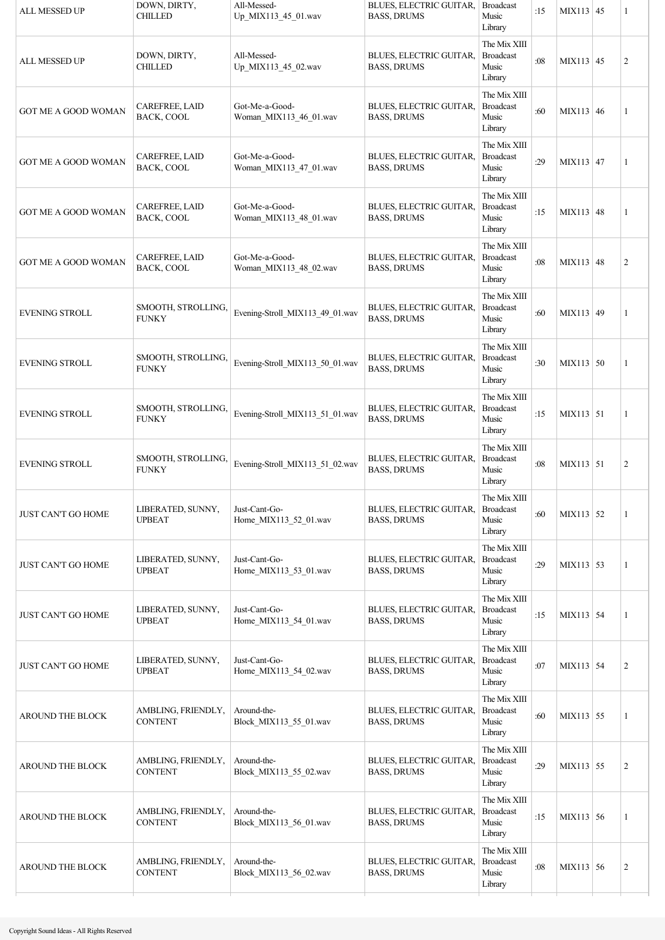| <b>ALL MESSED UP</b>       | DOWN, DIRTY,<br><b>CHILLED</b>       | All-Messed-<br>Up_MIX113_45_01.wav       | BLUES, ELECTRIC GUITAR,<br><b>BASS, DRUMS</b>        | <b>Broadcast</b><br>Music<br>Library                 | :15 | MIX113 45   | 1              |
|----------------------------|--------------------------------------|------------------------------------------|------------------------------------------------------|------------------------------------------------------|-----|-------------|----------------|
| ALL MESSED UP              | DOWN, DIRTY,<br><b>CHILLED</b>       | All-Messed-<br>Up_MIX113_45_02.wav       | BLUES, ELECTRIC GUITAR,<br><b>BASS, DRUMS</b>        | The Mix XIII<br><b>Broadcast</b><br>Music<br>Library | :08 | MIX113 45   | $\overline{c}$ |
| <b>GOT ME A GOOD WOMAN</b> | CAREFREE, LAID<br>BACK, COOL         | Got-Me-a-Good-<br>Woman_MIX113_46_01.wav | BLUES, ELECTRIC GUITAR,<br><b>BASS, DRUMS</b>        | The Mix XIII<br><b>Broadcast</b><br>Music<br>Library | :60 | MIX113 46   | 1              |
| <b>GOT ME A GOOD WOMAN</b> | CAREFREE, LAID<br>BACK, COOL         | Got-Me-a-Good-<br>Woman MIX113 47 01.wav | <b>BLUES, ELECTRIC GUITAR,</b><br><b>BASS, DRUMS</b> | The Mix XIII<br><b>Broadcast</b><br>Music<br>Library | :29 | $MIX113$ 47 | 1              |
| <b>GOT ME A GOOD WOMAN</b> | CAREFREE, LAID<br>BACK, COOL         | Got-Me-a-Good-<br>Woman_MIX113_48_01.wav | BLUES, ELECTRIC GUITAR,<br><b>BASS, DRUMS</b>        | The Mix XIII<br><b>Broadcast</b><br>Music<br>Library | :15 | MIX113 48   | 1              |
| <b>GOT ME A GOOD WOMAN</b> | <b>CAREFREE, LAID</b><br>BACK, COOL  | Got-Me-a-Good-<br>Woman MIX113 48 02.wav | BLUES, ELECTRIC GUITAR,<br><b>BASS, DRUMS</b>        | The Mix XIII<br><b>Broadcast</b><br>Music<br>Library | :08 | MIX113 48   | $\overline{c}$ |
| <b>EVENING STROLL</b>      | SMOOTH, STROLLING,<br><b>FUNKY</b>   | Evening-Stroll_MIX113_49_01.wav          | BLUES, ELECTRIC GUITAR,<br><b>BASS, DRUMS</b>        | The Mix XIII<br><b>Broadcast</b><br>Music<br>Library | :60 | MIX113 49   | 1              |
| <b>EVENING STROLL</b>      | SMOOTH, STROLLING,<br><b>FUNKY</b>   | Evening-Stroll MIX113 50 01.wav          | BLUES, ELECTRIC GUITAR,<br><b>BASS, DRUMS</b>        | The Mix XIII<br><b>Broadcast</b><br>Music<br>Library | :30 | MIX113 50   | 1              |
| <b>EVENING STROLL</b>      | SMOOTH, STROLLING,<br><b>FUNKY</b>   | Evening-Stroll_MIX113_51_01.wav          | BLUES, ELECTRIC GUITAR,<br><b>BASS, DRUMS</b>        | The Mix XIII<br><b>Broadcast</b><br>Music<br>Library | :15 | MIX113 51   | 1              |
| <b>EVENING STROLL</b>      | SMOOTH, STROLLING,<br><b>FUNKY</b>   | Evening-Stroll_MIX113_51_02.wav          | BLUES, ELECTRIC GUITAR,<br><b>BASS, DRUMS</b>        | The Mix XIII<br><b>Broadcast</b><br>Music<br>Library | :08 | MIX113 51   | $\overline{c}$ |
| <b>JUST CAN'T GO HOME</b>  | LIBERATED, SUNNY,<br><b>UPBEAT</b>   | Just-Cant-Go-<br>Home_MIX113_52_01.wav   | BLUES, ELECTRIC GUITAR,<br><b>BASS, DRUMS</b>        | The Mix XIII<br><b>Broadcast</b><br>Music<br>Library | :60 | MIX113 52   | 1              |
| <b>JUST CAN'T GO HOME</b>  | LIBERATED, SUNNY,<br><b>UPBEAT</b>   | Just-Cant-Go-<br>Home_MIX113_53_01.wav   | <b>BLUES, ELECTRIC GUITAR,</b><br><b>BASS, DRUMS</b> | The Mix XIII<br><b>Broadcast</b><br>Music<br>Library | :29 | MIX113 53   | 1              |
| <b>JUST CAN'T GO HOME</b>  | LIBERATED, SUNNY,<br><b>UPBEAT</b>   | Just-Cant-Go-<br>Home_MIX113_54_01.wav   | BLUES, ELECTRIC GUITAR,<br><b>BASS, DRUMS</b>        | The Mix XIII<br><b>Broadcast</b><br>Music<br>Library | :15 | MIX113 54   | 1              |
| JUST CAN'T GO HOME         | LIBERATED, SUNNY,<br><b>UPBEAT</b>   | Just-Cant-Go-<br>Home_MIX113_54_02.wav   | BLUES, ELECTRIC GUITAR,<br><b>BASS, DRUMS</b>        | The Mix XIII<br><b>Broadcast</b><br>Music<br>Library | :07 | MIX113 54   | $\overline{c}$ |
| <b>AROUND THE BLOCK</b>    | AMBLING, FRIENDLY,<br><b>CONTENT</b> | Around-the-<br>Block_MIX113_55_01.wav    | BLUES, ELECTRIC GUITAR,<br><b>BASS, DRUMS</b>        | The Mix XIII<br><b>Broadcast</b><br>Music<br>Library | :60 | MIX113 55   | 1              |
| AROUND THE BLOCK           | AMBLING, FRIENDLY,<br><b>CONTENT</b> | Around-the-<br>Block MIX113 55 02.wav    | BLUES, ELECTRIC GUITAR,<br><b>BASS, DRUMS</b>        | The Mix XIII<br><b>Broadcast</b><br>Music<br>Library | :29 | MIX113 55   | $\overline{c}$ |
| AROUND THE BLOCK           | AMBLING, FRIENDLY,<br><b>CONTENT</b> | Around-the-<br>Block_MIX113_56_01.wav    | BLUES, ELECTRIC GUITAR,<br><b>BASS, DRUMS</b>        | The Mix XIII<br><b>Broadcast</b><br>Music<br>Library | :15 | MIX113 56   | 1              |
| AROUND THE BLOCK           | AMBLING, FRIENDLY,<br><b>CONTENT</b> | Around-the-<br>Block_MIX113_56_02.wav    | BLUES, ELECTRIC GUITAR,<br><b>BASS, DRUMS</b>        | The Mix XIII<br><b>Broadcast</b><br>Music<br>Library | :08 | MIX113 56   | $\overline{c}$ |
|                            |                                      |                                          |                                                      |                                                      |     |             |                |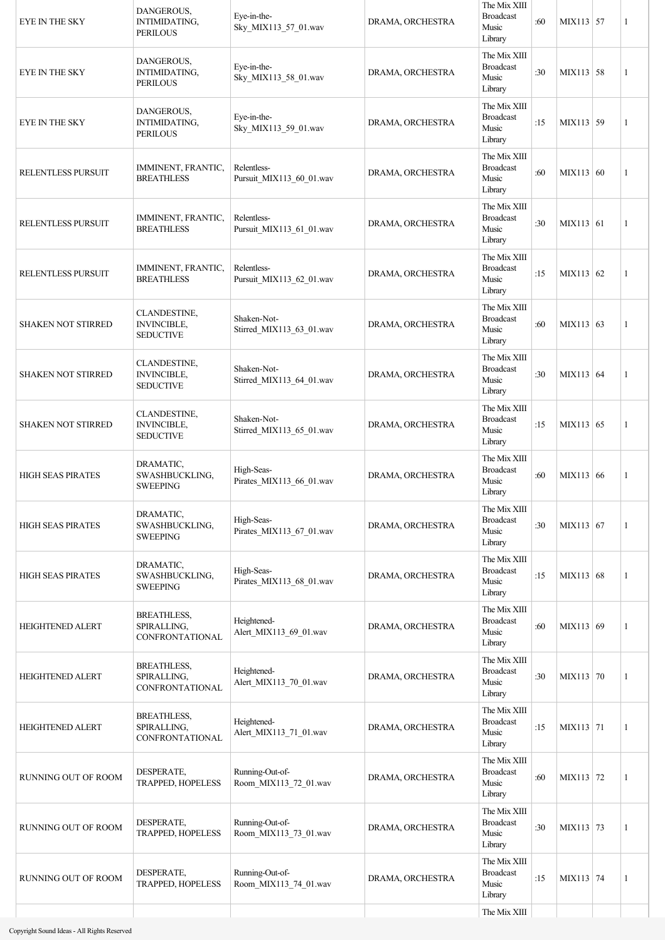| EYE IN THE SKY            | DANGEROUS,<br>INTIMIDATING,<br><b>PERILOUS</b>         | Eye-in-the-<br>Sky_MIX113_57_01.wav      | DRAMA, ORCHESTRA | The Mix XIII<br><b>Broadcast</b><br>Music<br>Library | :60 | MIX113 57   | 1            |
|---------------------------|--------------------------------------------------------|------------------------------------------|------------------|------------------------------------------------------|-----|-------------|--------------|
| <b>EYE IN THE SKY</b>     | DANGEROUS,<br>INTIMIDATING,<br><b>PERILOUS</b>         | Eye-in-the-<br>Sky_MIX113_58_01.wav      | DRAMA, ORCHESTRA | The Mix XIII<br><b>Broadcast</b><br>Music<br>Library | :30 | $MIX113$ 58 | 1            |
| <b>EYE IN THE SKY</b>     | DANGEROUS,<br>INTIMIDATING,<br><b>PERILOUS</b>         | Eye-in-the-<br>Sky_MIX113_59_01.wav      | DRAMA, ORCHESTRA | The Mix XIII<br><b>Broadcast</b><br>Music<br>Library | :15 | MIX113 59   | 1            |
| RELENTLESS PURSUIT        | IMMINENT, FRANTIC,<br><b>BREATHLESS</b>                | Relentless-<br>Pursuit_MIX113_60_01.wav  | DRAMA, ORCHESTRA | The Mix XIII<br><b>Broadcast</b><br>Music<br>Library | :60 | MIX113 60   | 1            |
| RELENTLESS PURSUIT        | IMMINENT, FRANTIC,<br><b>BREATHLESS</b>                | Relentless-<br>Pursuit_MIX113_61_01.wav  | DRAMA, ORCHESTRA | The Mix XIII<br><b>Broadcast</b><br>Music<br>Library | :30 | MIX113 61   | 1            |
| RELENTLESS PURSUIT        | IMMINENT, FRANTIC,<br><b>BREATHLESS</b>                | Relentless-<br>Pursuit_MIX113_62_01.wav  | DRAMA, ORCHESTRA | The Mix XIII<br><b>Broadcast</b><br>Music<br>Library | :15 | MIX113 62   | 1            |
| <b>SHAKEN NOT STIRRED</b> | CLANDESTINE,<br><b>INVINCIBLE,</b><br><b>SEDUCTIVE</b> | Shaken-Not-<br>Stirred_MIX113_63_01.wav  | DRAMA, ORCHESTRA | The Mix XIII<br><b>Broadcast</b><br>Music<br>Library | :60 | MIX113 63   | 1            |
| <b>SHAKEN NOT STIRRED</b> | CLANDESTINE,<br><b>INVINCIBLE,</b><br><b>SEDUCTIVE</b> | Shaken-Not-<br>Stirred_MIX113_64_01.wav  | DRAMA, ORCHESTRA | The Mix XIII<br><b>Broadcast</b><br>Music<br>Library | :30 | MIX113 64   | 1            |
| <b>SHAKEN NOT STIRRED</b> | CLANDESTINE,<br><b>INVINCIBLE,</b><br><b>SEDUCTIVE</b> | Shaken-Not-<br>Stirred_MIX113_65_01.wav  | DRAMA, ORCHESTRA | The Mix XIII<br><b>Broadcast</b><br>Music<br>Library | :15 | MIX113 65   | 1            |
| <b>HIGH SEAS PIRATES</b>  | DRAMATIC,<br>SWASHBUCKLING,<br><b>SWEEPING</b>         | High-Seas-<br>Pirates_MIX113_66_01.wav   | DRAMA, ORCHESTRA | The Mix XIII<br><b>Broadcast</b><br>Music<br>Library | :60 | MIX113 66   | 1            |
| <b>HIGH SEAS PIRATES</b>  | DRAMATIC,<br>SWASHBUCKLING,<br><b>SWEEPING</b>         | High-Seas-<br>Pirates_MIX113_67_01.wav   | DRAMA, ORCHESTRA | The Mix XIII<br><b>Broadcast</b><br>Music<br>Library | :30 | MIX113 67   | 1            |
| <b>HIGH SEAS PIRATES</b>  | DRAMATIC,<br>SWASHBUCKLING,<br><b>SWEEPING</b>         | High-Seas-<br>Pirates_MIX113_68_01.wav   | DRAMA, ORCHESTRA | The Mix XIII<br><b>Broadcast</b><br>Music<br>Library | :15 | MIX113 68   | $\mathbf{1}$ |
| <b>HEIGHTENED ALERT</b>   | <b>BREATHLESS,</b><br>SPIRALLING,<br>CONFRONTATIONAL   | Heightened-<br>Alert_MIX113_69_01.wav    | DRAMA, ORCHESTRA | The Mix XIII<br><b>Broadcast</b><br>Music<br>Library | :60 | MIX113 69   | 1            |
| <b>HEIGHTENED ALERT</b>   | <b>BREATHLESS,</b><br>SPIRALLING,<br>CONFRONTATIONAL   | Heightened-<br>Alert_MIX113_70_01.wav    | DRAMA, ORCHESTRA | The Mix XIII<br><b>Broadcast</b><br>Music<br>Library | :30 | MIX113 70   | $\mathbf{1}$ |
| <b>HEIGHTENED ALERT</b>   | <b>BREATHLESS,</b><br>SPIRALLING,<br>CONFRONTATIONAL   | Heightened-<br>Alert_MIX113_71_01.wav    | DRAMA, ORCHESTRA | The Mix XIII<br><b>Broadcast</b><br>Music<br>Library | :15 | MIX113 71   | 1            |
| RUNNING OUT OF ROOM       | DESPERATE,<br><b>TRAPPED, HOPELESS</b>                 | Running-Out-of-<br>Room_MIX113_72_01.wav | DRAMA, ORCHESTRA | The Mix XIII<br><b>Broadcast</b><br>Music<br>Library | :60 | MIX113 72   | 1            |
| RUNNING OUT OF ROOM       | DESPERATE,<br><b>TRAPPED, HOPELESS</b>                 | Running-Out-of-<br>Room_MIX113_73_01.wav | DRAMA, ORCHESTRA | The Mix XIII<br><b>Broadcast</b><br>Music<br>Library | :30 | MIX113 73   | 1            |
| RUNNING OUT OF ROOM       | DESPERATE,<br>TRAPPED, HOPELESS                        | Running-Out-of-<br>Room_MIX113_74_01.wav | DRAMA, ORCHESTRA | The Mix XIII<br><b>Broadcast</b><br>Music<br>Library | :15 | MIX113 74   | 1            |
|                           |                                                        |                                          |                  | The Mix XIII                                         |     |             |              |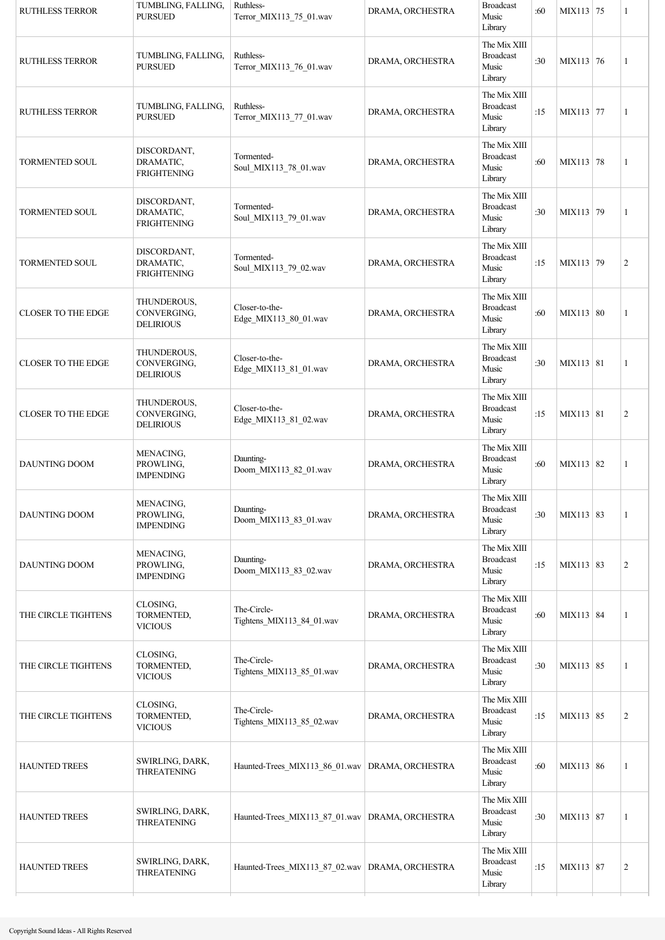| <b>RUTHLESS TERROR</b>    | TUMBLING, FALLING,<br><b>PURSUED</b>           | Ruthless-<br>Terror_MIX113_75_01.wav              | DRAMA, ORCHESTRA | <b>Broadcast</b><br>Music<br>Library                 | :60 | MIX113 75 | 1              |
|---------------------------|------------------------------------------------|---------------------------------------------------|------------------|------------------------------------------------------|-----|-----------|----------------|
| <b>RUTHLESS TERROR</b>    | TUMBLING, FALLING,<br><b>PURSUED</b>           | Ruthless-<br>Terror_MIX113_76_01.wav              | DRAMA, ORCHESTRA | The Mix XIII<br><b>Broadcast</b><br>Music<br>Library | :30 | MIX113 76 | $\mathbf{1}$   |
| <b>RUTHLESS TERROR</b>    | TUMBLING, FALLING,<br><b>PURSUED</b>           | Ruthless-<br>Terror_MIX113_77_01.wav              | DRAMA, ORCHESTRA | The Mix XIII<br><b>Broadcast</b><br>Music<br>Library | :15 | MIX113 77 | 1              |
| <b>TORMENTED SOUL</b>     | DISCORDANT,<br>DRAMATIC,<br><b>FRIGHTENING</b> | Tormented-<br>Soul_MIX113_78_01.wav               | DRAMA, ORCHESTRA | The Mix XIII<br><b>Broadcast</b><br>Music<br>Library | :60 | MIX113 78 | $\mathbf{1}$   |
| <b>TORMENTED SOUL</b>     | DISCORDANT,<br>DRAMATIC,<br><b>FRIGHTENING</b> | Tormented-<br>Soul_MIX113_79_01.wav               | DRAMA, ORCHESTRA | The Mix XIII<br><b>Broadcast</b><br>Music<br>Library | :30 | MIX113 79 | 1              |
| <b>TORMENTED SOUL</b>     | DISCORDANT,<br>DRAMATIC,<br><b>FRIGHTENING</b> | Tormented-<br>Soul_MIX113_79_02.wav               | DRAMA, ORCHESTRA | The Mix XIII<br><b>Broadcast</b><br>Music<br>Library | :15 | MIX113 79 | $\overline{2}$ |
| <b>CLOSER TO THE EDGE</b> | THUNDEROUS,<br>CONVERGING,<br><b>DELIRIOUS</b> | Closer-to-the-<br>Edge_MIX113_80_01.wav           | DRAMA, ORCHESTRA | The Mix XIII<br><b>Broadcast</b><br>Music<br>Library | :60 | MIX113 80 | $\mathbf{1}$   |
| <b>CLOSER TO THE EDGE</b> | THUNDEROUS,<br>CONVERGING,<br><b>DELIRIOUS</b> | Closer-to-the-<br>Edge_MIX113_81_01.wav           | DRAMA, ORCHESTRA | The Mix XIII<br><b>Broadcast</b><br>Music<br>Library | :30 | MIX113 81 | $\mathbf{1}$   |
| <b>CLOSER TO THE EDGE</b> | THUNDEROUS,<br>CONVERGING,<br><b>DELIRIOUS</b> | Closer-to-the-<br>Edge_MIX113_81_02.wav           | DRAMA, ORCHESTRA | The Mix XIII<br><b>Broadcast</b><br>Music<br>Library | :15 | MIX113 81 | $\sqrt{2}$     |
| <b>DAUNTING DOOM</b>      | MENACING,<br>PROWLING,<br><b>IMPENDING</b>     | Daunting-<br>Doom_MIX113_82_01.wav                | DRAMA, ORCHESTRA | The Mix XIII<br><b>Broadcast</b><br>Music<br>Library | :60 | MIX113 82 | 1              |
| DAUNTING DOOM             | MENACING,<br>PROWLING,<br><b>IMPENDING</b>     | Daunting-<br>Doom_MIX113_83_01.wav                | DRAMA, ORCHESTRA | The Mix XIII<br><b>Broadcast</b><br>Music<br>Library | :30 | MIX113 83 | 1              |
| DAUNTING DOOM             | MENACING,<br>PROWLING,<br><b>IMPENDING</b>     | Daunting-<br>Doom MIX113 83 02.wav                | DRAMA, ORCHESTRA | The Mix XIII<br><b>Broadcast</b><br>Music<br>Library | :15 | MIX113 83 | $\mathbf{2}$   |
| THE CIRCLE TIGHTENS       | CLOSING,<br>TORMENTED,<br><b>VICIOUS</b>       | The-Circle-<br>Tightens MIX113 84 01.wav          | DRAMA, ORCHESTRA | The Mix XIII<br><b>Broadcast</b><br>Music<br>Library | :60 | MIX113 84 | 1              |
| THE CIRCLE TIGHTENS       | CLOSING,<br>TORMENTED,<br><b>VICIOUS</b>       | The-Circle-<br>Tightens_MIX113_85_01.wav          | DRAMA, ORCHESTRA | The Mix XIII<br><b>Broadcast</b><br>Music<br>Library | :30 | MIX113 85 | 1              |
| THE CIRCLE TIGHTENS       | CLOSING,<br>TORMENTED,<br><b>VICIOUS</b>       | The-Circle-<br>Tightens_MIX113_85_02.wav          | DRAMA, ORCHESTRA | The Mix XIII<br><b>Broadcast</b><br>Music<br>Library | :15 | MIX113 85 | 2              |
| <b>HAUNTED TREES</b>      | SWIRLING, DARK,<br><b>THREATENING</b>          | Haunted-Trees_MIX113_86_01.wav   DRAMA, ORCHESTRA |                  | The Mix XIII<br><b>Broadcast</b><br>Music<br>Library | :60 | MIX113 86 | 1              |
| HAUNTED TREES             | SWIRLING, DARK,<br><b>THREATENING</b>          | Haunted-Trees_MIX113_87_01.wav   DRAMA, ORCHESTRA |                  | The Mix XIII<br><b>Broadcast</b><br>Music<br>Library | :30 | MIX113 87 | 1              |
| <b>HAUNTED TREES</b>      | SWIRLING, DARK,<br><b>THREATENING</b>          | Haunted-Trees_MIX113_87_02.wav   DRAMA, ORCHESTRA |                  | The Mix XIII<br><b>Broadcast</b><br>Music<br>Library | :15 | MIX113 87 | $\sqrt{2}$     |
|                           |                                                |                                                   |                  |                                                      |     |           |                |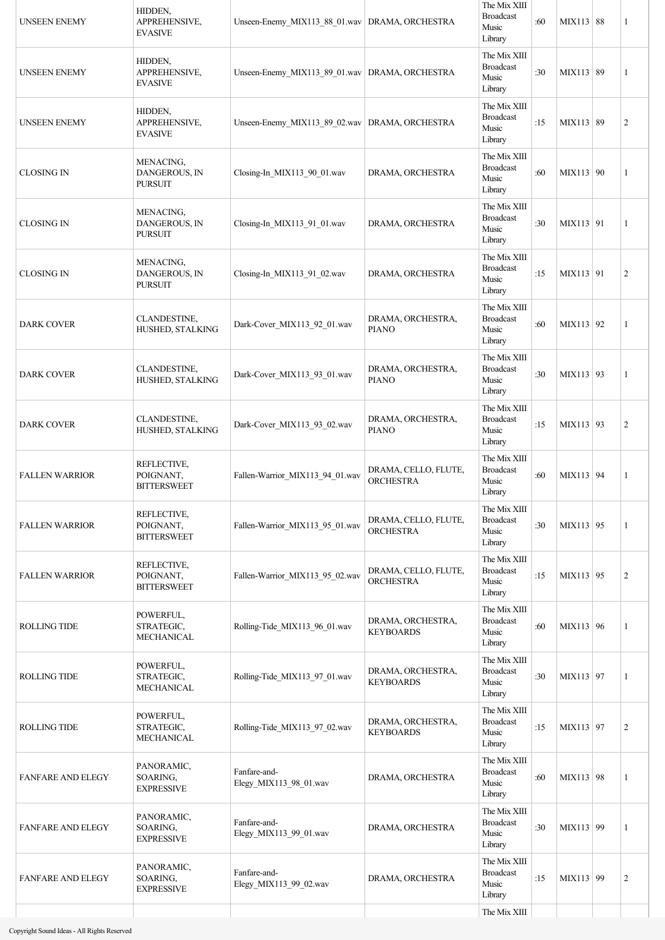| <b>UNSEEN ENEMY</b>      | HIDDEN,<br>APPREHENSIVE,<br><b>EVASIVE</b>     | Unseen-Enemy_MIX113_88_01.wav   DRAMA, ORCHESTRA |                                          | The Mix XIII<br><b>Broadcast</b><br>Music<br>Library | :60 | MIX113 88 | 1              |
|--------------------------|------------------------------------------------|--------------------------------------------------|------------------------------------------|------------------------------------------------------|-----|-----------|----------------|
| <b>UNSEEN ENEMY</b>      | HIDDEN,<br>APPREHENSIVE,<br><b>EVASIVE</b>     | Unseen-Enemy MIX113 89 01.wav DRAMA, ORCHESTRA   |                                          | The Mix XIII<br><b>Broadcast</b><br>Music<br>Library | :30 | MIX113 89 | 1              |
| <b>UNSEEN ENEMY</b>      | HIDDEN,<br>APPREHENSIVE,<br><b>EVASIVE</b>     | Unseen-Enemy_MIX113_89_02.wav   DRAMA, ORCHESTRA |                                          | The Mix XIII<br><b>Broadcast</b><br>Music<br>Library | :15 | MIX113 89 | $\overline{2}$ |
| <b>CLOSING IN</b>        | MENACING,<br>DANGEROUS, IN<br><b>PURSUIT</b>   | Closing-In_MIX113_90_01.wav                      | DRAMA, ORCHESTRA                         | The Mix XIII<br><b>Broadcast</b><br>Music<br>Library | :60 | MIX113 90 | 1              |
| <b>CLOSING IN</b>        | MENACING,<br>DANGEROUS, IN<br><b>PURSUIT</b>   | Closing-In MIX113 91 01.wav                      | DRAMA, ORCHESTRA                         | The Mix XIII<br><b>Broadcast</b><br>Music<br>Library | :30 | MIX113 91 | 1              |
| <b>CLOSING IN</b>        | MENACING,<br>DANGEROUS, IN<br><b>PURSUIT</b>   | Closing-In_MIX113_91_02.wav                      | DRAMA, ORCHESTRA                         | The Mix XIII<br><b>Broadcast</b><br>Music<br>Library | :15 | MIX113 91 | $\overline{2}$ |
| <b>DARK COVER</b>        | CLANDESTINE,<br>HUSHED, STALKING               | Dark-Cover_MIX113_92_01.wav                      | DRAMA, ORCHESTRA,<br><b>PIANO</b>        | The Mix XIII<br><b>Broadcast</b><br>Music<br>Library | :60 | MIX113 92 | 1              |
| <b>DARK COVER</b>        | CLANDESTINE,<br>HUSHED, STALKING               | Dark-Cover_MIX113_93_01.wav                      | DRAMA, ORCHESTRA,<br><b>PIANO</b>        | The Mix XIII<br><b>Broadcast</b><br>Music<br>Library | :30 | MIX113 93 | 1              |
| <b>DARK COVER</b>        | CLANDESTINE,<br>HUSHED, STALKING               | Dark-Cover_MIX113_93_02.wav                      | DRAMA, ORCHESTRA,<br><b>PIANO</b>        | The Mix XIII<br><b>Broadcast</b><br>Music<br>Library | :15 | MIX113 93 | $\overline{2}$ |
| <b>FALLEN WARRIOR</b>    | REFLECTIVE,<br>POIGNANT,<br><b>BITTERSWEET</b> | Fallen-Warrior_MIX113_94_01.wav                  | DRAMA, CELLO, FLUTE,<br><b>ORCHESTRA</b> | The Mix XIII<br><b>Broadcast</b><br>Music<br>Library | :60 | MIX113 94 | 1              |
| <b>FALLEN WARRIOR</b>    | REFLECTIVE,<br>POIGNANT,<br><b>BITTERSWEET</b> | Fallen-Warrior_MIX113_95_01.wav                  | DRAMA, CELLO, FLUTE,<br><b>ORCHESTRA</b> | The Mix XIII<br><b>Broadcast</b><br>Music<br>Library | :30 | MIX113 95 | $\mathbf{1}$   |
| <b>FALLEN WARRIOR</b>    | REFLECTIVE,<br>POIGNANT,<br><b>BITTERSWEET</b> | Fallen-Warrior_MIX113_95_02.wav                  | DRAMA, CELLO, FLUTE,<br><b>ORCHESTRA</b> | The Mix XIII<br><b>Broadcast</b><br>Music<br>Library | :15 | MIX113 95 | $\overline{2}$ |
| <b>ROLLING TIDE</b>      | POWERFUL,<br>STRATEGIC,<br>MECHANICAL          | Rolling-Tide_MIX113_96_01.wav                    | DRAMA, ORCHESTRA,<br><b>KEYBOARDS</b>    | The Mix XIII<br><b>Broadcast</b><br>Music<br>Library | :60 | MIX113 96 | 1              |
| <b>ROLLING TIDE</b>      | POWERFUL,<br>STRATEGIC,<br>MECHANICAL          | Rolling-Tide_MIX113_97_01.wav                    | DRAMA, ORCHESTRA,<br><b>KEYBOARDS</b>    | The Mix XIII<br><b>Broadcast</b><br>Music<br>Library | :30 | MIX113 97 | $\mathbf{1}$   |
| <b>ROLLING TIDE</b>      | POWERFUL,<br>STRATEGIC,<br>MECHANICAL          | Rolling-Tide_MIX113_97_02.wav                    | DRAMA, ORCHESTRA,<br><b>KEYBOARDS</b>    | The Mix XIII<br><b>Broadcast</b><br>Music<br>Library | :15 | MIX113 97 | $\overline{2}$ |
| <b>FANFARE AND ELEGY</b> | PANORAMIC,<br>SOARING,<br><b>EXPRESSIVE</b>    | Fanfare-and-<br>Elegy_MIX113_98_01.wav           | DRAMA, ORCHESTRA                         | The Mix XIII<br><b>Broadcast</b><br>Music<br>Library | :60 | MIX113 98 | 1              |
| <b>FANFARE AND ELEGY</b> | PANORAMIC,<br>SOARING,<br>EXPRESSIVE           | Fanfare-and-<br>Elegy_MIX113_99_01.wav           | DRAMA, ORCHESTRA                         | The Mix XIII<br><b>Broadcast</b><br>Music<br>Library | :30 | MIX113 99 | 1              |
| <b>FANFARE AND ELEGY</b> | PANORAMIC,<br>SOARING,<br><b>EXPRESSIVE</b>    | Fanfare-and-<br>Elegy_MIX113_99_02.wav           | DRAMA, ORCHESTRA                         | The Mix XIII<br><b>Broadcast</b><br>Music<br>Library | :15 | MIX113 99 | $\mathbf{2}$   |
|                          |                                                |                                                  |                                          | The Mix XIII                                         |     |           |                |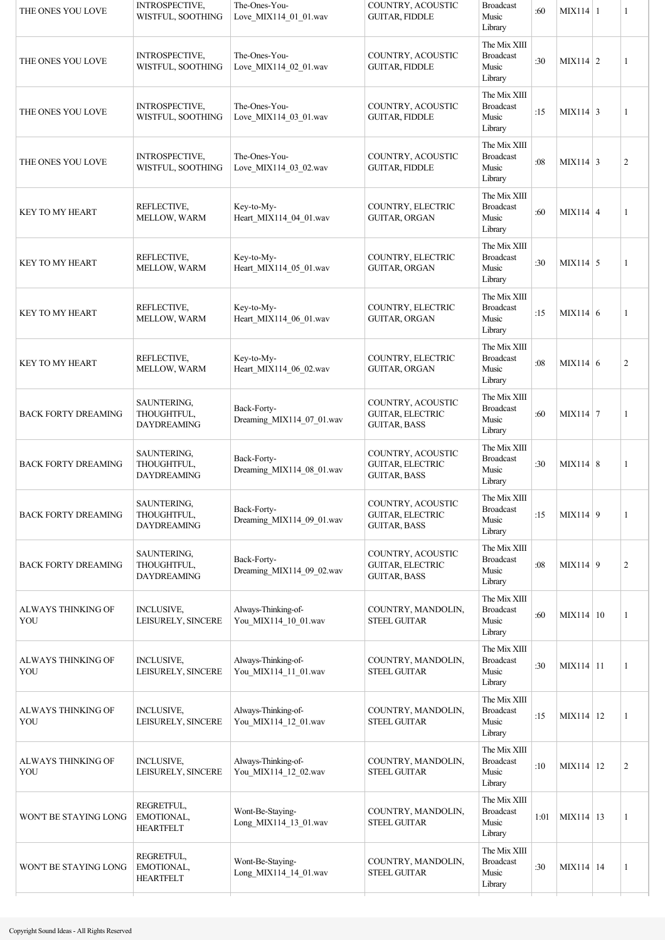| THE ONES YOU LOVE          | INTROSPECTIVE,<br>WISTFUL, SOOTHING              | The-Ones-You-<br>Love_MIX114_01_01.wav      | COUNTRY, ACOUSTIC<br><b>GUITAR, FIDDLE</b>                          | <b>Broadcast</b><br>Music<br>Library                 | :60  | $MIX114$ 1      | 1              |
|----------------------------|--------------------------------------------------|---------------------------------------------|---------------------------------------------------------------------|------------------------------------------------------|------|-----------------|----------------|
| THE ONES YOU LOVE          | INTROSPECTIVE,<br>WISTFUL, SOOTHING              | The-Ones-You-<br>Love MIX114 02 01.wav      | COUNTRY, ACOUSTIC<br><b>GUITAR, FIDDLE</b>                          | The Mix XIII<br><b>Broadcast</b><br>Music<br>Library | :30  | $MIX114$ 2      | 1              |
| THE ONES YOU LOVE          | <b>INTROSPECTIVE,</b><br>WISTFUL, SOOTHING       | The-Ones-You-<br>Love_MIX114_03_01.wav      | COUNTRY, ACOUSTIC<br><b>GUITAR, FIDDLE</b>                          | The Mix XIII<br><b>Broadcast</b><br>Music<br>Library | :15  | $MIX114$ 3      | 1              |
| THE ONES YOU LOVE          | INTROSPECTIVE,<br>WISTFUL, SOOTHING              | The-Ones-You-<br>Love MIX114 03 02.wav      | COUNTRY, ACOUSTIC<br><b>GUITAR, FIDDLE</b>                          | The Mix XIII<br><b>Broadcast</b><br>Music<br>Library | :08  | $MIX114 \mid 3$ | $\overline{c}$ |
| <b>KEY TO MY HEART</b>     | REFLECTIVE,<br>MELLOW, WARM                      | Key-to-My-<br>Heart_MIX114_04_01.wav        | COUNTRY, ELECTRIC<br><b>GUITAR, ORGAN</b>                           | The Mix XIII<br><b>Broadcast</b><br>Music<br>Library | :60  | $MIX114 \mid 4$ | 1              |
| <b>KEY TO MY HEART</b>     | REFLECTIVE,<br>MELLOW, WARM                      | Key-to-My-<br>Heart MIX114 05 01.wav        | COUNTRY, ELECTRIC<br><b>GUITAR, ORGAN</b>                           | The Mix XIII<br><b>Broadcast</b><br>Music<br>Library | :30  | $MIX114$ 5      | 1              |
| KEY TO MY HEART            | REFLECTIVE,<br>MELLOW, WARM                      | Key-to-My-<br>Heart MIX114 06 01.wav        | COUNTRY, ELECTRIC<br>GUITAR, ORGAN                                  | The Mix XIII<br><b>Broadcast</b><br>Music<br>Library | :15  | MIX114 6        | 1              |
| <b>KEY TO MY HEART</b>     | REFLECTIVE,<br>MELLOW, WARM                      | Key-to-My-<br>Heart_MIX114_06_02.wav        | COUNTRY, ELECTRIC<br>GUITAR, ORGAN                                  | The Mix XIII<br><b>Broadcast</b><br>Music<br>Library | :08  | MIX114 6        | $\overline{c}$ |
| <b>BACK FORTY DREAMING</b> | SAUNTERING,<br>THOUGHTFUL,<br><b>DAYDREAMING</b> | Back-Forty-<br>Dreaming_MIX114_07_01.wav    | COUNTRY, ACOUSTIC<br><b>GUITAR, ELECTRIC</b><br><b>GUITAR, BASS</b> | The Mix XIII<br><b>Broadcast</b><br>Music<br>Library | :60  | $MIX114$ 7      | 1              |
| <b>BACK FORTY DREAMING</b> | SAUNTERING,<br>THOUGHTFUL,<br>DAYDREAMING        | Back-Forty-<br>Dreaming MIX114 08 01.wav    | COUNTRY, ACOUSTIC<br><b>GUITAR, ELECTRIC</b><br><b>GUITAR, BASS</b> | The Mix XIII<br><b>Broadcast</b><br>Music<br>Library | :30  | $MIX114$ 8      | 1              |
| <b>BACK FORTY DREAMING</b> | SAUNTERING,<br>THOUGHTFUL,<br><b>DAYDREAMING</b> | Back-Forty-<br>Dreaming_MIX114_09_01.wav    | COUNTRY, ACOUSTIC<br>GUITAR, ELECTRIC<br><b>GUITAR, BASS</b>        | The Mix XIII<br><b>Broadcast</b><br>Music<br>Library | :15  | $MIX114$ 9      | 1              |
| <b>BACK FORTY DREAMING</b> | SAUNTERING,<br>THOUGHTFUL,<br><b>DAYDREAMING</b> | Back-Forty-<br>Dreaming_MIX114_09_02.wav    | COUNTRY, ACOUSTIC<br>GUITAR, ELECTRIC<br><b>GUITAR, BASS</b>        | The Mix XIII<br><b>Broadcast</b><br>Music<br>Library | :08  | $MIX114$ 9      | $\overline{2}$ |
| ALWAYS THINKING OF<br>YOU  | <b>INCLUSIVE,</b><br>LEISURELY, SINCERE          | Always-Thinking-of-<br>You MIX114 10 01.wav | COUNTRY, MANDOLIN,<br><b>STEEL GUITAR</b>                           | The Mix XIII<br><b>Broadcast</b><br>Music<br>Library | :60  | MIX114 10       | 1              |
| ALWAYS THINKING OF<br>YOU  | <b>INCLUSIVE,</b><br>LEISURELY, SINCERE          | Always-Thinking-of-<br>You_MIX114_11_01.wav | COUNTRY, MANDOLIN,<br><b>STEEL GUITAR</b>                           | The Mix XIII<br><b>Broadcast</b><br>Music<br>Library | :30  | MIX114 11       | 1              |
| ALWAYS THINKING OF<br>YOU  | <b>INCLUSIVE,</b><br>LEISURELY, SINCERE          | Always-Thinking-of-<br>You_MIX114_12_01.wav | COUNTRY, MANDOLIN,<br><b>STEEL GUITAR</b>                           | The Mix XIII<br><b>Broadcast</b><br>Music<br>Library | :15  | MIX114 12       | 1              |
| ALWAYS THINKING OF<br>YOU  | <b>INCLUSIVE,</b><br>LEISURELY, SINCERE          | Always-Thinking-of-<br>You_MIX114_12_02.wav | COUNTRY, MANDOLIN,<br><b>STEEL GUITAR</b>                           | The Mix XIII<br><b>Broadcast</b><br>Music<br>Library | :10  | MIX114   12     | $\overline{c}$ |
| WON'T BE STAYING LONG      | REGRETFUL,<br>EMOTIONAL,<br><b>HEARTFELT</b>     | Wont-Be-Staying-<br>Long_MIX114_13_01.wav   | COUNTRY, MANDOLIN,<br><b>STEEL GUITAR</b>                           | The Mix XIII<br><b>Broadcast</b><br>Music<br>Library | 1:01 | MIX114 13       | $\mathbf{1}$   |
| WON'T BE STAYING LONG      | REGRETFUL,<br>EMOTIONAL,<br><b>HEARTFELT</b>     | Wont-Be-Staying-<br>Long MIX114 14 01.wav   | COUNTRY, MANDOLIN,<br><b>STEEL GUITAR</b>                           | The Mix XIII<br><b>Broadcast</b><br>Music<br>Library | :30  | MIX114 14       | $\mathbf{1}$   |
|                            |                                                  |                                             |                                                                     |                                                      |      |                 |                |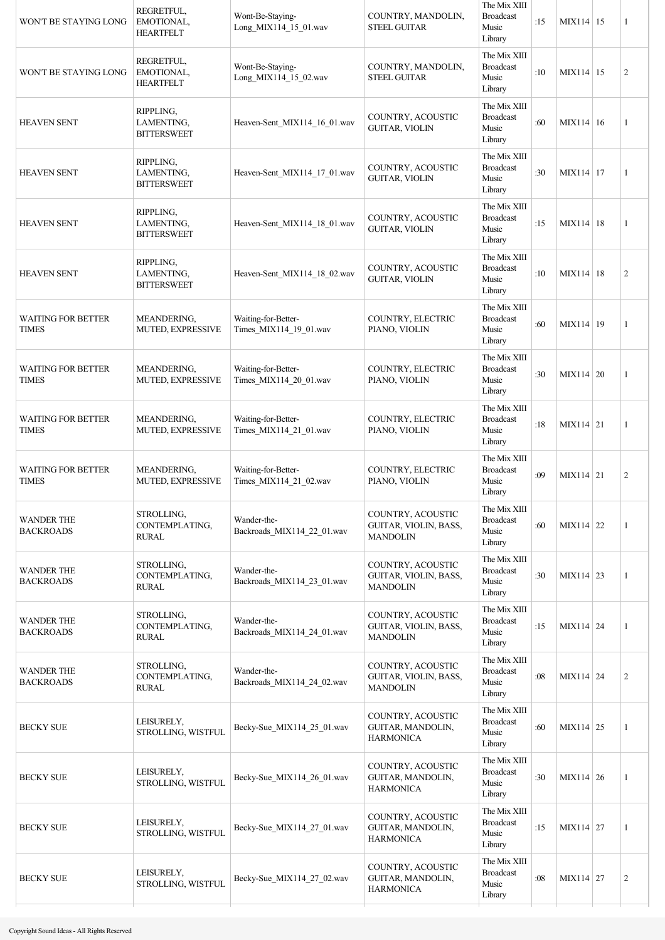| WON'T BE STAYING LONG                     | REGRETFUL,<br>EMOTIONAL,<br><b>HEARTFELT</b>  | Wont-Be-Staying-<br>Long_MIX114_15_01.wav     | COUNTRY, MANDOLIN,<br><b>STEEL GUITAR</b>                     | The Mix XIII<br><b>Broadcast</b><br>Music<br>Library | :15 | MIX114   15      | 1              |
|-------------------------------------------|-----------------------------------------------|-----------------------------------------------|---------------------------------------------------------------|------------------------------------------------------|-----|------------------|----------------|
| WON'T BE STAYING LONG                     | REGRETFUL,<br>EMOTIONAL,<br><b>HEARTFELT</b>  | Wont-Be-Staying-<br>Long MIX114 15 02.wav     | COUNTRY, MANDOLIN,<br><b>STEEL GUITAR</b>                     | The Mix XIII<br><b>Broadcast</b><br>Music<br>Library | :10 | MIX114   15      | $\overline{c}$ |
| <b>HEAVEN SENT</b>                        | RIPPLING,<br>LAMENTING,<br><b>BITTERSWEET</b> | Heaven-Sent_MIX114_16_01.wav                  | COUNTRY, ACOUSTIC<br><b>GUITAR, VIOLIN</b>                    | The Mix XIII<br><b>Broadcast</b><br>Music<br>Library | :60 | MIX114 16        | 1              |
| <b>HEAVEN SENT</b>                        | RIPPLING,<br>LAMENTING,<br><b>BITTERSWEET</b> | Heaven-Sent_MIX114_17_01.wav                  | COUNTRY, ACOUSTIC<br><b>GUITAR, VIOLIN</b>                    | The Mix XIII<br><b>Broadcast</b><br>Music<br>Library | :30 | MIX114   17      | 1              |
| <b>HEAVEN SENT</b>                        | RIPPLING,<br>LAMENTING,<br><b>BITTERSWEET</b> | Heaven-Sent_MIX114_18_01.wav                  | COUNTRY, ACOUSTIC<br><b>GUITAR, VIOLIN</b>                    | The Mix XIII<br><b>Broadcast</b><br>Music<br>Library | :15 | $MIX114$ 18      | 1              |
| <b>HEAVEN SENT</b>                        | RIPPLING,<br>LAMENTING,<br><b>BITTERSWEET</b> | Heaven-Sent_MIX114_18_02.wav                  | COUNTRY, ACOUSTIC<br><b>GUITAR, VIOLIN</b>                    | The Mix XIII<br><b>Broadcast</b><br>Music<br>Library | :10 | $MIX114$   18    | $\overline{c}$ |
| WAITING FOR BETTER<br><b>TIMES</b>        | MEANDERING,<br>MUTED, EXPRESSIVE              | Waiting-for-Better-<br>Times_MIX114_19_01.wav | COUNTRY, ELECTRIC<br>PIANO, VIOLIN                            | The Mix XIII<br><b>Broadcast</b><br>Music<br>Library | :60 | MIX114   19      | 1              |
| <b>WAITING FOR BETTER</b><br><b>TIMES</b> | MEANDERING,<br>MUTED, EXPRESSIVE              | Waiting-for-Better-<br>Times_MIX114_20_01.wav | COUNTRY, ELECTRIC<br>PIANO, VIOLIN                            | The Mix XIII<br><b>Broadcast</b><br>Music<br>Library | :30 | MIX114 20        | 1              |
| <b>WAITING FOR BETTER</b><br><b>TIMES</b> | MEANDERING,<br>MUTED, EXPRESSIVE              | Waiting-for-Better-<br>Times_MIX114_21_01.wav | COUNTRY, ELECTRIC<br>PIANO, VIOLIN                            | The Mix XIII<br><b>Broadcast</b><br>Music<br>Library | :18 | MIX114 21        | 1              |
| <b>WAITING FOR BETTER</b><br><b>TIMES</b> | MEANDERING,<br>MUTED, EXPRESSIVE              | Waiting-for-Better-<br>Times_MIX114_21_02.wav | COUNTRY, ELECTRIC<br>PIANO, VIOLIN                            | The Mix XIII<br><b>Broadcast</b><br>Music<br>Library | :09 | $MIX114 \mid 21$ | $\overline{c}$ |
| <b>WANDER THE</b><br><b>BACKROADS</b>     | STROLLING,<br>CONTEMPLATING,<br><b>RURAL</b>  | Wander-the-<br>Backroads_MIX114_22_01.wav     | COUNTRY, ACOUSTIC<br>GUITAR, VIOLIN, BASS,<br><b>MANDOLIN</b> | The Mix XIII<br><b>Broadcast</b><br>Music<br>Library | :60 | MIX114 22        | 1              |
| <b>WANDER THE</b><br><b>BACKROADS</b>     | STROLLING,<br>CONTEMPLATING,<br><b>RURAL</b>  | Wander-the-<br>Backroads MIX114 23 01.wav     | COUNTRY, ACOUSTIC<br>GUITAR, VIOLIN, BASS,<br><b>MANDOLIN</b> | The Mix XIII<br><b>Broadcast</b><br>Music<br>Library | :30 | MIX114 23        | 1              |
| WANDER THE<br><b>BACKROADS</b>            | STROLLING,<br>CONTEMPLATING,<br><b>RURAL</b>  | Wander-the-<br>Backroads_MIX114_24_01.wav     | COUNTRY, ACOUSTIC<br>GUITAR, VIOLIN, BASS,<br><b>MANDOLIN</b> | The Mix XIII<br><b>Broadcast</b><br>Music<br>Library | :15 | MIX114 24        | 1              |
| <b>WANDER THE</b><br><b>BACKROADS</b>     | STROLLING,<br>CONTEMPLATING,<br><b>RURAL</b>  | Wander-the-<br>Backroads_MIX114_24_02.wav     | COUNTRY, ACOUSTIC<br>GUITAR, VIOLIN, BASS,<br><b>MANDOLIN</b> | The Mix XIII<br><b>Broadcast</b><br>Music<br>Library | :08 | MIX114 24        | $\overline{2}$ |
| <b>BECKY SUE</b>                          | LEISURELY,<br>STROLLING, WISTFUL              | Becky-Sue_MIX114_25_01.wav                    | COUNTRY, ACOUSTIC<br>GUITAR, MANDOLIN,<br><b>HARMONICA</b>    | The Mix XIII<br><b>Broadcast</b><br>Music<br>Library | :60 | MIX114 25        | 1              |
| <b>BECKY SUE</b>                          | LEISURELY,<br>STROLLING, WISTFUL              | Becky-Sue MIX114 26 01.wav                    | COUNTRY, ACOUSTIC<br>GUITAR, MANDOLIN,<br><b>HARMONICA</b>    | The Mix XIII<br><b>Broadcast</b><br>Music<br>Library | :30 | MIX114 26        | 1              |
| <b>BECKY SUE</b>                          | LEISURELY,<br>STROLLING, WISTFUL              | Becky-Sue_MIX114_27_01.wav                    | COUNTRY, ACOUSTIC<br>GUITAR, MANDOLIN,<br><b>HARMONICA</b>    | The Mix XIII<br><b>Broadcast</b><br>Music<br>Library | :15 | MIX114 27        | 1              |
| <b>BECKY SUE</b>                          | LEISURELY,<br>STROLLING, WISTFUL              | Becky-Sue MIX114 27 02.wav                    | COUNTRY, ACOUSTIC<br>GUITAR, MANDOLIN,<br><b>HARMONICA</b>    | The Mix XIII<br><b>Broadcast</b><br>Music<br>Library | :08 | MIX114 27        | $\overline{c}$ |
|                                           |                                               |                                               |                                                               |                                                      |     |                  |                |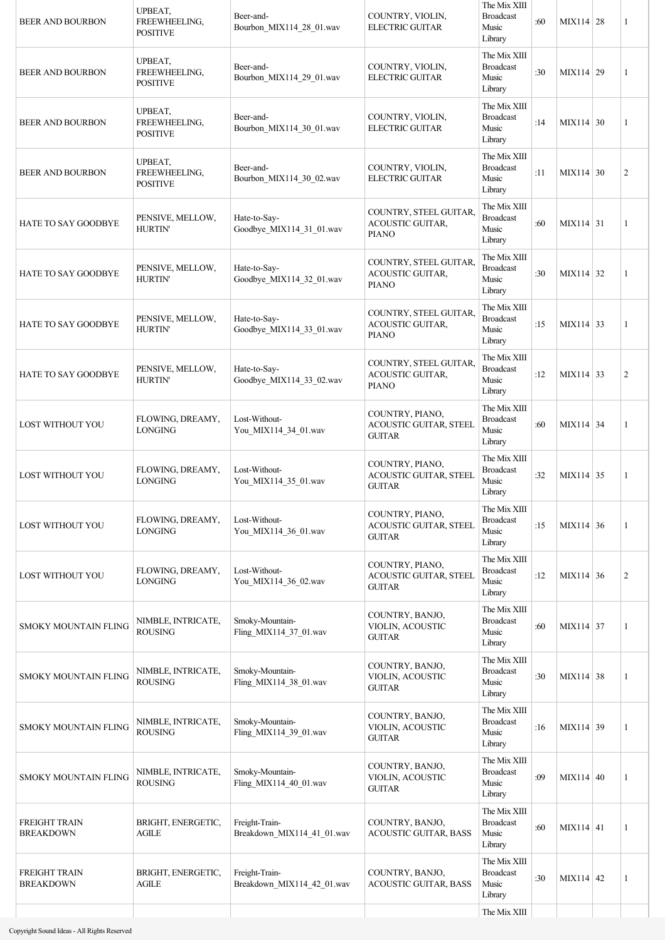| <b>BEER AND BOURBON</b>                  | UPBEAT,<br>FREEWHEELING,<br><b>POSITIVE</b> | Beer-and-<br>Bourbon_MIX114_28_01.wav        | COUNTRY, VIOLIN,<br><b>ELECTRIC GUITAR</b>                        | The Mix XIII<br><b>Broadcast</b><br>Music<br>Library | :60 | $MIX114$ 28      | 1              |
|------------------------------------------|---------------------------------------------|----------------------------------------------|-------------------------------------------------------------------|------------------------------------------------------|-----|------------------|----------------|
| <b>BEER AND BOURBON</b>                  | UPBEAT,<br>FREEWHEELING,<br><b>POSITIVE</b> | Beer-and-<br>Bourbon MIX114 29 01.wav        | COUNTRY, VIOLIN,<br>ELECTRIC GUITAR                               | The Mix XIII<br><b>Broadcast</b><br>Music<br>Library | :30 | MIX114 29        | 1              |
| BEER AND BOURBON                         | UPBEAT,<br>FREEWHEELING,<br><b>POSITIVE</b> | Beer-and-<br>Bourbon_MIX114_30_01.wav        | COUNTRY, VIOLIN,<br><b>ELECTRIC GUITAR</b>                        | The Mix XIII<br><b>Broadcast</b><br>Music<br>Library | :14 | $MIX114 \mid 30$ | 1              |
| <b>BEER AND BOURBON</b>                  | UPBEAT,<br>FREEWHEELING,<br><b>POSITIVE</b> | Beer-and-<br>Bourbon_MIX114_30_02.wav        | COUNTRY, VIOLIN,<br><b>ELECTRIC GUITAR</b>                        | The Mix XIII<br><b>Broadcast</b><br>Music<br>Library | :11 | MIX114 30        | $\overline{c}$ |
| <b>HATE TO SAY GOODBYE</b>               | PENSIVE, MELLOW,<br><b>HURTIN'</b>          | Hate-to-Say-<br>Goodbye MIX114 31 01.wav     | COUNTRY, STEEL GUITAR,<br>ACOUSTIC GUITAR,<br><b>PIANO</b>        | The Mix XIII<br><b>Broadcast</b><br>Music<br>Library | :60 | MIX114 31        | 1              |
| HATE TO SAY GOODBYE                      | PENSIVE, MELLOW,<br><b>HURTIN'</b>          | Hate-to-Say-<br>Goodbye_MIX114_32_01.wav     | COUNTRY, STEEL GUITAR,<br><b>ACOUSTIC GUITAR,</b><br><b>PIANO</b> | The Mix XIII<br><b>Broadcast</b><br>Music<br>Library | :30 | MIX114 32        | 1              |
| <b>HATE TO SAY GOODBYE</b>               | PENSIVE, MELLOW,<br><b>HURTIN'</b>          | Hate-to-Say-<br>Goodbye_MIX114_33_01.wav     | COUNTRY, STEEL GUITAR,<br>ACOUSTIC GUITAR,<br><b>PIANO</b>        | The Mix XIII<br><b>Broadcast</b><br>Music<br>Library | :15 | MIX114 33        | 1              |
| <b>HATE TO SAY GOODBYE</b>               | PENSIVE, MELLOW,<br><b>HURTIN'</b>          | Hate-to-Say-<br>Goodbye_MIX114_33_02.wav     | COUNTRY, STEEL GUITAR,<br>ACOUSTIC GUITAR,<br><b>PIANO</b>        | The Mix XIII<br><b>Broadcast</b><br>Music<br>Library | :12 | MIX114 33        | $\overline{2}$ |
| LOST WITHOUT YOU                         | FLOWING, DREAMY,<br><b>LONGING</b>          | Lost-Without-<br>You MIX114 34 01.wav        | COUNTRY, PIANO,<br>ACOUSTIC GUITAR, STEEL<br><b>GUITAR</b>        | The Mix XIII<br><b>Broadcast</b><br>Music<br>Library | :60 | MIX114 34        | 1              |
| LOST WITHOUT YOU                         | FLOWING, DREAMY,<br><b>LONGING</b>          | Lost-Without-<br>You_MIX114_35_01.wav        | COUNTRY, PIANO,<br><b>ACOUSTIC GUITAR, STEEL</b><br><b>GUITAR</b> | The Mix XIII<br><b>Broadcast</b><br>Music<br>Library | :32 | MIX114 35        | 1              |
| LOST WITHOUT YOU                         | FLOWING, DREAMY,<br><b>LONGING</b>          | Lost-Without-<br>You_MIX114_36_01.wav        | COUNTRY, PIANO,<br>ACOUSTIC GUITAR, STEEL<br><b>GUITAR</b>        | The Mix XIII<br><b>Broadcast</b><br>Music<br>Library | :15 | $MIX114 \mid 36$ | 1              |
| LOST WITHOUT YOU                         | FLOWING, DREAMY,<br><b>LONGING</b>          | Lost-Without-<br>You_MIX114_36_02.wav        | COUNTRY, PIANO,<br>ACOUSTIC GUITAR, STEEL<br><b>GUITAR</b>        | The Mix XIII<br><b>Broadcast</b><br>Music<br>Library | :12 | MIX114 36        | $\overline{c}$ |
| <b>SMOKY MOUNTAIN FLING</b>              | NIMBLE, INTRICATE,<br><b>ROUSING</b>        | Smoky-Mountain-<br>Fling_MIX114_37_01.wav    | COUNTRY, BANJO,<br>VIOLIN, ACOUSTIC<br><b>GUITAR</b>              | The Mix XIII<br><b>Broadcast</b><br>Music<br>Library | :60 | MIX114 37        | 1              |
| <b>SMOKY MOUNTAIN FLING</b>              | NIMBLE, INTRICATE,<br><b>ROUSING</b>        | Smoky-Mountain-<br>Fling_MIX114_38_01.wav    | COUNTRY, BANJO,<br>VIOLIN, ACOUSTIC<br><b>GUITAR</b>              | The Mix XIII<br><b>Broadcast</b><br>Music<br>Library | :30 | MIX114 38        | 1              |
| <b>SMOKY MOUNTAIN FLING</b>              | NIMBLE, INTRICATE,<br><b>ROUSING</b>        | Smoky-Mountain-<br>Fling_MIX114_39_01.wav    | COUNTRY, BANJO,<br>VIOLIN, ACOUSTIC<br><b>GUITAR</b>              | The Mix XIII<br><b>Broadcast</b><br>Music<br>Library | :16 | MIX114 39        | 1              |
| <b>SMOKY MOUNTAIN FLING</b>              | NIMBLE, INTRICATE,<br><b>ROUSING</b>        | Smoky-Mountain-<br>Fling_MIX114_40_01.wav    | COUNTRY, BANJO,<br>VIOLIN, ACOUSTIC<br><b>GUITAR</b>              | The Mix XIII<br><b>Broadcast</b><br>Music<br>Library | :09 | $MIX114 \mid 40$ | 1              |
| <b>FREIGHT TRAIN</b><br><b>BREAKDOWN</b> | BRIGHT, ENERGETIC,<br>AGILE                 | Freight-Train-<br>Breakdown_MIX114_41_01.wav | COUNTRY, BANJO,<br>ACOUSTIC GUITAR, BASS                          | The Mix XIII<br><b>Broadcast</b><br>Music<br>Library | :60 | $MIX114 \mid 41$ | 1              |
| <b>FREIGHT TRAIN</b><br><b>BREAKDOWN</b> | BRIGHT, ENERGETIC,<br><b>AGILE</b>          | Freight-Train-<br>Breakdown MIX114 42 01.wav | COUNTRY, BANJO,<br><b>ACOUSTIC GUITAR, BASS</b>                   | The Mix XIII<br><b>Broadcast</b><br>Music<br>Library | :30 | $MIX114$ 42      | 1              |
|                                          |                                             |                                              |                                                                   | The Mix XIII                                         |     |                  |                |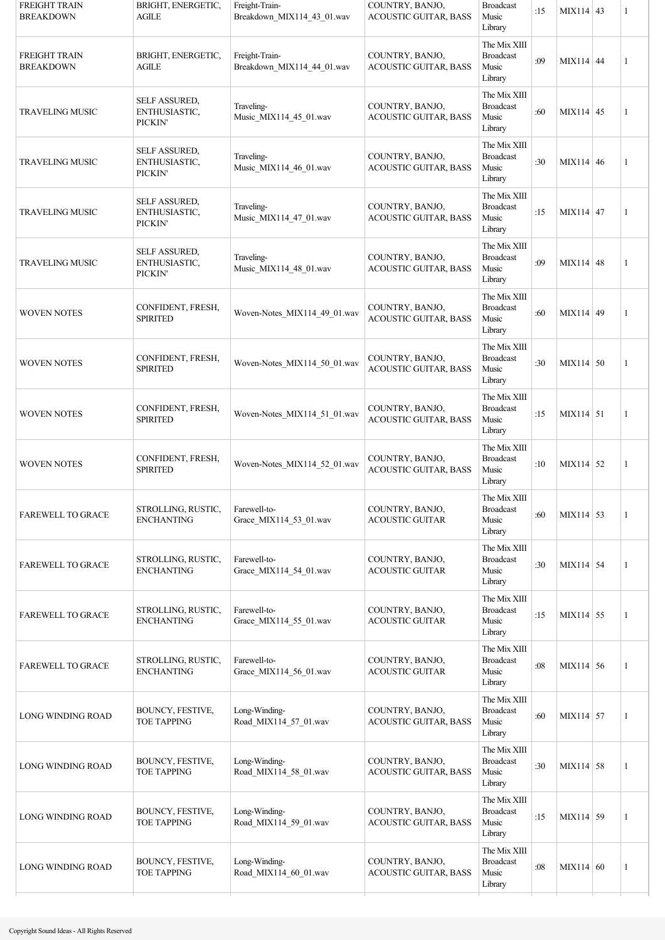| <b>FREIGHT TRAIN</b><br><b>BREAKDOWN</b> | BRIGHT, ENERGETIC,<br>AGILE               | Freight-Train-<br>Breakdown_MIX114_43_01.wav | COUNTRY, BANJO,<br><b>ACOUSTIC GUITAR, BASS</b> | <b>Broadcast</b><br>Music<br>Library                 | :15 | MIX114 43   | $\mathbf{1}$ |
|------------------------------------------|-------------------------------------------|----------------------------------------------|-------------------------------------------------|------------------------------------------------------|-----|-------------|--------------|
| <b>FREIGHT TRAIN</b><br><b>BREAKDOWN</b> | BRIGHT, ENERGETIC,<br>AGILE               | Freight-Train-<br>Breakdown_MIX114_44_01.wav | COUNTRY, BANJO,<br><b>ACOUSTIC GUITAR, BASS</b> | The Mix XIII<br><b>Broadcast</b><br>Music<br>Library | :09 | $MIX114$ 44 | $\mathbf{1}$ |
| TRAVELING MUSIC                          | SELF ASSURED,<br>ENTHUSIASTIC,<br>PICKIN' | Traveling-<br>Music_MIX114_45_01.wav         | COUNTRY, BANJO,<br>ACOUSTIC GUITAR, BASS        | The Mix XIII<br><b>Broadcast</b><br>Music<br>Library | :60 | MIX114 45   | $\mathbf{1}$ |
| TRAVELING MUSIC                          | SELF ASSURED,<br>ENTHUSIASTIC,<br>PICKIN' | Traveling-<br>Music_MIX114_46_01.wav         | COUNTRY, BANJO,<br><b>ACOUSTIC GUITAR, BASS</b> | The Mix XIII<br><b>Broadcast</b><br>Music<br>Library | :30 | $MIX114$ 46 | $\mathbf{1}$ |
| <b>TRAVELING MUSIC</b>                   | SELF ASSURED,<br>ENTHUSIASTIC,<br>PICKIN' | Traveling-<br>Music_MIX114_47_01.wav         | COUNTRY, BANJO,<br><b>ACOUSTIC GUITAR, BASS</b> | The Mix XIII<br><b>Broadcast</b><br>Music<br>Library | :15 | MIX114 47   | $\mathbf{1}$ |
| <b>TRAVELING MUSIC</b>                   | SELF ASSURED,<br>ENTHUSIASTIC,<br>PICKIN' | Traveling-<br>Music_MIX114_48_01.wav         | COUNTRY, BANJO,<br><b>ACOUSTIC GUITAR, BASS</b> | The Mix XIII<br><b>Broadcast</b><br>Music<br>Library | :09 | $MIX114$ 48 | $\mathbf{1}$ |
| <b>WOVEN NOTES</b>                       | CONFIDENT, FRESH,<br><b>SPIRITED</b>      | Woven-Notes_MIX114_49_01.wav                 | COUNTRY, BANJO,<br><b>ACOUSTIC GUITAR, BASS</b> | The Mix XIII<br><b>Broadcast</b><br>Music<br>Library | :60 | MIX114 49   | 1            |
| <b>WOVEN NOTES</b>                       | CONFIDENT, FRESH,<br><b>SPIRITED</b>      | Woven-Notes_MIX114_50_01.wav                 | COUNTRY, BANJO,<br><b>ACOUSTIC GUITAR, BASS</b> | The Mix XIII<br><b>Broadcast</b><br>Music<br>Library | :30 | $MIX114$ 50 | $\mathbf{1}$ |
| <b>WOVEN NOTES</b>                       | CONFIDENT, FRESH,<br><b>SPIRITED</b>      | Woven-Notes MIX114 51 01.wav                 | COUNTRY, BANJO,<br><b>ACOUSTIC GUITAR, BASS</b> | The Mix XIII<br><b>Broadcast</b><br>Music<br>Library | :15 | $MIX114$ 51 | $\mathbf{1}$ |
| <b>WOVEN NOTES</b>                       | CONFIDENT, FRESH,<br><b>SPIRITED</b>      | Woven-Notes_MIX114_52_01.wav                 | COUNTRY, BANJO,<br><b>ACOUSTIC GUITAR, BASS</b> | The Mix XIII<br><b>Broadcast</b><br>Music<br>Library | :10 | $MIX114$ 52 | 1            |
| <b>FAREWELL TO GRACE</b>                 | STROLLING, RUSTIC,<br><b>ENCHANTING</b>   | Farewell-to-<br>Grace_MIX114_53_01.wav       | COUNTRY, BANJO,<br><b>ACOUSTIC GUITAR</b>       | The Mix XIII<br><b>Broadcast</b><br>Music<br>Library | :60 | MIX114 53   | 1            |
| <b>FAREWELL TO GRACE</b>                 | STROLLING, RUSTIC,<br><b>ENCHANTING</b>   | Farewell-to-<br>Grace_MIX114_54_01.wav       | COUNTRY, BANJO,<br><b>ACOUSTIC GUITAR</b>       | The Mix XIII<br><b>Broadcast</b><br>Music<br>Library | :30 | $MIX114$ 54 | $\mathbf{1}$ |
| <b>FAREWELL TO GRACE</b>                 | STROLLING, RUSTIC,<br><b>ENCHANTING</b>   | Farewell-to-<br>Grace_MIX114_55_01.wav       | COUNTRY, BANJO,<br><b>ACOUSTIC GUITAR</b>       | The Mix XIII<br><b>Broadcast</b><br>Music<br>Library | :15 | MIX114 55   | 1            |
| <b>FAREWELL TO GRACE</b>                 | STROLLING, RUSTIC,<br><b>ENCHANTING</b>   | Farewell-to-<br>Grace MIX114 56 01.wav       | COUNTRY, BANJO,<br><b>ACOUSTIC GUITAR</b>       | The Mix XIII<br><b>Broadcast</b><br>Music<br>Library | :08 | MIX114 56   | 1            |
| <b>LONG WINDING ROAD</b>                 | BOUNCY, FESTIVE,<br>TOE TAPPING           | Long-Winding-<br>Road_MIX114_57_01.wav       | COUNTRY, BANJO,<br><b>ACOUSTIC GUITAR, BASS</b> | The Mix XIII<br><b>Broadcast</b><br>Music<br>Library | :60 | MIX114 57   | 1            |
| LONG WINDING ROAD                        | BOUNCY, FESTIVE,<br>TOE TAPPING           | Long-Winding-<br>Road_MIX114_58_01.wav       | COUNTRY, BANJO,<br><b>ACOUSTIC GUITAR, BASS</b> | The Mix XIII<br><b>Broadcast</b><br>Music<br>Library | :30 | $MIX114$ 58 | 1            |
| LONG WINDING ROAD                        | BOUNCY, FESTIVE,<br><b>TOE TAPPING</b>    | Long-Winding-<br>Road_MIX114_59_01.wav       | COUNTRY, BANJO,<br>ACOUSTIC GUITAR, BASS        | The Mix XIII<br><b>Broadcast</b><br>Music<br>Library | :15 | MIX114 59   | 1            |
| LONG WINDING ROAD                        | BOUNCY, FESTIVE,<br><b>TOE TAPPING</b>    | Long-Winding-<br>Road_MIX114_60_01.wav       | COUNTRY, BANJO,<br><b>ACOUSTIC GUITAR, BASS</b> | The Mix XIII<br><b>Broadcast</b><br>Music<br>Library | :08 | MIX114 60   | 1            |
|                                          |                                           |                                              |                                                 |                                                      |     |             |              |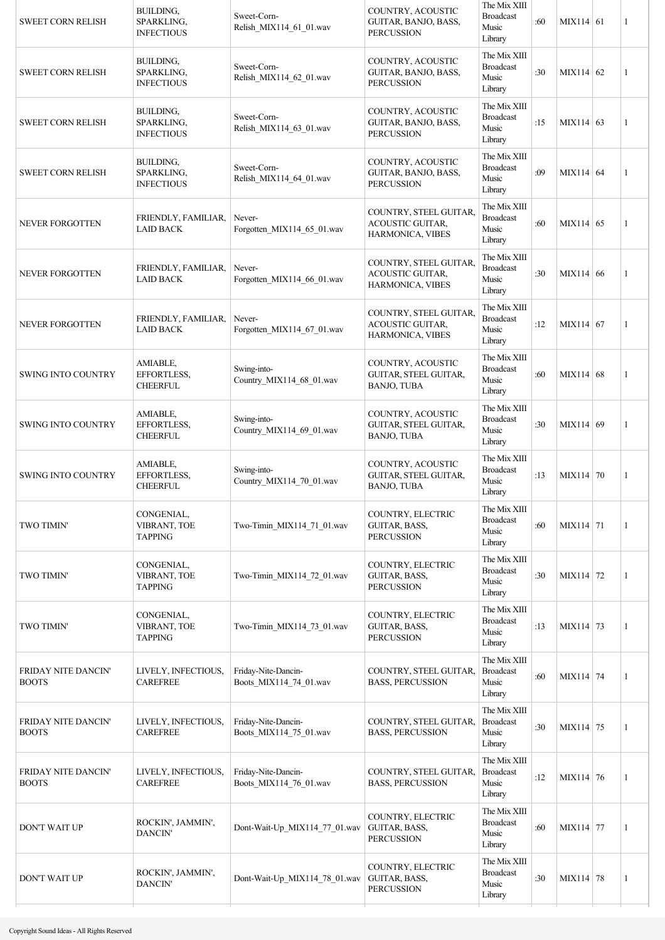| <b>SWEET CORN RELISH</b>                   | BUILDING,<br>SPARKLING,<br><b>INFECTIOUS</b> | Sweet-Corn-<br>Relish_MIX114_61_01.wav        | COUNTRY, ACOUSTIC<br>GUITAR, BANJO, BASS,<br><b>PERCUSSION</b>        | The Mix XIII<br><b>Broadcast</b><br>Music<br>Library | :60 | MIX114 61         | 1 |
|--------------------------------------------|----------------------------------------------|-----------------------------------------------|-----------------------------------------------------------------------|------------------------------------------------------|-----|-------------------|---|
| <b>SWEET CORN RELISH</b>                   | BUILDING,<br>SPARKLING,<br><b>INFECTIOUS</b> | Sweet-Corn-<br>Relish_MIX114_62_01.wav        | COUNTRY, ACOUSTIC<br>GUITAR, BANJO, BASS,<br><b>PERCUSSION</b>        | The Mix XIII<br><b>Broadcast</b><br>Music<br>Library | :30 | $MIX114$ 62       | 1 |
| <b>SWEET CORN RELISH</b>                   | BUILDING,<br>SPARKLING,<br><b>INFECTIOUS</b> | Sweet-Corn-<br>Relish_MIX114_63_01.wav        | COUNTRY, ACOUSTIC<br>GUITAR, BANJO, BASS,<br><b>PERCUSSION</b>        | The Mix XIII<br><b>Broadcast</b><br>Music<br>Library | :15 | MIX114 63         | 1 |
| <b>SWEET CORN RELISH</b>                   | BUILDING,<br>SPARKLING,<br><b>INFECTIOUS</b> | Sweet-Corn-<br>Relish_MIX114_64_01.wav        | COUNTRY, ACOUSTIC<br>GUITAR, BANJO, BASS,<br><b>PERCUSSION</b>        | The Mix XIII<br><b>Broadcast</b><br>Music<br>Library | :09 | MIX114 64         | 1 |
| NEVER FORGOTTEN                            | FRIENDLY, FAMILIAR,<br><b>LAID BACK</b>      | Never-<br>Forgotten_MIX114_65_01.wav          | COUNTRY, STEEL GUITAR,<br>ACOUSTIC GUITAR,<br>HARMONICA, VIBES        | The Mix XIII<br><b>Broadcast</b><br>Music<br>Library | :60 | $MIX114$ 65       | 1 |
| <b>NEVER FORGOTTEN</b>                     | FRIENDLY, FAMILIAR,<br><b>LAID BACK</b>      | Never-<br>Forgotten MIX114 66 01.wav          | COUNTRY, STEEL GUITAR,<br><b>ACOUSTIC GUITAR,</b><br>HARMONICA, VIBES | The Mix XIII<br><b>Broadcast</b><br>Music<br>Library | :30 | MIX114 66         | 1 |
| <b>NEVER FORGOTTEN</b>                     | FRIENDLY, FAMILIAR,<br><b>LAID BACK</b>      | Never-<br>Forgotten_MIX114_67_01.wav          | COUNTRY, STEEL GUITAR,<br>ACOUSTIC GUITAR,<br>HARMONICA, VIBES        | The Mix XIII<br><b>Broadcast</b><br>Music<br>Library | :12 | MIX114 $\vert$ 67 | 1 |
| <b>SWING INTO COUNTRY</b>                  | AMIABLE,<br>EFFORTLESS,<br><b>CHEERFUL</b>   | Swing-into-<br>Country_MIX114_68_01.wav       | COUNTRY, ACOUSTIC<br>GUITAR, STEEL GUITAR,<br>BANJO, TUBA             | The Mix XIII<br><b>Broadcast</b><br>Music<br>Library | :60 | MIX114 68         | 1 |
| SWING INTO COUNTRY                         | AMIABLE,<br>EFFORTLESS,<br><b>CHEERFUL</b>   | Swing-into-<br>Country_MIX114_69_01.wav       | COUNTRY, ACOUSTIC<br>GUITAR, STEEL GUITAR,<br>BANJO, TUBA             | The Mix XIII<br><b>Broadcast</b><br>Music<br>Library | :30 | MIX114 69         | 1 |
| <b>SWING INTO COUNTRY</b>                  | AMIABLE,<br>EFFORTLESS,<br><b>CHEERFUL</b>   | Swing-into-<br>Country_MIX114_70_01.wav       | COUNTRY, ACOUSTIC<br><b>GUITAR, STEEL GUITAR,</b><br>BANJO, TUBA      | The Mix XIII<br><b>Broadcast</b><br>Music<br>Library | :13 | MIX114 70         | 1 |
| <b>TWO TIMIN'</b>                          | CONGENIAL,<br>VIBRANT, TOE<br><b>TAPPING</b> | Two-Timin_MIX114_71_01.wav                    | COUNTRY, ELECTRIC<br>GUITAR, BASS,<br><b>PERCUSSION</b>               | The Mix XIII<br><b>Broadcast</b><br>Music<br>Library | :60 | MIX114 71         | 1 |
| <b>TWO TIMIN'</b>                          | CONGENIAL,<br>VIBRANT, TOE<br><b>TAPPING</b> | Two-Timin_MIX114_72_01.wav                    | COUNTRY, ELECTRIC<br>GUITAR, BASS,<br><b>PERCUSSION</b>               | The Mix XIII<br><b>Broadcast</b><br>Music<br>Library | :30 | MIX114 72         | 1 |
| <b>TWO TIMIN'</b>                          | CONGENIAL,<br>VIBRANT, TOE<br><b>TAPPING</b> | Two-Timin_MIX114_73_01.wav                    | COUNTRY, ELECTRIC<br>GUITAR, BASS,<br><b>PERCUSSION</b>               | The Mix XIII<br><b>Broadcast</b><br>Music<br>Library | :13 | MIX114 73         | 1 |
| <b>FRIDAY NITE DANCIN'</b><br><b>BOOTS</b> | LIVELY, INFECTIOUS,<br><b>CAREFREE</b>       | Friday-Nite-Dancin-<br>Boots_MIX114_74_01.wav | COUNTRY, STEEL GUITAR,<br><b>BASS, PERCUSSION</b>                     | The Mix XIII<br><b>Broadcast</b><br>Music<br>Library | :60 | MIX114 74         | 1 |
| FRIDAY NITE DANCIN'<br><b>BOOTS</b>        | LIVELY, INFECTIOUS,<br><b>CAREFREE</b>       | Friday-Nite-Dancin-<br>Boots_MIX114_75_01.wav | COUNTRY, STEEL GUITAR,<br><b>BASS, PERCUSSION</b>                     | The Mix XIII<br><b>Broadcast</b><br>Music<br>Library | :30 | MIX114 75         | 1 |
| <b>FRIDAY NITE DANCIN'</b><br><b>BOOTS</b> | LIVELY, INFECTIOUS,<br><b>CAREFREE</b>       | Friday-Nite-Dancin-<br>Boots_MIX114_76_01.wav | COUNTRY, STEEL GUITAR,<br><b>BASS, PERCUSSION</b>                     | The Mix XIII<br><b>Broadcast</b><br>Music<br>Library | :12 | MIX114 76         | 1 |
| <b>DON'T WAIT UP</b>                       | ROCKIN', JAMMIN',<br><b>DANCIN'</b>          | Dont-Wait-Up_MIX114_77_01.wav                 | COUNTRY, ELECTRIC<br>GUITAR, BASS,<br><b>PERCUSSION</b>               | The Mix XIII<br><b>Broadcast</b><br>Music<br>Library | :60 | MIX114 77         | 1 |
| <b>DON'T WAIT UP</b>                       | ROCKIN', JAMMIN',<br><b>DANCIN'</b>          | Dont-Wait-Up MIX114 78 01.wav                 | COUNTRY, ELECTRIC<br>GUITAR, BASS,<br><b>PERCUSSION</b>               | The Mix XIII<br><b>Broadcast</b><br>Music<br>Library | :30 | MIX114 78         | 1 |
|                                            |                                              |                                               |                                                                       |                                                      |     |                   |   |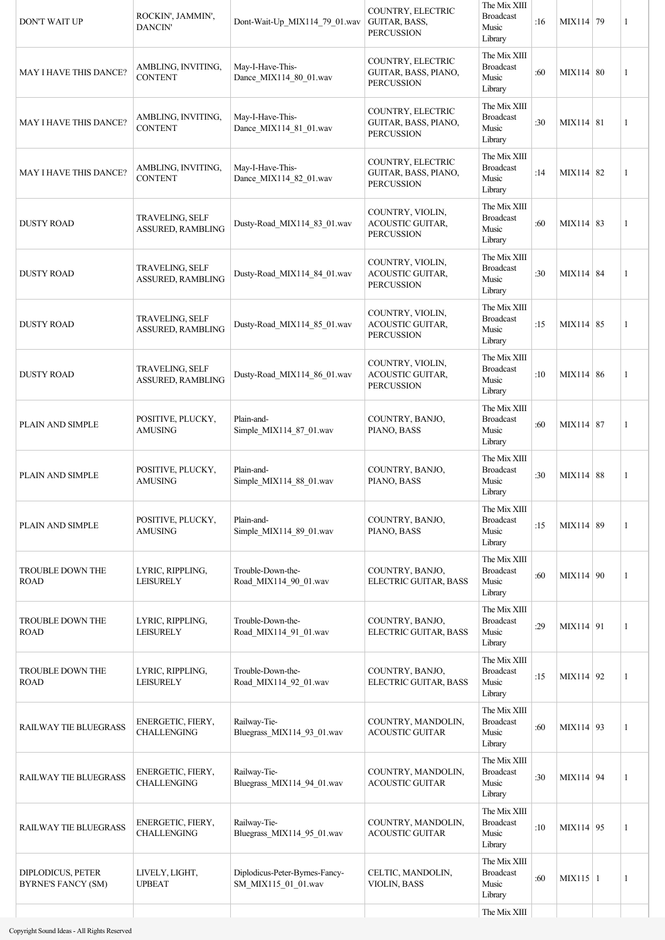| DON'T WAIT UP                                  | ROCKIN', JAMMIN',<br>DANCIN'                | Dont-Wait-Up_MIX114_79_01.wav                         | COUNTRY, ELECTRIC<br>GUITAR, BASS,<br><b>PERCUSSION</b>          | The Mix XIII<br><b>Broadcast</b><br>Music<br>Library | :16 | MIX114 79    | $\mathbf{1}$ |
|------------------------------------------------|---------------------------------------------|-------------------------------------------------------|------------------------------------------------------------------|------------------------------------------------------|-----|--------------|--------------|
| MAY I HAVE THIS DANCE?                         | AMBLING, INVITING,<br><b>CONTENT</b>        | May-I-Have-This-<br>Dance MIX114 80 01.wav            | COUNTRY, ELECTRIC<br>GUITAR, BASS, PIANO,<br><b>PERCUSSION</b>   | The Mix XIII<br><b>Broadcast</b><br>Music<br>Library | :60 | MIX114 80    | $\mathbf{1}$ |
| <b>MAY I HAVE THIS DANCE?</b>                  | AMBLING, INVITING,<br><b>CONTENT</b>        | May-I-Have-This-<br>Dance_MIX114_81_01.wav            | COUNTRY, ELECTRIC<br>GUITAR, BASS, PIANO,<br><b>PERCUSSION</b>   | The Mix XIII<br><b>Broadcast</b><br>Music<br>Library | :30 | MIX114 81    | $\mathbf{1}$ |
| <b>MAY I HAVE THIS DANCE?</b>                  | AMBLING, INVITING,<br><b>CONTENT</b>        | May-I-Have-This-<br>Dance_MIX114_82_01.wav            | COUNTRY, ELECTRIC<br>GUITAR, BASS, PIANO,<br><b>PERCUSSION</b>   | The Mix XIII<br><b>Broadcast</b><br>Music<br>Library | :14 | MIX114 82    | 1            |
| <b>DUSTY ROAD</b>                              | TRAVELING, SELF<br>ASSURED, RAMBLING        | Dusty-Road_MIX114_83_01.wav                           | COUNTRY, VIOLIN,<br>ACOUSTIC GUITAR,<br><b>PERCUSSION</b>        | The Mix XIII<br><b>Broadcast</b><br>Music<br>Library | :60 | MIX114 83    | $\mathbf{1}$ |
| <b>DUSTY ROAD</b>                              | TRAVELING, SELF<br><b>ASSURED, RAMBLING</b> | Dusty-Road_MIX114_84_01.wav                           | COUNTRY, VIOLIN,<br>ACOUSTIC GUITAR,<br><b>PERCUSSION</b>        | The Mix XIII<br><b>Broadcast</b><br>Music<br>Library | :30 | MIX114 84    | 1            |
| <b>DUSTY ROAD</b>                              | TRAVELING, SELF<br>ASSURED, RAMBLING        | Dusty-Road_MIX114_85_01.wav                           | COUNTRY, VIOLIN,<br><b>ACOUSTIC GUITAR,</b><br><b>PERCUSSION</b> | The Mix XIII<br><b>Broadcast</b><br>Music<br>Library | :15 | MIX114 85    | 1            |
| <b>DUSTY ROAD</b>                              | TRAVELING, SELF<br>ASSURED, RAMBLING        | Dusty-Road_MIX114_86_01.wav                           | COUNTRY, VIOLIN,<br><b>ACOUSTIC GUITAR,</b><br><b>PERCUSSION</b> | The Mix XIII<br><b>Broadcast</b><br>Music<br>Library | :10 | MIX114 86    | 1            |
| PLAIN AND SIMPLE                               | POSITIVE, PLUCKY,<br><b>AMUSING</b>         | Plain-and-<br>Simple_MIX114_87_01.wav                 | COUNTRY, BANJO,<br>PIANO, BASS                                   | The Mix XIII<br><b>Broadcast</b><br>Music<br>Library | :60 | MIX114 87    | 1            |
| PLAIN AND SIMPLE                               | POSITIVE, PLUCKY,<br><b>AMUSING</b>         | Plain-and-<br>Simple_MIX114_88_01.wav                 | COUNTRY, BANJO,<br>PIANO, BASS                                   | The Mix XIII<br><b>Broadcast</b><br>Music<br>Library | :30 | MIX114 88    | 1            |
| PLAIN AND SIMPLE                               | POSITIVE, PLUCKY,<br>AMUSING                | Plain-and-<br>Simple_MIX114_89_01.wav                 | COUNTRY, BANJO,<br>PIANO, BASS                                   | The Mix XIII<br><b>Broadcast</b><br>Music<br>Library | :15 | MIX114 89    | 1            |
| TROUBLE DOWN THE<br><b>ROAD</b>                | LYRIC, RIPPLING,<br><b>LEISURELY</b>        | Trouble-Down-the-<br>Road_MIX114_90_01.wav            | COUNTRY, BANJO,<br>ELECTRIC GUITAR, BASS                         | The Mix XIII<br><b>Broadcast</b><br>Music<br>Library | :60 | MIX114 90    | 1            |
| TROUBLE DOWN THE<br><b>ROAD</b>                | LYRIC, RIPPLING,<br><b>LEISURELY</b>        | Trouble-Down-the-<br>Road_MIX114_91_01.wav            | COUNTRY, BANJO,<br>ELECTRIC GUITAR, BASS                         | The Mix XIII<br><b>Broadcast</b><br>Music<br>Library | :29 | MIX114 91    | 1            |
| TROUBLE DOWN THE<br><b>ROAD</b>                | LYRIC, RIPPLING,<br><b>LEISURELY</b>        | Trouble-Down-the-<br>Road_MIX114_92_01.wav            | COUNTRY, BANJO,<br>ELECTRIC GUITAR, BASS                         | The Mix XIII<br><b>Broadcast</b><br>Music<br>Library | :15 | MIX114 92    | 1            |
| RAILWAY TIE BLUEGRASS                          | ENERGETIC, FIERY,<br><b>CHALLENGING</b>     | Railway-Tie-<br>Bluegrass_MIX114_93_01.wav            | COUNTRY, MANDOLIN,<br><b>ACOUSTIC GUITAR</b>                     | The Mix XIII<br><b>Broadcast</b><br>Music<br>Library | :60 | MIX114 93    | 1            |
| RAILWAY TIE BLUEGRASS                          | ENERGETIC, FIERY,<br><b>CHALLENGING</b>     | Railway-Tie-<br>Bluegrass_MIX114_94_01.wav            | COUNTRY, MANDOLIN,<br><b>ACOUSTIC GUITAR</b>                     | The Mix XIII<br><b>Broadcast</b><br>Music<br>Library | :30 | MIX114 94    | 1            |
| RAILWAY TIE BLUEGRASS                          | ENERGETIC, FIERY,<br><b>CHALLENGING</b>     | Railway-Tie-<br>Bluegrass_MIX114_95_01.wav            | COUNTRY, MANDOLIN,<br><b>ACOUSTIC GUITAR</b>                     | The Mix XIII<br><b>Broadcast</b><br>Music<br>Library | :10 | MIX114 95    | 1            |
| DIPLODICUS, PETER<br><b>BYRNE'S FANCY (SM)</b> | LIVELY, LIGHT,<br><b>UPBEAT</b>             | Diplodicus-Peter-Byrnes-Fancy-<br>SM MIX115 01 01.wav | CELTIC, MANDOLIN,<br>VIOLIN, BASS                                | The Mix XIII<br><b>Broadcast</b><br>Music<br>Library | :60 | $MIX115$   1 | 1            |
|                                                |                                             |                                                       |                                                                  | The Mix XIII                                         |     |              |              |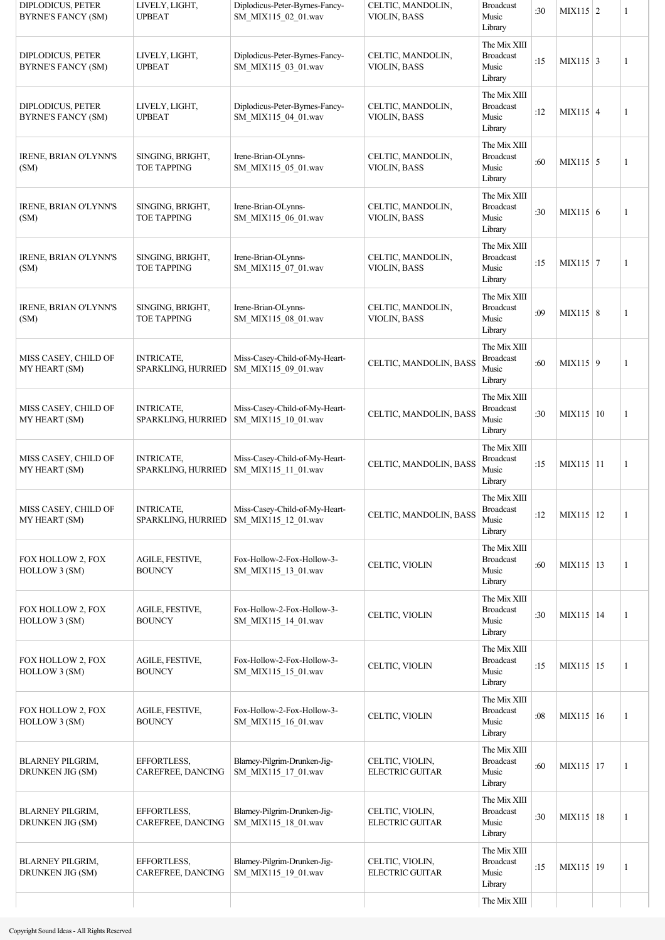| DIPLODICUS, PETER<br><b>BYRNE'S FANCY (SM)</b>        | LIVELY, LIGHT,<br><b>UPBEAT</b>         | Diplodicus-Peter-Byrnes-Fancy-<br>SM_MIX115_02_01.wav | CELTIC, MANDOLIN,<br>VIOLIN, BASS  | <b>Broadcast</b><br>Music<br>Library                 | :30 | $MIX115$ 2       | 1 |
|-------------------------------------------------------|-----------------------------------------|-------------------------------------------------------|------------------------------------|------------------------------------------------------|-----|------------------|---|
| <b>DIPLODICUS, PETER</b><br><b>BYRNE'S FANCY (SM)</b> | LIVELY, LIGHT,<br><b>UPBEAT</b>         | Diplodicus-Peter-Byrnes-Fancy-<br>SM MIX115 03 01.wav | CELTIC, MANDOLIN,<br>VIOLIN, BASS  | The Mix XIII<br><b>Broadcast</b><br>Music<br>Library | :15 | $MIX115$ 3       | 1 |
| DIPLODICUS, PETER<br><b>BYRNE'S FANCY (SM)</b>        | LIVELY, LIGHT,<br><b>UPBEAT</b>         | Diplodicus-Peter-Byrnes-Fancy-<br>SM_MIX115_04_01.wav | CELTIC, MANDOLIN,<br>VIOLIN, BASS  | The Mix XIII<br><b>Broadcast</b><br>Music<br>Library | :12 | $MIX115 \mid 4$  | 1 |
| IRENE, BRIAN O'LYNN'S<br>(SM)                         | SINGING, BRIGHT,<br><b>TOE TAPPING</b>  | Irene-Brian-OLynns-<br>SM_MIX115_05_01.wav            | CELTIC, MANDOLIN,<br>VIOLIN, BASS  | The Mix XIII<br><b>Broadcast</b><br>Music<br>Library | :60 | $MIX115$ 5       | 1 |
| IRENE, BRIAN O'LYNN'S<br>(SM)                         | SINGING, BRIGHT,<br><b>TOE TAPPING</b>  | Irene-Brian-OLynns-<br>SM_MIX115_06_01.wav            | CELTIC, MANDOLIN,<br>VIOLIN, BASS  | The Mix XIII<br><b>Broadcast</b><br>Music<br>Library | :30 | MIX115 $\vert$ 6 | 1 |
| IRENE, BRIAN O'LYNN'S<br>(SM)                         | SINGING, BRIGHT,<br><b>TOE TAPPING</b>  | Irene-Brian-OLynns-<br>SM_MIX115_07_01.wav            | CELTIC, MANDOLIN,<br>VIOLIN, BASS  | The Mix XIII<br><b>Broadcast</b><br>Music<br>Library | :15 | $MIX115$ 7       | 1 |
| IRENE, BRIAN O'LYNN'S<br>(SM)                         | SINGING, BRIGHT,<br><b>TOE TAPPING</b>  | Irene-Brian-OLynns-<br>SM_MIX115_08_01.wav            | CELTIC, MANDOLIN,<br>VIOLIN, BASS  | The Mix XIII<br><b>Broadcast</b><br>Music<br>Library | :09 | $MIX115 \mid 8$  | 1 |
| MISS CASEY, CHILD OF<br>MY HEART (SM)                 | <b>INTRICATE,</b><br>SPARKLING, HURRIED | Miss-Casey-Child-of-My-Heart-<br>SM_MIX115_09_01.wav  | CELTIC, MANDOLIN, BASS             | The Mix XIII<br><b>Broadcast</b><br>Music<br>Library | :60 | $MIX115$ 9       | 1 |
| MISS CASEY, CHILD OF<br>MY HEART (SM)                 | <b>INTRICATE,</b><br>SPARKLING, HURRIED | Miss-Casey-Child-of-My-Heart-<br>SM MIX115 10 01.wav  | CELTIC, MANDOLIN, BASS             | The Mix XIII<br><b>Broadcast</b><br>Music<br>Library | :30 | MIX115   10      | 1 |
| MISS CASEY, CHILD OF<br>MY HEART (SM)                 | <b>INTRICATE,</b><br>SPARKLING, HURRIED | Miss-Casey-Child-of-My-Heart-<br>SM_MIX115_11_01.wav  | CELTIC, MANDOLIN, BASS             | The Mix XIII<br><b>Broadcast</b><br>Music<br>Library | :15 | MIX115 11        | 1 |
| MISS CASEY, CHILD OF<br>MY HEART (SM)                 | <b>INTRICATE,</b><br>SPARKLING, HURRIED | Miss-Casey-Child-of-My-Heart-<br>SM MIX115 12 01.wav  | CELTIC, MANDOLIN, BASS             | The Mix XIII<br><b>Broadcast</b><br>Music<br>Library | :12 | MIX115 12        | 1 |
| FOX HOLLOW 2, FOX<br>HOLLOW 3 (SM)                    | AGILE, FESTIVE,<br><b>BOUNCY</b>        | Fox-Hollow-2-Fox-Hollow-3-<br>SM MIX115 13 01.wav     | CELTIC, VIOLIN                     | The Mix XIII<br><b>Broadcast</b><br>Music<br>Library | :60 | MIX115 13        | 1 |
| FOX HOLLOW 2, FOX<br>HOLLOW 3 (SM)                    | AGILE, FESTIVE,<br><b>BOUNCY</b>        | Fox-Hollow-2-Fox-Hollow-3-<br>SM MIX115 14 01.wav     | CELTIC, VIOLIN                     | The Mix XIII<br><b>Broadcast</b><br>Music<br>Library | :30 | MIX115   14      | 1 |
| FOX HOLLOW 2, FOX<br>HOLLOW 3 (SM)                    | AGILE, FESTIVE,<br><b>BOUNCY</b>        | Fox-Hollow-2-Fox-Hollow-3-<br>SM_MIX115_15_01.wav     | CELTIC, VIOLIN                     | The Mix XIII<br><b>Broadcast</b><br>Music<br>Library | :15 | MIX115 15        | 1 |
| FOX HOLLOW 2, FOX<br>HOLLOW 3 (SM)                    | AGILE, FESTIVE,<br><b>BOUNCY</b>        | Fox-Hollow-2-Fox-Hollow-3-<br>SM MIX115 16 01.wav     | CELTIC, VIOLIN                     | The Mix XIII<br><b>Broadcast</b><br>Music<br>Library | :08 | $MIX115 \mid 16$ | 1 |
| <b>BLARNEY PILGRIM,</b><br>DRUNKEN JIG (SM)           | EFFORTLESS,<br>CAREFREE, DANCING        | Blarney-Pilgrim-Drunken-Jig-<br>SM_MIX115_17_01.wav   | CELTIC, VIOLIN,<br>ELECTRIC GUITAR | The Mix XIII<br><b>Broadcast</b><br>Music<br>Library | :60 | MIX115 17        | 1 |
| <b>BLARNEY PILGRIM,</b><br>DRUNKEN JIG (SM)           | EFFORTLESS,<br>CAREFREE, DANCING        | Blarney-Pilgrim-Drunken-Jig-<br>SM_MIX115_18_01.wav   | CELTIC, VIOLIN,<br>ELECTRIC GUITAR | The Mix XIII<br><b>Broadcast</b><br>Music<br>Library | :30 | $MIX115$ 18      | 1 |
| <b>BLARNEY PILGRIM,</b><br>DRUNKEN JIG (SM)           | EFFORTLESS,<br>CAREFREE, DANCING        | Blarney-Pilgrim-Drunken-Jig-<br>SM_MIX115_19_01.wav   | CELTIC, VIOLIN,<br>ELECTRIC GUITAR | The Mix XIII<br><b>Broadcast</b><br>Music<br>Library | :15 | MIX115   19      | 1 |
|                                                       |                                         |                                                       |                                    | The Mix XIII                                         |     |                  |   |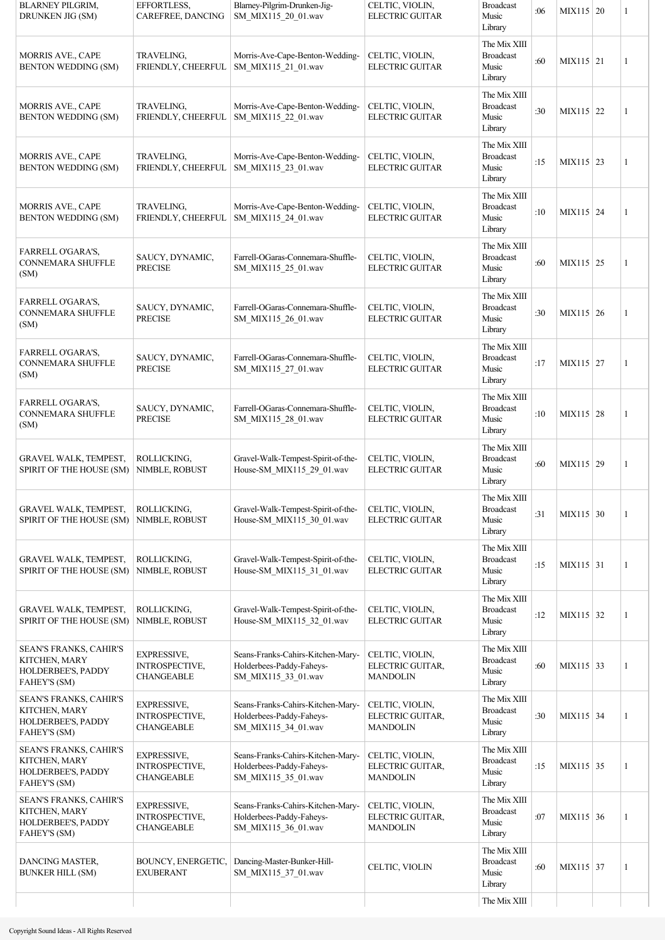| <b>BLARNEY PILGRIM,</b><br>DRUNKEN JIG (SM)                                          | EFFORTLESS,<br>CAREFREE, DANCING                                 | Blarney-Pilgrim-Drunken-Jig-<br>SM MIX115 20 01.wav                                  | CELTIC, VIOLIN,<br>ELECTRIC GUITAR                     | <b>Broadcast</b><br>Music<br>Library                 | :06 | MIX115 20 | 1 |
|--------------------------------------------------------------------------------------|------------------------------------------------------------------|--------------------------------------------------------------------------------------|--------------------------------------------------------|------------------------------------------------------|-----|-----------|---|
| MORRIS AVE., CAPE<br><b>BENTON WEDDING (SM)</b>                                      | TRAVELING,<br>FRIENDLY, CHEERFUL                                 | Morris-Ave-Cape-Benton-Wedding-<br>SM_MIX115_21_01.wav                               | CELTIC, VIOLIN,<br><b>ELECTRIC GUITAR</b>              | The Mix XIII<br><b>Broadcast</b><br>Music<br>Library | :60 | MIX115 21 | 1 |
| MORRIS AVE., CAPE<br><b>BENTON WEDDING (SM)</b>                                      | TRAVELING,<br>FRIENDLY, CHEERFUL                                 | Morris-Ave-Cape-Benton-Wedding-<br>SM_MIX115_22_01.wav                               | CELTIC, VIOLIN,<br><b>ELECTRIC GUITAR</b>              | The Mix XIII<br><b>Broadcast</b><br>Music<br>Library | :30 | MIX115 22 | 1 |
| MORRIS AVE., CAPE<br><b>BENTON WEDDING (SM)</b>                                      | <b>TRAVELING,</b><br>FRIENDLY, CHEERFUL                          | Morris-Ave-Cape-Benton-Wedding-<br>SM_MIX115_23_01.wav                               | CELTIC, VIOLIN,<br><b>ELECTRIC GUITAR</b>              | The Mix XIII<br><b>Broadcast</b><br>Music<br>Library | :15 | MIX115 23 | 1 |
| MORRIS AVE., CAPE<br>BENTON WEDDING (SM)                                             | TRAVELING,<br>FRIENDLY, CHEERFUL                                 | Morris-Ave-Cape-Benton-Wedding-<br>SM_MIX115_24_01.wav                               | CELTIC, VIOLIN,<br><b>ELECTRIC GUITAR</b>              | The Mix XIII<br><b>Broadcast</b><br>Music<br>Library | :10 | MIX115 24 | 1 |
| FARRELL O'GARA'S,<br><b>CONNEMARA SHUFFLE</b><br>(SM)                                | SAUCY, DYNAMIC,<br><b>PRECISE</b>                                | Farrell-OGaras-Connemara-Shuffle-<br>SM MIX115 25 01.wav                             | CELTIC, VIOLIN,<br><b>ELECTRIC GUITAR</b>              | The Mix XIII<br><b>Broadcast</b><br>Music<br>Library | :60 | MIX115 25 | 1 |
| FARRELL O'GARA'S,<br><b>CONNEMARA SHUFFLE</b><br>(SM)                                | SAUCY, DYNAMIC,<br><b>PRECISE</b>                                | Farrell-OGaras-Connemara-Shuffle-<br>SM_MIX115_26_01.wav                             | CELTIC, VIOLIN,<br><b>ELECTRIC GUITAR</b>              | The Mix XIII<br><b>Broadcast</b><br>Music<br>Library | :30 | MIX115 26 | 1 |
| FARRELL O'GARA'S,<br><b>CONNEMARA SHUFFLE</b><br>(SM)                                | SAUCY, DYNAMIC,<br><b>PRECISE</b>                                | Farrell-OGaras-Connemara-Shuffle-<br>SM_MIX115_27_01.wav                             | CELTIC, VIOLIN,<br>ELECTRIC GUITAR                     | The Mix XIII<br><b>Broadcast</b><br>Music<br>Library | :17 | MIX115 27 | 1 |
| FARRELL O'GARA'S,<br><b>CONNEMARA SHUFFLE</b><br>(SM)                                | SAUCY, DYNAMIC,<br>PRECISE                                       | Farrell-OGaras-Connemara-Shuffle-<br>SM MIX115 28 01.wav                             | CELTIC, VIOLIN,<br>ELECTRIC GUITAR                     | The Mix XIII<br><b>Broadcast</b><br>Music<br>Library | :10 | MIX115 28 | 1 |
| GRAVEL WALK, TEMPEST,<br>SPIRIT OF THE HOUSE (SM)                                    | ROLLICKING,<br>NIMBLE, ROBUST                                    | Gravel-Walk-Tempest-Spirit-of-the-<br>House-SM_MIX115_29_01.wav                      | CELTIC, VIOLIN,<br>ELECTRIC GUITAR                     | The Mix XIII<br><b>Broadcast</b><br>Music<br>Library | :60 | MIX115 29 | 1 |
| GRAVEL WALK, TEMPEST,<br>SPIRIT OF THE HOUSE (SM)                                    | ROLLICKING,<br>NIMBLE, ROBUST                                    | Gravel-Walk-Tempest-Spirit-of-the-<br>House-SM MIX115 30 01.wav                      | CELTIC, VIOLIN,<br><b>ELECTRIC GUITAR</b>              | The Mix XIII<br><b>Broadcast</b><br>Music<br>Library | :31 | MIX115 30 | 1 |
| GRAVEL WALK, TEMPEST,<br>SPIRIT OF THE HOUSE (SM)                                    | ROLLICKING,<br>NIMBLE, ROBUST                                    | Gravel-Walk-Tempest-Spirit-of-the-<br>House-SM_MIX115_31_01.wav                      | CELTIC, VIOLIN,<br>ELECTRIC GUITAR                     | The Mix XIII<br><b>Broadcast</b><br>Music<br>Library | :15 | MIX115 31 | 1 |
| GRAVEL WALK, TEMPEST,<br>SPIRIT OF THE HOUSE (SM)                                    | ROLLICKING,<br>NIMBLE, ROBUST                                    | Gravel-Walk-Tempest-Spirit-of-the-<br>House-SM_MIX115_32_01.wav                      | CELTIC, VIOLIN,<br>ELECTRIC GUITAR                     | The Mix XIII<br><b>Broadcast</b><br>Music<br>Library | :12 | MIX115 32 | 1 |
| SEAN'S FRANKS, CAHIR'S<br>KITCHEN, MARY<br>HOLDERBEE'S, PADDY<br><b>FAHEY'S (SM)</b> | <b>EXPRESSIVE,</b><br>INTROSPECTIVE,<br><b>CHANGEABLE</b>        | Seans-Franks-Cahirs-Kitchen-Mary-<br>Holderbees-Paddy-Faheys-<br>SM MIX115 33 01.wav | CELTIC, VIOLIN,<br>ELECTRIC GUITAR,<br><b>MANDOLIN</b> | The Mix XIII<br><b>Broadcast</b><br>Music<br>Library | :60 | MIX115 33 | 1 |
| SEAN'S FRANKS, CAHIR'S<br>KITCHEN, MARY<br>HOLDERBEE'S, PADDY<br><b>FAHEY'S (SM)</b> | <b>EXPRESSIVE,</b><br>INTROSPECTIVE,<br><b>CHANGEABLE</b>        | Seans-Franks-Cahirs-Kitchen-Mary-<br>Holderbees-Paddy-Faheys-<br>SM MIX115 34 01.wav | CELTIC, VIOLIN,<br>ELECTRIC GUITAR,<br><b>MANDOLIN</b> | The Mix XIII<br><b>Broadcast</b><br>Music<br>Library | :30 | MIX115 34 | 1 |
| SEAN'S FRANKS, CAHIR'S<br>KITCHEN, MARY<br>HOLDERBEE'S, PADDY<br><b>FAHEY'S (SM)</b> | <b>EXPRESSIVE,</b><br>INTROSPECTIVE,<br><b>CHANGEABLE</b>        | Seans-Franks-Cahirs-Kitchen-Mary-<br>Holderbees-Paddy-Faheys-<br>SM_MIX115_35_01.wav | CELTIC, VIOLIN,<br>ELECTRIC GUITAR,<br><b>MANDOLIN</b> | The Mix XIII<br><b>Broadcast</b><br>Music<br>Library | :15 | MIX115 35 | 1 |
| SEAN'S FRANKS, CAHIR'S<br>KITCHEN, MARY<br>HOLDERBEE'S, PADDY<br><b>FAHEY'S (SM)</b> | <b>EXPRESSIVE,</b><br><b>INTROSPECTIVE,</b><br><b>CHANGEABLE</b> | Seans-Franks-Cahirs-Kitchen-Mary-<br>Holderbees-Paddy-Faheys-<br>SM MIX115 36 01.wav | CELTIC, VIOLIN,<br>ELECTRIC GUITAR,<br><b>MANDOLIN</b> | The Mix XIII<br><b>Broadcast</b><br>Music<br>Library | :07 | MIX115 36 | 1 |
| DANCING MASTER,<br><b>BUNKER HILL (SM)</b>                                           | BOUNCY, ENERGETIC,<br><b>EXUBERANT</b>                           | Dancing-Master-Bunker-Hill-<br>SM MIX115 37 01.wav                                   | CELTIC, VIOLIN                                         | The Mix XIII<br><b>Broadcast</b><br>Music<br>Library | :60 | MIX115 37 | 1 |
|                                                                                      |                                                                  |                                                                                      |                                                        | The Mix XIII                                         |     |           |   |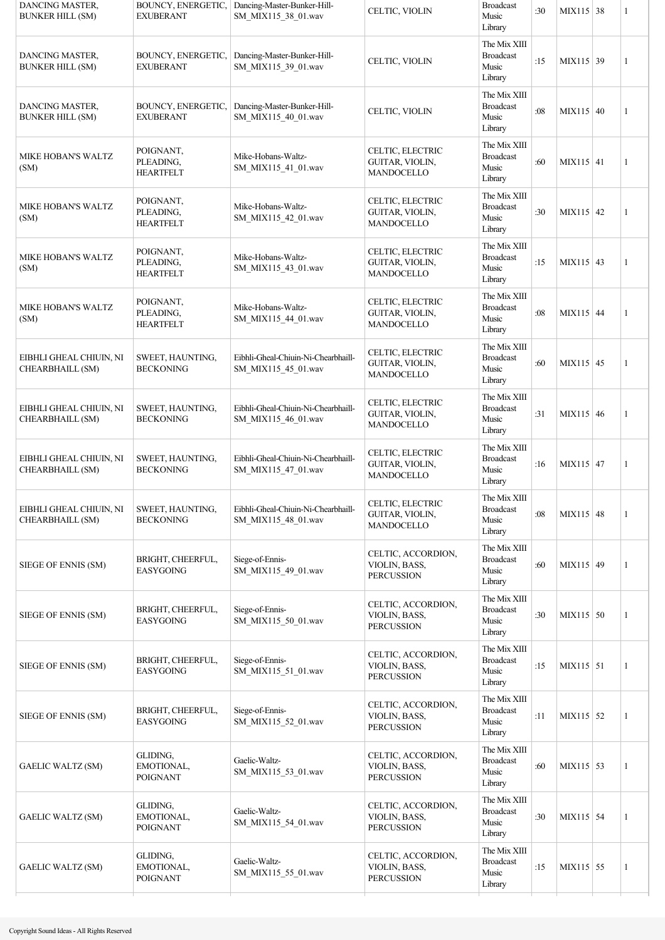| DANCING MASTER,<br><b>BUNKER HILL (SM)</b>  | BOUNCY, ENERGETIC,<br><b>EXUBERANT</b>     | Dancing-Master-Bunker-Hill-<br>SM_MIX115_38_01.wav         | CELTIC, VIOLIN                                           | <b>Broadcast</b><br>Music<br>Library                 | :30 | MIX115 38   | $\mathbf{1}$ |
|---------------------------------------------|--------------------------------------------|------------------------------------------------------------|----------------------------------------------------------|------------------------------------------------------|-----|-------------|--------------|
| DANCING MASTER,<br><b>BUNKER HILL (SM)</b>  | BOUNCY, ENERGETIC,<br>EXUBERANT            | Dancing-Master-Bunker-Hill-<br>SM_MIX115_39_01.wav         | CELTIC, VIOLIN                                           | The Mix XIII<br><b>Broadcast</b><br>Music<br>Library | :15 | MIX115 39   | $\mathbf{1}$ |
| DANCING MASTER,<br><b>BUNKER HILL (SM)</b>  | BOUNCY, ENERGETIC,<br>EXUBERANT            | Dancing-Master-Bunker-Hill-<br>SM_MIX115_40_01.wav         | CELTIC, VIOLIN                                           | The Mix XIII<br><b>Broadcast</b><br>Music<br>Library | :08 | $MIX115$ 40 | $\mathbf{1}$ |
| MIKE HOBAN'S WALTZ<br>(SM)                  | POIGNANT,<br>PLEADING,<br><b>HEARTFELT</b> | Mike-Hobans-Waltz-<br>SM_MIX115_41_01.wav                  | CELTIC, ELECTRIC<br>GUITAR, VIOLIN,<br>MANDOCELLO        | The Mix XIII<br><b>Broadcast</b><br>Music<br>Library | :60 | $MIX115$ 41 | $\mathbf{1}$ |
| MIKE HOBAN'S WALTZ<br>(SM)                  | POIGNANT,<br>PLEADING,<br><b>HEARTFELT</b> | Mike-Hobans-Waltz-<br>SM_MIX115_42_01.wav                  | CELTIC, ELECTRIC<br>GUITAR, VIOLIN,<br>MANDOCELLO        | The Mix XIII<br><b>Broadcast</b><br>Music<br>Library | :30 | $MIX115$ 42 | $\mathbf{1}$ |
| MIKE HOBAN'S WALTZ<br>(SM)                  | POIGNANT,<br>PLEADING,<br><b>HEARTFELT</b> | Mike-Hobans-Waltz-<br>SM_MIX115_43_01.wav                  | CELTIC, ELECTRIC<br>GUITAR, VIOLIN,<br><b>MANDOCELLO</b> | The Mix XIII<br><b>Broadcast</b><br>Music<br>Library | :15 | MIX115 43   | $\mathbf{1}$ |
| MIKE HOBAN'S WALTZ<br>(SM)                  | POIGNANT,<br>PLEADING,<br><b>HEARTFELT</b> | Mike-Hobans-Waltz-<br>SM_MIX115_44_01.wav                  | CELTIC, ELECTRIC<br>GUITAR, VIOLIN,<br>MANDOCELLO        | The Mix XIII<br><b>Broadcast</b><br>Music<br>Library | :08 | MIX115 44   | $\mathbf{1}$ |
| EIBHLI GHEAL CHIUIN, NI<br>CHEARBHAILL (SM) | SWEET, HAUNTING,<br><b>BECKONING</b>       | Eibhli-Gheal-Chiuin-Ni-Chearbhaill-<br>SM MIX115 45 01.wav | CELTIC, ELECTRIC<br>GUITAR, VIOLIN,<br>MANDOCELLO        | The Mix XIII<br><b>Broadcast</b><br>Music<br>Library | :60 | MIX115 45   | $\mathbf{1}$ |
| EIBHLI GHEAL CHIUIN, NI<br>CHEARBHAILL (SM) | SWEET, HAUNTING,<br><b>BECKONING</b>       | Eibhli-Gheal-Chiuin-Ni-Chearbhaill-<br>SM_MIX115_46_01.wav | CELTIC, ELECTRIC<br>GUITAR, VIOLIN,<br>MANDOCELLO        | The Mix XIII<br><b>Broadcast</b><br>Music<br>Library | :31 | MIX115 46   | 1            |
| EIBHLI GHEAL CHIUIN, NI<br>CHEARBHAILL (SM) | SWEET, HAUNTING,<br><b>BECKONING</b>       | Eibhli-Gheal-Chiuin-Ni-Chearbhaill-<br>SM MIX115 47 01.wav | CELTIC, ELECTRIC<br>GUITAR, VIOLIN,<br>MANDOCELLO        | The Mix XIII<br><b>Broadcast</b><br>Music<br>Library | :16 | MIX115 47   | $\mathbf{1}$ |
| EIBHLI GHEAL CHIUIN, NI<br>CHEARBHAILL (SM) | SWEET, HAUNTING,<br><b>BECKONING</b>       | Eibhli-Gheal-Chiuin-Ni-Chearbhaill-<br>SM MIX115 48 01.wav | CELTIC, ELECTRIC<br>GUITAR, VIOLIN,<br>MANDOCELLO        | The Mix XIII<br><b>Broadcast</b><br>Music<br>Library | :08 | $MIX115$ 48 | 1            |
| SIEGE OF ENNIS (SM)                         | BRIGHT, CHEERFUL,<br><b>EASYGOING</b>      | Siege-of-Ennis-<br>SM_MIX115_49_01.wav                     | CELTIC, ACCORDION,<br>VIOLIN, BASS,<br><b>PERCUSSION</b> | The Mix XIII<br><b>Broadcast</b><br>Music<br>Library | :60 | MIX115 49   | $\mathbf{1}$ |
| SIEGE OF ENNIS (SM)                         | BRIGHT, CHEERFUL,<br><b>EASYGOING</b>      | Siege-of-Ennis-<br>SM MIX115 50 01.wav                     | CELTIC, ACCORDION,<br>VIOLIN, BASS,<br><b>PERCUSSION</b> | The Mix XIII<br><b>Broadcast</b><br>Music<br>Library | :30 | $MIX115$ 50 | 1            |
| SIEGE OF ENNIS (SM)                         | BRIGHT, CHEERFUL,<br><b>EASYGOING</b>      | Siege-of-Ennis-<br>SM_MIX115_51_01.wav                     | CELTIC, ACCORDION,<br>VIOLIN, BASS,<br><b>PERCUSSION</b> | The Mix XIII<br><b>Broadcast</b><br>Music<br>Library | :15 | $MIX115$ 51 | 1            |
| SIEGE OF ENNIS (SM)                         | BRIGHT, CHEERFUL,<br><b>EASYGOING</b>      | Siege-of-Ennis-<br>SM_MIX115_52_01.wav                     | CELTIC, ACCORDION,<br>VIOLIN, BASS,<br><b>PERCUSSION</b> | The Mix XIII<br><b>Broadcast</b><br>Music<br>Library | :11 | $MIX115$ 52 | 1            |
| <b>GAELIC WALTZ (SM)</b>                    | GLIDING,<br>EMOTIONAL,<br>POIGNANT         | Gaelic-Waltz-<br>SM MIX115 53 01.wav                       | CELTIC, ACCORDION,<br>VIOLIN, BASS,<br><b>PERCUSSION</b> | The Mix XIII<br><b>Broadcast</b><br>Music<br>Library | :60 | MIX115 53   | 1            |
| <b>GAELIC WALTZ (SM)</b>                    | GLIDING,<br>EMOTIONAL,<br>POIGNANT         | Gaelic-Waltz-<br>SM MIX115 54 01.wav                       | CELTIC, ACCORDION,<br>VIOLIN, BASS,<br><b>PERCUSSION</b> | The Mix XIII<br><b>Broadcast</b><br>Music<br>Library | :30 | $MIX115$ 54 | 1            |
| <b>GAELIC WALTZ (SM)</b>                    | GLIDING,<br>EMOTIONAL,<br><b>POIGNANT</b>  | Gaelic-Waltz-<br>SM_MIX115_55_01.wav                       | CELTIC, ACCORDION,<br>VIOLIN, BASS,<br><b>PERCUSSION</b> | The Mix XIII<br><b>Broadcast</b><br>Music<br>Library | :15 | MIX115 55   | 1            |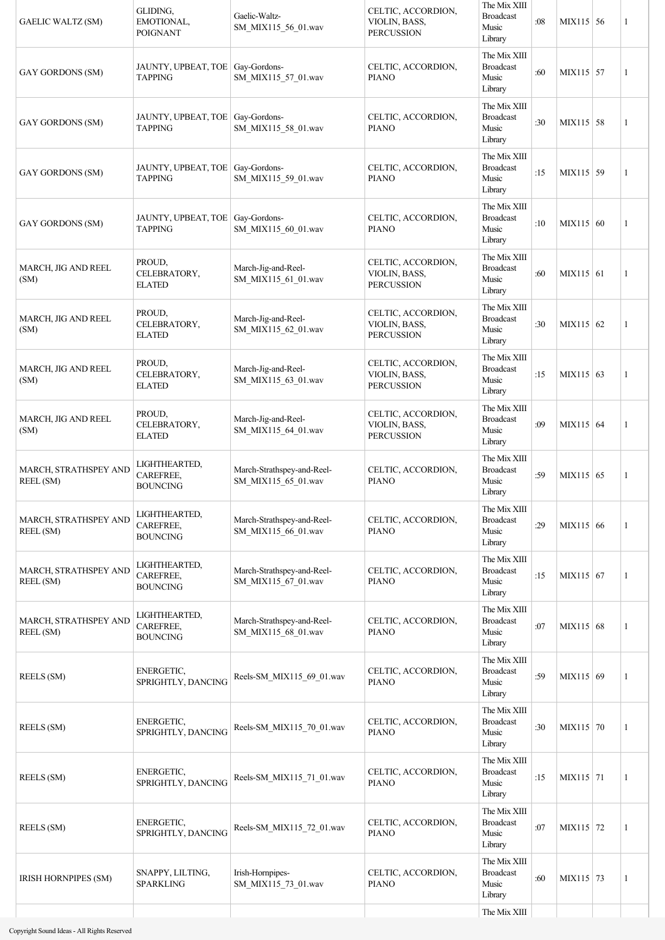| <b>GAELIC WALTZ (SM)</b>           | GLIDING.<br>EMOTIONAL,<br><b>POIGNANT</b>            | Gaelic-Waltz-<br>SM MIX115 56 01.wav              | CELTIC, ACCORDION,<br>VIOLIN, BASS,<br><b>PERCUSSION</b> | The Mix XIII<br><b>Broadcast</b><br>Music<br>Library | :08 | MIX115 56   | 1 |
|------------------------------------|------------------------------------------------------|---------------------------------------------------|----------------------------------------------------------|------------------------------------------------------|-----|-------------|---|
| <b>GAY GORDONS (SM)</b>            | JAUNTY, UPBEAT, TOE   Gay-Gordons-<br><b>TAPPING</b> | SM_MIX115_57_01.wav                               | CELTIC, ACCORDION,<br><b>PIANO</b>                       | The Mix XIII<br><b>Broadcast</b><br>Music<br>Library | :60 | MIX115 57   | 1 |
| <b>GAY GORDONS (SM)</b>            | JAUNTY, UPBEAT, TOE   Gay-Gordons-<br><b>TAPPING</b> | SM_MIX115_58_01.wav                               | CELTIC, ACCORDION,<br><b>PIANO</b>                       | The Mix XIII<br><b>Broadcast</b><br>Music<br>Library | :30 | MIX115 58   | 1 |
| <b>GAY GORDONS (SM)</b>            | JAUNTY, UPBEAT, TOE   Gay-Gordons-<br><b>TAPPING</b> | SM_MIX115_59_01.wav                               | CELTIC, ACCORDION,<br><b>PIANO</b>                       | The Mix XIII<br><b>Broadcast</b><br>Music<br>Library | :15 | MIX115 59   | 1 |
| <b>GAY GORDONS (SM)</b>            | JAUNTY, UPBEAT, TOE   Gay-Gordons-<br><b>TAPPING</b> | SM_MIX115_60_01.wav                               | CELTIC, ACCORDION,<br><b>PIANO</b>                       | The Mix XIII<br><b>Broadcast</b><br>Music<br>Library | :10 | MIX115 60   | 1 |
| MARCH, JIG AND REEL<br>(SM)        | PROUD,<br>CELEBRATORY,<br><b>ELATED</b>              | March-Jig-and-Reel-<br>SM_MIX115_61_01.wav        | CELTIC, ACCORDION,<br>VIOLIN, BASS,<br><b>PERCUSSION</b> | The Mix XIII<br><b>Broadcast</b><br>Music<br>Library | :60 | $MIX115$ 61 | 1 |
| MARCH, JIG AND REEL<br>(SM)        | PROUD,<br>CELEBRATORY,<br><b>ELATED</b>              | March-Jig-and-Reel-<br>SM_MIX115_62_01.wav        | CELTIC, ACCORDION,<br>VIOLIN, BASS,<br><b>PERCUSSION</b> | The Mix XIII<br><b>Broadcast</b><br>Music<br>Library | :30 | $MIX115$ 62 | 1 |
| MARCH, JIG AND REEL<br>(SM)        | PROUD,<br>CELEBRATORY,<br><b>ELATED</b>              | March-Jig-and-Reel-<br>SM_MIX115_63_01.wav        | CELTIC, ACCORDION,<br>VIOLIN, BASS,<br><b>PERCUSSION</b> | The Mix XIII<br><b>Broadcast</b><br>Music<br>Library | :15 | MIX115 63   | 1 |
| MARCH, JIG AND REEL<br>(SM)        | PROUD,<br>CELEBRATORY,<br><b>ELATED</b>              | March-Jig-and-Reel-<br>SM_MIX115_64_01.wav        | CELTIC, ACCORDION,<br>VIOLIN, BASS,<br><b>PERCUSSION</b> | The Mix XIII<br><b>Broadcast</b><br>Music<br>Library | :09 | $MIX115$ 64 | 1 |
| MARCH, STRATHSPEY AND<br>REEL (SM) | LIGHTHEARTED,<br>CAREFREE,<br><b>BOUNCING</b>        | March-Strathspey-and-Reel-<br>SM MIX115 65 01.wav | CELTIC, ACCORDION,<br><b>PIANO</b>                       | The Mix XIII<br><b>Broadcast</b><br>Music<br>Library | :59 | $MIX115$ 65 | 1 |
| MARCH, STRATHSPEY AND<br>REEL (SM) | LIGHTHEARTED,<br>CAREFREE,<br><b>BOUNCING</b>        | March-Strathspey-and-Reel-<br>SM_MIX115_66_01.wav | CELTIC, ACCORDION,<br><b>PIANO</b>                       | The Mix XIII<br><b>Broadcast</b><br>Music<br>Library | :29 | MIX115 66   | 1 |
| MARCH, STRATHSPEY AND<br>REEL (SM) | LIGHTHEARTED,<br>CAREFREE,<br><b>BOUNCING</b>        | March-Strathspey-and-Reel-<br>SM_MIX115_67_01.wav | CELTIC, ACCORDION,<br><b>PIANO</b>                       | The Mix XIII<br><b>Broadcast</b><br>Music<br>Library | :15 | MIX115 67   | 1 |
| MARCH, STRATHSPEY AND<br>REEL (SM) | LIGHTHEARTED,<br>CAREFREE,<br><b>BOUNCING</b>        | March-Strathspey-and-Reel-<br>SM_MIX115_68_01.wav | CELTIC, ACCORDION,<br><b>PIANO</b>                       | The Mix XIII<br><b>Broadcast</b><br>Music<br>Library | :07 | MIX115 68   | 1 |
| <b>REELS (SM)</b>                  | ENERGETIC,<br>SPRIGHTLY, DANCING                     | Reels-SM MIX115 69 01.wav                         | CELTIC, ACCORDION,<br><b>PIANO</b>                       | The Mix XIII<br><b>Broadcast</b><br>Music<br>Library | :59 | MIX115 69   | 1 |
| <b>REELS (SM)</b>                  | ENERGETIC,<br>SPRIGHTLY, DANCING                     | Reels-SM MIX115 70 01.wav                         | CELTIC, ACCORDION,<br><b>PIANO</b>                       | The Mix XIII<br><b>Broadcast</b><br>Music<br>Library | :30 | MIX115 70   | 1 |
| <b>REELS</b> (SM)                  | ENERGETIC,<br>SPRIGHTLY, DANCING                     | Reels-SM MIX115 71 01.wav                         | CELTIC, ACCORDION,<br><b>PIANO</b>                       | The Mix XIII<br><b>Broadcast</b><br>Music<br>Library | :15 | MIX115 71   | 1 |
| <b>REELS (SM)</b>                  | ENERGETIC,<br>SPRIGHTLY, DANCING                     | Reels-SM MIX115 72 01.wav                         | CELTIC, ACCORDION,<br><b>PIANO</b>                       | The Mix XIII<br><b>Broadcast</b><br>Music<br>Library | :07 | MIX115 72   | 1 |
| IRISH HORNPIPES (SM)               | SNAPPY, LILTING,<br><b>SPARKLING</b>                 | Irish-Hornpipes-<br>SM_MIX115_73_01.wav           | CELTIC, ACCORDION,<br><b>PIANO</b>                       | The Mix XIII<br><b>Broadcast</b><br>Music<br>Library | :60 | MIX115 73   | 1 |
|                                    |                                                      |                                                   |                                                          | The Mix XIII                                         |     |             |   |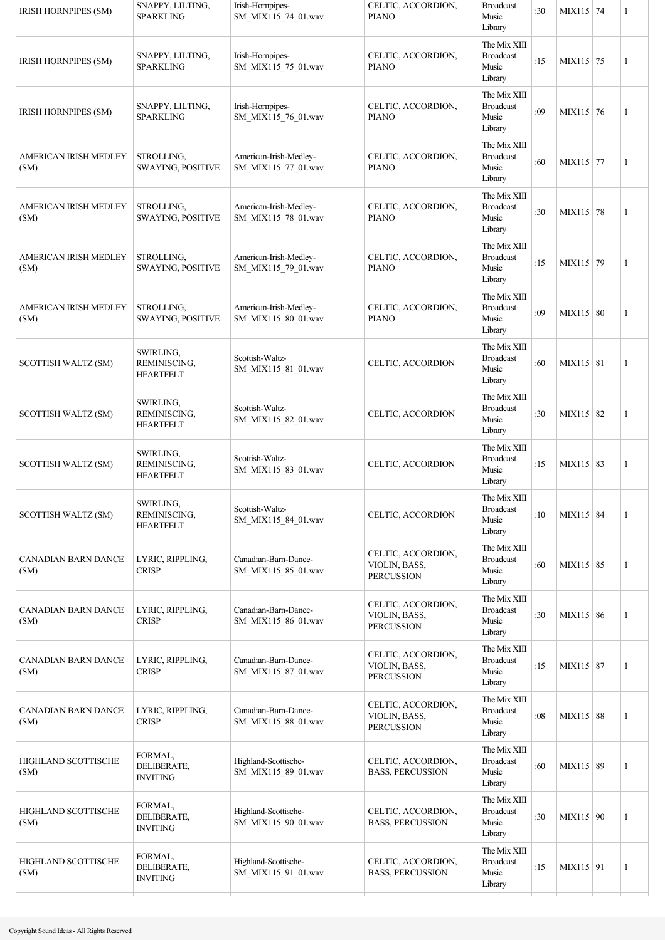| <b>IRISH HORNPIPES (SM)</b>          | SNAPPY, LILTING,<br><b>SPARKLING</b>          | Irish-Hornpipes-<br>SM_MIX115_74_01.wav       | CELTIC, ACCORDION,<br><b>PIANO</b>                       | <b>Broadcast</b><br>Music<br>Library                 | :30 | MIX115 74   | 1 |
|--------------------------------------|-----------------------------------------------|-----------------------------------------------|----------------------------------------------------------|------------------------------------------------------|-----|-------------|---|
| <b>IRISH HORNPIPES (SM)</b>          | SNAPPY, LILTING,<br><b>SPARKLING</b>          | Irish-Hornpipes-<br>SM_MIX115_75_01.wav       | CELTIC, ACCORDION,<br><b>PIANO</b>                       | The Mix XIII<br><b>Broadcast</b><br>Music<br>Library | :15 | MIX115 75   | 1 |
| <b>IRISH HORNPIPES (SM)</b>          | SNAPPY, LILTING,<br><b>SPARKLING</b>          | Irish-Hornpipes-<br>SM_MIX115_76_01.wav       | CELTIC, ACCORDION,<br><b>PIANO</b>                       | The Mix XIII<br><b>Broadcast</b><br>Music<br>Library | :09 | MIX115 76   | 1 |
| AMERICAN IRISH MEDLEY<br>(SM)        | STROLLING,<br><b>SWAYING, POSITIVE</b>        | American-Irish-Medley-<br>SM_MIX115_77_01.wav | CELTIC, ACCORDION,<br><b>PIANO</b>                       | The Mix XIII<br><b>Broadcast</b><br>Music<br>Library | :60 | MIX115 77   | 1 |
| AMERICAN IRISH MEDLEY<br>(SM)        | STROLLING,<br><b>SWAYING, POSITIVE</b>        | American-Irish-Medley-<br>SM_MIX115_78_01.wav | CELTIC, ACCORDION,<br><b>PIANO</b>                       | The Mix XIII<br><b>Broadcast</b><br>Music<br>Library | :30 | MIX115 78   | 1 |
| AMERICAN IRISH MEDLEY<br>(SM)        | STROLLING,<br><b>SWAYING, POSITIVE</b>        | American-Irish-Medley-<br>SM MIX115 79 01.wav | CELTIC, ACCORDION,<br><b>PIANO</b>                       | The Mix XIII<br><b>Broadcast</b><br>Music<br>Library | :15 | MIX115 79   | 1 |
| <b>AMERICAN IRISH MEDLEY</b><br>(SM) | STROLLING,<br><b>SWAYING, POSITIVE</b>        | American-Irish-Medley-<br>SM_MIX115_80_01.wav | CELTIC, ACCORDION,<br><b>PIANO</b>                       | The Mix XIII<br><b>Broadcast</b><br>Music<br>Library | :09 | MIX115 80   | 1 |
| SCOTTISH WALTZ (SM)                  | SWIRLING,<br>REMINISCING,<br><b>HEARTFELT</b> | Scottish-Waltz-<br>SM_MIX115_81_01.wav        | CELTIC, ACCORDION                                        | The Mix XIII<br><b>Broadcast</b><br>Music<br>Library | :60 | MIX115 81   | 1 |
| SCOTTISH WALTZ (SM)                  | SWIRLING,<br>REMINISCING,<br><b>HEARTFELT</b> | Scottish-Waltz-<br>SM_MIX115_82_01.wav        | CELTIC, ACCORDION                                        | The Mix XIII<br><b>Broadcast</b><br>Music<br>Library | :30 | MIX115 82   | 1 |
| SCOTTISH WALTZ (SM)                  | SWIRLING,<br>REMINISCING,<br><b>HEARTFELT</b> | Scottish-Waltz-<br>SM_MIX115_83_01.wav        | CELTIC, ACCORDION                                        | The Mix XIII<br><b>Broadcast</b><br>Music<br>Library | :15 | MIX115 83   | 1 |
| SCOTTISH WALTZ (SM)                  | SWIRLING,<br>REMINISCING,<br><b>HEARTFELT</b> | Scottish-Waltz-<br>SM_MIX115_84_01.wav        | CELTIC, ACCORDION                                        | The Mix XIII<br><b>Broadcast</b><br>Music<br>Library | :10 | MIX115 84   | 1 |
| <b>CANADIAN BARN DANCE</b><br>(SM)   | LYRIC, RIPPLING,<br><b>CRISP</b>              | Canadian-Barn-Dance-<br>SM MIX115 85 01.wav   | CELTIC, ACCORDION,<br>VIOLIN, BASS,<br><b>PERCUSSION</b> | The Mix XIII<br><b>Broadcast</b><br>Music<br>Library | :60 | MIX115 85   | 1 |
| CANADIAN BARN DANCE<br>(SM)          | LYRIC, RIPPLING,<br><b>CRISP</b>              | Canadian-Barn-Dance-<br>SM_MIX115_86_01.wav   | CELTIC, ACCORDION,<br>VIOLIN, BASS,<br><b>PERCUSSION</b> | The Mix XIII<br><b>Broadcast</b><br>Music<br>Library | :30 | MIX115 86   | 1 |
| CANADIAN BARN DANCE<br>(SM)          | LYRIC, RIPPLING,<br><b>CRISP</b>              | Canadian-Barn-Dance-<br>SM_MIX115_87_01.wav   | CELTIC, ACCORDION,<br>VIOLIN, BASS,<br><b>PERCUSSION</b> | The Mix XIII<br><b>Broadcast</b><br>Music<br>Library | :15 | MIX115 87   | 1 |
| CANADIAN BARN DANCE<br>(SM)          | LYRIC, RIPPLING,<br><b>CRISP</b>              | Canadian-Barn-Dance-<br>SM MIX115 88 01.wav   | CELTIC, ACCORDION,<br>VIOLIN, BASS,<br><b>PERCUSSION</b> | The Mix XIII<br><b>Broadcast</b><br>Music<br>Library | :08 | MIX115 88   | 1 |
| HIGHLAND SCOTTISCHE<br>(SM)          | FORMAL,<br>DELIBERATE,<br><b>INVITING</b>     | Highland-Scottische-<br>SM_MIX115_89_01.wav   | CELTIC, ACCORDION,<br><b>BASS, PERCUSSION</b>            | The Mix XIII<br><b>Broadcast</b><br>Music<br>Library | :60 | MIX115 89   | 1 |
| HIGHLAND SCOTTISCHE<br>(SM)          | FORMAL,<br>DELIBERATE,<br><b>INVITING</b>     | Highland-Scottische-<br>SM_MIX115_90_01.wav   | CELTIC, ACCORDION,<br><b>BASS, PERCUSSION</b>            | The Mix XIII<br><b>Broadcast</b><br>Music<br>Library | :30 | MIX115 90   | 1 |
| HIGHLAND SCOTTISCHE<br>(SM)          | FORMAL,<br>DELIBERATE,<br><b>INVITING</b>     | Highland-Scottische-<br>SM_MIX115_91_01.wav   | CELTIC, ACCORDION,<br><b>BASS, PERCUSSION</b>            | The Mix XIII<br><b>Broadcast</b><br>Music<br>Library | :15 | $MIX115$ 91 | 1 |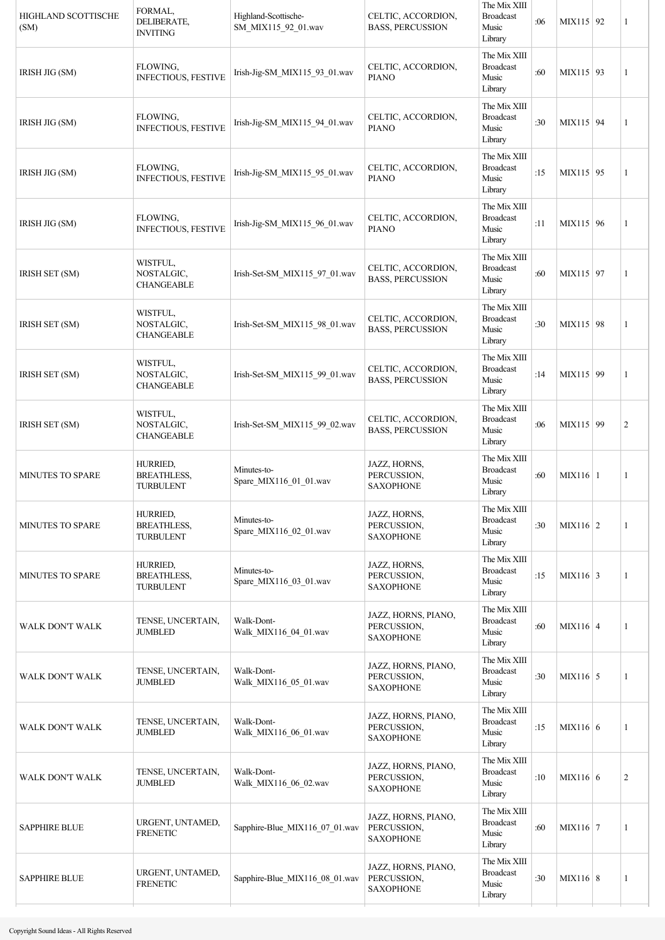| The Mix XIII<br>FLOWING.<br><b>Broadcast</b><br>CELTIC, ACCORDION,<br>:60<br>IRISH JIG (SM)<br>Irish-Jig-SM MIX115 93 01.wav<br><b>INFECTIOUS, FESTIVE</b><br><b>PIANO</b><br>Music                                                             | MIX115 93       |                |
|-------------------------------------------------------------------------------------------------------------------------------------------------------------------------------------------------------------------------------------------------|-----------------|----------------|
| Library                                                                                                                                                                                                                                         |                 | 1              |
| The Mix XIII<br>FLOWING,<br>CELTIC, ACCORDION,<br><b>Broadcast</b><br>:30<br>Irish-Jig-SM MIX115 94 01.wav<br>IRISH JIG (SM)<br><b>INFECTIOUS, FESTIVE</b><br><b>PIANO</b><br>Music<br>Library                                                  | MIX115 94       | 1              |
| The Mix XIII<br>FLOWING,<br><b>Broadcast</b><br>CELTIC, ACCORDION,<br>:15<br>IRISH JIG (SM)<br>Irish-Jig-SM_MIX115_95_01.wav<br><b>INFECTIOUS, FESTIVE</b><br>Music<br><b>PIANO</b><br>Library                                                  | MIX115 95       | 1              |
| The Mix XIII<br>FLOWING,<br><b>Broadcast</b><br>CELTIC, ACCORDION,<br>Irish-Jig-SM_MIX115_96_01.wav<br>:11<br>IRISH JIG (SM)<br><b>INFECTIOUS, FESTIVE</b><br><b>PIANO</b><br>Music<br>Library                                                  | MIX115 96       | 1              |
| The Mix XIII<br>WISTFUL,<br><b>Broadcast</b><br>CELTIC, ACCORDION,<br>IRISH SET (SM)<br>NOSTALGIC,<br>Irish-Set-SM_MIX115_97_01.wav<br>:60<br><b>BASS, PERCUSSION</b><br>Music<br><b>CHANGEABLE</b><br>Library                                  | MIX115 97       | 1              |
| The Mix XIII<br>WISTFUL,<br><b>Broadcast</b><br>CELTIC, ACCORDION,<br>IRISH SET (SM)<br>NOSTALGIC,<br>Irish-Set-SM_MIX115_98_01.wav<br>:30<br><b>BASS, PERCUSSION</b><br>Music<br><b>CHANGEABLE</b><br>Library                                  | MIX115 98       | 1              |
| The Mix XIII<br>WISTFUL,<br><b>Broadcast</b><br>CELTIC, ACCORDION,<br>NOSTALGIC,<br>Irish-Set-SM_MIX115_99_01.wav<br>:14<br><b>IRISH SET (SM)</b><br><b>BASS, PERCUSSION</b><br>Music<br><b>CHANGEABLE</b><br>Library                           | MIX115 99       | 1              |
| The Mix XIII<br>WISTFUL,<br><b>Broadcast</b><br>CELTIC, ACCORDION,<br>IRISH SET (SM)<br>NOSTALGIC,<br>Irish-Set-SM_MIX115_99_02.wav<br>:06<br><b>BASS, PERCUSSION</b><br>Music<br><b>CHANGEABLE</b><br>Library                                  | MIX115 99       | $\overline{2}$ |
| The Mix XIII<br>HURRIED,<br>JAZZ, HORNS,<br>Minutes-to-<br><b>Broadcast</b><br><b>BREATHLESS,</b><br>PERCUSSION,<br>MINUTES TO SPARE<br>:60<br>Spare_MIX116_01_01.wav<br>Music<br><b>TURBULENT</b><br><b>SAXOPHONE</b><br>Library               | $MIX116 \mid 1$ | 1              |
| The Mix XIII<br>HURRIED,<br>JAZZ, HORNS,<br><b>Broadcast</b><br>Minutes-to-<br>:30<br>MINUTES TO SPARE<br><b>BREATHLESS,</b><br>PERCUSSION,<br>Spare MIX116 02 01.wav<br>Music<br><b>TURBULENT</b><br><b>SAXOPHONE</b><br>Library               | $MIX116$ 2      | $\mathbf{1}$   |
| The Mix XIII<br><b>HURRIED,</b><br>JAZZ, HORNS,<br>Minutes-to-<br><b>Broadcast</b><br>:15<br><b>MINUTES TO SPARE</b><br><b>BREATHLESS,</b><br>PERCUSSION,<br>Spare_MIX116_03_01.wav<br>Music<br><b>TURBULENT</b><br><b>SAXOPHONE</b><br>Library | $MIX116 \mid 3$ | $\mathbf{1}$   |
| The Mix XIII<br>JAZZ, HORNS, PIANO,<br>Walk-Dont-<br><b>Broadcast</b><br>TENSE, UNCERTAIN,<br>PERCUSSION,<br>:60<br>WALK DON'T WALK<br><b>JUMBLED</b><br>Walk_MIX116_04_01.wav<br>Music<br><b>SAXOPHONE</b><br>Library                          | $MIX116 \mid 4$ | $\mathbf{1}$   |
| The Mix XIII<br>JAZZ, HORNS, PIANO,<br>Walk-Dont-<br><b>Broadcast</b><br>TENSE, UNCERTAIN,<br>:30<br>PERCUSSION,<br>WALK DON'T WALK<br><b>JUMBLED</b><br>Walk_MIX116_05_01.wav<br>Music<br><b>SAXOPHONE</b><br>Library                          | $MIX116 \mid 5$ | $\mathbf{1}$   |
| The Mix XIII<br>JAZZ, HORNS, PIANO,<br>Walk-Dont-<br>TENSE, UNCERTAIN,<br><b>Broadcast</b><br>PERCUSSION,<br>:15<br>WALK DON'T WALK<br><b>JUMBLED</b><br>Walk_MIX116_06_01.wav<br>Music<br><b>SAXOPHONE</b><br>Library                          | MIX116 6        | 1              |
| The Mix XIII<br>JAZZ, HORNS, PIANO,<br>Walk-Dont-<br><b>Broadcast</b><br>TENSE, UNCERTAIN,<br>PERCUSSION,<br>WALK DON'T WALK<br>:10<br><b>JUMBLED</b><br>Walk_MIX116_06_02.wav<br>Music<br><b>SAXOPHONE</b><br>Library                          | MIX116 6        | $\overline{2}$ |
| The Mix XIII<br>JAZZ, HORNS, PIANO,<br>URGENT, UNTAMED,<br><b>Broadcast</b><br>PERCUSSION,<br><b>SAPPHIRE BLUE</b><br>Sapphire-Blue_MIX116_07_01.wav<br>:60<br><b>FRENETIC</b><br>Music<br><b>SAXOPHONE</b><br>Library                          | $MIX116$ 7      | 1              |
| The Mix XIII<br>JAZZ, HORNS, PIANO,<br>URGENT, UNTAMED,<br><b>Broadcast</b><br>PERCUSSION,<br><b>SAPPHIRE BLUE</b><br>Sapphire-Blue_MIX116_08_01.wav<br>:30<br><b>FRENETIC</b><br>Music<br><b>SAXOPHONE</b><br>Library                          | $MIX116 \mid 8$ | 1              |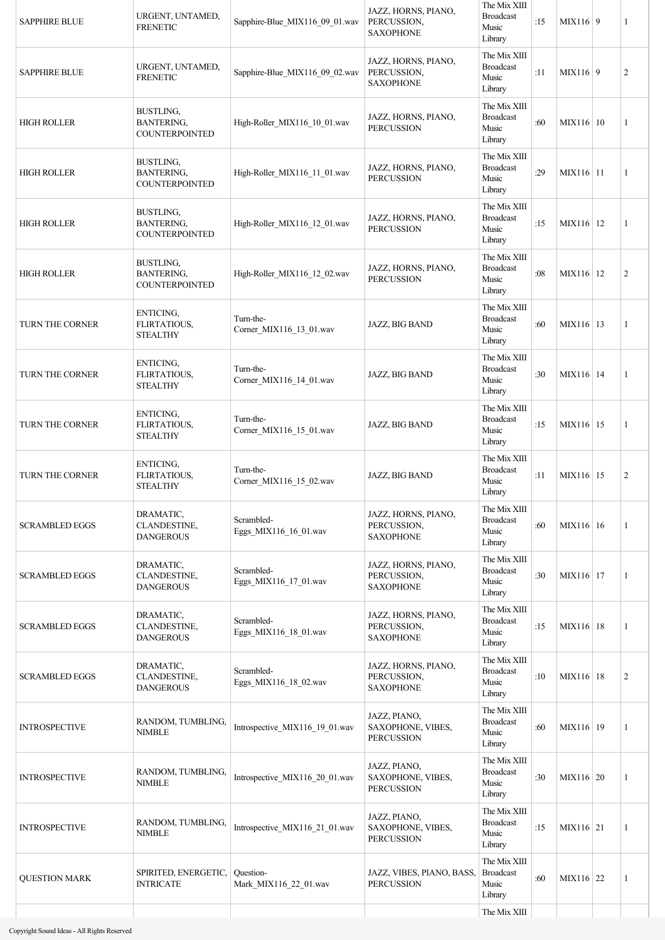| <b>SAPPHIRE BLUE</b>   | URGENT, UNTAMED,<br><b>FRENETIC</b>                     | Sapphire-Blue_MIX116_09_01.wav       | JAZZ, HORNS, PIANO,<br>PERCUSSION,<br><b>SAXOPHONE</b> | The Mix XIII<br><b>Broadcast</b><br>Music<br>Library | :15 | MIX116 9    | 1              |
|------------------------|---------------------------------------------------------|--------------------------------------|--------------------------------------------------------|------------------------------------------------------|-----|-------------|----------------|
| <b>SAPPHIRE BLUE</b>   | URGENT, UNTAMED,<br><b>FRENETIC</b>                     | Sapphire-Blue MIX116 09 02.wav       | JAZZ, HORNS, PIANO,<br>PERCUSSION,<br><b>SAXOPHONE</b> | The Mix XIII<br><b>Broadcast</b><br>Music<br>Library | :11 | MIX116 9    | $\overline{2}$ |
| <b>HIGH ROLLER</b>     | BUSTLING,<br><b>BANTERING,</b><br><b>COUNTERPOINTED</b> | High-Roller_MIX116_10_01.wav         | JAZZ, HORNS, PIANO,<br><b>PERCUSSION</b>               | The Mix XIII<br><b>Broadcast</b><br>Music<br>Library | :60 | MIX116 10   | 1              |
| <b>HIGH ROLLER</b>     | BUSTLING,<br><b>BANTERING,</b><br><b>COUNTERPOINTED</b> | High-Roller_MIX116_11_01.wav         | JAZZ, HORNS, PIANO,<br><b>PERCUSSION</b>               | The Mix XIII<br><b>Broadcast</b><br>Music<br>Library | :29 | MIX116 11   | 1              |
| <b>HIGH ROLLER</b>     | BUSTLING,<br><b>BANTERING,</b><br><b>COUNTERPOINTED</b> | High-Roller MIX116 12 01.wav         | JAZZ, HORNS, PIANO,<br><b>PERCUSSION</b>               | The Mix XIII<br><b>Broadcast</b><br>Music<br>Library | :15 | MIX116 12   | 1              |
| <b>HIGH ROLLER</b>     | BUSTLING,<br><b>BANTERING,</b><br><b>COUNTERPOINTED</b> | High-Roller_MIX116_12_02.wav         | JAZZ, HORNS, PIANO,<br><b>PERCUSSION</b>               | The Mix XIII<br><b>Broadcast</b><br>Music<br>Library | :08 | MIX116 12   | $\overline{2}$ |
| <b>TURN THE CORNER</b> | ENTICING,<br>FLIRTATIOUS,<br><b>STEALTHY</b>            | Turn-the-<br>Corner_MIX116_13_01.wav | JAZZ, BIG BAND                                         | The Mix XIII<br><b>Broadcast</b><br>Music<br>Library | :60 | MIX116   13 | 1              |
| TURN THE CORNER        | ENTICING,<br>FLIRTATIOUS,<br><b>STEALTHY</b>            | Turn-the-<br>Corner_MIX116_14_01.wav | JAZZ, BIG BAND                                         | The Mix XIII<br><b>Broadcast</b><br>Music<br>Library | :30 | MIX116 14   | 1              |
| TURN THE CORNER        | ENTICING,<br>FLIRTATIOUS,<br><b>STEALTHY</b>            | Turn-the-<br>Corner_MIX116_15_01.wav | JAZZ, BIG BAND                                         | The Mix XIII<br><b>Broadcast</b><br>Music<br>Library | :15 | MIX116 15   | 1              |
| TURN THE CORNER        | ENTICING,<br>FLIRTATIOUS,<br><b>STEALTHY</b>            | Turn-the-<br>Corner_MIX116_15_02.wav | JAZZ, BIG BAND                                         | The Mix XIII<br><b>Broadcast</b><br>Music<br>Library | :11 | MIX116 15   | $\sqrt{2}$     |
| <b>SCRAMBLED EGGS</b>  | DRAMATIC,<br>CLANDESTINE,<br><b>DANGEROUS</b>           | Scrambled-<br>Eggs MIX116 16 01.wav  | JAZZ, HORNS, PIANO,<br>PERCUSSION,<br><b>SAXOPHONE</b> | The Mix XIII<br><b>Broadcast</b><br>Music<br>Library | :60 | MIX116 16   | $\mathbf{1}$   |
| <b>SCRAMBLED EGGS</b>  | DRAMATIC,<br>CLANDESTINE,<br><b>DANGEROUS</b>           | Scrambled-<br>Eggs_MIX116_17_01.wav  | JAZZ, HORNS, PIANO,<br>PERCUSSION,<br><b>SAXOPHONE</b> | The Mix XIII<br><b>Broadcast</b><br>Music<br>Library | :30 | MIX116   17 | $\mathbf{1}$   |
| <b>SCRAMBLED EGGS</b>  | DRAMATIC,<br>CLANDESTINE,<br><b>DANGEROUS</b>           | Scrambled-<br>Eggs_MIX116_18_01.wav  | JAZZ, HORNS, PIANO,<br>PERCUSSION,<br><b>SAXOPHONE</b> | The Mix XIII<br><b>Broadcast</b><br>Music<br>Library | :15 | MIX116 18   | $\overline{1}$ |
| <b>SCRAMBLED EGGS</b>  | DRAMATIC,<br>CLANDESTINE,<br><b>DANGEROUS</b>           | Scrambled-<br>Eggs_MIX116_18_02.wav  | JAZZ, HORNS, PIANO,<br>PERCUSSION,<br><b>SAXOPHONE</b> | The Mix XIII<br><b>Broadcast</b><br>Music<br>Library | :10 | MIX116   18 | $\overline{2}$ |
| <b>INTROSPECTIVE</b>   | RANDOM, TUMBLING,<br><b>NIMBLE</b>                      | Introspective_MIX116_19_01.wav       | JAZZ, PIANO,<br>SAXOPHONE, VIBES,<br><b>PERCUSSION</b> | The Mix XIII<br><b>Broadcast</b><br>Music<br>Library | :60 | MIX116   19 | 1              |
| <b>INTROSPECTIVE</b>   | RANDOM, TUMBLING,<br><b>NIMBLE</b>                      | Introspective MIX116 20 01.wav       | JAZZ, PIANO,<br>SAXOPHONE, VIBES,<br><b>PERCUSSION</b> | The Mix XIII<br><b>Broadcast</b><br>Music<br>Library | :30 | MIX116 20   | $\mathbf{1}$   |
| <b>INTROSPECTIVE</b>   | RANDOM, TUMBLING,<br><b>NIMBLE</b>                      | Introspective_MIX116_21_01.wav       | JAZZ, PIANO,<br>SAXOPHONE, VIBES,<br><b>PERCUSSION</b> | The Mix XIII<br><b>Broadcast</b><br>Music<br>Library | :15 | MIX116 21   | 1              |
| <b>QUESTION MARK</b>   | SPIRITED, ENERGETIC,<br><b>INTRICATE</b>                | Question-<br>Mark_MIX116_22_01.wav   | JAZZ, VIBES, PIANO, BASS,<br><b>PERCUSSION</b>         | The Mix XIII<br><b>Broadcast</b><br>Music<br>Library | :60 | MIX116 22   | 1              |
|                        |                                                         |                                      |                                                        | The Mix XIII                                         |     |             |                |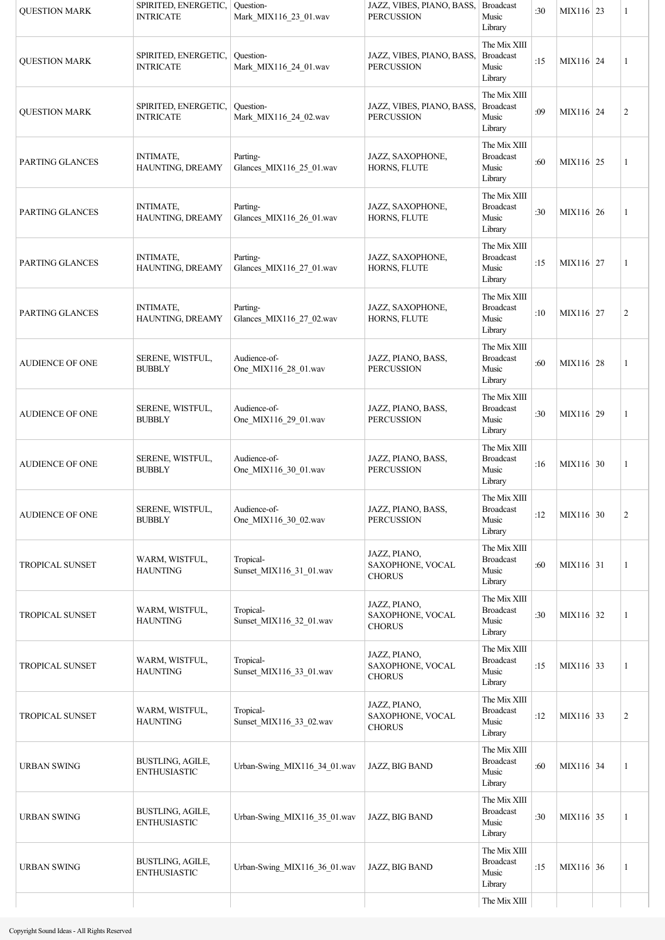| <b>OUESTION MARK</b>   | SPIRITED, ENERGETIC,<br><b>INTRICATE</b> | Question-<br>Mark_MIX116_23_01.wav   | JAZZ, VIBES, PIANO, BASS,<br><b>PERCUSSION</b>    | <b>Broadcast</b><br>Music<br>Library                 | :30 | MIX116 23 | 1              |
|------------------------|------------------------------------------|--------------------------------------|---------------------------------------------------|------------------------------------------------------|-----|-----------|----------------|
| <b>QUESTION MARK</b>   | SPIRITED, ENERGETIC,<br><b>INTRICATE</b> | Question-<br>Mark MIX116 24 01.wav   | JAZZ, VIBES, PIANO, BASS,<br><b>PERCUSSION</b>    | The Mix XIII<br><b>Broadcast</b><br>Music<br>Library | :15 | MIX116 24 | 1              |
| <b>QUESTION MARK</b>   | SPIRITED, ENERGETIC,<br><b>INTRICATE</b> | Question-<br>Mark MIX116 24 02.wav   | JAZZ, VIBES, PIANO, BASS,<br><b>PERCUSSION</b>    | The Mix XIII<br><b>Broadcast</b><br>Music<br>Library | :09 | MIX116 24 | $\overline{c}$ |
| PARTING GLANCES        | <b>INTIMATE,</b><br>HAUNTING, DREAMY     | Parting-<br>Glances_MIX116_25_01.wav | JAZZ, SAXOPHONE,<br>HORNS, FLUTE                  | The Mix XIII<br><b>Broadcast</b><br>Music<br>Library | :60 | MIX116 25 | 1              |
| PARTING GLANCES        | <b>INTIMATE,</b><br>HAUNTING, DREAMY     | Parting-<br>Glances_MIX116_26_01.wav | JAZZ, SAXOPHONE,<br>HORNS, FLUTE                  | The Mix XIII<br><b>Broadcast</b><br>Music<br>Library | :30 | MIX116 26 | $\mathbf{1}$   |
| PARTING GLANCES        | <b>INTIMATE,</b><br>HAUNTING, DREAMY     | Parting-<br>Glances_MIX116_27_01.wav | JAZZ, SAXOPHONE,<br>HORNS, FLUTE                  | The Mix XIII<br><b>Broadcast</b><br>Music<br>Library | :15 | MIX116 27 | 1              |
| PARTING GLANCES        | <b>INTIMATE,</b><br>HAUNTING, DREAMY     | Parting-<br>Glances MIX116 27 02.wav | JAZZ, SAXOPHONE,<br>HORNS, FLUTE                  | The Mix XIII<br><b>Broadcast</b><br>Music<br>Library | :10 | MIX116 27 | $\overline{c}$ |
| <b>AUDIENCE OF ONE</b> | SERENE, WISTFUL,<br><b>BUBBLY</b>        | Audience-of-<br>One_MIX116_28_01.wav | JAZZ, PIANO, BASS,<br><b>PERCUSSION</b>           | The Mix XIII<br><b>Broadcast</b><br>Music<br>Library | :60 | MIX116 28 | 1              |
| <b>AUDIENCE OF ONE</b> | SERENE, WISTFUL,<br><b>BUBBLY</b>        | Audience-of-<br>One_MIX116_29_01.wav | JAZZ, PIANO, BASS,<br><b>PERCUSSION</b>           | The Mix XIII<br><b>Broadcast</b><br>Music<br>Library | :30 | MIX116 29 | 1              |
| <b>AUDIENCE OF ONE</b> | SERENE, WISTFUL,<br><b>BUBBLY</b>        | Audience-of-<br>One_MIX116_30_01.wav | JAZZ, PIANO, BASS,<br><b>PERCUSSION</b>           | The Mix XIII<br><b>Broadcast</b><br>Music<br>Library | :16 | MIX116 30 | 1              |
| <b>AUDIENCE OF ONE</b> | SERENE, WISTFUL,<br><b>BUBBLY</b>        | Audience-of-<br>One_MIX116_30_02.wav | JAZZ, PIANO, BASS,<br><b>PERCUSSION</b>           | The Mix XIII<br><b>Broadcast</b><br>Music<br>Library | :12 | MIX116 30 | $\overline{c}$ |
| <b>TROPICAL SUNSET</b> | WARM, WISTFUL,<br><b>HAUNTING</b>        | Tropical-<br>Sunset_MIX116_31_01.wav | JAZZ, PIANO,<br>SAXOPHONE, VOCAL<br><b>CHORUS</b> | The Mix XIII<br><b>Broadcast</b><br>Music<br>Library | :60 | MIX116 31 | 1              |
| <b>TROPICAL SUNSET</b> | WARM, WISTFUL,<br><b>HAUNTING</b>        | Tropical-<br>Sunset_MIX116_32_01.wav | JAZZ, PIANO,<br>SAXOPHONE, VOCAL<br><b>CHORUS</b> | The Mix XIII<br><b>Broadcast</b><br>Music<br>Library | :30 | MIX116 32 | 1              |
| <b>TROPICAL SUNSET</b> | WARM, WISTFUL,<br><b>HAUNTING</b>        | Tropical-<br>Sunset_MIX116_33_01.wav | JAZZ, PIANO,<br>SAXOPHONE, VOCAL<br><b>CHORUS</b> | The Mix XIII<br><b>Broadcast</b><br>Music<br>Library | :15 | MIX116 33 | 1              |
| <b>TROPICAL SUNSET</b> | WARM, WISTFUL,<br><b>HAUNTING</b>        | Tropical-<br>Sunset_MIX116_33_02.wav | JAZZ, PIANO,<br>SAXOPHONE, VOCAL<br><b>CHORUS</b> | The Mix XIII<br><b>Broadcast</b><br>Music<br>Library | :12 | MIX116 33 | $\overline{c}$ |
| <b>URBAN SWING</b>     | BUSTLING, AGILE,<br><b>ENTHUSIASTIC</b>  | Urban-Swing_MIX116_34_01.wav         | JAZZ, BIG BAND                                    | The Mix XIII<br><b>Broadcast</b><br>Music<br>Library | :60 | MIX116 34 | 1              |
| <b>URBAN SWING</b>     | BUSTLING, AGILE,<br><b>ENTHUSIASTIC</b>  | Urban-Swing MIX116 35 01.wav         | JAZZ, BIG BAND                                    | The Mix XIII<br><b>Broadcast</b><br>Music<br>Library | :30 | MIX116 35 | 1              |
| <b>URBAN SWING</b>     | BUSTLING, AGILE,<br><b>ENTHUSIASTIC</b>  | Urban-Swing_MIX116_36_01.wav         | JAZZ, BIG BAND                                    | The Mix XIII<br><b>Broadcast</b><br>Music<br>Library | :15 | MIX116 36 | 1              |
|                        |                                          |                                      |                                                   | The Mix XIII                                         |     |           |                |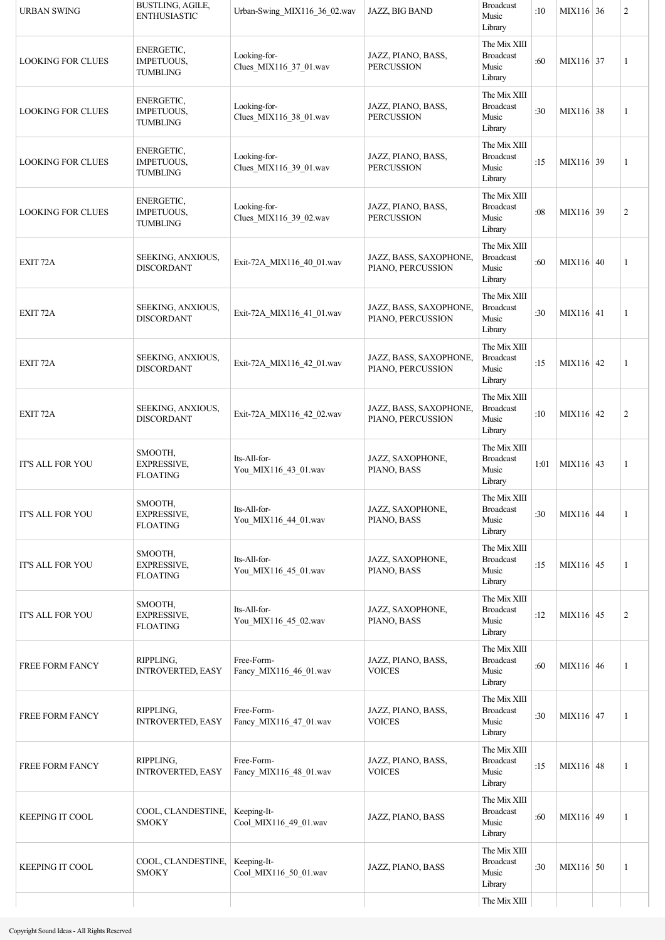| <b>URBAN SWING</b>       | BUSTLING, AGILE,<br><b>ENTHUSIASTIC</b>          | Urban-Swing MIX116 36 02.wav           | JAZZ, BIG BAND                              | <b>Broadcast</b><br>Music<br>Library                 | :10  | MIX116 36   | $\mathfrak{2}$ |
|--------------------------|--------------------------------------------------|----------------------------------------|---------------------------------------------|------------------------------------------------------|------|-------------|----------------|
| <b>LOOKING FOR CLUES</b> | ENERGETIC,<br>IMPETUOUS,<br><b>TUMBLING</b>      | Looking-for-<br>Clues_MIX116_37_01.wav | JAZZ, PIANO, BASS,<br><b>PERCUSSION</b>     | The Mix XIII<br><b>Broadcast</b><br>Music<br>Library | :60  | MIX116 37   | 1              |
| <b>LOOKING FOR CLUES</b> | ENERGETIC,<br>IMPETUOUS,<br><b>TUMBLING</b>      | Looking-for-<br>Clues MIX116 38 01.wav | JAZZ, PIANO, BASS,<br><b>PERCUSSION</b>     | The Mix XIII<br><b>Broadcast</b><br>Music<br>Library | :30  | MIX116 38   | 1              |
| <b>LOOKING FOR CLUES</b> | ENERGETIC,<br>IMPETUOUS,<br><b>TUMBLING</b>      | Looking-for-<br>Clues_MIX116_39_01.wav | JAZZ, PIANO, BASS,<br><b>PERCUSSION</b>     | The Mix XIII<br><b>Broadcast</b><br>Music<br>Library | :15  | MIX116 39   | 1              |
| <b>LOOKING FOR CLUES</b> | ENERGETIC,<br>IMPETUOUS,<br><b>TUMBLING</b>      | Looking-for-<br>Clues_MIX116_39_02.wav | JAZZ, PIANO, BASS,<br><b>PERCUSSION</b>     | The Mix XIII<br><b>Broadcast</b><br>Music<br>Library | :08  | MIX116 39   | $\mathfrak{2}$ |
| EXIT <sub>72</sub> A     | SEEKING, ANXIOUS,<br><b>DISCORDANT</b>           | Exit-72A_MIX116_40_01.wav              | JAZZ, BASS, SAXOPHONE,<br>PIANO, PERCUSSION | The Mix XIII<br><b>Broadcast</b><br>Music<br>Library | :60  | MIX116 40   | 1              |
| EXIT <sub>72</sub> A     | SEEKING, ANXIOUS,<br><b>DISCORDANT</b>           | Exit-72A_MIX116_41_01.wav              | JAZZ, BASS, SAXOPHONE,<br>PIANO, PERCUSSION | The Mix XIII<br><b>Broadcast</b><br>Music<br>Library | :30  | MIX116 41   | 1              |
| EXIT <sub>72</sub> A     | SEEKING, ANXIOUS,<br><b>DISCORDANT</b>           | Exit-72A_MIX116_42_01.wav              | JAZZ, BASS, SAXOPHONE,<br>PIANO, PERCUSSION | The Mix XIII<br><b>Broadcast</b><br>Music<br>Library | :15  | MIX116 42   | 1              |
| EXIT <sub>72A</sub>      | SEEKING, ANXIOUS,<br><b>DISCORDANT</b>           | Exit-72A MIX116 42 02.wav              | JAZZ, BASS, SAXOPHONE,<br>PIANO, PERCUSSION | The Mix XIII<br><b>Broadcast</b><br>Music<br>Library | :10  | MIX116 42   | $\overline{c}$ |
| <b>IT'S ALL FOR YOU</b>  | SMOOTH,<br>EXPRESSIVE,<br><b>FLOATING</b>        | Its-All-for-<br>You MIX116 43 01.wav   | JAZZ, SAXOPHONE,<br>PIANO, BASS             | The Mix XIII<br><b>Broadcast</b><br>Music<br>Library | 1:01 | $MIX116$ 43 | $\mathbf{1}$   |
| <b>IT'S ALL FOR YOU</b>  | SMOOTH,<br><b>EXPRESSIVE,</b><br><b>FLOATING</b> | Its-All-for-<br>You_MIX116_44_01.wav   | JAZZ, SAXOPHONE,<br>PIANO, BASS             | The Mix XIII<br><b>Broadcast</b><br>Music<br>Library | :30  | MIX116 44   | 1              |
| IT'S ALL FOR YOU         | SMOOTH,<br>EXPRESSIVE,<br><b>FLOATING</b>        | Its-All-for-<br>You_MIX116_45_01.wav   | JAZZ, SAXOPHONE,<br>PIANO, BASS             | The Mix XIII<br><b>Broadcast</b><br>Music<br>Library | :15  | MIX116 45   | 1              |
| IT'S ALL FOR YOU         | SMOOTH,<br>EXPRESSIVE,<br><b>FLOATING</b>        | Its-All-for-<br>You_MIX116_45_02.wav   | JAZZ, SAXOPHONE,<br>PIANO, BASS             | The Mix XIII<br><b>Broadcast</b><br>Music<br>Library | :12  | MIX116 45   | $\overline{c}$ |
| FREE FORM FANCY          | RIPPLING,<br><b>INTROVERTED, EASY</b>            | Free-Form-<br>Fancy_MIX116_46_01.wav   | JAZZ, PIANO, BASS,<br><b>VOICES</b>         | The Mix XIII<br><b>Broadcast</b><br>Music<br>Library | :60  | MIX116 46   | 1              |
| FREE FORM FANCY          | RIPPLING,<br><b>INTROVERTED, EASY</b>            | Free-Form-<br>Fancy_MIX116_47_01.wav   | JAZZ, PIANO, BASS,<br><b>VOICES</b>         | The Mix XIII<br><b>Broadcast</b><br>Music<br>Library | :30  | MIX116 47   | 1              |
| FREE FORM FANCY          | RIPPLING,<br><b>INTROVERTED, EASY</b>            | Free-Form-<br>Fancy_MIX116_48_01.wav   | JAZZ, PIANO, BASS,<br><b>VOICES</b>         | The Mix XIII<br><b>Broadcast</b><br>Music<br>Library | :15  | MIX116 48   | 1              |
| <b>KEEPING IT COOL</b>   | COOL, CLANDESTINE,<br><b>SMOKY</b>               | Keeping-It-<br>Cool_MIX116_49_01.wav   | JAZZ, PIANO, BASS                           | The Mix XIII<br><b>Broadcast</b><br>Music<br>Library | :60  | MIX116 49   | 1              |
| <b>KEEPING IT COOL</b>   | COOL, CLANDESTINE,<br><b>SMOKY</b>               | Keeping-It-<br>Cool_MIX116_50_01.wav   | JAZZ, PIANO, BASS                           | The Mix XIII<br><b>Broadcast</b><br>Music<br>Library | :30  | MIX116 50   | 1              |
|                          |                                                  |                                        |                                             | The Mix XIII                                         |      |             |                |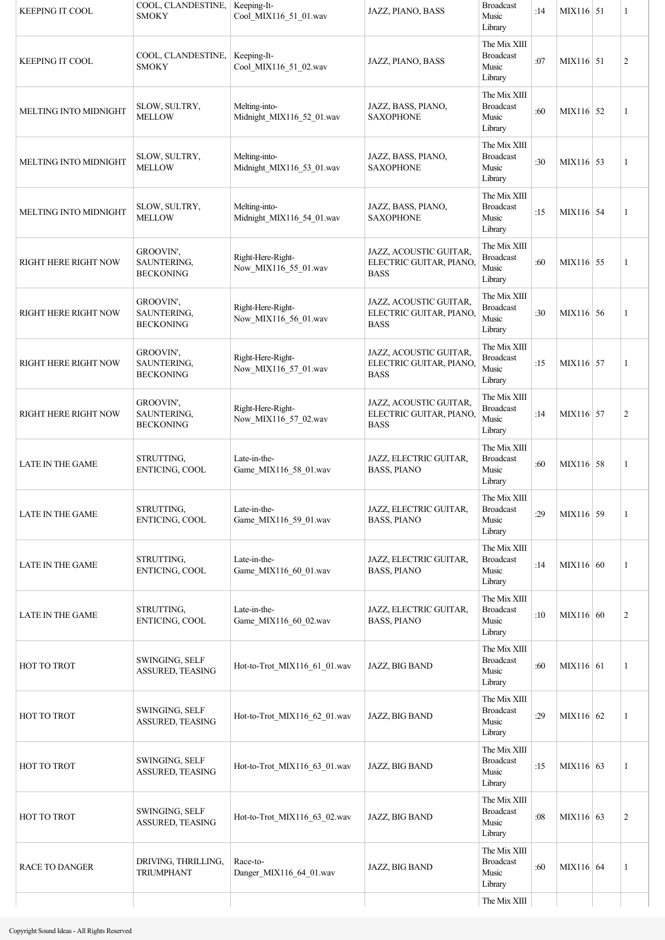| <b>KEEPING IT COOL</b>      | COOL, CLANDESTINE,<br><b>SMOKY</b>           | Keeping-It-<br>Cool_MIX116_51_01.wav       | JAZZ, PIANO, BASS                                               | <b>Broadcast</b><br>Music<br>Library                 | :14 | MIX116 51   | 1              |
|-----------------------------|----------------------------------------------|--------------------------------------------|-----------------------------------------------------------------|------------------------------------------------------|-----|-------------|----------------|
| <b>KEEPING IT COOL</b>      | COOL, CLANDESTINE,<br><b>SMOKY</b>           | Keeping-It-<br>Cool_MIX116_51_02.wav       | JAZZ, PIANO, BASS                                               | The Mix XIII<br><b>Broadcast</b><br>Music<br>Library | :07 | MIX116 51   | $\overline{c}$ |
| MELTING INTO MIDNIGHT       | SLOW, SULTRY,<br><b>MELLOW</b>               | Melting-into-<br>Midnight MIX116 52 01.wav | JAZZ, BASS, PIANO,<br><b>SAXOPHONE</b>                          | The Mix XIII<br><b>Broadcast</b><br>Music<br>Library | :60 | MIX116 52   | 1              |
| MELTING INTO MIDNIGHT       | SLOW, SULTRY,<br><b>MELLOW</b>               | Melting-into-<br>Midnight_MIX116_53_01.wav | JAZZ, BASS, PIANO,<br><b>SAXOPHONE</b>                          | The Mix XIII<br><b>Broadcast</b><br>Music<br>Library | :30 | $MIX116$ 53 | 1              |
| MELTING INTO MIDNIGHT       | SLOW, SULTRY,<br><b>MELLOW</b>               | Melting-into-<br>Midnight_MIX116_54_01.wav | JAZZ, BASS, PIANO,<br><b>SAXOPHONE</b>                          | The Mix XIII<br><b>Broadcast</b><br>Music<br>Library | :15 | MIX116 54   | 1              |
| RIGHT HERE RIGHT NOW        | GROOVIN',<br>SAUNTERING,<br><b>BECKONING</b> | Right-Here-Right-<br>Now_MIX116_55_01.wav  | JAZZ, ACOUSTIC GUITAR,<br>ELECTRIC GUITAR, PIANO<br><b>BASS</b> | The Mix XIII<br><b>Broadcast</b><br>Music<br>Library | :60 | MIX116 55   | 1              |
| <b>RIGHT HERE RIGHT NOW</b> | GROOVIN',<br>SAUNTERING,<br><b>BECKONING</b> | Right-Here-Right-<br>Now_MIX116_56_01.wav  | JAZZ, ACOUSTIC GUITAR,<br>ELECTRIC GUITAR, PIANO<br><b>BASS</b> | The Mix XIII<br><b>Broadcast</b><br>Music<br>Library | :30 | MIX116 56   | 1              |
| RIGHT HERE RIGHT NOW        | GROOVIN',<br>SAUNTERING,<br><b>BECKONING</b> | Right-Here-Right-<br>Now_MIX116_57_01.wav  | JAZZ, ACOUSTIC GUITAR,<br>ELECTRIC GUITAR, PIANO<br><b>BASS</b> | The Mix XIII<br><b>Broadcast</b><br>Music<br>Library | :15 | MIX116 57   | 1              |
| <b>RIGHT HERE RIGHT NOW</b> | GROOVIN',<br>SAUNTERING,<br><b>BECKONING</b> | Right-Here-Right-<br>Now_MIX116_57_02.wav  | JAZZ, ACOUSTIC GUITAR,<br>ELECTRIC GUITAR, PIANO<br><b>BASS</b> | The Mix XIII<br><b>Broadcast</b><br>Music<br>Library | :14 | MIX116 57   | $\overline{c}$ |
| LATE IN THE GAME            | STRUTTING,<br>ENTICING, COOL                 | Late-in-the-<br>Game MIX116 58 01.wav      | JAZZ, ELECTRIC GUITAR,<br><b>BASS, PIANO</b>                    | The Mix XIII<br><b>Broadcast</b><br>Music<br>Library | :60 | MIX116 58   | 1              |
| <b>LATE IN THE GAME</b>     | STRUTTING,<br>ENTICING, COOL                 | Late-in-the-<br>Game_MIX116_59_01.wav      | JAZZ, ELECTRIC GUITAR,<br><b>BASS, PIANO</b>                    | The Mix XIII<br><b>Broadcast</b><br>Music<br>Library | :29 | MIX116 59   | 1              |
| <b>LATE IN THE GAME</b>     | STRUTTING,<br>ENTICING, COOL                 | Late-in-the-<br>Game MIX116 60 01.wav      | JAZZ, ELECTRIC GUITAR,<br><b>BASS, PIANO</b>                    | The Mix XIII<br><b>Broadcast</b><br>Music<br>Library | :14 | MIX116 60   | 1              |
| LATE IN THE GAME            | STRUTTING,<br>ENTICING, COOL                 | Late-in-the-<br>Game_MIX116_60_02.wav      | JAZZ, ELECTRIC GUITAR,<br><b>BASS, PIANO</b>                    | The Mix XIII<br><b>Broadcast</b><br>Music<br>Library | :10 | MIX116 60   | 2              |
| HOT TO TROT                 | SWINGING, SELF<br>ASSURED, TEASING           | Hot-to-Trot MIX116 61 01.wav               | JAZZ, BIG BAND                                                  | The Mix XIII<br><b>Broadcast</b><br>Music<br>Library | :60 | MIX116 61   | 1              |
| HOT TO TROT                 | SWINGING, SELF<br>ASSURED, TEASING           | Hot-to-Trot MIX116 62 01.wav               | JAZZ, BIG BAND                                                  | The Mix XIII<br><b>Broadcast</b><br>Music<br>Library | :29 | MIX116 62   | 1              |
| HOT TO TROT                 | SWINGING, SELF<br><b>ASSURED, TEASING</b>    | Hot-to-Trot MIX116 63 01.wav               | JAZZ, BIG BAND                                                  | The Mix XIII<br><b>Broadcast</b><br>Music<br>Library | :15 | MIX116 63   | 1              |
| HOT TO TROT                 | SWINGING, SELF<br>ASSURED, TEASING           | Hot-to-Trot MIX116 63 02.wav               | JAZZ, BIG BAND                                                  | The Mix XIII<br><b>Broadcast</b><br>Music<br>Library | :08 | MIX116 63   | 2              |
| <b>RACE TO DANGER</b>       | DRIVING, THRILLING,<br><b>TRIUMPHANT</b>     | Race-to-<br>Danger_MIX116_64_01.wav        | JAZZ, BIG BAND                                                  | The Mix XIII<br><b>Broadcast</b><br>Music<br>Library | :60 | MIX116 64   | 1              |
|                             |                                              |                                            |                                                                 | The Mix XIII                                         |     |             |                |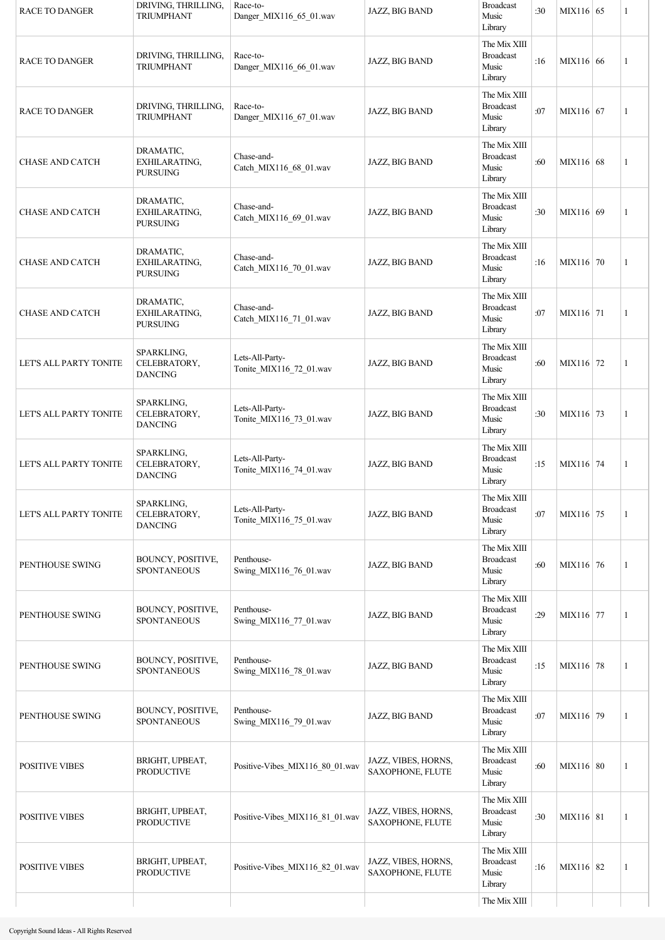| <b>RACE TO DANGER</b>  | DRIVING, THRILLING,<br><b>TRIUMPHANT</b>      | Race-to-<br>Danger MIX116 65 01.wav        | JAZZ, BIG BAND                          | <b>Broadcast</b><br>Music<br>Library                 | :30 | MIX116 65 | 1 |
|------------------------|-----------------------------------------------|--------------------------------------------|-----------------------------------------|------------------------------------------------------|-----|-----------|---|
| <b>RACE TO DANGER</b>  | DRIVING, THRILLING,<br><b>TRIUMPHANT</b>      | Race-to-<br>Danger_MIX116_66_01.wav        | JAZZ, BIG BAND                          | The Mix XIII<br><b>Broadcast</b><br>Music<br>Library | :16 | MIX116 66 | 1 |
| <b>RACE TO DANGER</b>  | DRIVING, THRILLING,<br><b>TRIUMPHANT</b>      | Race-to-<br>Danger MIX116 67 01.wav        | JAZZ, BIG BAND                          | The Mix XIII<br><b>Broadcast</b><br>Music<br>Library | :07 | MIX116 67 | 1 |
| <b>CHASE AND CATCH</b> | DRAMATIC,<br>EXHILARATING,<br><b>PURSUING</b> | Chase-and-<br>Catch_MIX116_68_01.wav       | JAZZ, BIG BAND                          | The Mix XIII<br><b>Broadcast</b><br>Music<br>Library | :60 | MIX116 68 | 1 |
| <b>CHASE AND CATCH</b> | DRAMATIC,<br>EXHILARATING,<br><b>PURSUING</b> | Chase-and-<br>Catch_MIX116_69_01.wav       | JAZZ, BIG BAND                          | The Mix XIII<br><b>Broadcast</b><br>Music<br>Library | :30 | MIX116 69 | 1 |
| <b>CHASE AND CATCH</b> | DRAMATIC,<br>EXHILARATING,<br><b>PURSUING</b> | Chase-and-<br>Catch_MIX116_70_01.wav       | JAZZ, BIG BAND                          | The Mix XIII<br><b>Broadcast</b><br>Music<br>Library | :16 | MIX116 70 | 1 |
| <b>CHASE AND CATCH</b> | DRAMATIC,<br>EXHILARATING,<br><b>PURSUING</b> | Chase-and-<br>Catch_MIX116_71_01.wav       | JAZZ, BIG BAND                          | The Mix XIII<br><b>Broadcast</b><br>Music<br>Library | :07 | MIX116 71 | 1 |
| LET'S ALL PARTY TONITE | SPARKLING,<br>CELEBRATORY,<br><b>DANCING</b>  | Lets-All-Party-<br>Tonite_MIX116_72_01.wav | JAZZ, BIG BAND                          | The Mix XIII<br><b>Broadcast</b><br>Music<br>Library | :60 | MIX116 72 | 1 |
| LET'S ALL PARTY TONITE | SPARKLING,<br>CELEBRATORY,<br><b>DANCING</b>  | Lets-All-Party-<br>Tonite_MIX116_73_01.wav | JAZZ, BIG BAND                          | The Mix XIII<br><b>Broadcast</b><br>Music<br>Library | :30 | MIX116 73 | 1 |
| LET'S ALL PARTY TONITE | SPARKLING,<br>CELEBRATORY,<br><b>DANCING</b>  | Lets-All-Party-<br>Tonite_MIX116_74_01.wav | JAZZ, BIG BAND                          | The Mix XIII<br><b>Broadcast</b><br>Music<br>Library | :15 | MIX116 74 | 1 |
| LET'S ALL PARTY TONITE | SPARKLING,<br>CELEBRATORY,<br><b>DANCING</b>  | Lets-All-Party-<br>Tonite_MIX116_75_01.wav | JAZZ, BIG BAND                          | The Mix XIII<br><b>Broadcast</b><br>Music<br>Library | :07 | MIX116 75 | 1 |
| PENTHOUSE SWING        | BOUNCY, POSITIVE,<br><b>SPONTANEOUS</b>       | Penthouse-<br>Swing MIX116 76 01.wav       | JAZZ, BIG BAND                          | The Mix XIII<br><b>Broadcast</b><br>Music<br>Library | :60 | MIX116 76 | 1 |
| PENTHOUSE SWING        | BOUNCY, POSITIVE,<br><b>SPONTANEOUS</b>       | Penthouse-<br>Swing MIX116 77 01.wav       | JAZZ, BIG BAND                          | The Mix XIII<br><b>Broadcast</b><br>Music<br>Library | :29 | MIX116 77 | 1 |
| PENTHOUSE SWING        | BOUNCY, POSITIVE,<br><b>SPONTANEOUS</b>       | Penthouse-<br>Swing_MIX116_78_01.wav       | JAZZ, BIG BAND                          | The Mix XIII<br><b>Broadcast</b><br>Music<br>Library | :15 | MIX116 78 | 1 |
| PENTHOUSE SWING        | BOUNCY, POSITIVE,<br><b>SPONTANEOUS</b>       | Penthouse-<br>Swing_MIX116_79_01.wav       | JAZZ, BIG BAND                          | The Mix XIII<br><b>Broadcast</b><br>Music<br>Library | :07 | MIX116 79 | 1 |
| <b>POSITIVE VIBES</b>  | BRIGHT, UPBEAT,<br><b>PRODUCTIVE</b>          | Positive-Vibes_MIX116_80_01.wav            | JAZZ, VIBES, HORNS,<br>SAXOPHONE, FLUTE | The Mix XIII<br><b>Broadcast</b><br>Music<br>Library | :60 | MIX116 80 | 1 |
| <b>POSITIVE VIBES</b>  | BRIGHT, UPBEAT,<br><b>PRODUCTIVE</b>          | Positive-Vibes_MIX116_81_01.wav            | JAZZ, VIBES, HORNS,<br>SAXOPHONE, FLUTE | The Mix XIII<br><b>Broadcast</b><br>Music<br>Library | :30 | MIX116 81 | 1 |
| <b>POSITIVE VIBES</b>  | BRIGHT, UPBEAT,<br><b>PRODUCTIVE</b>          | Positive-Vibes_MIX116_82_01.wav            | JAZZ, VIBES, HORNS,<br>SAXOPHONE, FLUTE | The Mix XIII<br><b>Broadcast</b><br>Music<br>Library | :16 | MIX116 82 | 1 |
|                        |                                               |                                            |                                         | The Mix XIII                                         |     |           |   |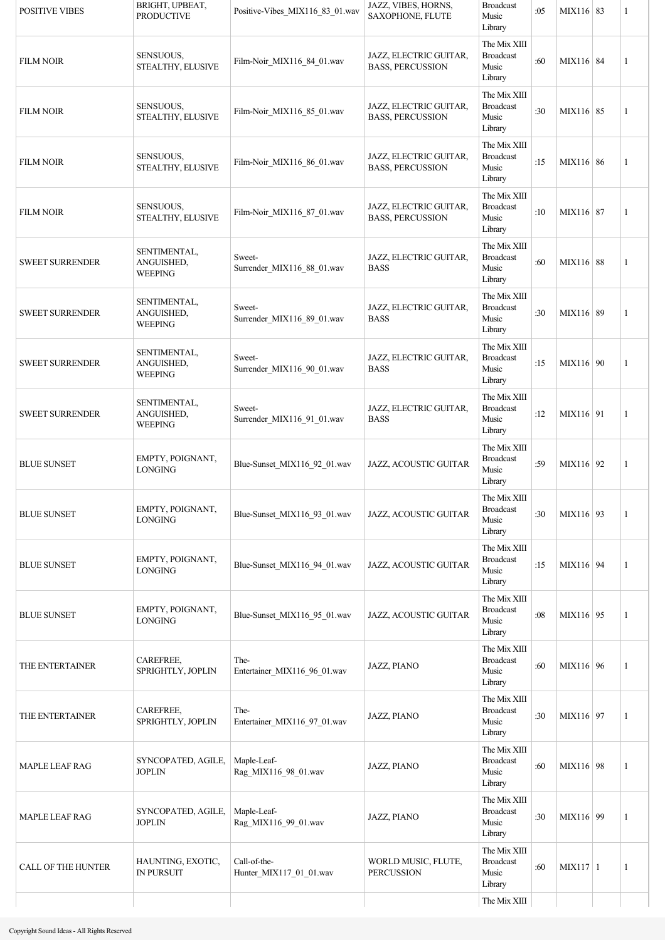| <b>POSITIVE VIBES</b>     | BRIGHT, UPBEAT,<br><b>PRODUCTIVE</b>         | Positive-Vibes_MIX116_83_01.wav         | JAZZ, VIBES, HORNS,<br>SAXOPHONE, FLUTE           | <b>Broadcast</b><br>Music<br>Library                 | :05 | $MIX116 \mid 83$ | 1 |
|---------------------------|----------------------------------------------|-----------------------------------------|---------------------------------------------------|------------------------------------------------------|-----|------------------|---|
| <b>FILM NOIR</b>          | SENSUOUS,<br>STEALTHY, ELUSIVE               | Film-Noir_MIX116_84_01.wav              | JAZZ, ELECTRIC GUITAR,<br><b>BASS, PERCUSSION</b> | The Mix XIII<br><b>Broadcast</b><br>Music<br>Library | :60 | MIX116 84        | 1 |
| <b>FILM NOIR</b>          | SENSUOUS,<br>STEALTHY, ELUSIVE               | Film-Noir_MIX116_85_01.wav              | JAZZ, ELECTRIC GUITAR,<br><b>BASS, PERCUSSION</b> | The Mix XIII<br><b>Broadcast</b><br>Music<br>Library | :30 | MIX116 85        | 1 |
| <b>FILM NOIR</b>          | SENSUOUS,<br>STEALTHY, ELUSIVE               | Film-Noir_MIX116_86_01.wav              | JAZZ, ELECTRIC GUITAR,<br><b>BASS, PERCUSSION</b> | The Mix XIII<br><b>Broadcast</b><br>Music<br>Library | :15 | MIX116 86        | 1 |
| <b>FILM NOIR</b>          | SENSUOUS,<br>STEALTHY, ELUSIVE               | Film-Noir_MIX116_87_01.wav              | JAZZ, ELECTRIC GUITAR,<br><b>BASS, PERCUSSION</b> | The Mix XIII<br><b>Broadcast</b><br>Music<br>Library | :10 | MIX116 87        | 1 |
| <b>SWEET SURRENDER</b>    | SENTIMENTAL,<br>ANGUISHED,<br><b>WEEPING</b> | Sweet-<br>Surrender_MIX116_88_01.wav    | JAZZ, ELECTRIC GUITAR,<br><b>BASS</b>             | The Mix XIII<br><b>Broadcast</b><br>Music<br>Library | :60 | MIX116 88        | 1 |
| <b>SWEET SURRENDER</b>    | SENTIMENTAL,<br>ANGUISHED,<br><b>WEEPING</b> | Sweet-<br>Surrender MIX116 89 01.wav    | JAZZ, ELECTRIC GUITAR,<br><b>BASS</b>             | The Mix XIII<br><b>Broadcast</b><br>Music<br>Library | :30 | MIX116 89        | 1 |
| <b>SWEET SURRENDER</b>    | SENTIMENTAL,<br>ANGUISHED,<br><b>WEEPING</b> | Sweet-<br>Surrender_MIX116_90_01.wav    | JAZZ, ELECTRIC GUITAR,<br><b>BASS</b>             | The Mix XIII<br><b>Broadcast</b><br>Music<br>Library | :15 | MIX116 90        | 1 |
| <b>SWEET SURRENDER</b>    | SENTIMENTAL,<br>ANGUISHED,<br><b>WEEPING</b> | Sweet-<br>Surrender_MIX116_91_01.wav    | JAZZ, ELECTRIC GUITAR,<br><b>BASS</b>             | The Mix XIII<br><b>Broadcast</b><br>Music<br>Library | :12 | MIX116 91        | 1 |
| <b>BLUE SUNSET</b>        | EMPTY, POIGNANT,<br><b>LONGING</b>           | Blue-Sunset MIX116 92 01.wav            | JAZZ, ACOUSTIC GUITAR                             | The Mix XIII<br><b>Broadcast</b><br>Music<br>Library | :59 | MIX116 92        | 1 |
| <b>BLUE SUNSET</b>        | EMPTY, POIGNANT,<br><b>LONGING</b>           | Blue-Sunset MIX116 93 01.wav            | JAZZ, ACOUSTIC GUITAR                             | The Mix XIII<br><b>Broadcast</b><br>Music<br>Library | :30 | MIX116 93        | 1 |
| <b>BLUE SUNSET</b>        | EMPTY, POIGNANT,<br><b>LONGING</b>           | Blue-Sunset_MIX116_94_01.wav            | JAZZ, ACOUSTIC GUITAR                             | The Mix XIII<br><b>Broadcast</b><br>Music<br>Library | :15 | MIX116 94        | 1 |
| <b>BLUE SUNSET</b>        | EMPTY, POIGNANT,<br><b>LONGING</b>           | Blue-Sunset MIX116 95 01.wav            | JAZZ, ACOUSTIC GUITAR                             | The Mix XIII<br><b>Broadcast</b><br>Music<br>Library | :08 | MIX116 95        | 1 |
| THE ENTERTAINER           | CAREFREE,<br>SPRIGHTLY, JOPLIN               | The-<br>Entertainer_MIX116_96_01.wav    | JAZZ, PIANO                                       | The Mix XIII<br><b>Broadcast</b><br>Music<br>Library | :60 | MIX116 96        | 1 |
| THE ENTERTAINER           | CAREFREE,<br>SPRIGHTLY, JOPLIN               | The-<br>Entertainer_MIX116_97_01.wav    | JAZZ, PIANO                                       | The Mix XIII<br><b>Broadcast</b><br>Music<br>Library | :30 | MIX116 97        | 1 |
| MAPLE LEAF RAG            | SYNCOPATED, AGILE,<br><b>JOPLIN</b>          | Maple-Leaf-<br>Rag_MIX116_98_01.wav     | JAZZ, PIANO                                       | The Mix XIII<br><b>Broadcast</b><br>Music<br>Library | :60 | MIX116 98        | 1 |
| <b>MAPLE LEAF RAG</b>     | SYNCOPATED, AGILE,<br><b>JOPLIN</b>          | Maple-Leaf-<br>Rag_MIX116_99_01.wav     | JAZZ, PIANO                                       | The Mix XIII<br><b>Broadcast</b><br>Music<br>Library | :30 | MIX116 99        | 1 |
| <b>CALL OF THE HUNTER</b> | HAUNTING, EXOTIC,<br><b>IN PURSUIT</b>       | Call-of-the-<br>Hunter_MIX117_01_01.wav | WORLD MUSIC, FLUTE,<br>PERCUSSION                 | The Mix XIII<br><b>Broadcast</b><br>Music<br>Library | :60 | $MIX117$   1     | 1 |
|                           |                                              |                                         |                                                   | The Mix XIII                                         |     |                  |   |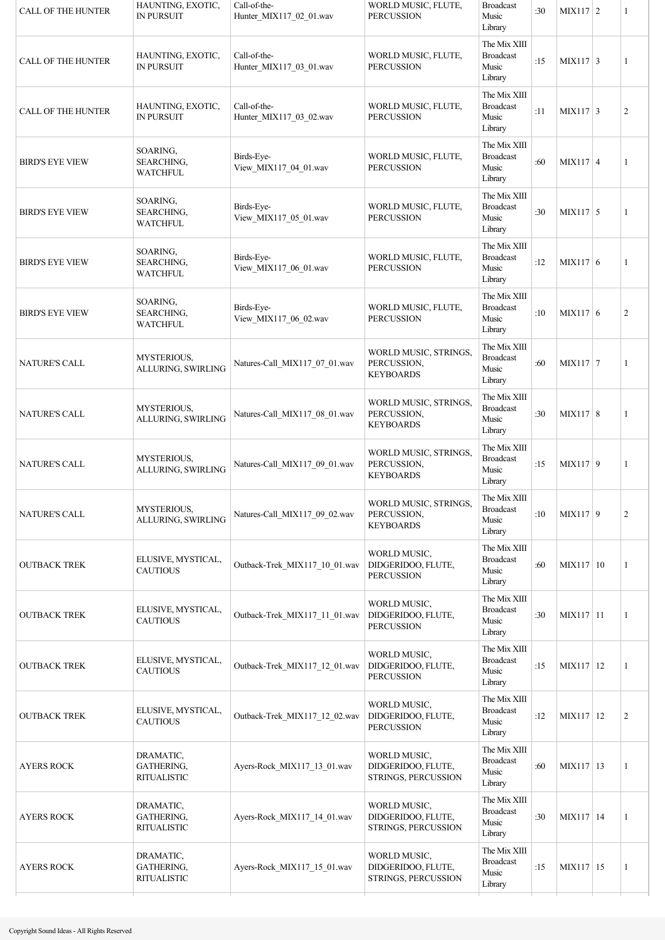| <b>CALL OF THE HUNTER</b> | HAUNTING, EXOTIC,<br><b>IN PURSUIT</b>        | Call-of-the-<br>Hunter_MIX117_02_01.wav | WORLD MUSIC, FLUTE,<br><b>PERCUSSION</b>                  | <b>Broadcast</b><br>Music<br>Library                 | :30 | $MIX117$ 2       | 1              |
|---------------------------|-----------------------------------------------|-----------------------------------------|-----------------------------------------------------------|------------------------------------------------------|-----|------------------|----------------|
| <b>CALL OF THE HUNTER</b> | HAUNTING, EXOTIC,<br><b>IN PURSUIT</b>        | Call-of-the-<br>Hunter_MIX117_03_01.wav | WORLD MUSIC, FLUTE,<br><b>PERCUSSION</b>                  | The Mix XIII<br><b>Broadcast</b><br>Music<br>Library | :15 | $MIX117 \mid 3$  | $\mathbf{1}$   |
| <b>CALL OF THE HUNTER</b> | HAUNTING, EXOTIC,<br><b>IN PURSUIT</b>        | Call-of-the-<br>Hunter_MIX117_03_02.wav | WORLD MUSIC, FLUTE,<br><b>PERCUSSION</b>                  | The Mix XIII<br><b>Broadcast</b><br>Music<br>Library | :11 | $MIX117 \mid 3$  | $\overline{2}$ |
| <b>BIRD'S EYE VIEW</b>    | SOARING,<br>SEARCHING,<br><b>WATCHFUL</b>     | Birds-Eye-<br>View_MIX117_04_01.wav     | WORLD MUSIC, FLUTE,<br><b>PERCUSSION</b>                  | The Mix XIII<br><b>Broadcast</b><br>Music<br>Library | :60 | $MIX117$ 4       | $\mathbf{1}$   |
| <b>BIRD'S EYE VIEW</b>    | SOARING,<br>SEARCHING,<br><b>WATCHFUL</b>     | Birds-Eye-<br>View_MIX117_05_01.wav     | WORLD MUSIC, FLUTE,<br><b>PERCUSSION</b>                  | The Mix XIII<br><b>Broadcast</b><br>Music<br>Library | :30 | $MIX117 \mid 5$  | $\mathbf{1}$   |
| <b>BIRD'S EYE VIEW</b>    | SOARING,<br>SEARCHING,<br><b>WATCHFUL</b>     | Birds-Eye-<br>View_MIX117_06_01.wav     | WORLD MUSIC, FLUTE,<br><b>PERCUSSION</b>                  | The Mix XIII<br><b>Broadcast</b><br>Music<br>Library | :12 | MIX117 $\vert$ 6 | $\mathbf{1}$   |
| <b>BIRD'S EYE VIEW</b>    | SOARING,<br>SEARCHING,<br><b>WATCHFUL</b>     | Birds-Eve-<br>View_MIX117_06_02.wav     | WORLD MUSIC, FLUTE,<br><b>PERCUSSION</b>                  | The Mix XIII<br><b>Broadcast</b><br>Music<br>Library | :10 | MIX117 6         | $\overline{2}$ |
| <b>NATURE'S CALL</b>      | MYSTERIOUS,<br>ALLURING, SWIRLING             | Natures-Call MIX117 07 01.wav           | WORLD MUSIC, STRINGS,<br>PERCUSSION,<br><b>KEYBOARDS</b>  | The Mix XIII<br><b>Broadcast</b><br>Music<br>Library | :60 | $MIX117$ 7       | 1              |
| <b>NATURE'S CALL</b>      | MYSTERIOUS,<br>ALLURING, SWIRLING             | Natures-Call_MIX117_08_01.wav           | WORLD MUSIC, STRINGS,<br>PERCUSSION,<br><b>KEYBOARDS</b>  | The Mix XIII<br><b>Broadcast</b><br>Music<br>Library | :30 | MIX117 8         | 1              |
| <b>NATURE'S CALL</b>      | MYSTERIOUS,<br>ALLURING, SWIRLING             | Natures-Call_MIX117_09_01.wav           | WORLD MUSIC, STRINGS,<br>PERCUSSION,<br><b>KEYBOARDS</b>  | The Mix XIII<br><b>Broadcast</b><br>Music<br>Library | :15 | MIX117 9         | $\mathbf{1}$   |
| <b>NATURE'S CALL</b>      | MYSTERIOUS,<br>ALLURING, SWIRLING             | Natures-Call_MIX117_09_02.wav           | WORLD MUSIC, STRINGS,<br>PERCUSSION,<br><b>KEYBOARDS</b>  | The Mix XIII<br><b>Broadcast</b><br>Music<br>Library | :10 | $MIX117$ 9       | $\overline{2}$ |
| <b>OUTBACK TREK</b>       | ELUSIVE, MYSTICAL,<br><b>CAUTIOUS</b>         | Outback-Trek MIX117 10 01.wav           | WORLD MUSIC,<br>DIDGERIDOO, FLUTE,<br><b>PERCUSSION</b>   | The Mix XIII<br><b>Broadcast</b><br>Music<br>Library | :60 | MIX117 10        | $\mathbf{1}$   |
| <b>OUTBACK TREK</b>       | ELUSIVE, MYSTICAL,<br><b>CAUTIOUS</b>         | Outback-Trek MIX117 11 01.wav           | WORLD MUSIC,<br>DIDGERIDOO, FLUTE,<br><b>PERCUSSION</b>   | The Mix XIII<br><b>Broadcast</b><br>Music<br>Library | :30 | $MIX117$   11    | 1              |
| <b>OUTBACK TREK</b>       | ELUSIVE, MYSTICAL,<br><b>CAUTIOUS</b>         | Outback-Trek_MIX117_12_01.wav           | WORLD MUSIC,<br>DIDGERIDOO, FLUTE,<br><b>PERCUSSION</b>   | The Mix XIII<br><b>Broadcast</b><br>Music<br>Library | :15 | MIX117 12        | 1              |
| <b>OUTBACK TREK</b>       | ELUSIVE, MYSTICAL,<br><b>CAUTIOUS</b>         | Outback-Trek_MIX117_12_02.wav           | WORLD MUSIC,<br>DIDGERIDOO, FLUTE,<br><b>PERCUSSION</b>   | The Mix XIII<br><b>Broadcast</b><br>Music<br>Library | :12 | MIX117 12        | $\overline{2}$ |
| <b>AYERS ROCK</b>         | DRAMATIC,<br>GATHERING,<br><b>RITUALISTIC</b> | Ayers-Rock_MIX117_13_01.wav             | WORLD MUSIC,<br>DIDGERIDOO, FLUTE,<br>STRINGS, PERCUSSION | The Mix XIII<br><b>Broadcast</b><br>Music<br>Library | :60 | MIX117 13        | 1              |
| <b>AYERS ROCK</b>         | DRAMATIC,<br>GATHERING,<br><b>RITUALISTIC</b> | Ayers-Rock_MIX117_14_01.wav             | WORLD MUSIC,<br>DIDGERIDOO, FLUTE,<br>STRINGS, PERCUSSION | The Mix XIII<br><b>Broadcast</b><br>Music<br>Library | :30 | MIX117 14        | 1              |
| <b>AYERS ROCK</b>         | DRAMATIC,<br>GATHERING,<br><b>RITUALISTIC</b> | Ayers-Rock MIX117 15 01.wav             | WORLD MUSIC,<br>DIDGERIDOO, FLUTE,<br>STRINGS, PERCUSSION | The Mix XIII<br><b>Broadcast</b><br>Music<br>Library | :15 | MIX117 15        | 1              |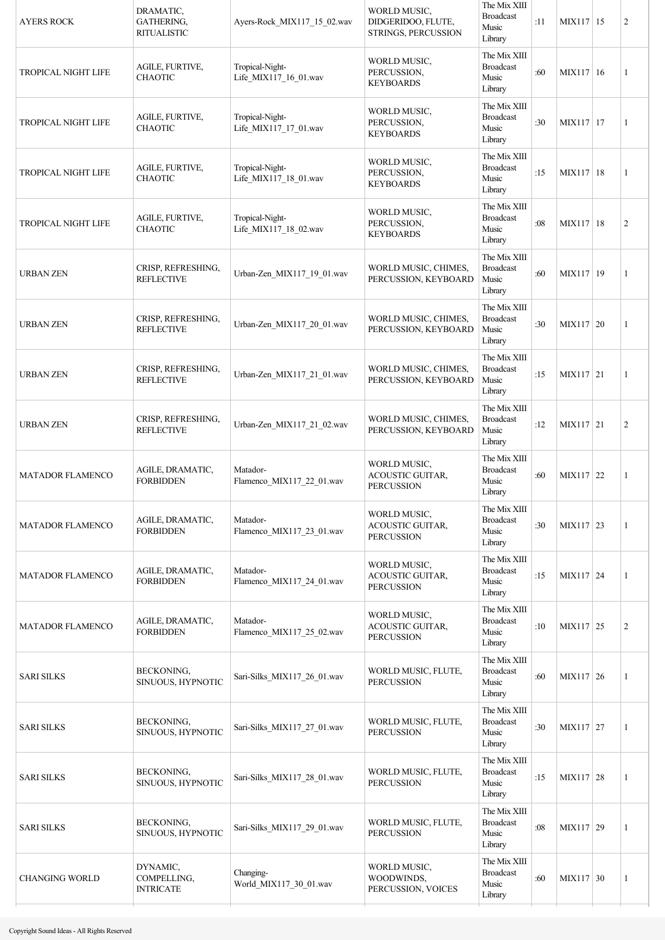| <b>AYERS ROCK</b>          | DRAMATIC,<br><b>GATHERING,</b><br><b>RITUALISTIC</b> | Ayers-Rock MIX117 15 02.wav              | WORLD MUSIC,<br>DIDGERIDOO, FLUTE,<br>STRINGS, PERCUSSION | The Mix XIII<br><b>Broadcast</b><br>Music<br>Library | :11 | MIX117 15   | $\overline{c}$ |
|----------------------------|------------------------------------------------------|------------------------------------------|-----------------------------------------------------------|------------------------------------------------------|-----|-------------|----------------|
| <b>TROPICAL NIGHT LIFE</b> | AGILE, FURTIVE,<br><b>CHAOTIC</b>                    | Tropical-Night-<br>Life_MIX117_16_01.wav | WORLD MUSIC,<br>PERCUSSION,<br><b>KEYBOARDS</b>           | The Mix XIII<br><b>Broadcast</b><br>Music<br>Library | :60 | MIX117   16 | 1              |
| TROPICAL NIGHT LIFE        | AGILE, FURTIVE,<br><b>CHAOTIC</b>                    | Tropical-Night-<br>Life_MIX117_17_01.wav | WORLD MUSIC,<br>PERCUSSION,<br><b>KEYBOARDS</b>           | The Mix XIII<br><b>Broadcast</b><br>Music<br>Library | :30 | MIX117 17   | 1              |
| TROPICAL NIGHT LIFE        | AGILE, FURTIVE,<br><b>CHAOTIC</b>                    | Tropical-Night-<br>Life_MIX117_18_01.wav | WORLD MUSIC,<br>PERCUSSION,<br><b>KEYBOARDS</b>           | The Mix XIII<br><b>Broadcast</b><br>Music<br>Library | :15 | MIX117   18 | 1              |
| <b>TROPICAL NIGHT LIFE</b> | AGILE, FURTIVE,<br><b>CHAOTIC</b>                    | Tropical-Night-<br>Life_MIX117_18_02.wav | WORLD MUSIC,<br>PERCUSSION,<br><b>KEYBOARDS</b>           | The Mix XIII<br><b>Broadcast</b><br>Music<br>Library | :08 | MIX117 18   | $\overline{c}$ |
| <b>URBAN ZEN</b>           | CRISP, REFRESHING,<br><b>REFLECTIVE</b>              | Urban-Zen MIX117 19 01.wav               | WORLD MUSIC, CHIMES,<br>PERCUSSION, KEYBOARD              | The Mix XIII<br><b>Broadcast</b><br>Music<br>Library | :60 | MIX117 19   | 1              |
| <b>URBAN ZEN</b>           | CRISP, REFRESHING,<br><b>REFLECTIVE</b>              | Urban-Zen_MIX117_20_01.wav               | WORLD MUSIC, CHIMES,<br>PERCUSSION, KEYBOARD              | The Mix XIII<br><b>Broadcast</b><br>Music<br>Library | :30 | MIX117 20   | 1              |
| <b>URBAN ZEN</b>           | CRISP, REFRESHING,<br><b>REFLECTIVE</b>              | Urban-Zen_MIX117_21_01.wav               | WORLD MUSIC, CHIMES,<br>PERCUSSION, KEYBOARD              | The Mix XIII<br><b>Broadcast</b><br>Music<br>Library | :15 | MIX117 21   | 1              |
| <b>URBAN ZEN</b>           | CRISP, REFRESHING,<br><b>REFLECTIVE</b>              | Urban-Zen_MIX117_21_02.wav               | WORLD MUSIC, CHIMES,<br>PERCUSSION, KEYBOARD              | The Mix XIII<br><b>Broadcast</b><br>Music<br>Library | :12 | MIX117 21   | $\overline{c}$ |
| MATADOR FLAMENCO           | AGILE, DRAMATIC,<br><b>FORBIDDEN</b>                 | Matador-<br>Flamenco_MIX117_22_01.wav    | WORLD MUSIC,<br>ACOUSTIC GUITAR,<br><b>PERCUSSION</b>     | The Mix XIII<br><b>Broadcast</b><br>Music<br>Library | :60 | MIX117 22   | 1              |
| <b>MATADOR FLAMENCO</b>    | AGILE, DRAMATIC,<br><b>FORBIDDEN</b>                 | Matador-<br>Flamenco_MIX117_23_01.wav    | WORLD MUSIC,<br>ACOUSTIC GUITAR,<br><b>PERCUSSION</b>     | The Mix XIII<br><b>Broadcast</b><br>Music<br>Library | :30 | MIX117 23   | 1              |
| <b>MATADOR FLAMENCO</b>    | AGILE, DRAMATIC,<br><b>FORBIDDEN</b>                 | Matador-<br>Flamenco_MIX117_24_01.wav    | WORLD MUSIC,<br>ACOUSTIC GUITAR,<br><b>PERCUSSION</b>     | The Mix XIII<br><b>Broadcast</b><br>Music<br>Library | :15 | MIX117 24   | 1              |
| <b>MATADOR FLAMENCO</b>    | AGILE, DRAMATIC,<br><b>FORBIDDEN</b>                 | Matador-<br>Flamenco_MIX117_25_02.wav    | WORLD MUSIC,<br>ACOUSTIC GUITAR,<br><b>PERCUSSION</b>     | The Mix XIII<br><b>Broadcast</b><br>Music<br>Library | :10 | MIX117 25   | $\overline{c}$ |
| <b>SARI SILKS</b>          | BECKONING,<br>SINUOUS, HYPNOTIC                      | Sari-Silks MIX117 26 01.wav              | WORLD MUSIC, FLUTE,<br><b>PERCUSSION</b>                  | The Mix XIII<br><b>Broadcast</b><br>Music<br>Library | :60 | MIX117 26   | 1              |
| <b>SARI SILKS</b>          | BECKONING,<br>SINUOUS, HYPNOTIC                      | Sari-Silks_MIX117_27_01.wav              | WORLD MUSIC, FLUTE,<br><b>PERCUSSION</b>                  | The Mix XIII<br><b>Broadcast</b><br>Music<br>Library | :30 | MIX117 27   | 1              |
| <b>SARI SILKS</b>          | BECKONING,<br>SINUOUS, HYPNOTIC                      | Sari-Silks_MIX117_28_01.wav              | WORLD MUSIC, FLUTE,<br><b>PERCUSSION</b>                  | The Mix XIII<br><b>Broadcast</b><br>Music<br>Library | :15 | MIX117 28   | 1              |
| <b>SARI SILKS</b>          | BECKONING,<br>SINUOUS, HYPNOTIC                      | Sari-Silks_MIX117_29_01.wav              | WORLD MUSIC, FLUTE,<br><b>PERCUSSION</b>                  | The Mix XIII<br><b>Broadcast</b><br>Music<br>Library | :08 | MIX117 29   | 1              |
| <b>CHANGING WORLD</b>      | DYNAMIC,<br>COMPELLING,<br><b>INTRICATE</b>          | Changing-<br>World_MIX117_30_01.wav      | WORLD MUSIC,<br>WOODWINDS,<br>PERCUSSION, VOICES          | The Mix XIII<br><b>Broadcast</b><br>Music<br>Library | :60 | MIX117 30   | 1              |
|                            |                                                      |                                          |                                                           |                                                      |     |             |                |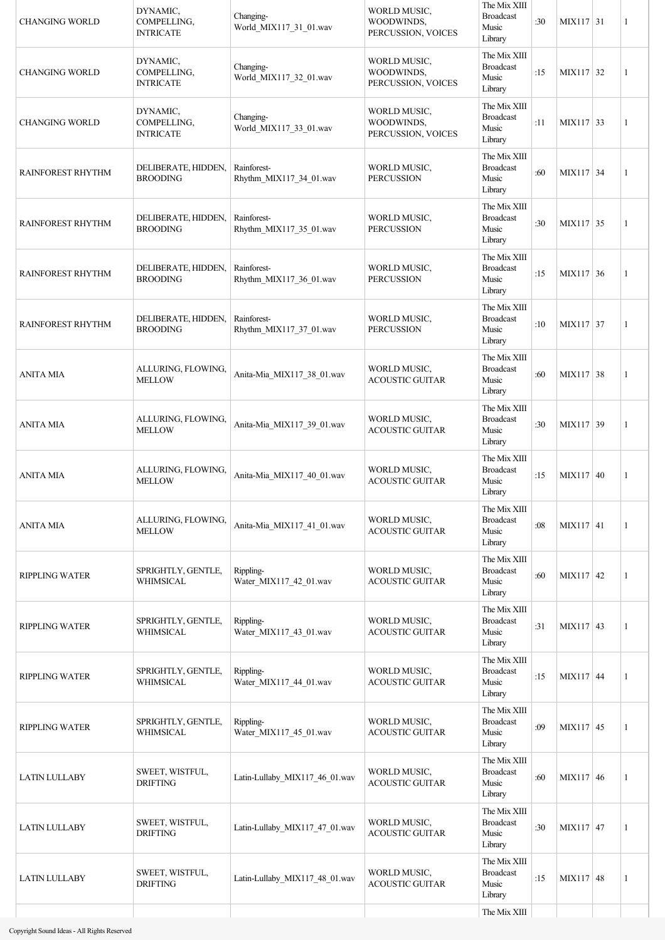| <b>CHANGING WORLD</b>    | DYNAMIC,<br>COMPELLING,<br><b>INTRICATE</b> | Changing-<br>World_MIX117_31_01.wav    | WORLD MUSIC.<br>WOODWINDS,<br>PERCUSSION, VOICES | The Mix XIII<br><b>Broadcast</b><br>Music<br>Library | :30 | MIX117 31        | 1            |
|--------------------------|---------------------------------------------|----------------------------------------|--------------------------------------------------|------------------------------------------------------|-----|------------------|--------------|
| <b>CHANGING WORLD</b>    | DYNAMIC,<br>COMPELLING.<br><b>INTRICATE</b> | Changing-<br>World_MIX117_32_01.wav    | WORLD MUSIC,<br>WOODWINDS,<br>PERCUSSION, VOICES | The Mix XIII<br><b>Broadcast</b><br>Music<br>Library | :15 | MIX117 32        | 1            |
| <b>CHANGING WORLD</b>    | DYNAMIC,<br>COMPELLING,<br><b>INTRICATE</b> | Changing-<br>World_MIX117_33_01.wav    | WORLD MUSIC,<br>WOODWINDS,<br>PERCUSSION, VOICES | The Mix XIII<br><b>Broadcast</b><br>Music<br>Library | :11 | MIX117 33        | $\mathbf{1}$ |
| <b>RAINFOREST RHYTHM</b> | DELIBERATE, HIDDEN,<br><b>BROODING</b>      | Rainforest-<br>Rhythm_MIX117_34_01.wav | WORLD MUSIC,<br><b>PERCUSSION</b>                | The Mix XIII<br><b>Broadcast</b><br>Music<br>Library | :60 | MIX117 34        | 1            |
| RAINFOREST RHYTHM        | DELIBERATE, HIDDEN,<br><b>BROODING</b>      | Rainforest-<br>Rhythm_MIX117_35_01.wav | WORLD MUSIC,<br><b>PERCUSSION</b>                | The Mix XIII<br><b>Broadcast</b><br>Music<br>Library | :30 | MIX117 35        | 1            |
| <b>RAINFOREST RHYTHM</b> | DELIBERATE, HIDDEN,<br><b>BROODING</b>      | Rainforest-<br>Rhythm_MIX117_36_01.wav | WORLD MUSIC,<br><b>PERCUSSION</b>                | The Mix XIII<br><b>Broadcast</b><br>Music<br>Library | :15 | MIX117 36        | 1            |
| <b>RAINFOREST RHYTHM</b> | DELIBERATE, HIDDEN,<br><b>BROODING</b>      | Rainforest-<br>Rhythm_MIX117_37_01.wav | WORLD MUSIC,<br><b>PERCUSSION</b>                | The Mix XIII<br><b>Broadcast</b><br>Music<br>Library | :10 | MIX117 37        | 1            |
| <b>ANITA MIA</b>         | ALLURING, FLOWING,<br><b>MELLOW</b>         | Anita-Mia_MIX117_38_01.wav             | WORLD MUSIC,<br><b>ACOUSTIC GUITAR</b>           | The Mix XIII<br><b>Broadcast</b><br>Music<br>Library | :60 | MIX117 38        | 1            |
| <b>ANITA MIA</b>         | ALLURING, FLOWING,<br><b>MELLOW</b>         | Anita-Mia_MIX117_39_01.wav             | WORLD MUSIC,<br><b>ACOUSTIC GUITAR</b>           | The Mix XIII<br><b>Broadcast</b><br>Music<br>Library | :30 | MIX117 39        | 1            |
| <b>ANITA MIA</b>         | ALLURING, FLOWING,<br><b>MELLOW</b>         | Anita-Mia_MIX117_40_01.wav             | WORLD MUSIC,<br><b>ACOUSTIC GUITAR</b>           | The Mix XIII<br><b>Broadcast</b><br>Music<br>Library | :15 | $MIX117$ 40      | 1            |
| ANITA MIA                | ALLURING, FLOWING,<br><b>MELLOW</b>         | Anita-Mia_MIX117_41_01.wav             | WORLD MUSIC,<br><b>ACOUSTIC GUITAR</b>           | The Mix XIII<br><b>Broadcast</b><br>Music<br>Library | :08 | MIX117 41        | 1            |
| <b>RIPPLING WATER</b>    | SPRIGHTLY, GENTLE,<br>WHIMSICAL             | Rippling-<br>Water_MIX117_42_01.wav    | WORLD MUSIC,<br><b>ACOUSTIC GUITAR</b>           | The Mix XIII<br><b>Broadcast</b><br>Music<br>Library | :60 | $MIX117 \mid 42$ | 1            |
| <b>RIPPLING WATER</b>    | SPRIGHTLY, GENTLE,<br>WHIMSICAL             | Rippling-<br>Water_MIX117_43_01.wav    | WORLD MUSIC,<br><b>ACOUSTIC GUITAR</b>           | The Mix XIII<br><b>Broadcast</b><br>Music<br>Library | :31 | $MIX117 \mid 43$ | 1            |
| <b>RIPPLING WATER</b>    | SPRIGHTLY, GENTLE,<br>WHIMSICAL             | Rippling-<br>Water_MIX117_44_01.wav    | WORLD MUSIC,<br><b>ACOUSTIC GUITAR</b>           | The Mix XIII<br><b>Broadcast</b><br>Music<br>Library | :15 | MIX117 44        | 1            |
| <b>RIPPLING WATER</b>    | SPRIGHTLY, GENTLE,<br>WHIMSICAL             | Rippling-<br>Water MIX117 45 01.wav    | WORLD MUSIC,<br><b>ACOUSTIC GUITAR</b>           | The Mix XIII<br><b>Broadcast</b><br>Music<br>Library | :09 | MIX117 45        | 1            |
| <b>LATIN LULLABY</b>     | SWEET, WISTFUL,<br><b>DRIFTING</b>          | Latin-Lullaby_MIX117_46_01.wav         | WORLD MUSIC,<br><b>ACOUSTIC GUITAR</b>           | The Mix XIII<br><b>Broadcast</b><br>Music<br>Library | :60 | MIX117 46        | 1            |
| <b>LATIN LULLABY</b>     | SWEET, WISTFUL,<br><b>DRIFTING</b>          | Latin-Lullaby_MIX117_47_01.wav         | WORLD MUSIC,<br><b>ACOUSTIC GUITAR</b>           | The Mix XIII<br><b>Broadcast</b><br>Music<br>Library | :30 | MIX117 47        | 1            |
| <b>LATIN LULLABY</b>     | SWEET, WISTFUL,<br><b>DRIFTING</b>          | Latin-Lullaby_MIX117_48_01.wav         | WORLD MUSIC,<br><b>ACOUSTIC GUITAR</b>           | The Mix XIII<br><b>Broadcast</b><br>Music<br>Library | :15 | MIX117 48        | 1            |
|                          |                                             |                                        |                                                  | The Mix XIII                                         |     |                  |              |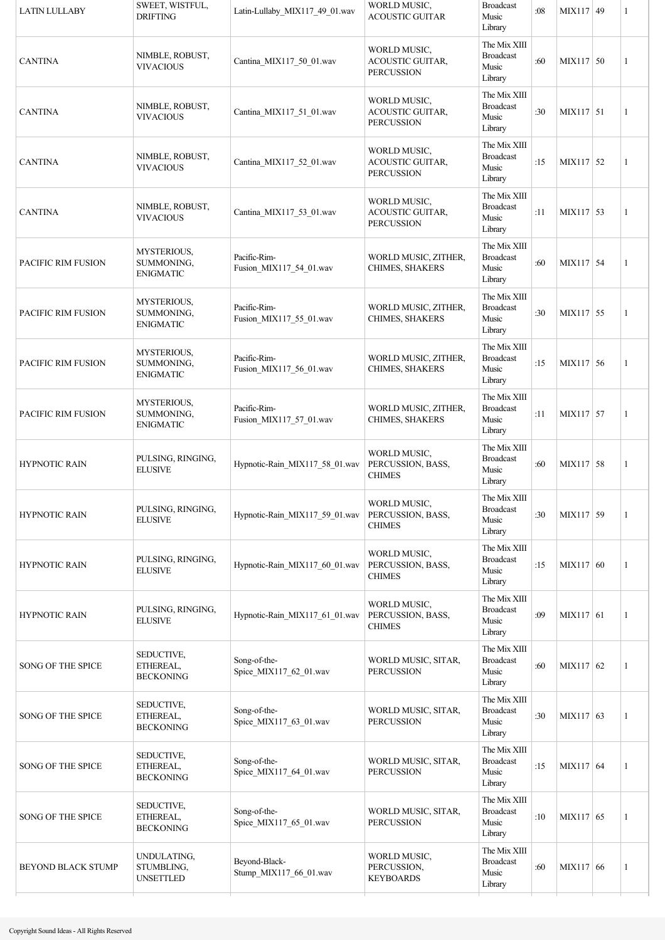| <b>LATIN LULLABY</b>      | SWEET, WISTFUL,<br><b>DRIFTING</b>            | Latin-Lullaby_MIX117_49_01.wav          | WORLD MUSIC,<br><b>ACOUSTIC GUITAR</b>                | <b>Broadcast</b><br>Music<br>Library                 | :08 | MIX117 49   | 1            |
|---------------------------|-----------------------------------------------|-----------------------------------------|-------------------------------------------------------|------------------------------------------------------|-----|-------------|--------------|
| <b>CANTINA</b>            | NIMBLE, ROBUST,<br><b>VIVACIOUS</b>           | Cantina_MIX117_50_01.wav                | WORLD MUSIC,<br>ACOUSTIC GUITAR,<br><b>PERCUSSION</b> | The Mix XIII<br><b>Broadcast</b><br>Music<br>Library | :60 | $MIX117$ 50 | $\mathbf{1}$ |
| <b>CANTINA</b>            | NIMBLE, ROBUST,<br><b>VIVACIOUS</b>           | Cantina_MIX117_51_01.wav                | WORLD MUSIC,<br>ACOUSTIC GUITAR,<br><b>PERCUSSION</b> | The Mix XIII<br><b>Broadcast</b><br>Music<br>Library | :30 | MIX117 51   | $\mathbf{1}$ |
| <b>CANTINA</b>            | NIMBLE, ROBUST,<br><b>VIVACIOUS</b>           | Cantina_MIX117_52_01.wav                | WORLD MUSIC,<br>ACOUSTIC GUITAR,<br><b>PERCUSSION</b> | The Mix XIII<br><b>Broadcast</b><br>Music<br>Library | :15 | $MIX117$ 52 | $\mathbf{1}$ |
| <b>CANTINA</b>            | NIMBLE, ROBUST,<br>VIVACIOUS                  | Cantina_MIX117_53_01.wav                | WORLD MUSIC,<br>ACOUSTIC GUITAR,<br><b>PERCUSSION</b> | The Mix XIII<br><b>Broadcast</b><br>Music<br>Library | :11 | MIX117 53   | $\mathbf{1}$ |
| PACIFIC RIM FUSION        | MYSTERIOUS,<br>SUMMONING,<br><b>ENIGMATIC</b> | Pacific-Rim-<br>Fusion_MIX117_54_01.wav | WORLD MUSIC, ZITHER,<br><b>CHIMES, SHAKERS</b>        | The Mix XIII<br><b>Broadcast</b><br>Music<br>Library | :60 | MIX117 54   | $\mathbf{1}$ |
| PACIFIC RIM FUSION        | MYSTERIOUS,<br>SUMMONING,<br><b>ENIGMATIC</b> | Pacific-Rim-<br>Fusion_MIX117_55_01.wav | WORLD MUSIC, ZITHER,<br>CHIMES, SHAKERS               | The Mix XIII<br><b>Broadcast</b><br>Music<br>Library | :30 | MIX117 55   | $\mathbf{1}$ |
| PACIFIC RIM FUSION        | MYSTERIOUS,<br>SUMMONING,<br><b>ENIGMATIC</b> | Pacific-Rim-<br>Fusion_MIX117_56_01.wav | WORLD MUSIC, ZITHER,<br>CHIMES, SHAKERS               | The Mix XIII<br><b>Broadcast</b><br>Music<br>Library | :15 | MIX117 56   | $\mathbf{1}$ |
| PACIFIC RIM FUSION        | MYSTERIOUS,<br>SUMMONING,<br>ENIGMATIC        | Pacific-Rim-<br>Fusion_MIX117_57_01.wav | WORLD MUSIC, ZITHER,<br>CHIMES, SHAKERS               | The Mix XIII<br><b>Broadcast</b><br>Music<br>Library | :11 | MIX117 57   | 1            |
| <b>HYPNOTIC RAIN</b>      | PULSING, RINGING,<br><b>ELUSIVE</b>           | Hypnotic-Rain_MIX117_58_01.wav          | WORLD MUSIC,<br>PERCUSSION, BASS,<br><b>CHIMES</b>    | The Mix XIII<br><b>Broadcast</b><br>Music<br>Library | :60 | MIX117 58   | 1            |
| <b>HYPNOTIC RAIN</b>      | PULSING, RINGING,<br><b>ELUSIVE</b>           | Hypnotic-Rain_MIX117_59_01.wav          | WORLD MUSIC,<br>PERCUSSION, BASS,<br><b>CHIMES</b>    | The Mix XIII<br><b>Broadcast</b><br>Music<br>Library | :30 | MIX117 59   | 1            |
| <b>HYPNOTIC RAIN</b>      | PULSING, RINGING,<br><b>ELUSIVE</b>           | Hypnotic-Rain MIX117 60 01.wav          | WORLD MUSIC,<br>PERCUSSION, BASS,<br><b>CHIMES</b>    | The Mix XIII<br><b>Broadcast</b><br>Music<br>Library | :15 | MIX117 60   | $\mathbf{1}$ |
| <b>HYPNOTIC RAIN</b>      | PULSING, RINGING,<br><b>ELUSIVE</b>           | Hypnotic-Rain_MIX117_61_01.wav          | WORLD MUSIC,<br>PERCUSSION, BASS,<br><b>CHIMES</b>    | The Mix XIII<br><b>Broadcast</b><br>Music<br>Library | :09 | MIX117 61   | 1            |
| SONG OF THE SPICE         | SEDUCTIVE,<br>ETHEREAL,<br>BECKONING          | Song-of-the-<br>Spice_MIX117_62_01.wav  | WORLD MUSIC, SITAR,<br><b>PERCUSSION</b>              | The Mix XIII<br><b>Broadcast</b><br>Music<br>Library | :60 | MIX117 62   | 1            |
| <b>SONG OF THE SPICE</b>  | SEDUCTIVE,<br>ETHEREAL,<br><b>BECKONING</b>   | Song-of-the-<br>Spice_MIX117_63_01.wav  | WORLD MUSIC, SITAR,<br><b>PERCUSSION</b>              | The Mix XIII<br><b>Broadcast</b><br>Music<br>Library | :30 | MIX117 63   | 1            |
| <b>SONG OF THE SPICE</b>  | SEDUCTIVE,<br>ETHEREAL,<br><b>BECKONING</b>   | Song-of-the-<br>Spice_MIX117_64_01.wav  | WORLD MUSIC, SITAR,<br><b>PERCUSSION</b>              | The Mix XIII<br><b>Broadcast</b><br>Music<br>Library | :15 | MIX117 64   | 1            |
| <b>SONG OF THE SPICE</b>  | SEDUCTIVE,<br>ETHEREAL,<br><b>BECKONING</b>   | Song-of-the-<br>Spice_MIX117_65_01.wav  | WORLD MUSIC, SITAR,<br><b>PERCUSSION</b>              | The Mix XIII<br><b>Broadcast</b><br>Music<br>Library | :10 | MIX117 65   | 1            |
| <b>BEYOND BLACK STUMP</b> | UNDULATING,<br>STUMBLING,<br><b>UNSETTLED</b> | Beyond-Black-<br>Stump_MIX117_66_01.wav | WORLD MUSIC,<br>PERCUSSION,<br><b>KEYBOARDS</b>       | The Mix XIII<br><b>Broadcast</b><br>Music<br>Library | :60 | MIX117 66   | 1            |
|                           |                                               |                                         |                                                       |                                                      |     |             |              |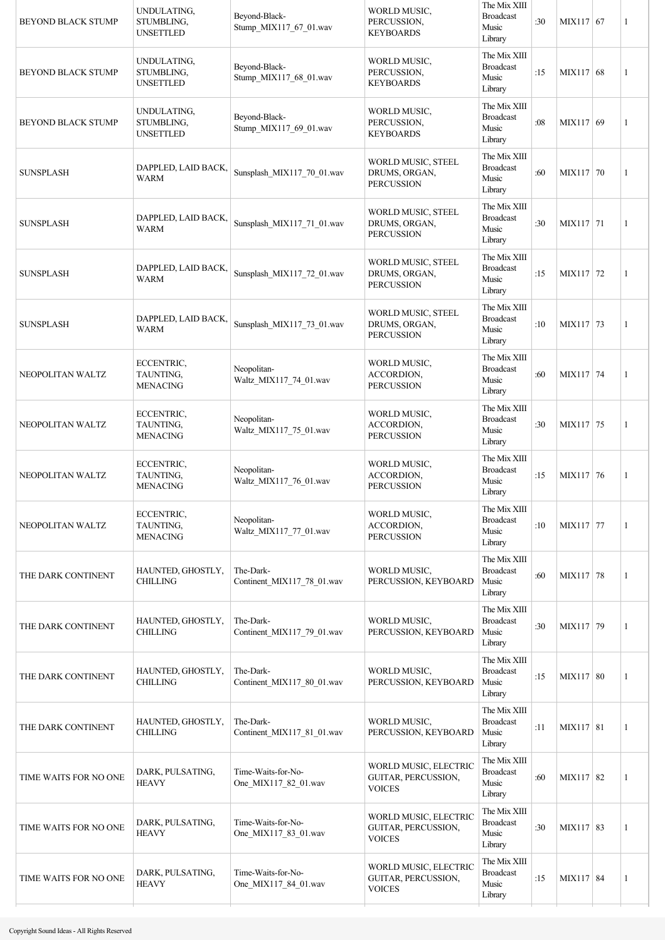| <b>BEYOND BLACK STUMP</b> | UNDULATING,<br>STUMBLING,<br><b>UNSETTLED</b> | Beyond-Black-<br>Stump_MIX117_67_01.wav    | WORLD MUSIC.<br>PERCUSSION,<br><b>KEYBOARDS</b>               | The Mix XIII<br><b>Broadcast</b><br>Music<br>Library | :30 | MIX117 67   | 1 |
|---------------------------|-----------------------------------------------|--------------------------------------------|---------------------------------------------------------------|------------------------------------------------------|-----|-------------|---|
| <b>BEYOND BLACK STUMP</b> | UNDULATING,<br>STUMBLING,<br><b>UNSETTLED</b> | Bevond-Black-<br>Stump_MIX117_68_01.wav    | WORLD MUSIC,<br>PERCUSSION,<br><b>KEYBOARDS</b>               | The Mix XIII<br><b>Broadcast</b><br>Music<br>Library | :15 | MIX117 68   | 1 |
| <b>BEYOND BLACK STUMP</b> | UNDULATING,<br>STUMBLING,<br><b>UNSETTLED</b> | Beyond-Black-<br>Stump_MIX117_69_01.wav    | WORLD MUSIC,<br>PERCUSSION,<br><b>KEYBOARDS</b>               | The Mix XIII<br><b>Broadcast</b><br>Music<br>Library | :08 | MIX117 69   | 1 |
| <b>SUNSPLASH</b>          | DAPPLED, LAID BACK,<br><b>WARM</b>            | Sunsplash_MIX117_70_01.wav                 | WORLD MUSIC, STEEL<br>DRUMS, ORGAN,<br><b>PERCUSSION</b>      | The Mix XIII<br><b>Broadcast</b><br>Music<br>Library | :60 | MIX117 70   | 1 |
| <b>SUNSPLASH</b>          | DAPPLED, LAID BACK,<br>WARM                   | Sunsplash MIX117 71 01.wav                 | WORLD MUSIC, STEEL<br>DRUMS, ORGAN,<br><b>PERCUSSION</b>      | The Mix XIII<br><b>Broadcast</b><br>Music<br>Library | :30 | MIX117 71   | 1 |
| <b>SUNSPLASH</b>          | DAPPLED, LAID BACK,<br><b>WARM</b>            | Sunsplash_MIX117_72_01.wav                 | WORLD MUSIC, STEEL<br>DRUMS, ORGAN,<br><b>PERCUSSION</b>      | The Mix XIII<br><b>Broadcast</b><br>Music<br>Library | :15 | MIX117 72   | 1 |
| <b>SUNSPLASH</b>          | DAPPLED, LAID BACK,<br><b>WARM</b>            | Sunsplash_MIX117_73_01.wav                 | WORLD MUSIC, STEEL<br>DRUMS, ORGAN,<br><b>PERCUSSION</b>      | The Mix XIII<br><b>Broadcast</b><br>Music<br>Library | :10 | MIX117 73   | 1 |
| NEOPOLITAN WALTZ          | ECCENTRIC,<br>TAUNTING,<br><b>MENACING</b>    | Neopolitan-<br>Waltz_MIX117_74_01.wav      | WORLD MUSIC,<br><b>ACCORDION</b><br><b>PERCUSSION</b>         | The Mix XIII<br><b>Broadcast</b><br>Music<br>Library | :60 | MIX117 74   | 1 |
| NEOPOLITAN WALTZ          | ECCENTRIC,<br>TAUNTING,<br><b>MENACING</b>    | Neopolitan-<br>Waltz_MIX117_75_01.wav      | WORLD MUSIC,<br>ACCORDION,<br><b>PERCUSSION</b>               | The Mix XIII<br><b>Broadcast</b><br>Music<br>Library | :30 | MIX117 75   | 1 |
| NEOPOLITAN WALTZ          | ECCENTRIC,<br>TAUNTING,<br><b>MENACING</b>    | Neopolitan-<br>Waltz MIX117_76_01.wav      | WORLD MUSIC,<br>ACCORDION.<br><b>PERCUSSION</b>               | The Mix XIII<br><b>Broadcast</b><br>Music<br>Library | :15 | MIX117 76   | 1 |
| NEOPOLITAN WALTZ          | ECCENTRIC,<br>TAUNTING,<br><b>MENACING</b>    | Neopolitan-<br>Waltz_MIX117_77_01.wav      | WORLD MUSIC,<br>ACCORDION,<br><b>PERCUSSION</b>               | The Mix XIII<br><b>Broadcast</b><br>Music<br>Library | :10 | MIX117 77   | 1 |
| THE DARK CONTINENT        | HAUNTED, GHOSTLY,<br><b>CHILLING</b>          | The-Dark-<br>Continent_MIX117_78_01.wav    | WORLD MUSIC,<br>PERCUSSION, KEYBOARD                          | The Mix XIII<br><b>Broadcast</b><br>Music<br>Library | :60 | MIX117 78   | 1 |
| THE DARK CONTINENT        | HAUNTED, GHOSTLY,<br><b>CHILLING</b>          | The-Dark-<br>Continent_MIX117_79_01.wav    | WORLD MUSIC,<br>PERCUSSION, KEYBOARD                          | The Mix XIII<br><b>Broadcast</b><br>Music<br>Library | :30 | MIX117 79   | 1 |
| THE DARK CONTINENT        | HAUNTED, GHOSTLY,<br><b>CHILLING</b>          | The-Dark-<br>Continent_MIX117_80_01.wav    | WORLD MUSIC,<br>PERCUSSION, KEYBOARD                          | The Mix XIII<br><b>Broadcast</b><br>Music<br>Library | :15 | MIX117   80 | 1 |
| THE DARK CONTINENT        | HAUNTED, GHOSTLY,<br><b>CHILLING</b>          | The-Dark-<br>Continent_MIX117_81_01.wav    | WORLD MUSIC,<br>PERCUSSION, KEYBOARD                          | The Mix XIII<br><b>Broadcast</b><br>Music<br>Library | :11 | MIX117   81 | 1 |
| TIME WAITS FOR NO ONE     | DARK, PULSATING,<br><b>HEAVY</b>              | Time-Waits-for-No-<br>One_MIX117_82_01.wav | WORLD MUSIC, ELECTRIC<br>GUITAR, PERCUSSION,<br><b>VOICES</b> | The Mix XIII<br><b>Broadcast</b><br>Music<br>Library | :60 | MIX117 82   | 1 |
| TIME WAITS FOR NO ONE     | DARK, PULSATING,<br><b>HEAVY</b>              | Time-Waits-for-No-<br>One_MIX117_83_01.wav | WORLD MUSIC, ELECTRIC<br>GUITAR, PERCUSSION,<br><b>VOICES</b> | The Mix XIII<br><b>Broadcast</b><br>Music<br>Library | :30 | MIX117 83   | 1 |
| TIME WAITS FOR NO ONE     | DARK, PULSATING,<br><b>HEAVY</b>              | Time-Waits-for-No-<br>One MIX117 84 01.wav | WORLD MUSIC, ELECTRIC<br>GUITAR, PERCUSSION,<br><b>VOICES</b> | The Mix XIII<br><b>Broadcast</b><br>Music<br>Library | :15 | MIX117 84   | 1 |
|                           |                                               |                                            |                                                               |                                                      |     |             |   |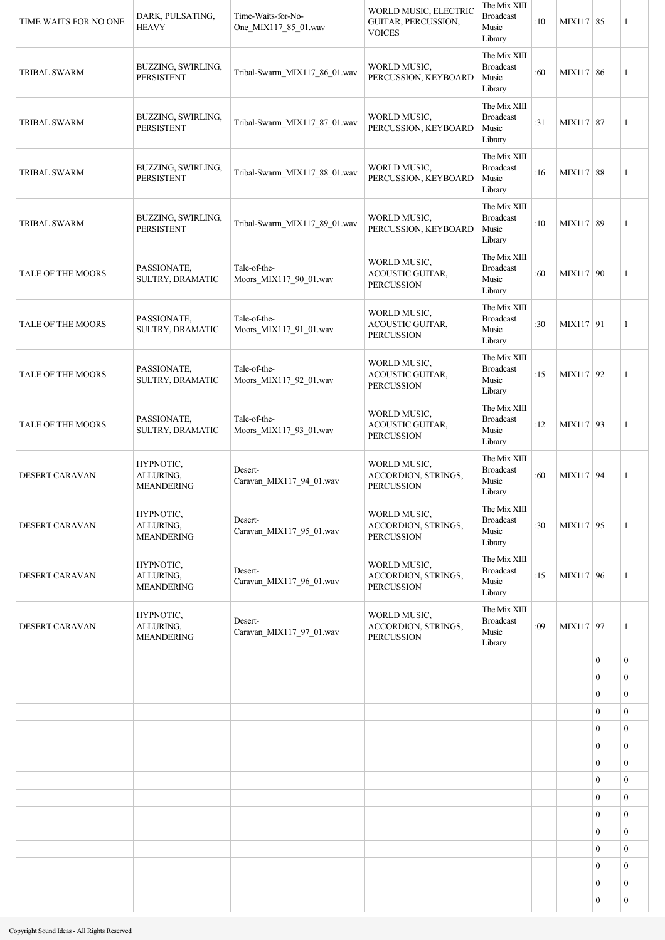| TIME WAITS FOR NO ONE | DARK, PULSATING,<br><b>HEAVY</b>            | Time-Waits-for-No-<br>One_MIX117_85_01.wav | WORLD MUSIC, ELECTRIC<br>GUITAR, PERCUSSION,<br><b>VOICES</b>   | The Mix XIII<br><b>Broadcast</b><br>Music<br>Library | :10 | MIX117 85 |                  | 1                |
|-----------------------|---------------------------------------------|--------------------------------------------|-----------------------------------------------------------------|------------------------------------------------------|-----|-----------|------------------|------------------|
| <b>TRIBAL SWARM</b>   | BUZZING, SWIRLING,<br><b>PERSISTENT</b>     | Tribal-Swarm_MIX117_86_01.wav              | WORLD MUSIC,<br>PERCUSSION, KEYBOARD                            | The Mix XIII<br><b>Broadcast</b><br>Music<br>Library | :60 | MIX117 86 |                  | 1                |
| <b>TRIBAL SWARM</b>   | BUZZING, SWIRLING,<br><b>PERSISTENT</b>     | Tribal-Swarm_MIX117_87_01.wav              | WORLD MUSIC,<br>PERCUSSION, KEYBOARD                            | The Mix XIII<br><b>Broadcast</b><br>Music<br>Library | :31 | MIX117 87 |                  | 1                |
| <b>TRIBAL SWARM</b>   | BUZZING, SWIRLING,<br><b>PERSISTENT</b>     | Tribal-Swarm_MIX117_88_01.wav              | WORLD MUSIC,<br>PERCUSSION, KEYBOARD                            | The Mix XIII<br><b>Broadcast</b><br>Music<br>Library | :16 | MIX117 88 |                  | 1                |
| <b>TRIBAL SWARM</b>   | BUZZING, SWIRLING,<br><b>PERSISTENT</b>     | Tribal-Swarm_MIX117_89_01.wav              | WORLD MUSIC,<br>PERCUSSION, KEYBOARD                            | The Mix XIII<br><b>Broadcast</b><br>Music<br>Library | :10 | MIX117 89 |                  | 1                |
| TALE OF THE MOORS     | PASSIONATE,<br>SULTRY, DRAMATIC             | Tale-of-the-<br>Moors MIX117 90 01.wav     | WORLD MUSIC,<br>ACOUSTIC GUITAR,<br><b>PERCUSSION</b>           | The Mix XIII<br><b>Broadcast</b><br>Music<br>Library | :60 | MIX117 90 |                  | 1                |
| TALE OF THE MOORS     | PASSIONATE,<br>SULTRY, DRAMATIC             | Tale-of-the-<br>Moors_MIX117_91_01.wav     | WORLD MUSIC,<br><b>ACOUSTIC GUITAR,</b><br><b>PERCUSSION</b>    | The Mix XIII<br><b>Broadcast</b><br>Music<br>Library | :30 | MIX117 91 |                  | 1                |
| TALE OF THE MOORS     | PASSIONATE,<br>SULTRY, DRAMATIC             | Tale-of-the-<br>Moors_MIX117_92_01.wav     | WORLD MUSIC,<br><b>ACOUSTIC GUITAR,</b><br><b>PERCUSSION</b>    | The Mix XIII<br><b>Broadcast</b><br>Music<br>Library | :15 | MIX117 92 |                  | 1                |
| TALE OF THE MOORS     | PASSIONATE,<br>SULTRY, DRAMATIC             | Tale-of-the-<br>Moors_MIX117_93_01.wav     | WORLD MUSIC,<br><b>ACOUSTIC GUITAR,</b><br><b>PERCUSSION</b>    | The Mix XIII<br><b>Broadcast</b><br>Music<br>Library | :12 | MIX117 93 |                  | 1                |
| DESERT CARAVAN        | HYPNOTIC,<br>ALLURING,<br><b>MEANDERING</b> | Desert-<br>Caravan_MIX117_94_01.wav        | WORLD MUSIC,<br>ACCORDION, STRINGS,<br><b>PERCUSSION</b>        | The Mix XIII<br><b>Broadcast</b><br>Music<br>Library | :60 | MIX117 94 |                  | 1                |
| DESERT CARAVAN        | HYPNOTIC,<br>ALLURING,<br><b>MEANDERING</b> | Desert-<br>Caravan_MIX117_95_01.wav        | WORLD MUSIC,<br>ACCORDION, STRINGS,<br><b>PERCUSSION</b>        | The Mix XIII<br><b>Broadcast</b><br>Music<br>Library | :30 | MIX117 95 |                  | 1                |
| DESERT CARAVAN        | HYPNOTIC,<br>ALLURING,<br><b>MEANDERING</b> | Desert-<br>Caravan MIX117 96 01.wav        | <b>WORLD MUSIC.</b><br>ACCORDION, STRINGS,<br><b>PERCUSSION</b> | The Mix XIII<br><b>Broadcast</b><br>Music<br>Library | :15 | MIX117 96 |                  | $\mathbf{1}$     |
| DESERT CARAVAN        | HYPNOTIC,<br>ALLURING,<br><b>MEANDERING</b> | Desert-<br>Caravan_MIX117_97_01.wav        | WORLD MUSIC,<br>ACCORDION, STRINGS,<br><b>PERCUSSION</b>        | The Mix XIII<br><b>Broadcast</b><br>Music<br>Library | :09 | MIX117 97 |                  | 1                |
|                       |                                             |                                            |                                                                 |                                                      |     |           | $\mathbf{0}$     | $\boldsymbol{0}$ |
|                       |                                             |                                            |                                                                 |                                                      |     |           | $\mathbf{0}$     | $\boldsymbol{0}$ |
|                       |                                             |                                            |                                                                 |                                                      |     |           | $\boldsymbol{0}$ | $\overline{0}$   |
|                       |                                             |                                            |                                                                 |                                                      |     |           | $\mathbf{0}$     | $\overline{0}$   |
|                       |                                             |                                            |                                                                 |                                                      |     |           | $\boldsymbol{0}$ | $\boldsymbol{0}$ |
|                       |                                             |                                            |                                                                 |                                                      |     |           | $\mathbf{0}$     | $\overline{0}$   |
|                       |                                             |                                            |                                                                 |                                                      |     |           | $\mathbf{0}$     | $\mathbf{0}$     |
|                       |                                             |                                            |                                                                 |                                                      |     |           | $\mathbf{0}$     | $\boldsymbol{0}$ |
|                       |                                             |                                            |                                                                 |                                                      |     |           | $\mathbf{0}$     | $\boldsymbol{0}$ |
|                       |                                             |                                            |                                                                 |                                                      |     |           | $\boldsymbol{0}$ | $\mathbf{0}$     |
|                       |                                             |                                            |                                                                 |                                                      |     |           | $\mathbf{0}$     | $\mathbf{0}$     |
|                       |                                             |                                            |                                                                 |                                                      |     |           | $\boldsymbol{0}$ | $\boldsymbol{0}$ |
|                       |                                             |                                            |                                                                 |                                                      |     |           | $\overline{0}$   | $\mathbf{0}$     |
|                       |                                             |                                            |                                                                 |                                                      |     |           | $\mathbf{0}$     | $\boldsymbol{0}$ |
|                       |                                             |                                            |                                                                 |                                                      |     |           | $\mathbf{0}$     | $\boldsymbol{0}$ |